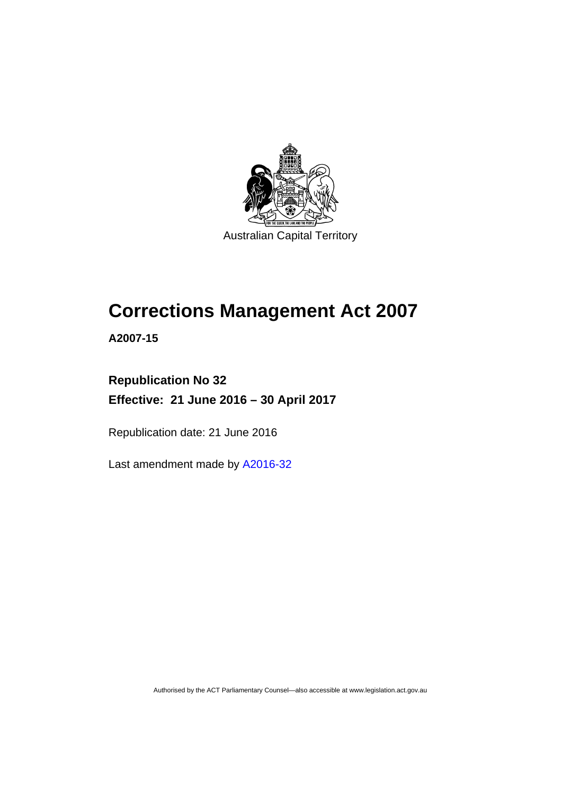

# **Corrections Management Act 2007**

**A2007-15** 

# **Republication No 32 Effective: 21 June 2016 – 30 April 2017**

Republication date: 21 June 2016

Last amendment made by [A2016-32](http://www.legislation.act.gov.au/a/2016-32)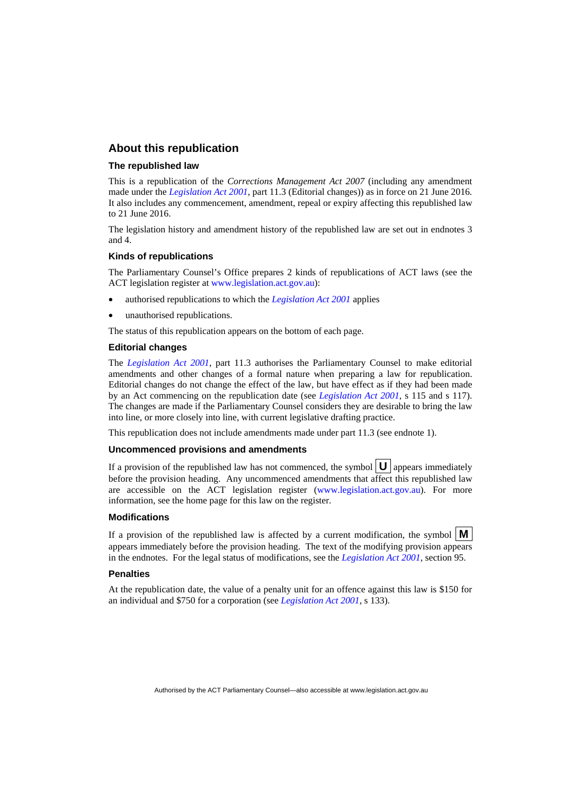### **About this republication**

#### **The republished law**

This is a republication of the *Corrections Management Act 2007* (including any amendment made under the *[Legislation Act 2001](http://www.legislation.act.gov.au/a/2001-14)*, part 11.3 (Editorial changes)) as in force on 21 June 2016*.*  It also includes any commencement, amendment, repeal or expiry affecting this republished law to 21 June 2016.

The legislation history and amendment history of the republished law are set out in endnotes 3 and 4.

#### **Kinds of republications**

The Parliamentary Counsel's Office prepares 2 kinds of republications of ACT laws (see the ACT legislation register at [www.legislation.act.gov.au](http://www.legislation.act.gov.au/)):

- authorised republications to which the *[Legislation Act 2001](http://www.legislation.act.gov.au/a/2001-14)* applies
- unauthorised republications.

The status of this republication appears on the bottom of each page.

#### **Editorial changes**

The *[Legislation Act 2001](http://www.legislation.act.gov.au/a/2001-14)*, part 11.3 authorises the Parliamentary Counsel to make editorial amendments and other changes of a formal nature when preparing a law for republication. Editorial changes do not change the effect of the law, but have effect as if they had been made by an Act commencing on the republication date (see *[Legislation Act 2001](http://www.legislation.act.gov.au/a/2001-14)*, s 115 and s 117). The changes are made if the Parliamentary Counsel considers they are desirable to bring the law into line, or more closely into line, with current legislative drafting practice.

This republication does not include amendments made under part 11.3 (see endnote 1).

#### **Uncommenced provisions and amendments**

If a provision of the republished law has not commenced, the symbol  $\mathbf{U}$  appears immediately before the provision heading. Any uncommenced amendments that affect this republished law are accessible on the ACT legislation register [\(www.legislation.act.gov.au\)](http://www.legislation.act.gov.au/). For more information, see the home page for this law on the register.

#### **Modifications**

If a provision of the republished law is affected by a current modification, the symbol  $\mathbf{M}$ appears immediately before the provision heading. The text of the modifying provision appears in the endnotes. For the legal status of modifications, see the *[Legislation Act 2001](http://www.legislation.act.gov.au/a/2001-14)*, section 95.

#### **Penalties**

At the republication date, the value of a penalty unit for an offence against this law is \$150 for an individual and \$750 for a corporation (see *[Legislation Act 2001](http://www.legislation.act.gov.au/a/2001-14)*, s 133).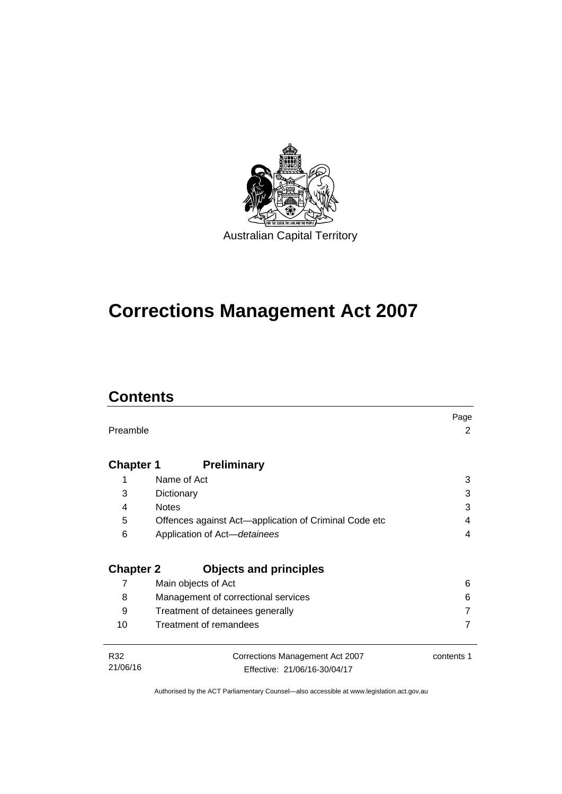

# **Corrections Management Act 2007**

# **Contents**

|                  |                                                       | Page       |
|------------------|-------------------------------------------------------|------------|
| Preamble         |                                                       | 2          |
|                  |                                                       |            |
| <b>Chapter 1</b> | <b>Preliminary</b>                                    |            |
| 1                | Name of Act                                           | 3          |
| 3                | Dictionary                                            | 3          |
| 4                | <b>Notes</b>                                          | 3          |
| 5                | Offences against Act—application of Criminal Code etc | 4          |
| 6                | Application of Act-detainees                          | 4          |
|                  |                                                       |            |
| <b>Chapter 2</b> | <b>Objects and principles</b>                         |            |
| 7                | Main objects of Act                                   | 6          |
| 8                | Management of correctional services                   | 6          |
| 9                | Treatment of detainees generally                      |            |
| 10               | Treatment of remandees                                |            |
|                  |                                                       |            |
| R32              | Corrections Management Act 2007                       | contents 1 |
| 21/06/16         | Effective: 21/06/16-30/04/17                          |            |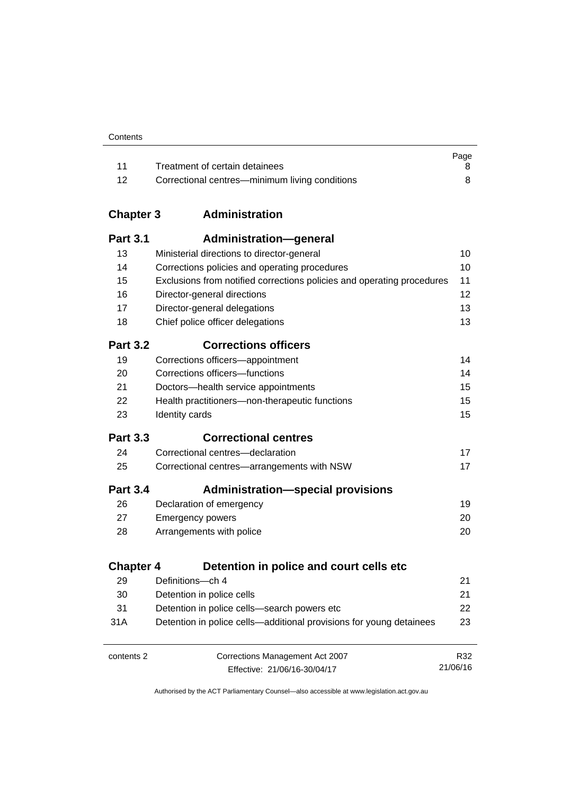| Contents |
|----------|
|----------|

|      |                                                | Page |
|------|------------------------------------------------|------|
|      | Treatment of certain detainees                 |      |
| - 12 | Correctional centres—minimum living conditions |      |

# **Chapter 3 [Administration](#page-23-0)**

| <b>Part 3.1</b>  | <b>Administration-general</b>                                          |                 |
|------------------|------------------------------------------------------------------------|-----------------|
| 13               | Ministerial directions to director-general                             | 10              |
| 14               | Corrections policies and operating procedures                          | 10              |
| 15               | Exclusions from notified corrections policies and operating procedures | 11              |
| 16               | Director-general directions                                            | 12              |
| 17               | Director-general delegations                                           | 13              |
| 18               | Chief police officer delegations                                       | 13              |
| <b>Part 3.2</b>  | <b>Corrections officers</b>                                            |                 |
| 19               | Corrections officers-appointment                                       | 14              |
| 20               | Corrections officers-functions                                         | 14              |
| 21               | Doctors-health service appointments                                    | 15              |
| 22               | Health practitioners-non-therapeutic functions                         | 15              |
| 23               | Identity cards                                                         | 15              |
| <b>Part 3.3</b>  | <b>Correctional centres</b>                                            |                 |
| 24               | Correctional centres-declaration                                       | 17              |
| 25               | Correctional centres-arrangements with NSW                             | 17              |
| <b>Part 3.4</b>  | <b>Administration-special provisions</b>                               |                 |
| 26               | Declaration of emergency                                               | 19              |
| 27               | <b>Emergency powers</b>                                                | 20              |
| 28               | Arrangements with police                                               | 20              |
| <b>Chapter 4</b> | Detention in police and court cells etc                                |                 |
| 29               | Definitions-ch 4                                                       | 21              |
| 30               | Detention in police cells                                              | 21              |
| 31               | Detention in police cells-search powers etc                            | 22              |
| 31A              | Detention in police cells—additional provisions for young detainees    | 23              |
|                  |                                                                        |                 |
| contents 2       | Corrections Management Act 2007                                        | R32<br>21/06/16 |
|                  | Effective: 21/06/16-30/04/17                                           |                 |

Effective: 21/06/16-30/04/17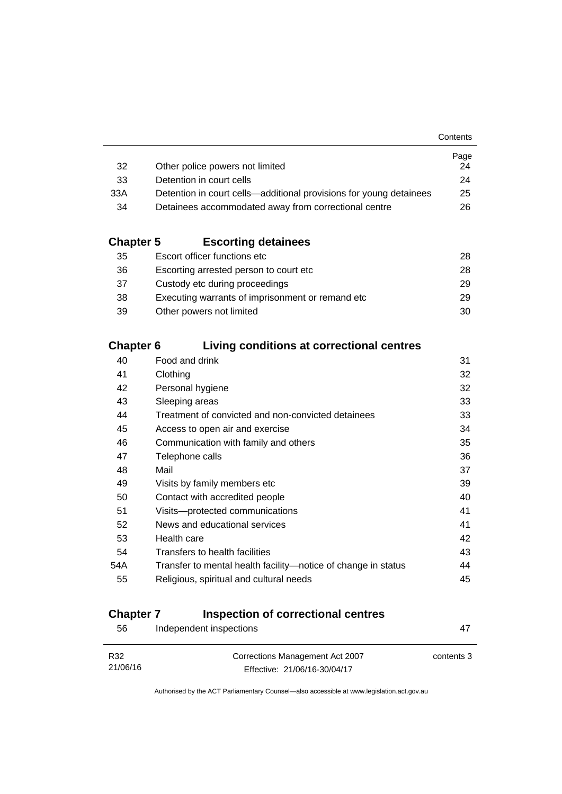|                                                                    | Page |
|--------------------------------------------------------------------|------|
| Other police powers not limited                                    | 24   |
| Detention in court cells                                           | 24   |
| Detention in court cells—additional provisions for young detainees | 25   |
| Detainees accommodated away from correctional centre               | 26.  |
|                                                                    |      |

# **Chapter 5 [Escorting detainees](#page-41-0)**

| 35 | Escort officer functions etc                      | 28  |
|----|---------------------------------------------------|-----|
| 36 | Escorting arrested person to court etc.           | 28. |
| 37 | Custody etc during proceedings                    | 29  |
| 38 | Executing warrants of imprisonment or remand etc. | 29  |
| 39 | Other powers not limited                          | 30  |

# **Chapter 6 [Living conditions at correctional centres](#page-44-0)**

| 40  | Food and drink                                                | 31 |
|-----|---------------------------------------------------------------|----|
| 41  | Clothing                                                      | 32 |
| 42  | Personal hygiene                                              | 32 |
| 43  | Sleeping areas                                                | 33 |
| 44  | Treatment of convicted and non-convicted detainees            | 33 |
| 45  | Access to open air and exercise                               | 34 |
| 46  | Communication with family and others                          | 35 |
| 47  | Telephone calls                                               | 36 |
| 48  | Mail                                                          | 37 |
| 49  | Visits by family members etc                                  | 39 |
| 50  | Contact with accredited people                                | 40 |
| 51  | Visits-protected communications                               | 41 |
| 52  | News and educational services                                 | 41 |
| 53  | Health care                                                   | 42 |
| 54  | Transfers to health facilities                                | 43 |
| 54A | Transfer to mental health facility-notice of change in status | 44 |
| 55  | Religious, spiritual and cultural needs                       | 45 |
|     |                                                               |    |

# **Chapter 7 [Inspection of correctional centres](#page-60-0)**

| 56       | Independent inspections         | 47         |
|----------|---------------------------------|------------|
| R32      | Corrections Management Act 2007 | contents 3 |
| 21/06/16 | Effective: 21/06/16-30/04/17    |            |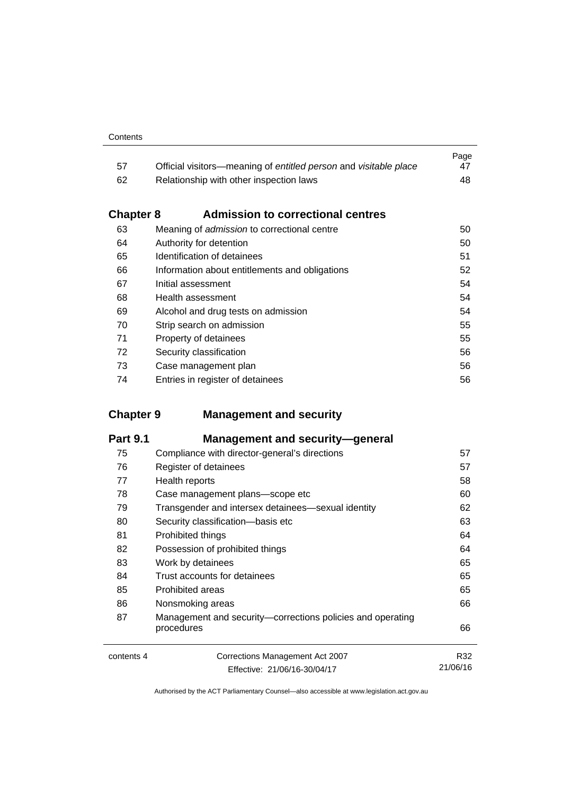|     |                                                                  | Page |
|-----|------------------------------------------------------------------|------|
| -57 | Official visitors—meaning of entitled person and visitable place | 47   |
| 62  | Relationship with other inspection laws                          | 48.  |

# **Chapter 8 [Admission to correctional centres](#page-63-0)**

| 63 | Meaning of admission to correctional centre    | 50 |
|----|------------------------------------------------|----|
| 64 | Authority for detention                        | 50 |
| 65 | Identification of detainees                    | 51 |
| 66 | Information about entitlements and obligations | 52 |
| 67 | Initial assessment                             | 54 |
| 68 | Health assessment                              | 54 |
| 69 | Alcohol and drug tests on admission            | 54 |
| 70 | Strip search on admission                      | 55 |
| 71 | Property of detainees                          | 55 |
| 72 | Security classification                        | 56 |
| 73 | Case management plan                           | 56 |
| 74 | Entries in register of detainees               | 56 |
|    |                                                |    |

# **Chapter 9 [Management and security](#page-70-0)**

| <b>Part 9.1</b> | <b>Management and security-general</b>                                   |          |
|-----------------|--------------------------------------------------------------------------|----------|
| 75              | Compliance with director-general's directions                            | 57       |
| 76              | Register of detainees                                                    | 57       |
| 77              | Health reports                                                           | 58       |
| 78              | Case management plans-scope etc                                          | 60       |
| 79              | Transgender and intersex detainees—sexual identity                       | 62       |
| 80              | Security classification-basis etc                                        | 63       |
| 81              | Prohibited things                                                        | 64       |
| 82              | Possession of prohibited things                                          | 64       |
| 83              | Work by detainees                                                        | 65       |
| 84              | Trust accounts for detainees                                             | 65       |
| 85              | <b>Prohibited areas</b>                                                  | 65       |
| 86              | Nonsmoking areas                                                         | 66       |
| 87              | Management and security—corrections policies and operating<br>procedures | 66       |
| contents 4      | Corrections Management Act 2007                                          | R32      |
|                 | Fffective: 21/06/16-30/04/17                                             | 21/06/16 |

Effective: 21/06/16-30/04/17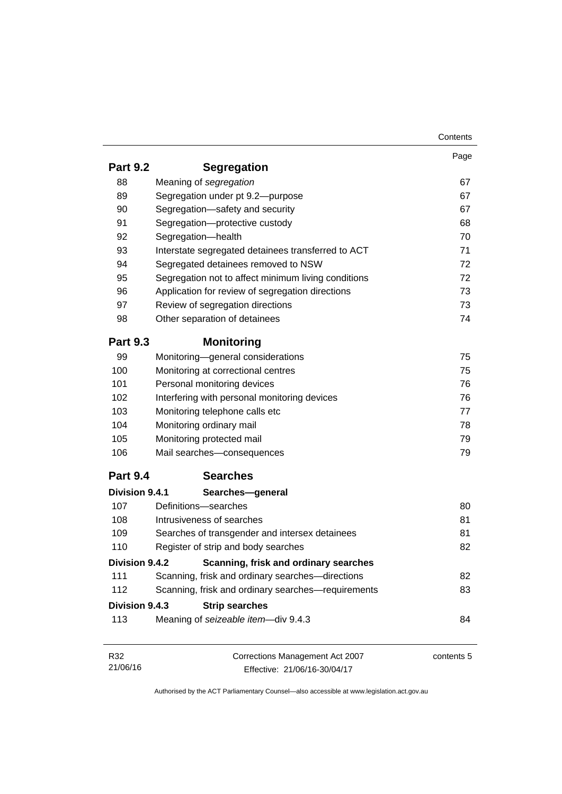|                 |                                                     | Contents   |
|-----------------|-----------------------------------------------------|------------|
|                 |                                                     | Page       |
| <b>Part 9.2</b> | <b>Segregation</b>                                  |            |
| 88              | Meaning of segregation                              | 67         |
| 89              | Segregation under pt 9.2-purpose                    | 67         |
| 90              | Segregation-safety and security                     | 67         |
| 91              | Segregation-protective custody                      | 68         |
| 92              | Segregation-health                                  | 70         |
| 93              | Interstate segregated detainees transferred to ACT  | 71         |
| 94              | Segregated detainees removed to NSW                 | 72         |
| 95              | Segregation not to affect minimum living conditions | 72         |
| 96              | Application for review of segregation directions    | 73         |
| 97              | Review of segregation directions                    | 73         |
| 98              | Other separation of detainees                       | 74         |
| <b>Part 9.3</b> | <b>Monitoring</b>                                   |            |
| 99              | Monitoring-general considerations                   | 75         |
| 100             | Monitoring at correctional centres                  | 75         |
| 101             | Personal monitoring devices                         | 76         |
| 102             | Interfering with personal monitoring devices        | 76         |
| 103             | Monitoring telephone calls etc                      | 77         |
| 104             | Monitoring ordinary mail                            | 78         |
| 105             | Monitoring protected mail                           | 79         |
| 106             | Mail searches-consequences                          | 79         |
| <b>Part 9.4</b> | <b>Searches</b>                                     |            |
| Division 9.4.1  | Searches-general                                    |            |
| 107             | Definitions-searches                                | 80         |
| 108             | Intrusiveness of searches                           | 81         |
| 109             | Searches of transgender and intersex detainees      | 81         |
| 110             | Register of strip and body searches                 | 82         |
| Division 9.4.2  | Scanning, frisk and ordinary searches               |            |
| 111             | Scanning, frisk and ordinary searches-directions    | 82         |
| 112             | Scanning, frisk and ordinary searches-requirements  | 83         |
| Division 9.4.3  | <b>Strip searches</b>                               |            |
| 113             | Meaning of seizeable item-div 9.4.3                 | 84         |
|                 | Corrections Management Act 2007                     | contents 5 |
| R32             |                                                     |            |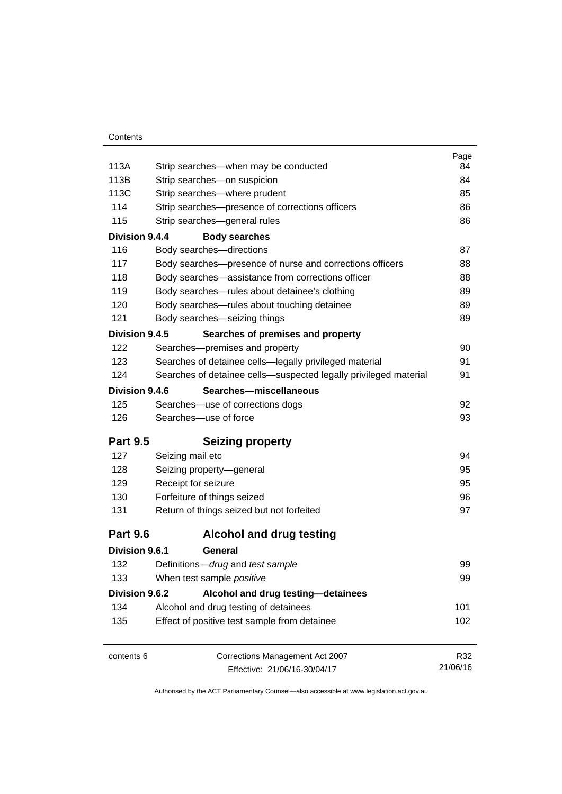|                 |                                                                  | Page     |
|-----------------|------------------------------------------------------------------|----------|
| 113A            | Strip searches—when may be conducted                             | 84       |
| 113B            | Strip searches-on suspicion                                      | 84       |
| 113C            | Strip searches-where prudent                                     | 85       |
| 114             | Strip searches-presence of corrections officers                  | 86       |
| 115             | Strip searches-general rules                                     | 86       |
| Division 9.4.4  | <b>Body searches</b>                                             |          |
| 116             | Body searches-directions                                         | 87       |
| 117             | Body searches—presence of nurse and corrections officers         | 88       |
| 118             | Body searches—assistance from corrections officer                | 88       |
| 119             | Body searches-rules about detainee's clothing                    | 89       |
| 120             | Body searches-rules about touching detainee                      | 89       |
| 121             | Body searches-seizing things                                     | 89       |
| Division 9.4.5  | Searches of premises and property                                |          |
| 122             | Searches-premises and property                                   | 90       |
| 123             | Searches of detainee cells-legally privileged material           | 91       |
| 124             | Searches of detainee cells-suspected legally privileged material | 91       |
| Division 9.4.6  | Searches-miscellaneous                                           |          |
| 125             | Searches-use of corrections dogs                                 | 92       |
| 126             | Searches-use of force                                            | 93       |
| <b>Part 9.5</b> | <b>Seizing property</b>                                          |          |
| 127             | Seizing mail etc                                                 | 94       |
| 128             | Seizing property-general                                         | 95       |
| 129             | Receipt for seizure                                              | 95       |
| 130             | Forfeiture of things seized                                      | 96       |
| 131             | Return of things seized but not forfeited                        | 97       |
| <b>Part 9.6</b> | <b>Alcohol and drug testing</b>                                  |          |
| Division 9.6.1  | General                                                          |          |
| 132             | Definitions-drug and test sample                                 | 99       |
| 133             | When test sample positive                                        | 99       |
| Division 9.6.2  | Alcohol and drug testing-detainees                               |          |
| 134             | Alcohol and drug testing of detainees                            | 101      |
| 135             | Effect of positive test sample from detainee                     | 102      |
| contents 6      | Corrections Management Act 2007                                  | R32      |
|                 | Effective: 21/06/16-30/04/17                                     | 21/06/16 |
|                 |                                                                  |          |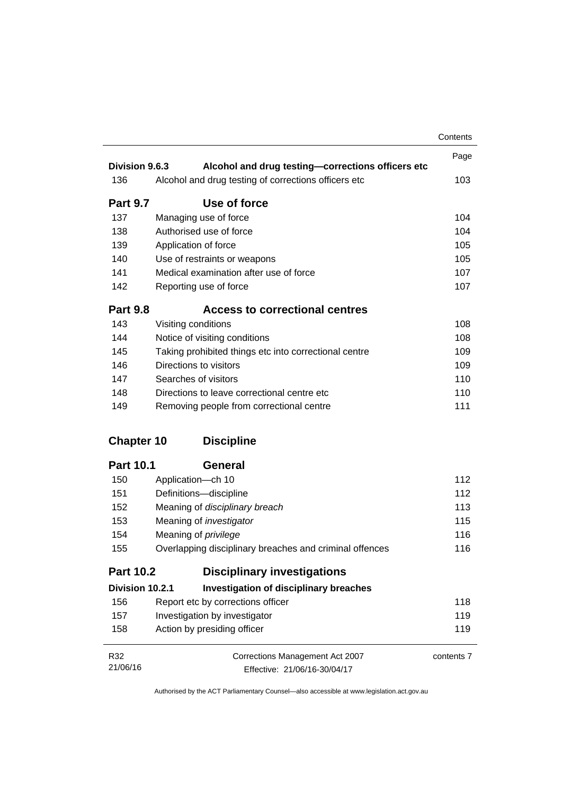|                   |                                                         | Contents   |
|-------------------|---------------------------------------------------------|------------|
| Division 9.6.3    |                                                         | Page       |
|                   | Alcohol and drug testing-corrections officers etc       |            |
| 136               | Alcohol and drug testing of corrections officers etc    | 103        |
| <b>Part 9.7</b>   | Use of force                                            |            |
| 137               | Managing use of force                                   | 104        |
| 138               | Authorised use of force                                 | 104        |
| 139               | Application of force                                    | 105        |
| 140               | Use of restraints or weapons                            | 105        |
| 141               | Medical examination after use of force                  | 107        |
| 142               | Reporting use of force                                  | 107        |
| <b>Part 9.8</b>   | <b>Access to correctional centres</b>                   |            |
| 143               | Visiting conditions                                     | 108        |
| 144               | Notice of visiting conditions                           | 108        |
| 145               | Taking prohibited things etc into correctional centre   | 109        |
| 146               | Directions to visitors                                  | 109        |
| 147               | Searches of visitors                                    | 110        |
| 148               | Directions to leave correctional centre etc.            | 110        |
| 149               | Removing people from correctional centre                | 111        |
| <b>Chapter 10</b> | <b>Discipline</b>                                       |            |
| <b>Part 10.1</b>  | General                                                 |            |
| 150               | Application-ch 10                                       | 112        |
| 151               | Definitions-discipline                                  | 112        |
| 152               | Meaning of disciplinary breach                          | 113        |
| 153               | Meaning of <i>investigator</i>                          | 115        |
| 154               | Meaning of <i>privilege</i>                             | 116        |
| 155               | Overlapping disciplinary breaches and criminal offences | 116        |
| <b>Part 10.2</b>  | <b>Disciplinary investigations</b>                      |            |
| Division 10.2.1   | <b>Investigation of disciplinary breaches</b>           |            |
| 156               | Report etc by corrections officer                       | 118        |
| 157               | Investigation by investigator                           | 119        |
| 158               | Action by presiding officer                             | 119        |
| R32               | Corrections Management Act 2007                         | contents 7 |
| 21/06/16          | Effective: 21/06/16-30/04/17                            |            |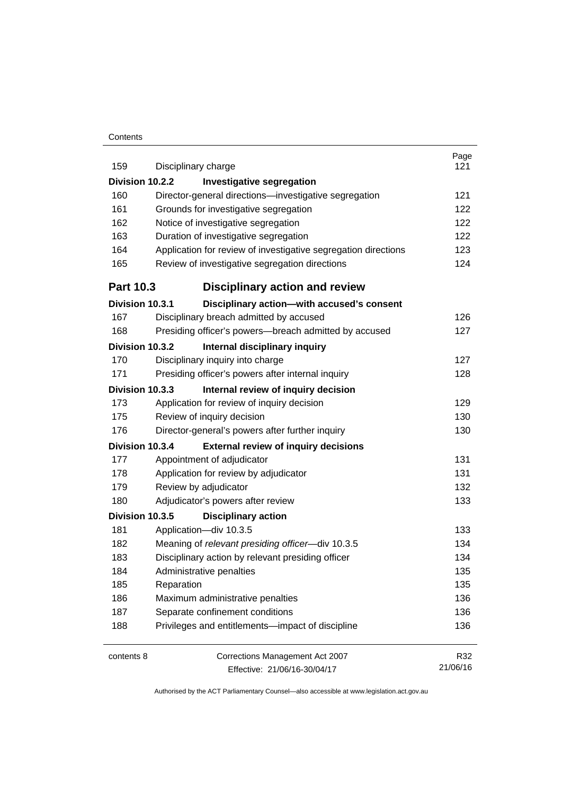#### **Contents**

| 159              | Disciplinary charge                                            | Page<br>121 |  |  |  |
|------------------|----------------------------------------------------------------|-------------|--|--|--|
| Division 10.2.2  | <b>Investigative segregation</b>                               |             |  |  |  |
| 160              | Director-general directions-investigative segregation          | 121         |  |  |  |
| 161              | Grounds for investigative segregation                          |             |  |  |  |
| 162              | Notice of investigative segregation                            |             |  |  |  |
| 163              | Duration of investigative segregation                          | 122         |  |  |  |
| 164              | Application for review of investigative segregation directions | 123         |  |  |  |
| 165              | Review of investigative segregation directions                 | 124         |  |  |  |
| <b>Part 10.3</b> | <b>Disciplinary action and review</b>                          |             |  |  |  |
| Division 10.3.1  | Disciplinary action-with accused's consent                     |             |  |  |  |
| 167              | Disciplinary breach admitted by accused                        | 126         |  |  |  |
| 168              | Presiding officer's powers--breach admitted by accused         | 127         |  |  |  |
| Division 10.3.2  | Internal disciplinary inquiry                                  |             |  |  |  |
| 170              | Disciplinary inquiry into charge                               | 127         |  |  |  |
| 171              | Presiding officer's powers after internal inquiry              | 128         |  |  |  |
| Division 10.3.3  | Internal review of inquiry decision                            |             |  |  |  |
| 173              | Application for review of inquiry decision                     | 129         |  |  |  |
| 175              | Review of inquiry decision                                     | 130         |  |  |  |
| 176              | Director-general's powers after further inquiry                | 130         |  |  |  |
| Division 10.3.4  | <b>External review of inquiry decisions</b>                    |             |  |  |  |
| 177              | Appointment of adjudicator                                     | 131         |  |  |  |
| 178              | Application for review by adjudicator                          | 131         |  |  |  |
| 179              | Review by adjudicator                                          | 132         |  |  |  |
| 180              | Adjudicator's powers after review                              | 133         |  |  |  |
| Division 10.3.5  | <b>Disciplinary action</b>                                     |             |  |  |  |
| 181              | Application-div 10.3.5                                         | 133         |  |  |  |
| 182              | Meaning of relevant presiding officer-div 10.3.5               | 134         |  |  |  |
| 183              | Disciplinary action by relevant presiding officer              | 134         |  |  |  |
| 184              | Administrative penalties                                       | 135         |  |  |  |
| 185              | Reparation                                                     | 135         |  |  |  |
| 186              | Maximum administrative penalties                               | 136         |  |  |  |
| 187              | Separate confinement conditions                                | 136         |  |  |  |
| 188              | Privileges and entitlements-impact of discipline               | 136         |  |  |  |
| contents 8       | Corrections Management Act 2007                                | R32         |  |  |  |
|                  | Effective: 21/06/16-30/04/17                                   | 21/06/16    |  |  |  |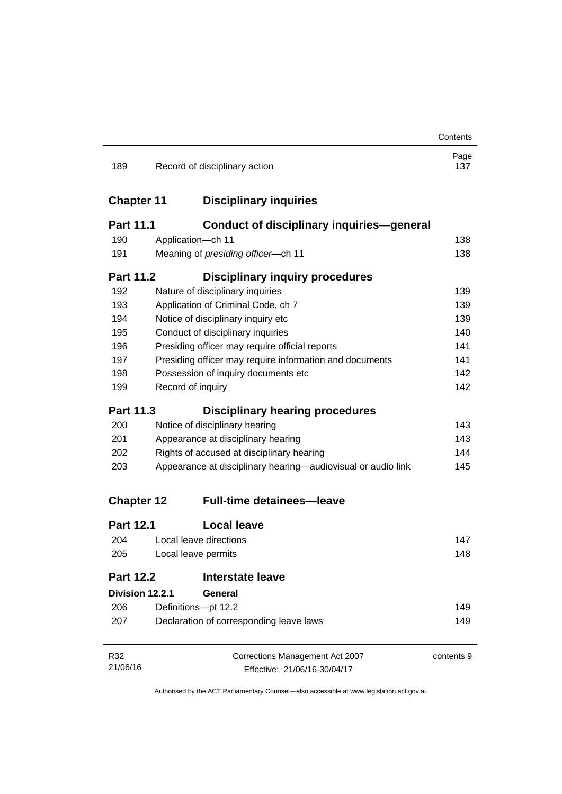|                   |                                           |                                                              | Contents    |  |
|-------------------|-------------------------------------------|--------------------------------------------------------------|-------------|--|
| 189               |                                           | Record of disciplinary action                                | Page<br>137 |  |
| <b>Chapter 11</b> | <b>Disciplinary inquiries</b>             |                                                              |             |  |
| <b>Part 11.1</b>  |                                           | <b>Conduct of disciplinary inquiries-general</b>             |             |  |
| 190               | Application-ch 11                         |                                                              | 138         |  |
| 191               | Meaning of presiding officer-ch 11<br>138 |                                                              |             |  |
| <b>Part 11.2</b>  |                                           | <b>Disciplinary inquiry procedures</b>                       |             |  |
| 192               |                                           | Nature of disciplinary inquiries                             | 139         |  |
| 193               |                                           | Application of Criminal Code, ch 7                           | 139         |  |
| 194               |                                           | Notice of disciplinary inquiry etc                           | 139         |  |
| 195               |                                           | Conduct of disciplinary inquiries                            | 140         |  |
| 196               |                                           | Presiding officer may require official reports               | 141         |  |
| 197               |                                           | Presiding officer may require information and documents      | 141         |  |
| 198               |                                           | Possession of inquiry documents etc                          | 142         |  |
| 199               | Record of inquiry                         |                                                              | 142         |  |
| <b>Part 11.3</b>  |                                           | <b>Disciplinary hearing procedures</b>                       |             |  |
| 200               |                                           | Notice of disciplinary hearing                               | 143         |  |
| 201               | Appearance at disciplinary hearing        |                                                              | 143         |  |
| 202               | Rights of accused at disciplinary hearing |                                                              | 144         |  |
| 203               |                                           | Appearance at disciplinary hearing—audiovisual or audio link | 145         |  |
| <b>Chapter 12</b> |                                           | <b>Full-time detainees-leave</b>                             |             |  |
| <b>Part 12.1</b>  |                                           | <b>Local leave</b>                                           |             |  |
| 204               |                                           | Local leave directions                                       | 147         |  |
| 205               | Local leave permits                       |                                                              | 148         |  |
| <b>Part 12.2</b>  |                                           | <b>Interstate leave</b>                                      |             |  |
| Division 12.2.1   |                                           | General                                                      |             |  |
| 206               |                                           | Definitions-pt 12.2                                          | 149         |  |
| 207               | Declaration of corresponding leave laws   |                                                              | 149         |  |
| R32               |                                           | Corrections Management Act 2007                              | contents 9  |  |
| 21/06/16          | Effective: 21/06/16-30/04/17              |                                                              |             |  |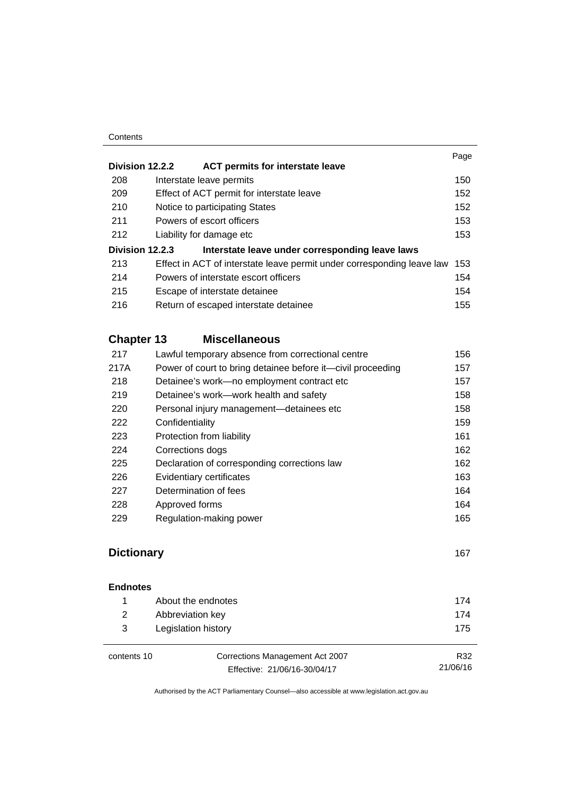#### **Contents**

|                 |                                                                        | Page |
|-----------------|------------------------------------------------------------------------|------|
| Division 12.2.2 | <b>ACT permits for interstate leave</b>                                |      |
| 208             | Interstate leave permits                                               | 150  |
| 209             | Effect of ACT permit for interstate leave                              | 152  |
| 210             | Notice to participating States                                         | 152  |
| 211             | Powers of escort officers                                              | 153  |
| 212             | Liability for damage etc.                                              | 153  |
| Division 12.2.3 | Interstate leave under corresponding leave laws                        |      |
| 213             | Effect in ACT of interstate leave permit under corresponding leave law | 153  |
| 214             | Powers of interstate escort officers                                   | 154  |
| 215             | Escape of interstate detainee                                          | 154  |
| 216             | Return of escaped interstate detainee                                  | 155  |
|                 |                                                                        |      |

# **Chapter 13 [Miscellaneous](#page-169-0)**

| 217  | Lawful temporary absence from correctional centre           | 156 |
|------|-------------------------------------------------------------|-----|
| 217A | Power of court to bring detainee before it—civil proceeding | 157 |
| 218  | Detainee's work-no employment contract etc                  | 157 |
| 219  | Detainee's work—work health and safety                      | 158 |
| 220  | Personal injury management-detainees etc                    | 158 |
| 222  | Confidentiality                                             | 159 |
| 223  | Protection from liability                                   | 161 |
| 224  | Corrections dogs                                            | 162 |
| 225  | Declaration of corresponding corrections law                | 162 |
| 226  | Evidentiary certificates                                    | 163 |
| 227  | Determination of fees                                       | 164 |
| 228  | Approved forms                                              | 164 |
| 229  | Regulation-making power                                     | 165 |
|      |                                                             |     |

# **Dictionary** [167](#page-180-0)

21/06/16

| <b>Endnotes</b> |                                 |     |
|-----------------|---------------------------------|-----|
|                 | About the endnotes              | 174 |
| 2               | Abbreviation key                |     |
| 3               | Legislation history             | 175 |
| contents 10     | Corrections Management Act 2007 | R32 |

contents 10 Corrections Management Act 2007 Effective: 21/06/16-30/04/17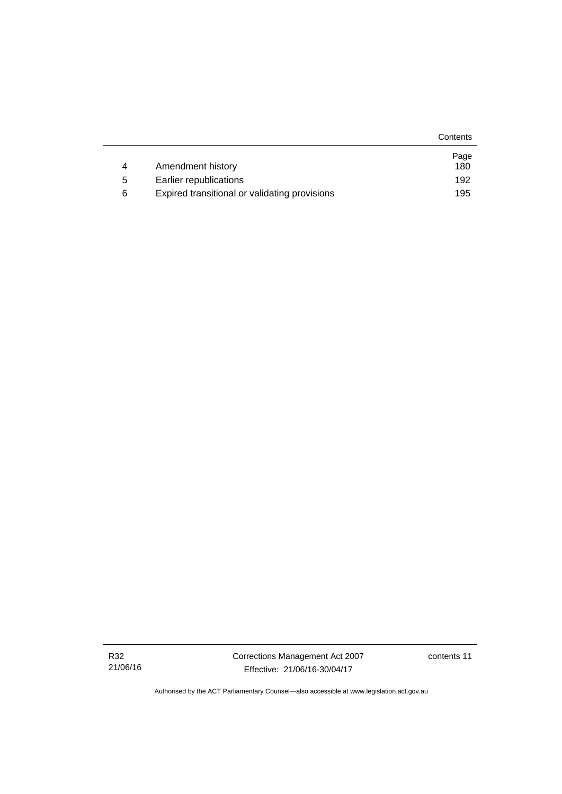|   |                                               | Contents |
|---|-----------------------------------------------|----------|
|   |                                               | Page     |
| 4 | Amendment history                             | 180      |
| 5 | Earlier republications                        | 192      |
| 6 | Expired transitional or validating provisions | 195      |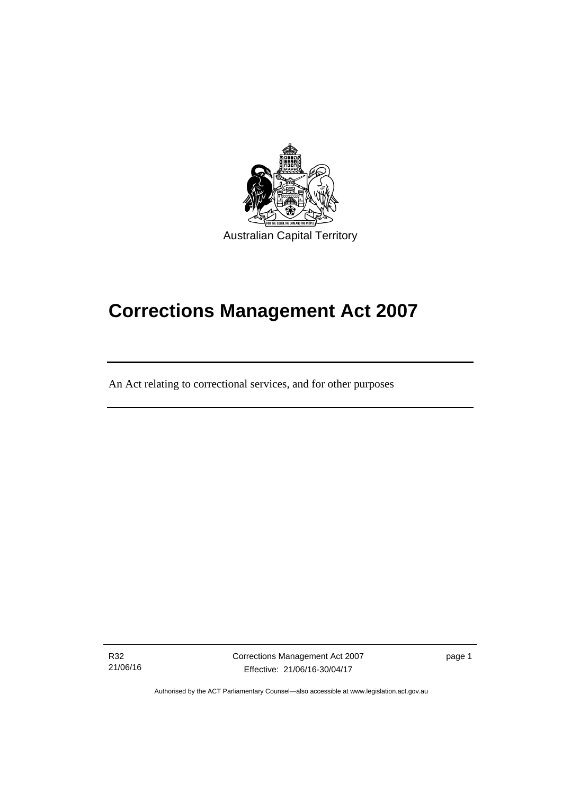

# **Corrections Management Act 2007**

An Act relating to correctional services, and for other purposes

R32 21/06/16

ׇ֚֡֬

Corrections Management Act 2007 Effective: 21/06/16-30/04/17

page 1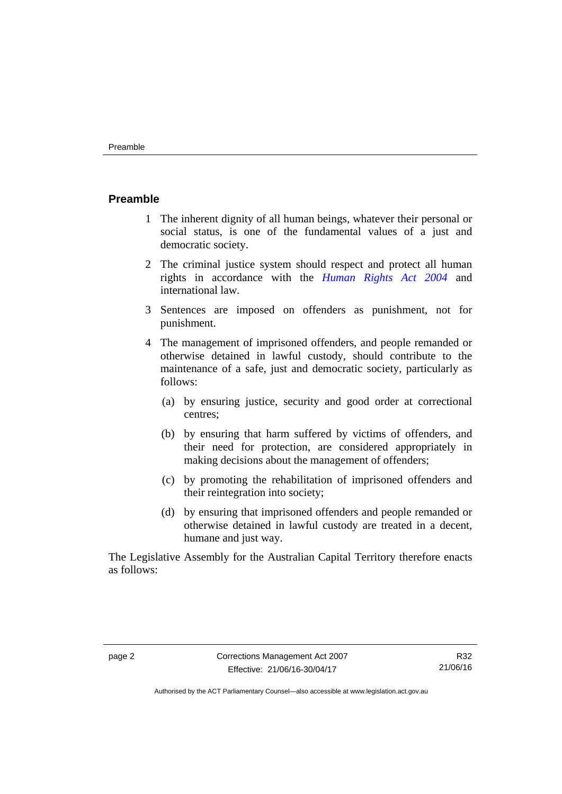#### <span id="page-15-0"></span>**Preamble**

- 1 The inherent dignity of all human beings, whatever their personal or social status, is one of the fundamental values of a just and democratic society.
- 2 The criminal justice system should respect and protect all human rights in accordance with the *[Human Rights Act 2004](http://www.legislation.act.gov.au/a/2004-5)* and international law.
- 3 Sentences are imposed on offenders as punishment, not for punishment.
- 4 The management of imprisoned offenders, and people remanded or otherwise detained in lawful custody, should contribute to the maintenance of a safe, just and democratic society, particularly as follows:
	- (a) by ensuring justice, security and good order at correctional centres;
	- (b) by ensuring that harm suffered by victims of offenders, and their need for protection, are considered appropriately in making decisions about the management of offenders;
	- (c) by promoting the rehabilitation of imprisoned offenders and their reintegration into society;
	- (d) by ensuring that imprisoned offenders and people remanded or otherwise detained in lawful custody are treated in a decent, humane and just way.

The Legislative Assembly for the Australian Capital Territory therefore enacts as follows: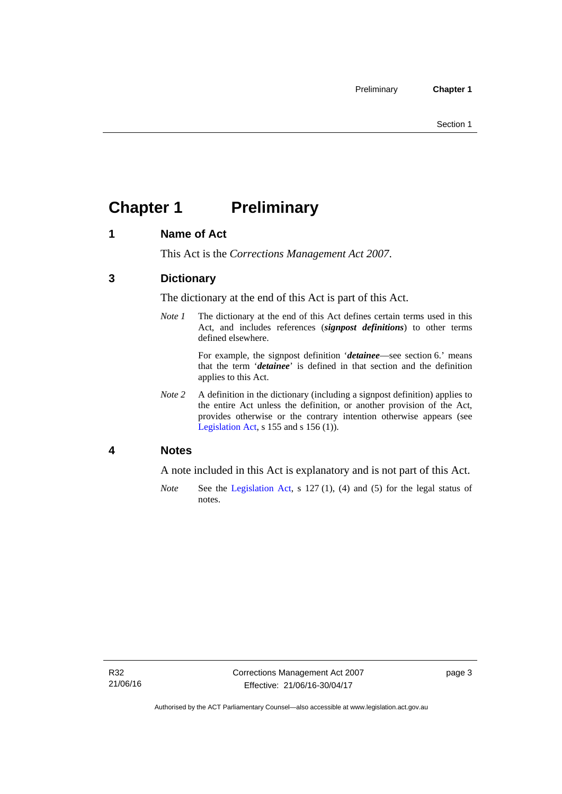# <span id="page-16-0"></span>**Chapter 1 Preliminary**

# <span id="page-16-1"></span>**1 Name of Act**

This Act is the *Corrections Management Act 2007*.

# <span id="page-16-2"></span>**3 Dictionary**

The dictionary at the end of this Act is part of this Act.

*Note 1* The dictionary at the end of this Act defines certain terms used in this Act, and includes references (*signpost definitions*) to other terms defined elsewhere.

> For example, the signpost definition '*detainee*—see section 6.' means that the term '*detainee*' is defined in that section and the definition applies to this Act.

*Note 2* A definition in the dictionary (including a signpost definition) applies to the entire Act unless the definition, or another provision of the Act, provides otherwise or the contrary intention otherwise appears (see [Legislation Act,](http://www.legislation.act.gov.au/a/2001-14) s 155 and s 156 (1)).

# <span id="page-16-3"></span>**4 Notes**

A note included in this Act is explanatory and is not part of this Act.

*Note* See the [Legislation Act,](http://www.legislation.act.gov.au/a/2001-14) s 127 (1), (4) and (5) for the legal status of notes.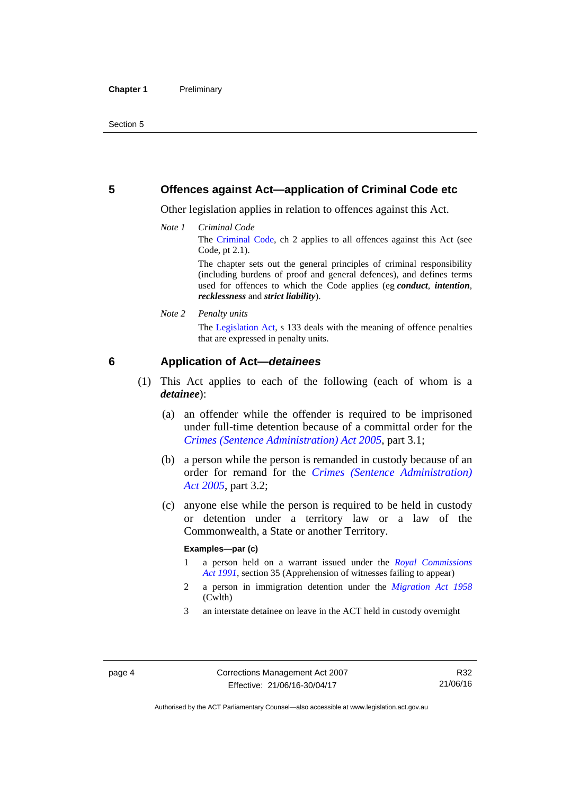## <span id="page-17-0"></span>**5 Offences against Act—application of Criminal Code etc**

Other legislation applies in relation to offences against this Act.

*Note 1 Criminal Code*

The [Criminal Code](http://www.legislation.act.gov.au/a/2002-51), ch 2 applies to all offences against this Act (see Code, pt 2.1).

The chapter sets out the general principles of criminal responsibility (including burdens of proof and general defences), and defines terms used for offences to which the Code applies (eg *conduct*, *intention*, *recklessness* and *strict liability*).

*Note 2 Penalty units* 

The [Legislation Act,](http://www.legislation.act.gov.au/a/2001-14) s 133 deals with the meaning of offence penalties that are expressed in penalty units.

# <span id="page-17-1"></span>**6 Application of Act—***detainees*

- (1) This Act applies to each of the following (each of whom is a *detainee*):
	- (a) an offender while the offender is required to be imprisoned under full-time detention because of a committal order for the *[Crimes \(Sentence Administration\) Act 2005](http://www.legislation.act.gov.au/a/2005-59)*, part 3.1;
	- (b) a person while the person is remanded in custody because of an order for remand for the *[Crimes \(Sentence Administration\)](http://www.legislation.act.gov.au/a/2005-59)  [Act 2005](http://www.legislation.act.gov.au/a/2005-59)*, part 3.2;
	- (c) anyone else while the person is required to be held in custody or detention under a territory law or a law of the Commonwealth, a State or another Territory.

#### **Examples—par (c)**

- 1 a person held on a warrant issued under the *[Royal Commissions](http://www.legislation.act.gov.au/a/1991-1)  [Act 1991](http://www.legislation.act.gov.au/a/1991-1)*, section 35 (Apprehension of witnesses failing to appear)
- 2 a person in immigration detention under the *[Migration Act 1958](http://www.comlaw.gov.au/Series/C2004A07412)* (Cwlth)
- 3 an interstate detainee on leave in the ACT held in custody overnight

Authorised by the ACT Parliamentary Counsel—also accessible at www.legislation.act.gov.au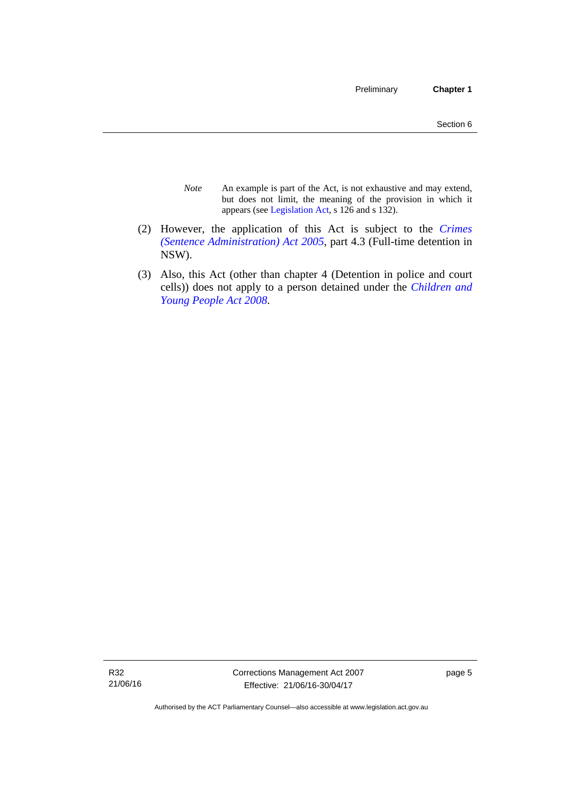- *Note* An example is part of the Act, is not exhaustive and may extend, but does not limit, the meaning of the provision in which it appears (see [Legislation Act,](http://www.legislation.act.gov.au/a/2001-14) s 126 and s 132).
- (2) However, the application of this Act is subject to the *[Crimes](http://www.legislation.act.gov.au/a/2005-59)  [\(Sentence Administration\) Act 2005](http://www.legislation.act.gov.au/a/2005-59)*, part 4.3 (Full-time detention in NSW).
- (3) Also, this Act (other than chapter 4 (Detention in police and court cells)) does not apply to a person detained under the *[Children and](http://www.legislation.act.gov.au/a/2008-19)  [Young People Act 2008](http://www.legislation.act.gov.au/a/2008-19)*.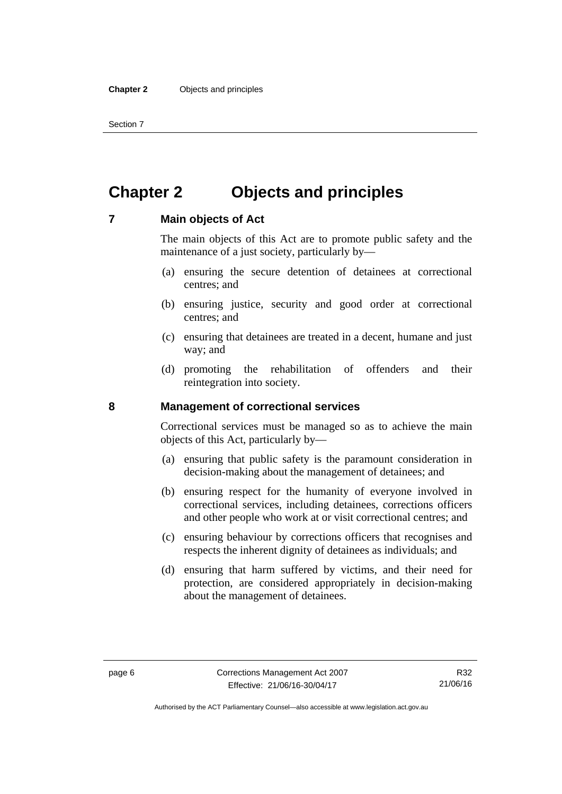Section 7

# <span id="page-19-0"></span>**Chapter 2 Objects and principles**

### <span id="page-19-1"></span>**7 Main objects of Act**

The main objects of this Act are to promote public safety and the maintenance of a just society, particularly by—

- (a) ensuring the secure detention of detainees at correctional centres; and
- (b) ensuring justice, security and good order at correctional centres; and
- (c) ensuring that detainees are treated in a decent, humane and just way; and
- (d) promoting the rehabilitation of offenders and their reintegration into society.

### <span id="page-19-2"></span>**8 Management of correctional services**

Correctional services must be managed so as to achieve the main objects of this Act, particularly by—

- (a) ensuring that public safety is the paramount consideration in decision-making about the management of detainees; and
- (b) ensuring respect for the humanity of everyone involved in correctional services, including detainees, corrections officers and other people who work at or visit correctional centres; and
- (c) ensuring behaviour by corrections officers that recognises and respects the inherent dignity of detainees as individuals; and
- (d) ensuring that harm suffered by victims, and their need for protection, are considered appropriately in decision-making about the management of detainees.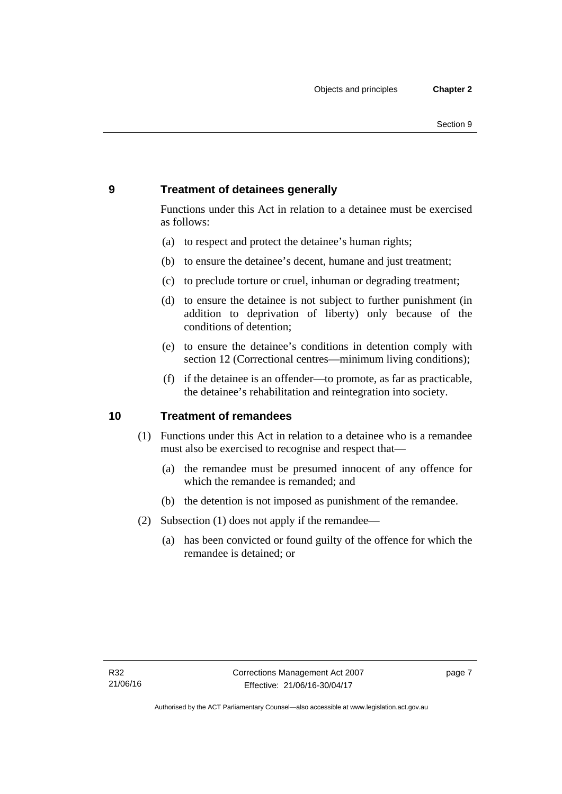# <span id="page-20-0"></span>**9 Treatment of detainees generally**

Functions under this Act in relation to a detainee must be exercised as follows:

- (a) to respect and protect the detainee's human rights;
- (b) to ensure the detainee's decent, humane and just treatment;
- (c) to preclude torture or cruel, inhuman or degrading treatment;
- (d) to ensure the detainee is not subject to further punishment (in addition to deprivation of liberty) only because of the conditions of detention;
- (e) to ensure the detainee's conditions in detention comply with section 12 (Correctional centres—minimum living conditions);
- (f) if the detainee is an offender—to promote, as far as practicable, the detainee's rehabilitation and reintegration into society.

# <span id="page-20-1"></span>**10 Treatment of remandees**

- (1) Functions under this Act in relation to a detainee who is a remandee must also be exercised to recognise and respect that—
	- (a) the remandee must be presumed innocent of any offence for which the remandee is remanded; and
	- (b) the detention is not imposed as punishment of the remandee.
- (2) Subsection (1) does not apply if the remandee—
	- (a) has been convicted or found guilty of the offence for which the remandee is detained; or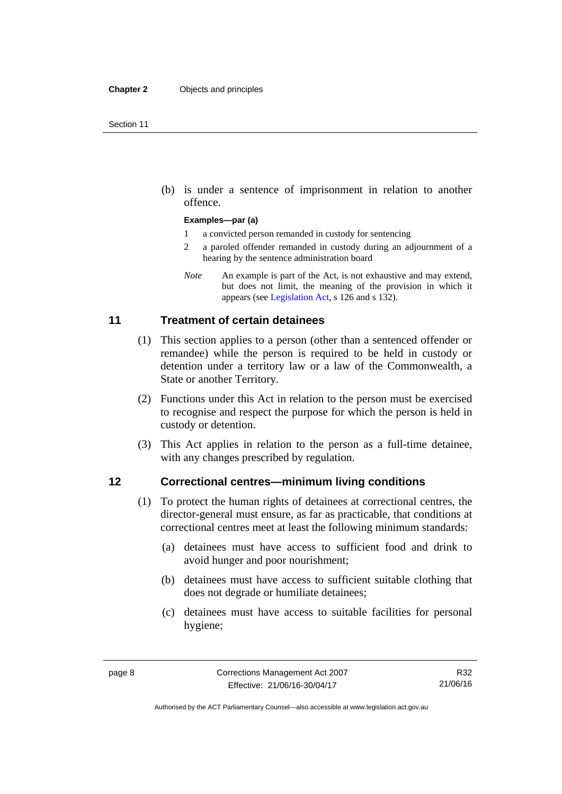(b) is under a sentence of imprisonment in relation to another offence.

#### **Examples—par (a)**

- 1 a convicted person remanded in custody for sentencing
- 2 a paroled offender remanded in custody during an adjournment of a hearing by the sentence administration board
- *Note* An example is part of the Act, is not exhaustive and may extend, but does not limit, the meaning of the provision in which it appears (see [Legislation Act,](http://www.legislation.act.gov.au/a/2001-14) s 126 and s 132).

# <span id="page-21-0"></span>**11 Treatment of certain detainees**

- (1) This section applies to a person (other than a sentenced offender or remandee) while the person is required to be held in custody or detention under a territory law or a law of the Commonwealth, a State or another Territory.
- (2) Functions under this Act in relation to the person must be exercised to recognise and respect the purpose for which the person is held in custody or detention.
- (3) This Act applies in relation to the person as a full-time detainee, with any changes prescribed by regulation.

### <span id="page-21-1"></span>**12 Correctional centres—minimum living conditions**

- (1) To protect the human rights of detainees at correctional centres, the director-general must ensure, as far as practicable, that conditions at correctional centres meet at least the following minimum standards:
	- (a) detainees must have access to sufficient food and drink to avoid hunger and poor nourishment;
	- (b) detainees must have access to sufficient suitable clothing that does not degrade or humiliate detainees;
	- (c) detainees must have access to suitable facilities for personal hygiene;

Authorised by the ACT Parliamentary Counsel—also accessible at www.legislation.act.gov.au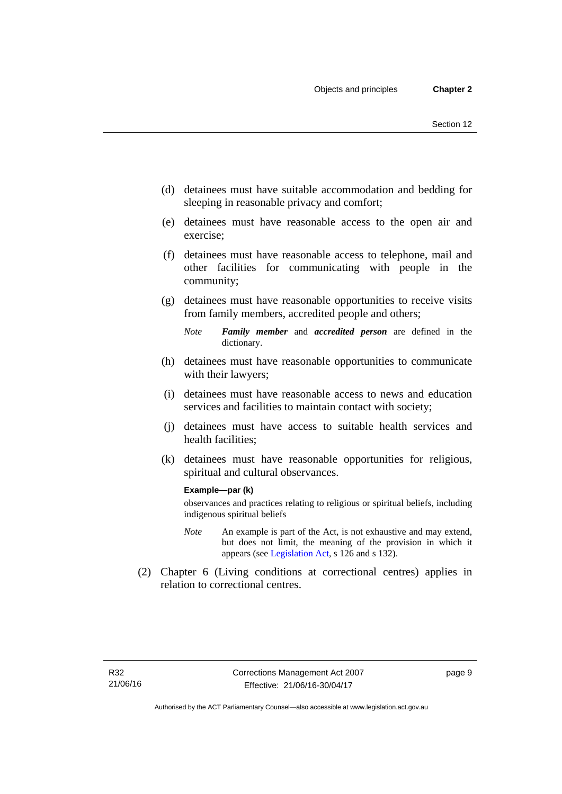- (d) detainees must have suitable accommodation and bedding for sleeping in reasonable privacy and comfort;
- (e) detainees must have reasonable access to the open air and exercise;
- (f) detainees must have reasonable access to telephone, mail and other facilities for communicating with people in the community;
- (g) detainees must have reasonable opportunities to receive visits from family members, accredited people and others;
	- *Note Family member* and *accredited person* are defined in the dictionary.
- (h) detainees must have reasonable opportunities to communicate with their lawyers;
- (i) detainees must have reasonable access to news and education services and facilities to maintain contact with society;
- (j) detainees must have access to suitable health services and health facilities;
- (k) detainees must have reasonable opportunities for religious, spiritual and cultural observances.

#### **Example—par (k)**

observances and practices relating to religious or spiritual beliefs, including indigenous spiritual beliefs

- *Note* An example is part of the Act, is not exhaustive and may extend, but does not limit, the meaning of the provision in which it appears (see [Legislation Act,](http://www.legislation.act.gov.au/a/2001-14) s 126 and s 132).
- (2) Chapter 6 (Living conditions at correctional centres) applies in relation to correctional centres.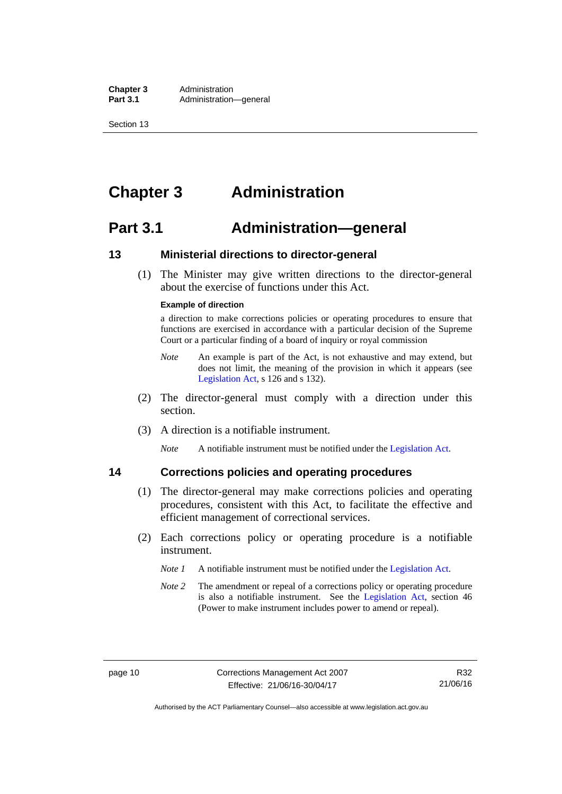**Chapter 3** Administration<br> **Part 3.1** Administration Administration—general

Section 13

# <span id="page-23-0"></span>**Chapter 3 Administration**

# <span id="page-23-1"></span>**Part 3.1 Administration—general**

# <span id="page-23-2"></span>**13 Ministerial directions to director-general**

 (1) The Minister may give written directions to the director-general about the exercise of functions under this Act.

#### **Example of direction**

a direction to make corrections policies or operating procedures to ensure that functions are exercised in accordance with a particular decision of the Supreme Court or a particular finding of a board of inquiry or royal commission

- *Note* An example is part of the Act, is not exhaustive and may extend, but does not limit, the meaning of the provision in which it appears (see [Legislation Act,](http://www.legislation.act.gov.au/a/2001-14) s 126 and s 132).
- (2) The director-general must comply with a direction under this section.
- (3) A direction is a notifiable instrument.

*Note* A notifiable instrument must be notified under the [Legislation Act](http://www.legislation.act.gov.au/a/2001-14).

# <span id="page-23-3"></span>**14 Corrections policies and operating procedures**

- (1) The director-general may make corrections policies and operating procedures, consistent with this Act, to facilitate the effective and efficient management of correctional services.
- (2) Each corrections policy or operating procedure is a notifiable instrument.
	- *Note 1* A notifiable instrument must be notified under the [Legislation Act](http://www.legislation.act.gov.au/a/2001-14).
	- *Note 2* The amendment or repeal of a corrections policy or operating procedure is also a notifiable instrument. See the [Legislation Act,](http://www.legislation.act.gov.au/a/2001-14) section 46 (Power to make instrument includes power to amend or repeal).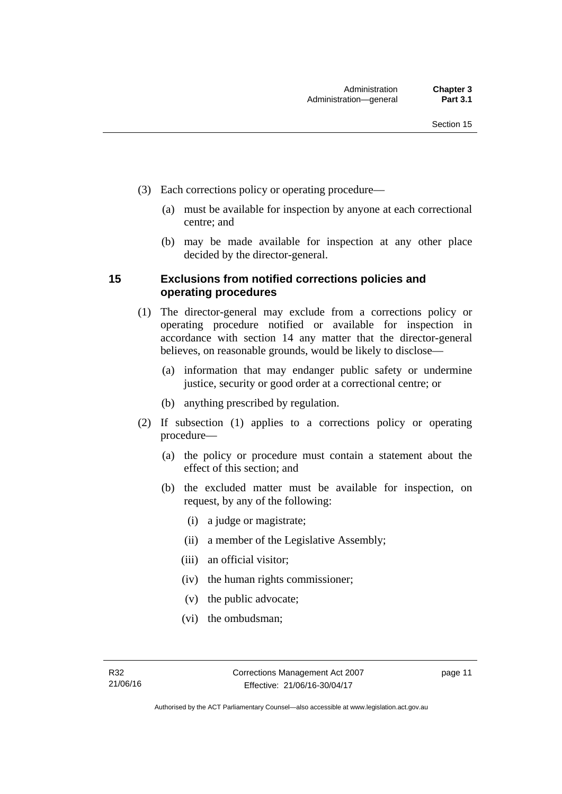- (3) Each corrections policy or operating procedure—
	- (a) must be available for inspection by anyone at each correctional centre; and
	- (b) may be made available for inspection at any other place decided by the director-general.

# <span id="page-24-0"></span>**15 Exclusions from notified corrections policies and operating procedures**

- (1) The director-general may exclude from a corrections policy or operating procedure notified or available for inspection in accordance with section 14 any matter that the director-general believes, on reasonable grounds, would be likely to disclose—
	- (a) information that may endanger public safety or undermine justice, security or good order at a correctional centre; or
	- (b) anything prescribed by regulation.
- (2) If subsection (1) applies to a corrections policy or operating procedure—
	- (a) the policy or procedure must contain a statement about the effect of this section; and
	- (b) the excluded matter must be available for inspection, on request, by any of the following:
		- (i) a judge or magistrate;
		- (ii) a member of the Legislative Assembly;
		- (iii) an official visitor;
		- (iv) the human rights commissioner;
		- (v) the public advocate;
		- (vi) the ombudsman;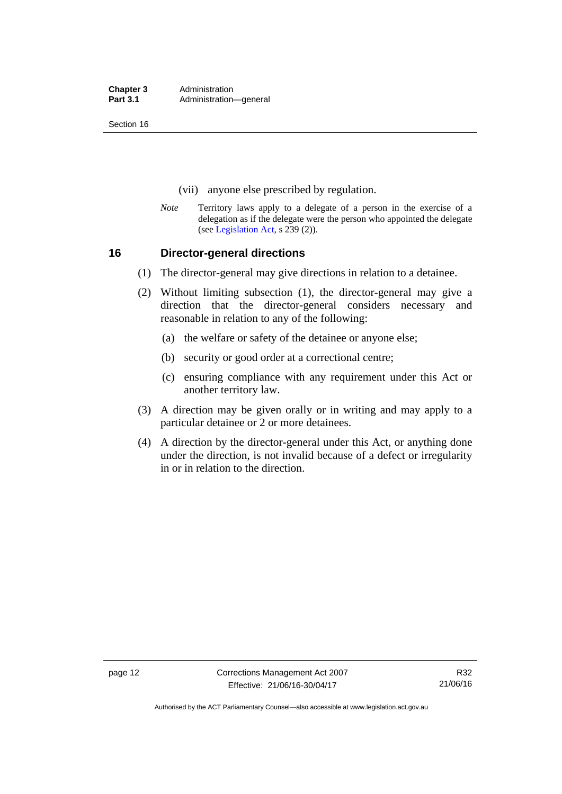**Chapter 3** Administration<br> **Part 3.1** Administration Administration—general

Section 16

- (vii) anyone else prescribed by regulation.
- *Note* Territory laws apply to a delegate of a person in the exercise of a delegation as if the delegate were the person who appointed the delegate (see [Legislation Act,](http://www.legislation.act.gov.au/a/2001-14) s 239 (2)).

### <span id="page-25-0"></span>**16 Director-general directions**

- (1) The director-general may give directions in relation to a detainee.
- (2) Without limiting subsection (1), the director-general may give a direction that the director-general considers necessary and reasonable in relation to any of the following:
	- (a) the welfare or safety of the detainee or anyone else;
	- (b) security or good order at a correctional centre;
	- (c) ensuring compliance with any requirement under this Act or another territory law.
- (3) A direction may be given orally or in writing and may apply to a particular detainee or 2 or more detainees.
- (4) A direction by the director-general under this Act, or anything done under the direction, is not invalid because of a defect or irregularity in or in relation to the direction.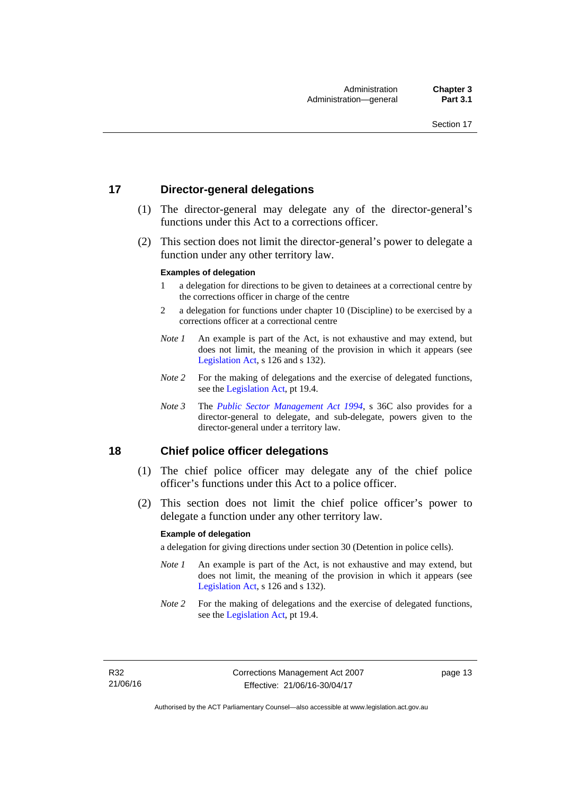# <span id="page-26-0"></span>**17 Director-general delegations**

- (1) The director-general may delegate any of the director-general's functions under this Act to a corrections officer.
- (2) This section does not limit the director-general's power to delegate a function under any other territory law.

#### **Examples of delegation**

- 1 a delegation for directions to be given to detainees at a correctional centre by the corrections officer in charge of the centre
- 2 a delegation for functions under chapter 10 (Discipline) to be exercised by a corrections officer at a correctional centre
- *Note 1* An example is part of the Act, is not exhaustive and may extend, but does not limit, the meaning of the provision in which it appears (see [Legislation Act,](http://www.legislation.act.gov.au/a/2001-14) s 126 and s 132).
- *Note* 2 For the making of delegations and the exercise of delegated functions, see the [Legislation Act,](http://www.legislation.act.gov.au/a/2001-14) pt 19.4.
- *Note 3* The *[Public Sector Management Act 1994](http://www.legislation.act.gov.au/a/1994-37)*, s 36C also provides for a director-general to delegate, and sub-delegate, powers given to the director-general under a territory law.

# <span id="page-26-1"></span>**18 Chief police officer delegations**

- (1) The chief police officer may delegate any of the chief police officer's functions under this Act to a police officer.
- (2) This section does not limit the chief police officer's power to delegate a function under any other territory law.

#### **Example of delegation**

a delegation for giving directions under section 30 (Detention in police cells).

- *Note 1* An example is part of the Act, is not exhaustive and may extend, but does not limit, the meaning of the provision in which it appears (see [Legislation Act,](http://www.legislation.act.gov.au/a/2001-14) s 126 and s 132).
- *Note* 2 For the making of delegations and the exercise of delegated functions, see the [Legislation Act,](http://www.legislation.act.gov.au/a/2001-14) pt 19.4.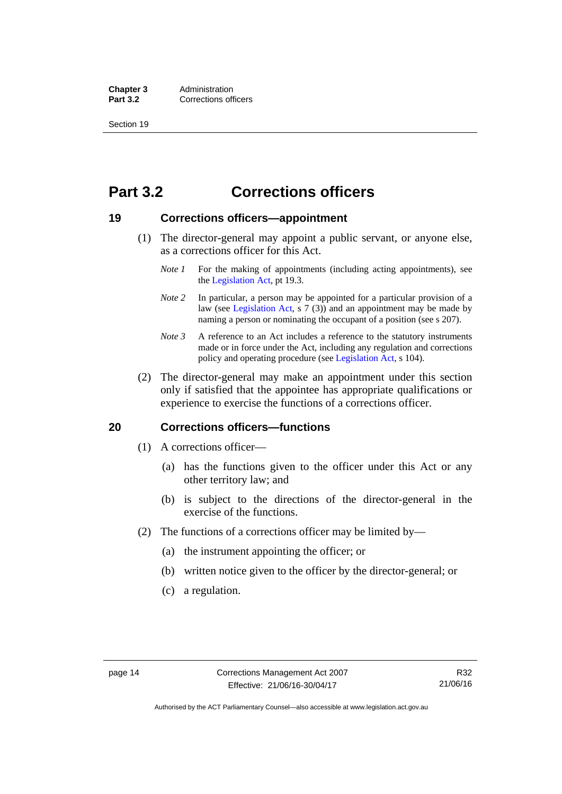**Chapter 3** Administration<br>**Part 3.2** Corrections of **Corrections officers** 

Section 19

# <span id="page-27-0"></span>**Part 3.2 Corrections officers**

### <span id="page-27-1"></span>**19 Corrections officers—appointment**

- (1) The director-general may appoint a public servant, or anyone else, as a corrections officer for this Act.
	- *Note 1* For the making of appointments (including acting appointments), see the [Legislation Act,](http://www.legislation.act.gov.au/a/2001-14) pt 19.3.
	- *Note* 2 In particular, a person may be appointed for a particular provision of a law (see [Legislation Act,](http://www.legislation.act.gov.au/a/2001-14) s 7 (3)) and an appointment may be made by naming a person or nominating the occupant of a position (see s 207).
	- *Note 3* A reference to an Act includes a reference to the statutory instruments made or in force under the Act, including any regulation and corrections policy and operating procedure (see [Legislation Act,](http://www.legislation.act.gov.au/a/2001-14) s 104).
- (2) The director-general may make an appointment under this section only if satisfied that the appointee has appropriate qualifications or experience to exercise the functions of a corrections officer.

### <span id="page-27-2"></span>**20 Corrections officers—functions**

- (1) A corrections officer—
	- (a) has the functions given to the officer under this Act or any other territory law; and
	- (b) is subject to the directions of the director-general in the exercise of the functions.
- (2) The functions of a corrections officer may be limited by—
	- (a) the instrument appointing the officer; or
	- (b) written notice given to the officer by the director-general; or
	- (c) a regulation.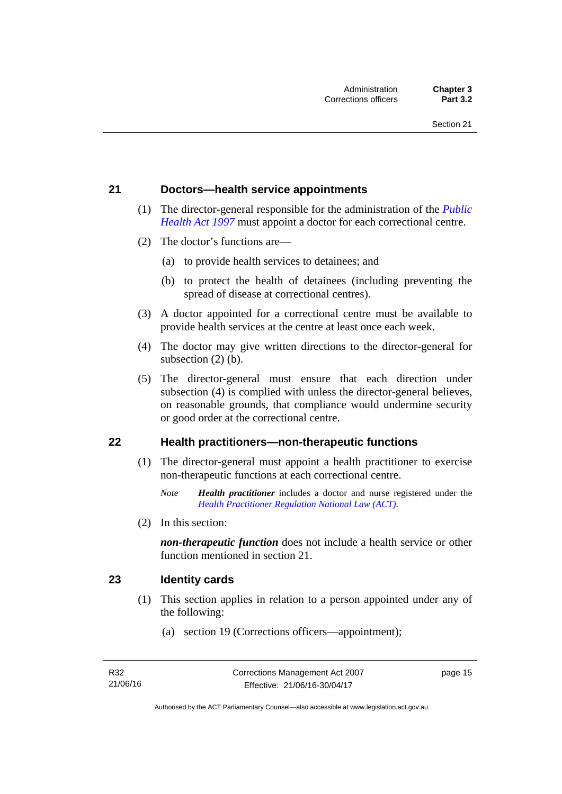### <span id="page-28-0"></span>**21 Doctors—health service appointments**

- (1) The director-general responsible for the administration of the *[Public](http://www.legislation.act.gov.au/a/1997-69)  [Health Act 1997](http://www.legislation.act.gov.au/a/1997-69)* must appoint a doctor for each correctional centre.
- (2) The doctor's functions are—
	- (a) to provide health services to detainees; and
	- (b) to protect the health of detainees (including preventing the spread of disease at correctional centres).
- (3) A doctor appointed for a correctional centre must be available to provide health services at the centre at least once each week.
- (4) The doctor may give written directions to the director-general for subsection (2) (b).
- (5) The director-general must ensure that each direction under subsection (4) is complied with unless the director-general believes, on reasonable grounds, that compliance would undermine security or good order at the correctional centre.

### <span id="page-28-1"></span>**22 Health practitioners—non-therapeutic functions**

- (1) The director-general must appoint a health practitioner to exercise non-therapeutic functions at each correctional centre.
	- *Note Health practitioner* includes a doctor and nurse registered under the *[Health Practitioner Regulation National Law \(ACT\)](http://www.legislation.act.gov.au/a/db_39269/default.asp)*.
- (2) In this section:

*non-therapeutic function* does not include a health service or other function mentioned in section 21.

### <span id="page-28-2"></span>**23 Identity cards**

- (1) This section applies in relation to a person appointed under any of the following:
	- (a) section 19 (Corrections officers—appointment);

page 15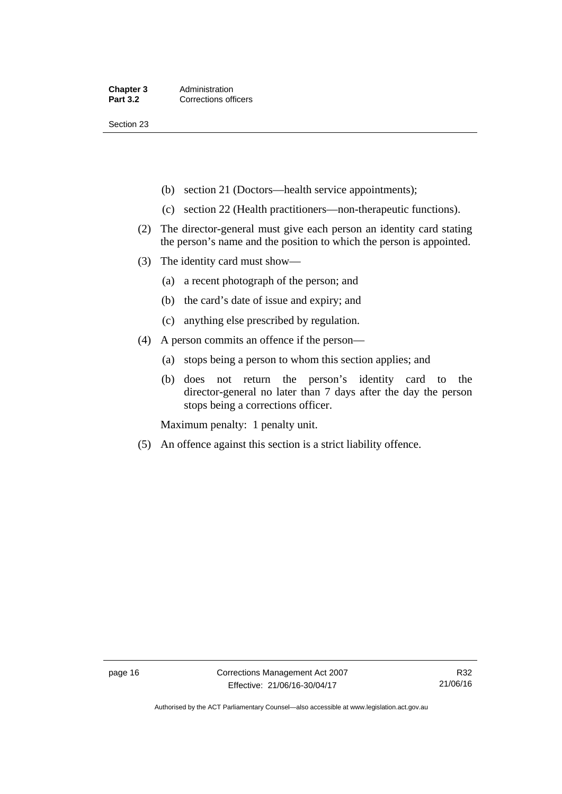Section 23

- (b) section 21 (Doctors—health service appointments);
- (c) section 22 (Health practitioners—non-therapeutic functions).
- (2) The director-general must give each person an identity card stating the person's name and the position to which the person is appointed.
- (3) The identity card must show—
	- (a) a recent photograph of the person; and
	- (b) the card's date of issue and expiry; and
	- (c) anything else prescribed by regulation.
- (4) A person commits an offence if the person—
	- (a) stops being a person to whom this section applies; and
	- (b) does not return the person's identity card to the director-general no later than 7 days after the day the person stops being a corrections officer.

Maximum penalty: 1 penalty unit.

(5) An offence against this section is a strict liability offence.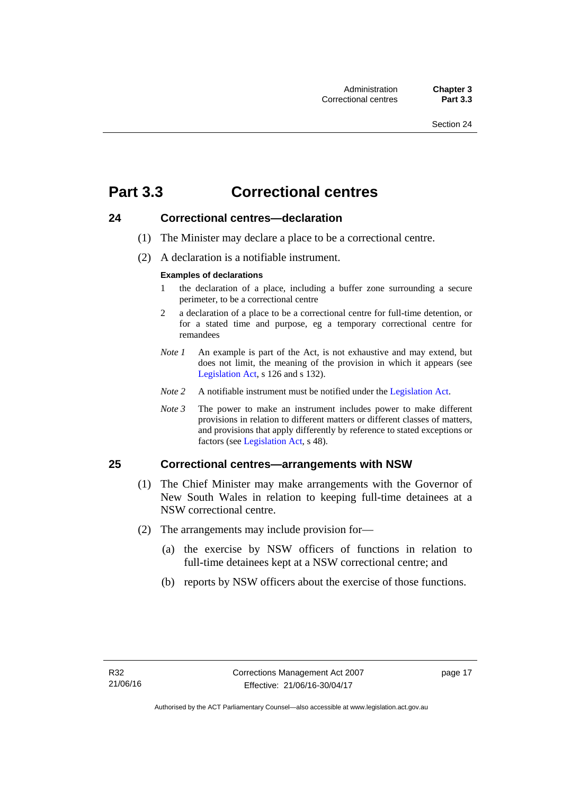# <span id="page-30-0"></span>**Part 3.3 Correctional centres**

# <span id="page-30-1"></span>**24 Correctional centres—declaration**

- (1) The Minister may declare a place to be a correctional centre.
- (2) A declaration is a notifiable instrument.

#### **Examples of declarations**

- 1 the declaration of a place, including a buffer zone surrounding a secure perimeter, to be a correctional centre
- 2 a declaration of a place to be a correctional centre for full-time detention, or for a stated time and purpose, eg a temporary correctional centre for remandees
- *Note 1* An example is part of the Act, is not exhaustive and may extend, but does not limit, the meaning of the provision in which it appears (see [Legislation Act,](http://www.legislation.act.gov.au/a/2001-14) s 126 and s 132).
- *Note 2* A notifiable instrument must be notified under the [Legislation Act](http://www.legislation.act.gov.au/a/2001-14).
- *Note 3* The power to make an instrument includes power to make different provisions in relation to different matters or different classes of matters, and provisions that apply differently by reference to stated exceptions or factors (see [Legislation Act](http://www.legislation.act.gov.au/a/2001-14), s 48).

# <span id="page-30-2"></span>**25 Correctional centres—arrangements with NSW**

- (1) The Chief Minister may make arrangements with the Governor of New South Wales in relation to keeping full-time detainees at a NSW correctional centre.
- (2) The arrangements may include provision for—
	- (a) the exercise by NSW officers of functions in relation to full-time detainees kept at a NSW correctional centre; and
	- (b) reports by NSW officers about the exercise of those functions.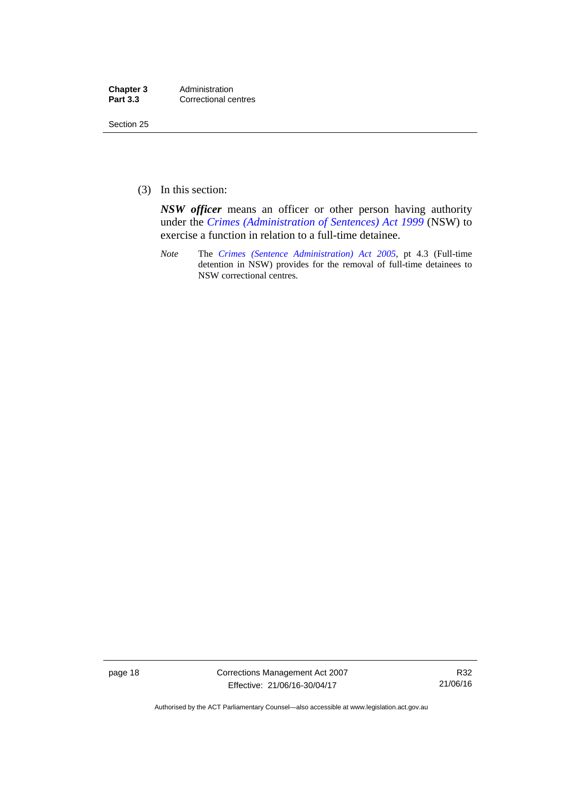| Chapter 3       | Administration       |
|-----------------|----------------------|
| <b>Part 3.3</b> | Correctional centres |

Section 25

(3) In this section:

*NSW officer* means an officer or other person having authority under the *[Crimes \(Administration of Sentences\) Act 1999](http://www.legislation.nsw.gov.au/maintop/view/inforce/act+93+1999+cd+0+N)* (NSW) to exercise a function in relation to a full-time detainee.

*Note* The *[Crimes \(Sentence Administration\) Act 2005](http://www.legislation.act.gov.au/a/2005-59)*, pt 4.3 (Full-time detention in NSW) provides for the removal of full-time detainees to NSW correctional centres.

page 18 Corrections Management Act 2007 Effective: 21/06/16-30/04/17

R32 21/06/16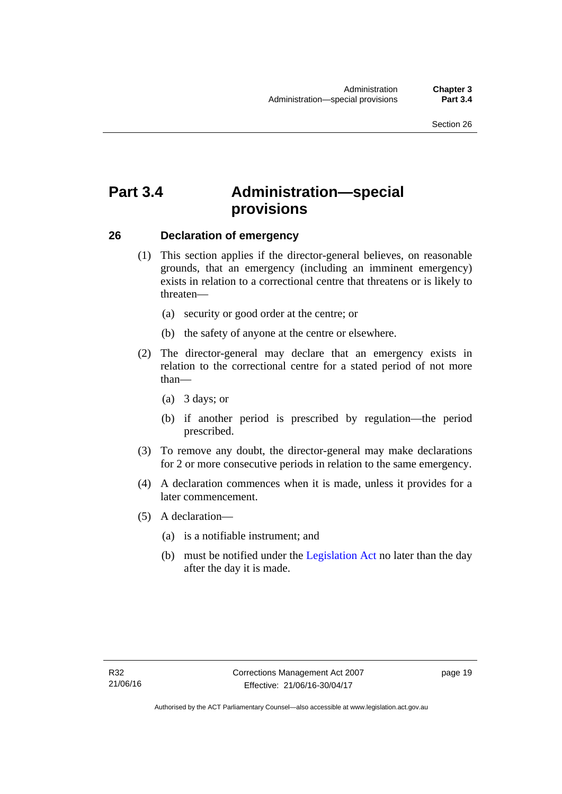# <span id="page-32-0"></span>**Part 3.4 Administration—special provisions**

# <span id="page-32-1"></span>**26 Declaration of emergency**

- (1) This section applies if the director-general believes, on reasonable grounds, that an emergency (including an imminent emergency) exists in relation to a correctional centre that threatens or is likely to threaten—
	- (a) security or good order at the centre; or
	- (b) the safety of anyone at the centre or elsewhere.
- (2) The director-general may declare that an emergency exists in relation to the correctional centre for a stated period of not more than—
	- (a) 3 days; or
	- (b) if another period is prescribed by regulation—the period prescribed.
- (3) To remove any doubt, the director-general may make declarations for 2 or more consecutive periods in relation to the same emergency.
- (4) A declaration commences when it is made, unless it provides for a later commencement.
- (5) A declaration—
	- (a) is a notifiable instrument; and
	- (b) must be notified under the [Legislation Act](http://www.legislation.act.gov.au/a/2001-14) no later than the day after the day it is made.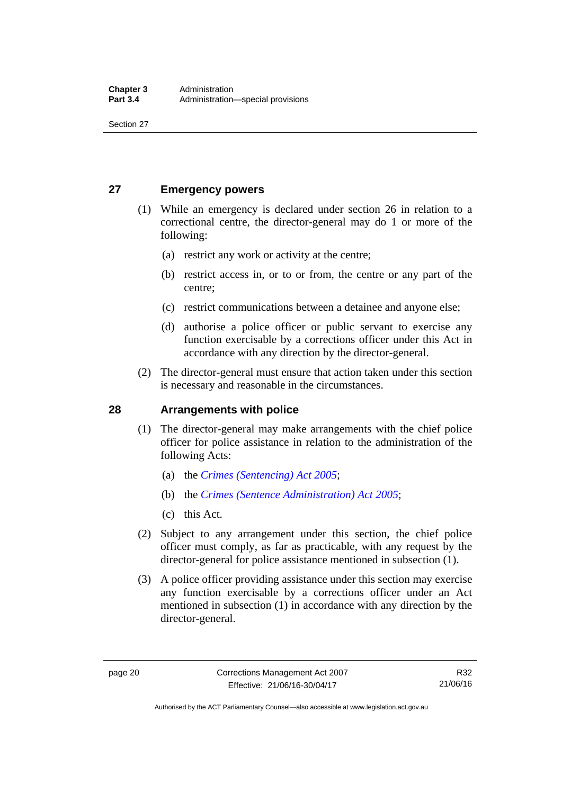Section 27

# <span id="page-33-0"></span>**27 Emergency powers**

- (1) While an emergency is declared under section 26 in relation to a correctional centre, the director-general may do 1 or more of the following:
	- (a) restrict any work or activity at the centre;
	- (b) restrict access in, or to or from, the centre or any part of the centre;
	- (c) restrict communications between a detainee and anyone else;
	- (d) authorise a police officer or public servant to exercise any function exercisable by a corrections officer under this Act in accordance with any direction by the director-general.
- (2) The director-general must ensure that action taken under this section is necessary and reasonable in the circumstances.

# <span id="page-33-1"></span>**28 Arrangements with police**

- (1) The director-general may make arrangements with the chief police officer for police assistance in relation to the administration of the following Acts:
	- (a) the *[Crimes \(Sentencing\) Act 2005](http://www.legislation.act.gov.au/a/2005-58)*;
	- (b) the *[Crimes \(Sentence Administration\) Act 2005](http://www.legislation.act.gov.au/a/2005-59)*;
	- (c) this Act.
- (2) Subject to any arrangement under this section, the chief police officer must comply, as far as practicable, with any request by the director-general for police assistance mentioned in subsection (1).
- (3) A police officer providing assistance under this section may exercise any function exercisable by a corrections officer under an Act mentioned in subsection (1) in accordance with any direction by the director-general.

Authorised by the ACT Parliamentary Counsel—also accessible at www.legislation.act.gov.au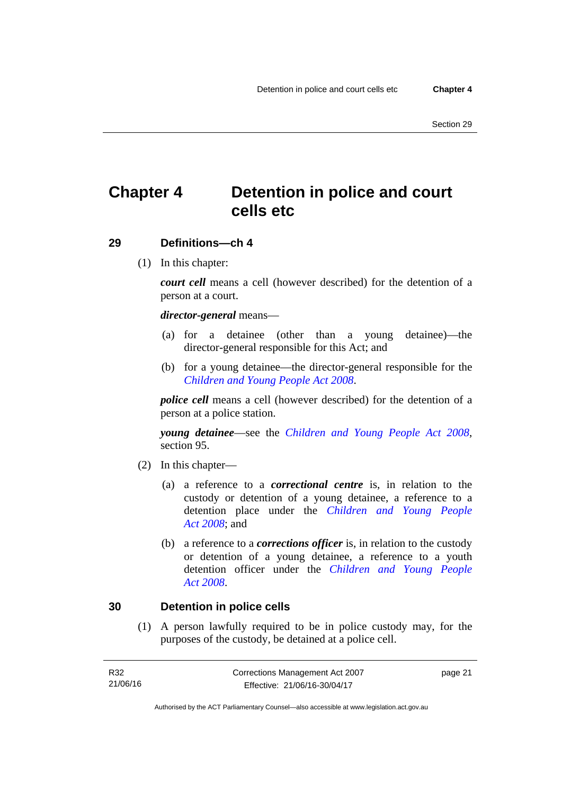# <span id="page-34-0"></span>**Chapter 4 Detention in police and court cells etc**

# <span id="page-34-1"></span>**29 Definitions—ch 4**

(1) In this chapter:

*court cell* means a cell (however described) for the detention of a person at a court.

### *director-general* means—

- (a) for a detainee (other than a young detainee)—the director-general responsible for this Act; and
- (b) for a young detainee—the director-general responsible for the *[Children and Young People Act 2008](http://www.legislation.act.gov.au/a/2008-19)*.

*police cell* means a cell (however described) for the detention of a person at a police station.

*young detainee*—see the *[Children and Young People Act 2008](http://www.legislation.act.gov.au/a/2008-19)*, section 95.

- (2) In this chapter—
	- (a) a reference to a *correctional centre* is, in relation to the custody or detention of a young detainee, a reference to a detention place under the *[Children and Young People](http://www.legislation.act.gov.au/a/2008-19)  [Act 2008](http://www.legislation.act.gov.au/a/2008-19)*; and
	- (b) a reference to a *corrections officer* is, in relation to the custody or detention of a young detainee, a reference to a youth detention officer under the *[Children and Young People](http://www.legislation.act.gov.au/a/2008-19)  [Act 2008](http://www.legislation.act.gov.au/a/2008-19)*.

### <span id="page-34-2"></span>**30 Detention in police cells**

(1) A person lawfully required to be in police custody may, for the purposes of the custody, be detained at a police cell.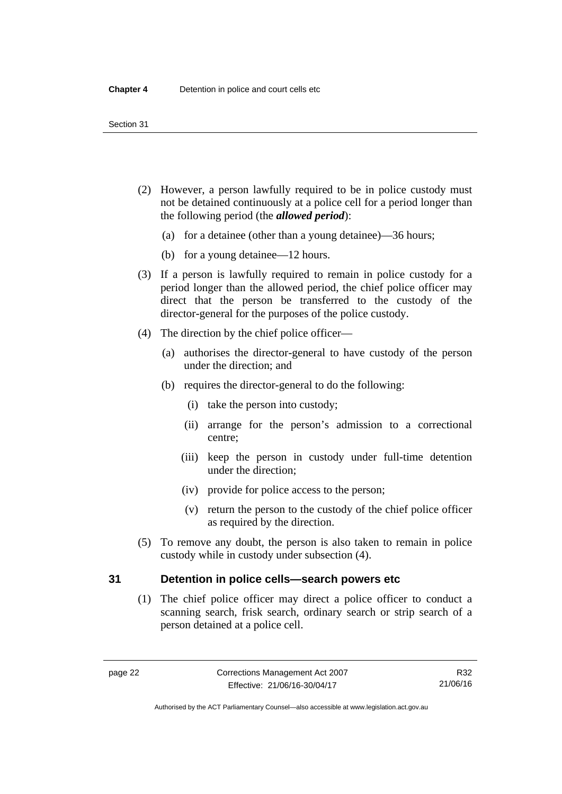- (2) However, a person lawfully required to be in police custody must not be detained continuously at a police cell for a period longer than the following period (the *allowed period*):
	- (a) for a detainee (other than a young detainee)—36 hours;
	- (b) for a young detainee—12 hours.
- (3) If a person is lawfully required to remain in police custody for a period longer than the allowed period, the chief police officer may direct that the person be transferred to the custody of the director-general for the purposes of the police custody.
- (4) The direction by the chief police officer—
	- (a) authorises the director-general to have custody of the person under the direction; and
	- (b) requires the director-general to do the following:
		- (i) take the person into custody;
		- (ii) arrange for the person's admission to a correctional centre;
		- (iii) keep the person in custody under full-time detention under the direction;
		- (iv) provide for police access to the person;
		- (v) return the person to the custody of the chief police officer as required by the direction.
- (5) To remove any doubt, the person is also taken to remain in police custody while in custody under subsection (4).

# <span id="page-35-0"></span>**31 Detention in police cells—search powers etc**

(1) The chief police officer may direct a police officer to conduct a scanning search, frisk search, ordinary search or strip search of a person detained at a police cell.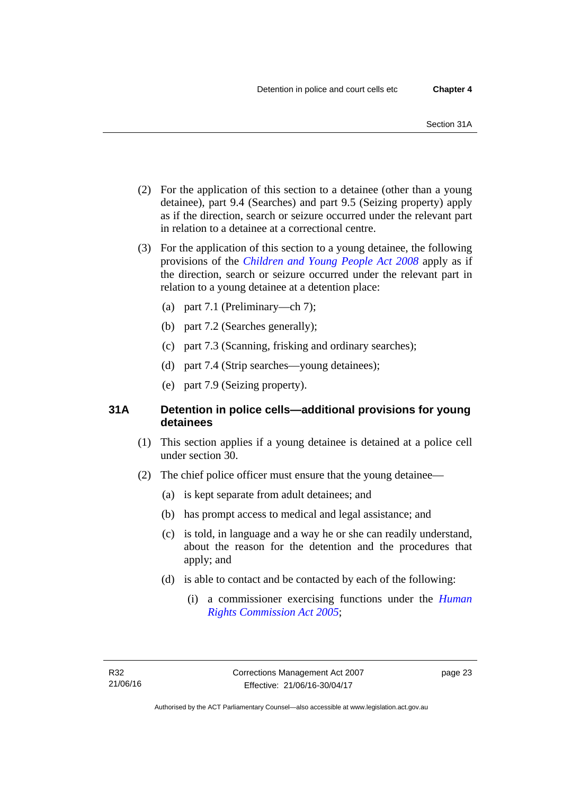- (2) For the application of this section to a detainee (other than a young detainee), part 9.4 (Searches) and part 9.5 (Seizing property) apply as if the direction, search or seizure occurred under the relevant part in relation to a detainee at a correctional centre.
- (3) For the application of this section to a young detainee, the following provisions of the *[Children and Young People Act 2008](http://www.legislation.act.gov.au/a/2008-19)* apply as if the direction, search or seizure occurred under the relevant part in relation to a young detainee at a detention place:
	- (a) part 7.1 (Preliminary—ch 7);
	- (b) part 7.2 (Searches generally);
	- (c) part 7.3 (Scanning, frisking and ordinary searches);
	- (d) part 7.4 (Strip searches—young detainees);
	- (e) part 7.9 (Seizing property).

## **31A Detention in police cells—additional provisions for young detainees**

- (1) This section applies if a young detainee is detained at a police cell under section 30.
- (2) The chief police officer must ensure that the young detainee—
	- (a) is kept separate from adult detainees; and
	- (b) has prompt access to medical and legal assistance; and
	- (c) is told, in language and a way he or she can readily understand, about the reason for the detention and the procedures that apply; and
	- (d) is able to contact and be contacted by each of the following:
		- (i) a commissioner exercising functions under the *[Human](http://www.legislation.act.gov.au/a/2005-40)  [Rights Commission Act 2005](http://www.legislation.act.gov.au/a/2005-40)*;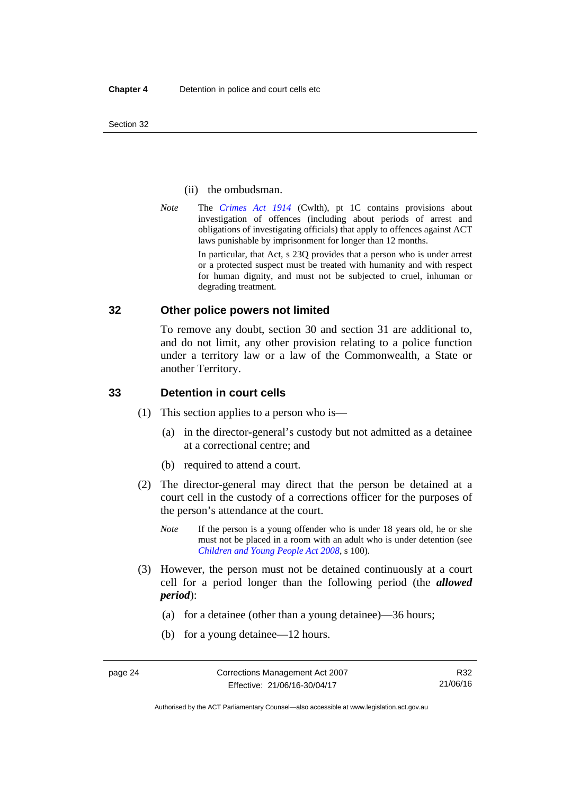Section 32

#### (ii) the ombudsman.

*Note* The *[Crimes Act 1914](http://www.comlaw.gov.au/Series/C2004A07391)* (Cwlth), pt 1C contains provisions about investigation of offences (including about periods of arrest and obligations of investigating officials) that apply to offences against ACT laws punishable by imprisonment for longer than 12 months.

In particular, that Act, s 23Q provides that a person who is under arrest or a protected suspect must be treated with humanity and with respect for human dignity, and must not be subjected to cruel, inhuman or degrading treatment.

## **32 Other police powers not limited**

To remove any doubt, section 30 and section 31 are additional to, and do not limit, any other provision relating to a police function under a territory law or a law of the Commonwealth, a State or another Territory.

## **33 Detention in court cells**

- (1) This section applies to a person who is—
	- (a) in the director-general's custody but not admitted as a detainee at a correctional centre; and
	- (b) required to attend a court.
- (2) The director-general may direct that the person be detained at a court cell in the custody of a corrections officer for the purposes of the person's attendance at the court.
	- *Note* If the person is a young offender who is under 18 years old, he or she must not be placed in a room with an adult who is under detention (see *[Children and Young People Act 2008](http://www.legislation.act.gov.au/a/2008-19)*, s 100).
- (3) However, the person must not be detained continuously at a court cell for a period longer than the following period (the *allowed period*):
	- (a) for a detainee (other than a young detainee)—36 hours;
	- (b) for a young detainee—12 hours.

R32 21/06/16

Authorised by the ACT Parliamentary Counsel—also accessible at www.legislation.act.gov.au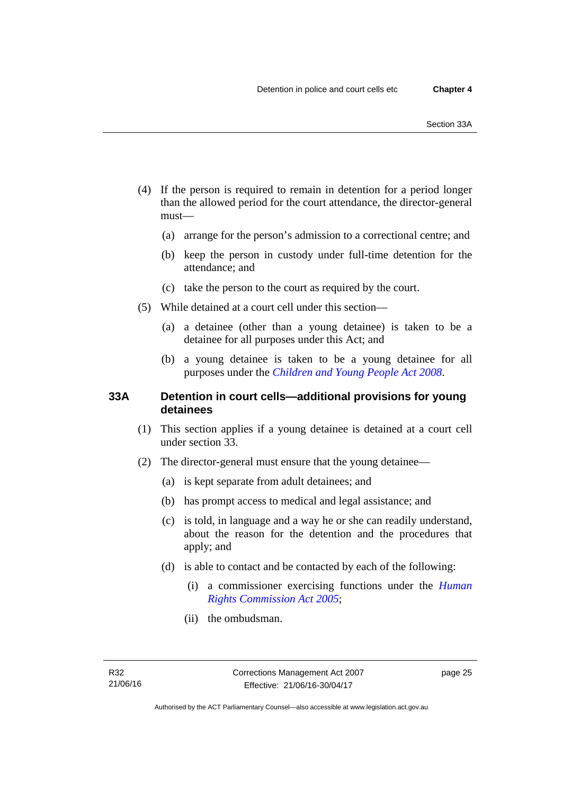- (4) If the person is required to remain in detention for a period longer than the allowed period for the court attendance, the director-general must—
	- (a) arrange for the person's admission to a correctional centre; and
	- (b) keep the person in custody under full-time detention for the attendance; and
	- (c) take the person to the court as required by the court.
- (5) While detained at a court cell under this section—
	- (a) a detainee (other than a young detainee) is taken to be a detainee for all purposes under this Act; and
	- (b) a young detainee is taken to be a young detainee for all purposes under the *[Children and Young People Act 2008](http://www.legislation.act.gov.au/a/2008-19)*.

## **33A Detention in court cells—additional provisions for young detainees**

- (1) This section applies if a young detainee is detained at a court cell under section 33.
- (2) The director-general must ensure that the young detainee—
	- (a) is kept separate from adult detainees; and
	- (b) has prompt access to medical and legal assistance; and
	- (c) is told, in language and a way he or she can readily understand, about the reason for the detention and the procedures that apply; and
	- (d) is able to contact and be contacted by each of the following:
		- (i) a commissioner exercising functions under the *[Human](http://www.legislation.act.gov.au/a/2005-40)  [Rights Commission Act 2005](http://www.legislation.act.gov.au/a/2005-40)*;
		- (ii) the ombudsman.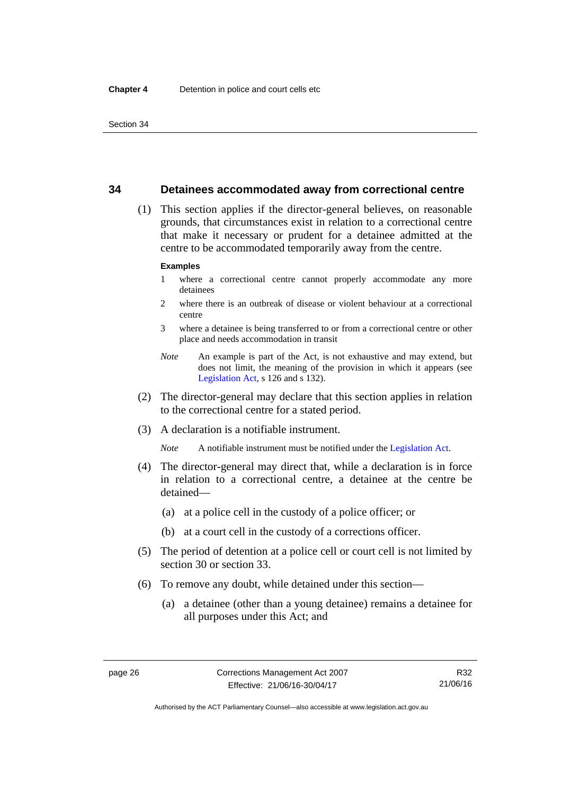#### **34 Detainees accommodated away from correctional centre**

 (1) This section applies if the director-general believes, on reasonable grounds, that circumstances exist in relation to a correctional centre that make it necessary or prudent for a detainee admitted at the centre to be accommodated temporarily away from the centre.

#### **Examples**

- 1 where a correctional centre cannot properly accommodate any more detainees
- 2 where there is an outbreak of disease or violent behaviour at a correctional centre
- 3 where a detainee is being transferred to or from a correctional centre or other place and needs accommodation in transit
- *Note* An example is part of the Act, is not exhaustive and may extend, but does not limit, the meaning of the provision in which it appears (see [Legislation Act,](http://www.legislation.act.gov.au/a/2001-14) s 126 and s 132).
- (2) The director-general may declare that this section applies in relation to the correctional centre for a stated period.
- (3) A declaration is a notifiable instrument.

*Note* A notifiable instrument must be notified under the [Legislation Act](http://www.legislation.act.gov.au/a/2001-14).

- (4) The director-general may direct that, while a declaration is in force in relation to a correctional centre, a detainee at the centre be detained—
	- (a) at a police cell in the custody of a police officer; or
	- (b) at a court cell in the custody of a corrections officer.
- (5) The period of detention at a police cell or court cell is not limited by section 30 or section 33.
- (6) To remove any doubt, while detained under this section—
	- (a) a detainee (other than a young detainee) remains a detainee for all purposes under this Act; and

Authorised by the ACT Parliamentary Counsel—also accessible at www.legislation.act.gov.au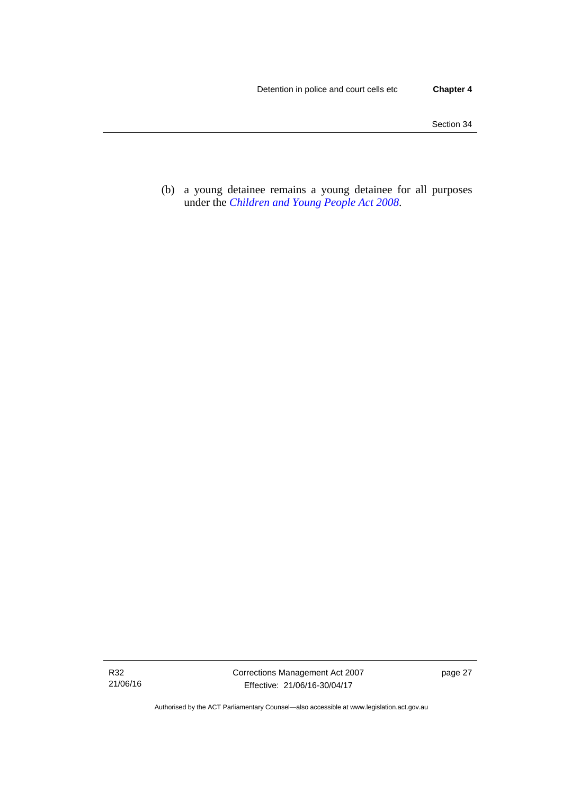(b) a young detainee remains a young detainee for all purposes under the *[Children and Young People Act 2008](http://www.legislation.act.gov.au/a/2008-19)*.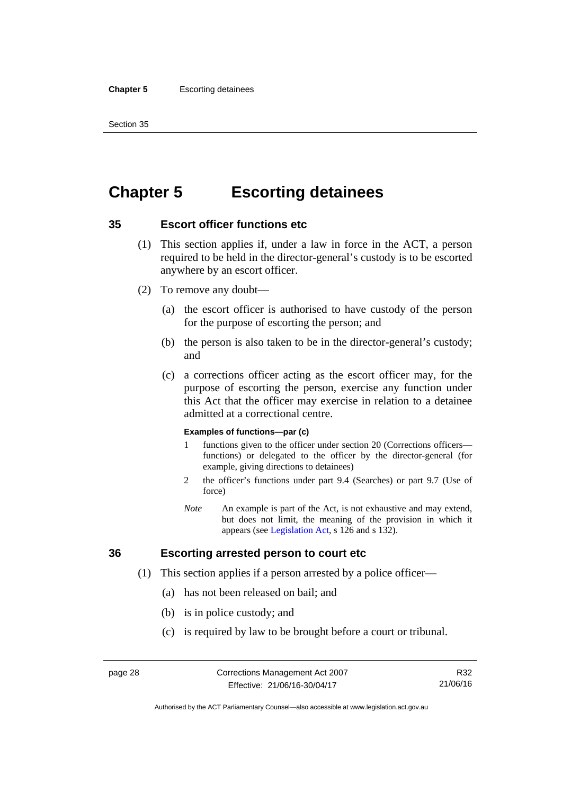#### **Chapter 5** Escorting detainees

Section 35

# **Chapter 5 Escorting detainees**

## **35 Escort officer functions etc**

- (1) This section applies if, under a law in force in the ACT, a person required to be held in the director-general's custody is to be escorted anywhere by an escort officer.
- (2) To remove any doubt—
	- (a) the escort officer is authorised to have custody of the person for the purpose of escorting the person; and
	- (b) the person is also taken to be in the director-general's custody; and
	- (c) a corrections officer acting as the escort officer may, for the purpose of escorting the person, exercise any function under this Act that the officer may exercise in relation to a detainee admitted at a correctional centre.

#### **Examples of functions—par (c)**

- 1 functions given to the officer under section 20 (Corrections officers functions) or delegated to the officer by the director-general (for example, giving directions to detainees)
- 2 the officer's functions under part 9.4 (Searches) or part 9.7 (Use of force)
- *Note* An example is part of the Act, is not exhaustive and may extend, but does not limit, the meaning of the provision in which it appears (see [Legislation Act,](http://www.legislation.act.gov.au/a/2001-14) s 126 and s 132).

## **36 Escorting arrested person to court etc**

- (1) This section applies if a person arrested by a police officer—
	- (a) has not been released on bail; and
	- (b) is in police custody; and
	- (c) is required by law to be brought before a court or tribunal.

R32 21/06/16

Authorised by the ACT Parliamentary Counsel—also accessible at www.legislation.act.gov.au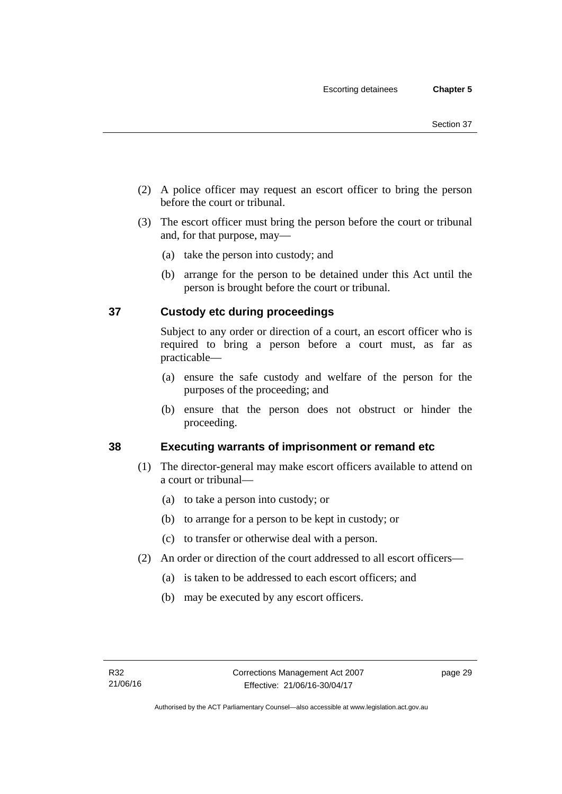- (2) A police officer may request an escort officer to bring the person before the court or tribunal.
- (3) The escort officer must bring the person before the court or tribunal and, for that purpose, may—
	- (a) take the person into custody; and
	- (b) arrange for the person to be detained under this Act until the person is brought before the court or tribunal.

# **37 Custody etc during proceedings**

Subject to any order or direction of a court, an escort officer who is required to bring a person before a court must, as far as practicable—

- (a) ensure the safe custody and welfare of the person for the purposes of the proceeding; and
- (b) ensure that the person does not obstruct or hinder the proceeding.

# **38 Executing warrants of imprisonment or remand etc**

- (1) The director-general may make escort officers available to attend on a court or tribunal—
	- (a) to take a person into custody; or
	- (b) to arrange for a person to be kept in custody; or
	- (c) to transfer or otherwise deal with a person.
- (2) An order or direction of the court addressed to all escort officers—
	- (a) is taken to be addressed to each escort officers; and
	- (b) may be executed by any escort officers.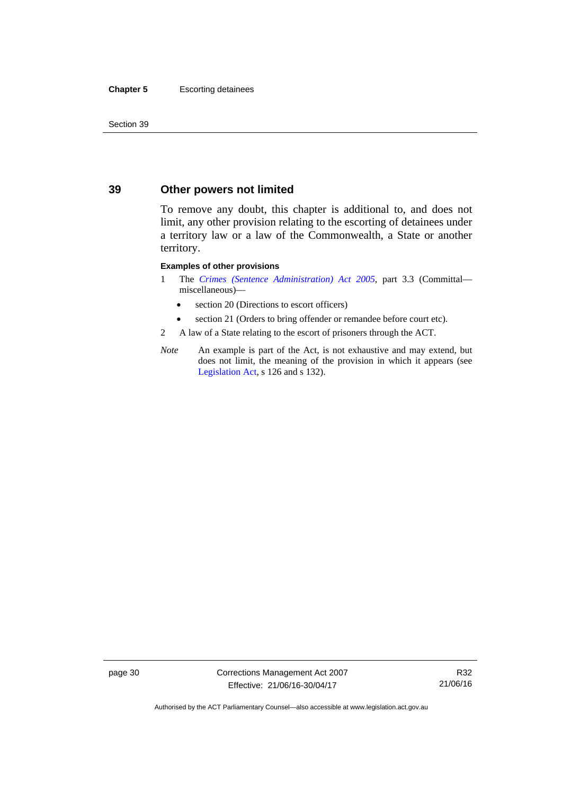#### **Chapter 5** Escorting detainees

Section 39

## **39 Other powers not limited**

To remove any doubt, this chapter is additional to, and does not limit, any other provision relating to the escorting of detainees under a territory law or a law of the Commonwealth, a State or another territory.

#### **Examples of other provisions**

- 1 The *[Crimes \(Sentence Administration\) Act 2005](http://www.legislation.act.gov.au/a/2005-59)*, part 3.3 (Committal miscellaneous)—
	- section 20 (Directions to escort officers)
	- section 21 (Orders to bring offender or remandee before court etc).
- 2 A law of a State relating to the escort of prisoners through the ACT.
- *Note* An example is part of the Act, is not exhaustive and may extend, but does not limit, the meaning of the provision in which it appears (see [Legislation Act,](http://www.legislation.act.gov.au/a/2001-14) s 126 and s 132).

page 30 Corrections Management Act 2007 Effective: 21/06/16-30/04/17

R32 21/06/16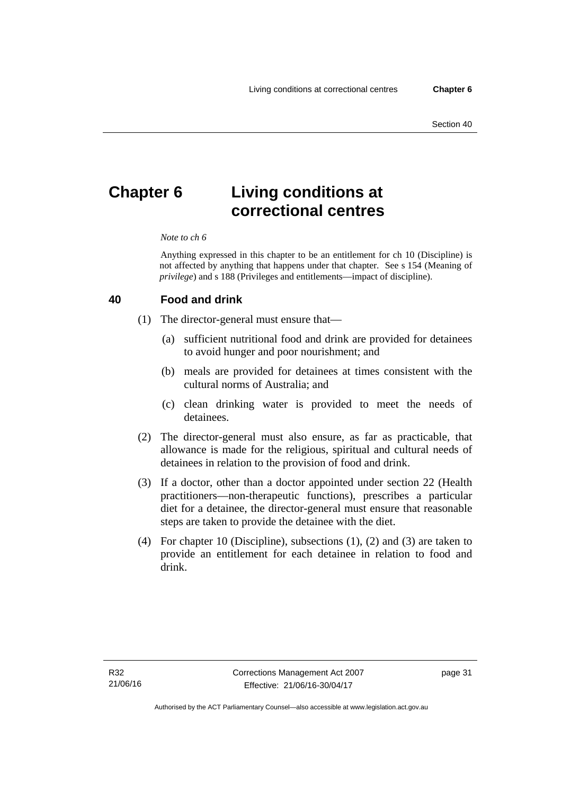# **Chapter 6 Living conditions at correctional centres**

#### *Note to ch 6*

Anything expressed in this chapter to be an entitlement for ch 10 (Discipline) is not affected by anything that happens under that chapter. See s 154 (Meaning of *privilege*) and s 188 (Privileges and entitlements—impact of discipline).

#### **40 Food and drink**

- (1) The director-general must ensure that—
	- (a) sufficient nutritional food and drink are provided for detainees to avoid hunger and poor nourishment; and
	- (b) meals are provided for detainees at times consistent with the cultural norms of Australia; and
	- (c) clean drinking water is provided to meet the needs of detainees.
- (2) The director-general must also ensure, as far as practicable, that allowance is made for the religious, spiritual and cultural needs of detainees in relation to the provision of food and drink.
- (3) If a doctor, other than a doctor appointed under section 22 (Health practitioners—non-therapeutic functions), prescribes a particular diet for a detainee, the director-general must ensure that reasonable steps are taken to provide the detainee with the diet.
- (4) For chapter 10 (Discipline), subsections (1), (2) and (3) are taken to provide an entitlement for each detainee in relation to food and drink.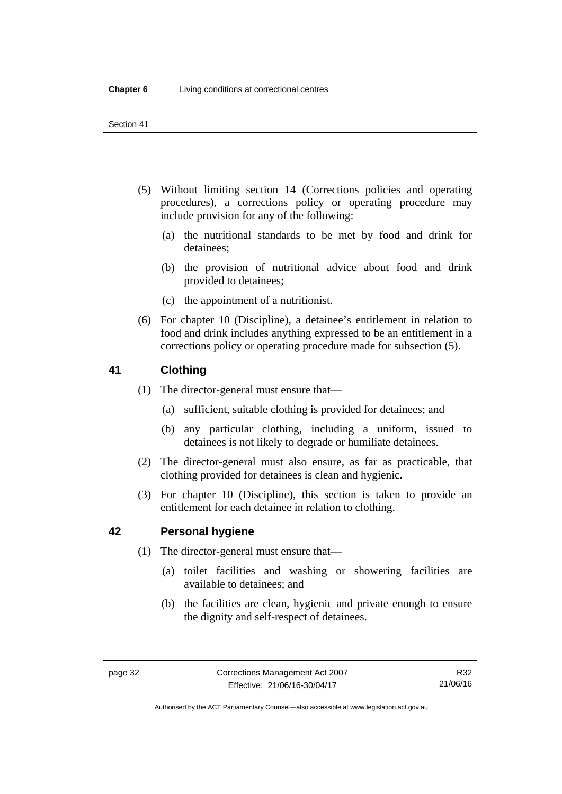- (5) Without limiting section 14 (Corrections policies and operating procedures), a corrections policy or operating procedure may include provision for any of the following:
	- (a) the nutritional standards to be met by food and drink for detainees;
	- (b) the provision of nutritional advice about food and drink provided to detainees;
	- (c) the appointment of a nutritionist.
- (6) For chapter 10 (Discipline), a detainee's entitlement in relation to food and drink includes anything expressed to be an entitlement in a corrections policy or operating procedure made for subsection (5).

## **41 Clothing**

- (1) The director-general must ensure that—
	- (a) sufficient, suitable clothing is provided for detainees; and
	- (b) any particular clothing, including a uniform, issued to detainees is not likely to degrade or humiliate detainees.
- (2) The director-general must also ensure, as far as practicable, that clothing provided for detainees is clean and hygienic.
- (3) For chapter 10 (Discipline), this section is taken to provide an entitlement for each detainee in relation to clothing.

## **42 Personal hygiene**

- (1) The director-general must ensure that—
	- (a) toilet facilities and washing or showering facilities are available to detainees; and
	- (b) the facilities are clean, hygienic and private enough to ensure the dignity and self-respect of detainees.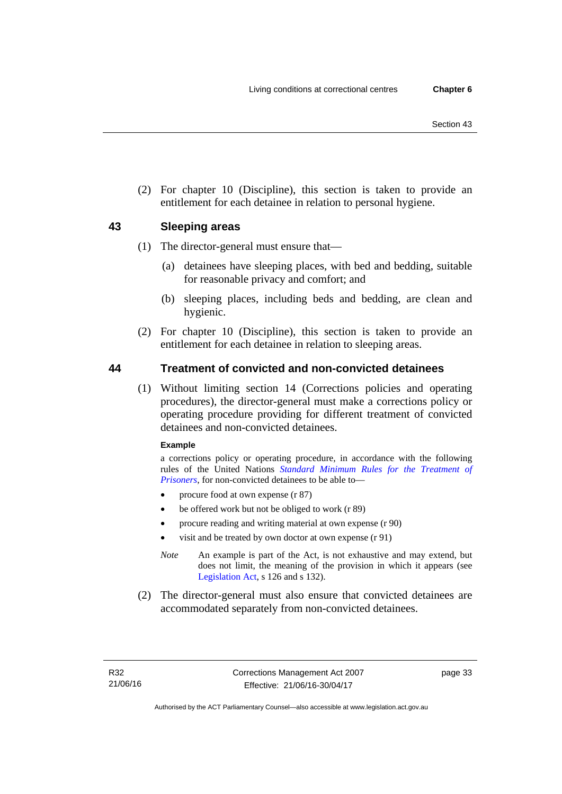(2) For chapter 10 (Discipline), this section is taken to provide an entitlement for each detainee in relation to personal hygiene.

## **43 Sleeping areas**

- (1) The director-general must ensure that—
	- (a) detainees have sleeping places, with bed and bedding, suitable for reasonable privacy and comfort; and
	- (b) sleeping places, including beds and bedding, are clean and hygienic.
- (2) For chapter 10 (Discipline), this section is taken to provide an entitlement for each detainee in relation to sleeping areas.

## **44 Treatment of convicted and non-convicted detainees**

(1) Without limiting section 14 (Corrections policies and operating procedures), the director-general must make a corrections policy or operating procedure providing for different treatment of convicted detainees and non-convicted detainees.

#### **Example**

a corrections policy or operating procedure, in accordance with the following rules of the United Nations *[Standard Minimum Rules for the Treatment of](http://www2.ohchr.org/english/law/treatmentprisoners.htm)  [Prisoners](http://www2.ohchr.org/english/law/treatmentprisoners.htm)*, for non-convicted detainees to be able to—

- procure food at own expense (r 87)
- be offered work but not be obliged to work (r 89)
- procure reading and writing material at own expense (r 90)
- visit and be treated by own doctor at own expense (r 91)
- *Note* An example is part of the Act, is not exhaustive and may extend, but does not limit, the meaning of the provision in which it appears (see [Legislation Act,](http://www.legislation.act.gov.au/a/2001-14) s 126 and s 132).
- (2) The director-general must also ensure that convicted detainees are accommodated separately from non-convicted detainees.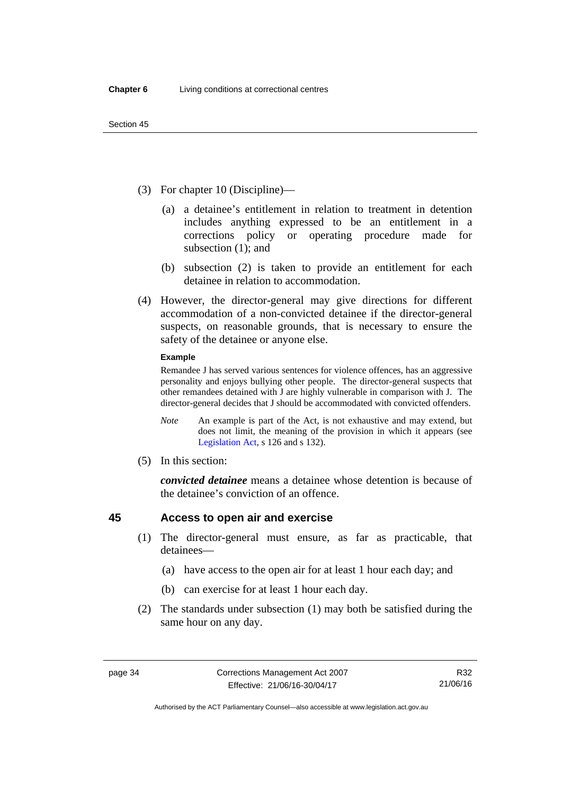- (3) For chapter 10 (Discipline)—
	- (a) a detainee's entitlement in relation to treatment in detention includes anything expressed to be an entitlement in a corrections policy or operating procedure made for subsection (1); and
	- (b) subsection (2) is taken to provide an entitlement for each detainee in relation to accommodation.
- (4) However, the director-general may give directions for different accommodation of a non-convicted detainee if the director-general suspects, on reasonable grounds, that is necessary to ensure the safety of the detainee or anyone else.

#### **Example**

Remandee J has served various sentences for violence offences, has an aggressive personality and enjoys bullying other people. The director-general suspects that other remandees detained with J are highly vulnerable in comparison with J. The director-general decides that J should be accommodated with convicted offenders.

- *Note* An example is part of the Act, is not exhaustive and may extend, but does not limit, the meaning of the provision in which it appears (see [Legislation Act,](http://www.legislation.act.gov.au/a/2001-14) s 126 and s 132).
- (5) In this section:

*convicted detainee* means a detainee whose detention is because of the detainee's conviction of an offence.

## **45 Access to open air and exercise**

- (1) The director-general must ensure, as far as practicable, that detainees—
	- (a) have access to the open air for at least 1 hour each day; and
	- (b) can exercise for at least 1 hour each day.
- (2) The standards under subsection (1) may both be satisfied during the same hour on any day.

Authorised by the ACT Parliamentary Counsel—also accessible at www.legislation.act.gov.au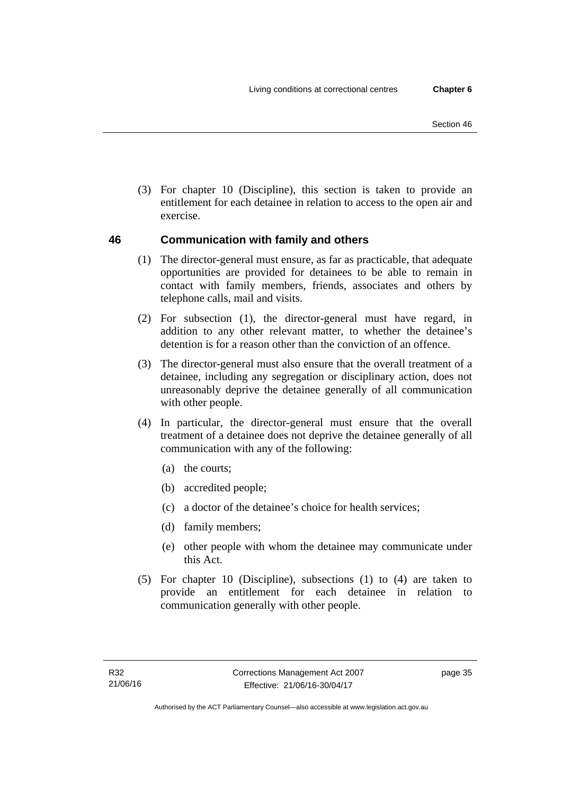(3) For chapter 10 (Discipline), this section is taken to provide an entitlement for each detainee in relation to access to the open air and exercise.

# <span id="page-48-0"></span>**46 Communication with family and others**

- (1) The director-general must ensure, as far as practicable, that adequate opportunities are provided for detainees to be able to remain in contact with family members, friends, associates and others by telephone calls, mail and visits.
- (2) For subsection (1), the director-general must have regard, in addition to any other relevant matter, to whether the detainee's detention is for a reason other than the conviction of an offence.
- (3) The director-general must also ensure that the overall treatment of a detainee, including any segregation or disciplinary action, does not unreasonably deprive the detainee generally of all communication with other people.
- (4) In particular, the director-general must ensure that the overall treatment of a detainee does not deprive the detainee generally of all communication with any of the following:
	- (a) the courts;
	- (b) accredited people;
	- (c) a doctor of the detainee's choice for health services;
	- (d) family members;
	- (e) other people with whom the detainee may communicate under this Act.
- (5) For chapter 10 (Discipline), subsections (1) to (4) are taken to provide an entitlement for each detainee in relation to communication generally with other people.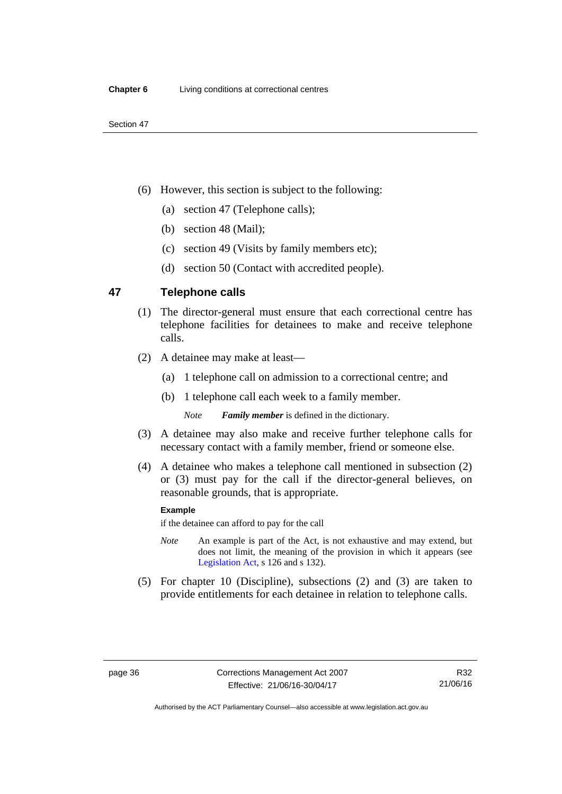- (6) However, this section is subject to the following:
	- (a) section 47 (Telephone calls);
	- (b) section 48 (Mail);
	- (c) section 49 (Visits by family members etc);
	- (d) section 50 (Contact with accredited people).

## **47 Telephone calls**

- (1) The director-general must ensure that each correctional centre has telephone facilities for detainees to make and receive telephone calls.
- (2) A detainee may make at least—
	- (a) 1 telephone call on admission to a correctional centre; and
	- (b) 1 telephone call each week to a family member.

*Note Family member* is defined in the dictionary.

- (3) A detainee may also make and receive further telephone calls for necessary contact with a family member, friend or someone else.
- (4) A detainee who makes a telephone call mentioned in subsection (2) or (3) must pay for the call if the director-general believes, on reasonable grounds, that is appropriate.

#### **Example**

if the detainee can afford to pay for the call

- *Note* An example is part of the Act, is not exhaustive and may extend, but does not limit, the meaning of the provision in which it appears (see [Legislation Act,](http://www.legislation.act.gov.au/a/2001-14) s 126 and s 132).
- (5) For chapter 10 (Discipline), subsections (2) and (3) are taken to provide entitlements for each detainee in relation to telephone calls.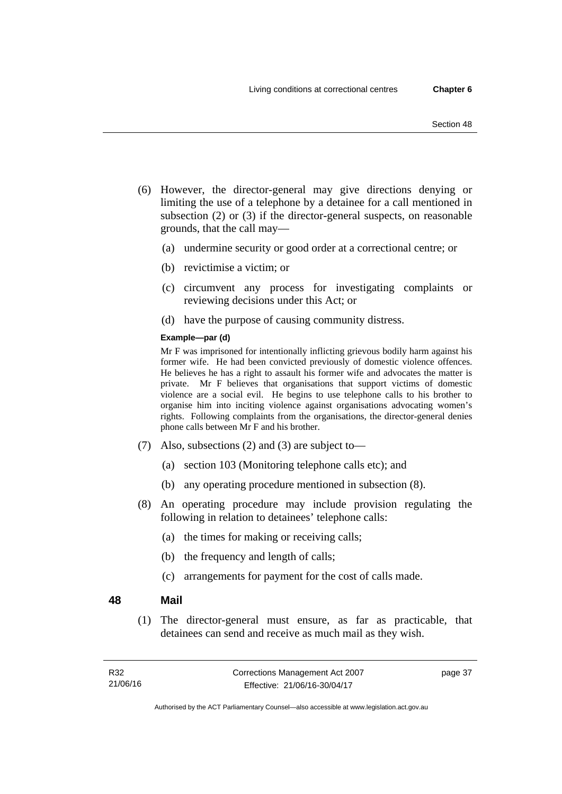- (6) However, the director-general may give directions denying or limiting the use of a telephone by a detainee for a call mentioned in subsection (2) or (3) if the director-general suspects, on reasonable grounds, that the call may—
	- (a) undermine security or good order at a correctional centre; or
	- (b) revictimise a victim; or
	- (c) circumvent any process for investigating complaints or reviewing decisions under this Act; or
	- (d) have the purpose of causing community distress.

#### **Example—par (d)**

Mr F was imprisoned for intentionally inflicting grievous bodily harm against his former wife. He had been convicted previously of domestic violence offences. He believes he has a right to assault his former wife and advocates the matter is private. Mr F believes that organisations that support victims of domestic violence are a social evil. He begins to use telephone calls to his brother to organise him into inciting violence against organisations advocating women's rights. Following complaints from the organisations, the director-general denies phone calls between Mr F and his brother.

- (7) Also, subsections (2) and (3) are subject to—
	- (a) section 103 (Monitoring telephone calls etc); and
	- (b) any operating procedure mentioned in subsection (8).
- (8) An operating procedure may include provision regulating the following in relation to detainees' telephone calls:
	- (a) the times for making or receiving calls;
	- (b) the frequency and length of calls;
	- (c) arrangements for payment for the cost of calls made.

#### <span id="page-50-0"></span>**48 Mail**

(1) The director-general must ensure, as far as practicable, that detainees can send and receive as much mail as they wish.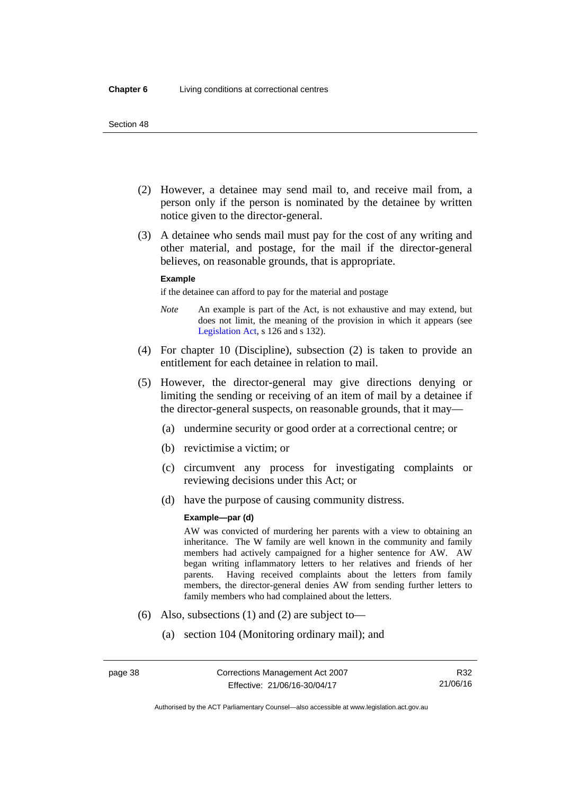- (2) However, a detainee may send mail to, and receive mail from, a person only if the person is nominated by the detainee by written notice given to the director-general.
- (3) A detainee who sends mail must pay for the cost of any writing and other material, and postage, for the mail if the director-general believes, on reasonable grounds, that is appropriate.

#### **Example**

if the detainee can afford to pay for the material and postage

- *Note* An example is part of the Act, is not exhaustive and may extend, but does not limit, the meaning of the provision in which it appears (see [Legislation Act,](http://www.legislation.act.gov.au/a/2001-14) s 126 and s 132).
- (4) For chapter 10 (Discipline), subsection (2) is taken to provide an entitlement for each detainee in relation to mail.
- (5) However, the director-general may give directions denying or limiting the sending or receiving of an item of mail by a detainee if the director-general suspects, on reasonable grounds, that it may—
	- (a) undermine security or good order at a correctional centre; or
	- (b) revictimise a victim; or
	- (c) circumvent any process for investigating complaints or reviewing decisions under this Act; or
	- (d) have the purpose of causing community distress.

#### **Example—par (d)**

AW was convicted of murdering her parents with a view to obtaining an inheritance. The W family are well known in the community and family members had actively campaigned for a higher sentence for AW. AW began writing inflammatory letters to her relatives and friends of her parents. Having received complaints about the letters from family members, the director-general denies AW from sending further letters to family members who had complained about the letters.

- (6) Also, subsections (1) and (2) are subject to—
	- (a) section 104 (Monitoring ordinary mail); and

Authorised by the ACT Parliamentary Counsel—also accessible at www.legislation.act.gov.au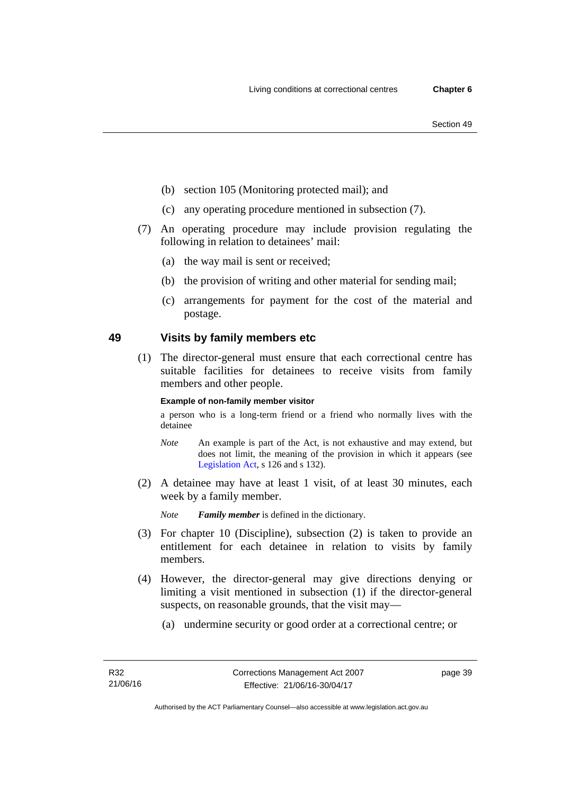- (b) section 105 (Monitoring protected mail); and
- (c) any operating procedure mentioned in subsection (7).
- (7) An operating procedure may include provision regulating the following in relation to detainees' mail:
	- (a) the way mail is sent or received;
	- (b) the provision of writing and other material for sending mail;
	- (c) arrangements for payment for the cost of the material and postage.

## **49 Visits by family members etc**

(1) The director-general must ensure that each correctional centre has suitable facilities for detainees to receive visits from family members and other people.

#### **Example of non-family member visitor**

a person who is a long-term friend or a friend who normally lives with the detainee

- *Note* An example is part of the Act, is not exhaustive and may extend, but does not limit, the meaning of the provision in which it appears (see [Legislation Act,](http://www.legislation.act.gov.au/a/2001-14) s 126 and s 132).
- (2) A detainee may have at least 1 visit, of at least 30 minutes, each week by a family member.

*Note Family member* is defined in the dictionary.

- (3) For chapter 10 (Discipline), subsection (2) is taken to provide an entitlement for each detainee in relation to visits by family members.
- (4) However, the director-general may give directions denying or limiting a visit mentioned in subsection (1) if the director-general suspects, on reasonable grounds, that the visit may—
	- (a) undermine security or good order at a correctional centre; or

page 39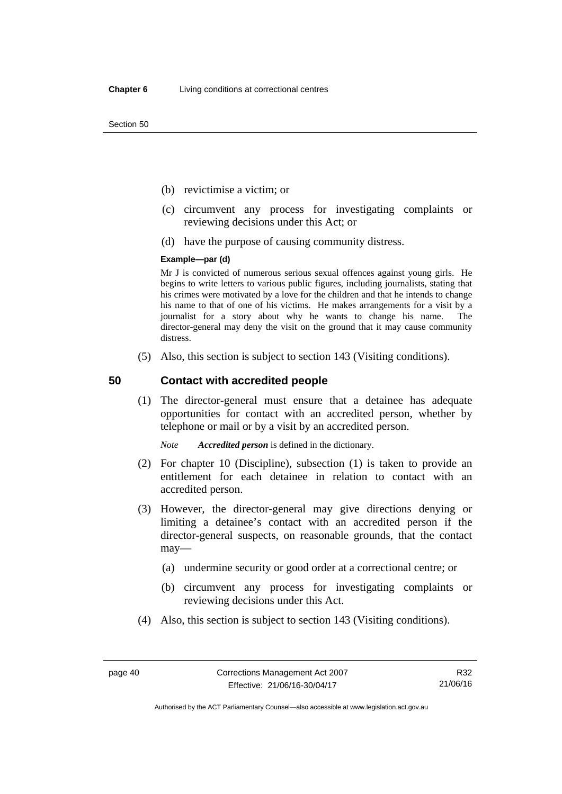Section 50

- (b) revictimise a victim; or
- (c) circumvent any process for investigating complaints or reviewing decisions under this Act; or
- (d) have the purpose of causing community distress.

#### **Example—par (d)**

Mr J is convicted of numerous serious sexual offences against young girls. He begins to write letters to various public figures, including journalists, stating that his crimes were motivated by a love for the children and that he intends to change his name to that of one of his victims. He makes arrangements for a visit by a journalist for a story about why he wants to change his name. The director-general may deny the visit on the ground that it may cause community distress.

(5) Also, this section is subject to section 143 (Visiting conditions).

#### **50 Contact with accredited people**

(1) The director-general must ensure that a detainee has adequate opportunities for contact with an accredited person, whether by telephone or mail or by a visit by an accredited person.

*Note Accredited person* is defined in the dictionary.

- (2) For chapter 10 (Discipline), subsection (1) is taken to provide an entitlement for each detainee in relation to contact with an accredited person.
- (3) However, the director-general may give directions denying or limiting a detainee's contact with an accredited person if the director-general suspects, on reasonable grounds, that the contact may—
	- (a) undermine security or good order at a correctional centre; or
	- (b) circumvent any process for investigating complaints or reviewing decisions under this Act.
- (4) Also, this section is subject to section 143 (Visiting conditions).

R32 21/06/16

Authorised by the ACT Parliamentary Counsel—also accessible at www.legislation.act.gov.au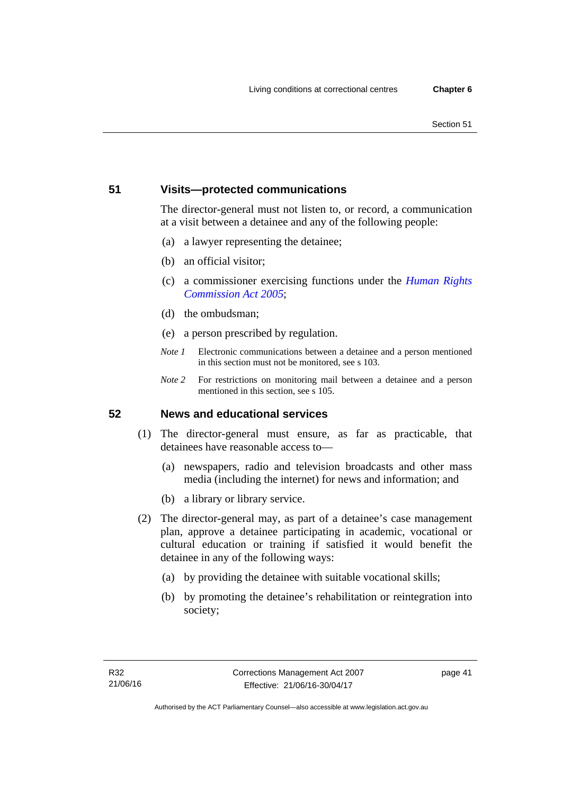## **51 Visits—protected communications**

The director-general must not listen to, or record, a communication at a visit between a detainee and any of the following people:

- (a) a lawyer representing the detainee;
- (b) an official visitor;
- (c) a commissioner exercising functions under the *[Human Rights](http://www.legislation.act.gov.au/a/2005-40)  [Commission Act 2005](http://www.legislation.act.gov.au/a/2005-40)*;
- (d) the ombudsman;
- (e) a person prescribed by regulation.
- *Note 1* Electronic communications between a detainee and a person mentioned in this section must not be monitored, see s 103.
- *Note* 2 For restrictions on monitoring mail between a detainee and a person mentioned in this section, see s 105.

#### **52 News and educational services**

- (1) The director-general must ensure, as far as practicable, that detainees have reasonable access to—
	- (a) newspapers, radio and television broadcasts and other mass media (including the internet) for news and information; and
	- (b) a library or library service.
- (2) The director-general may, as part of a detainee's case management plan, approve a detainee participating in academic, vocational or cultural education or training if satisfied it would benefit the detainee in any of the following ways:
	- (a) by providing the detainee with suitable vocational skills;
	- (b) by promoting the detainee's rehabilitation or reintegration into society;

page 41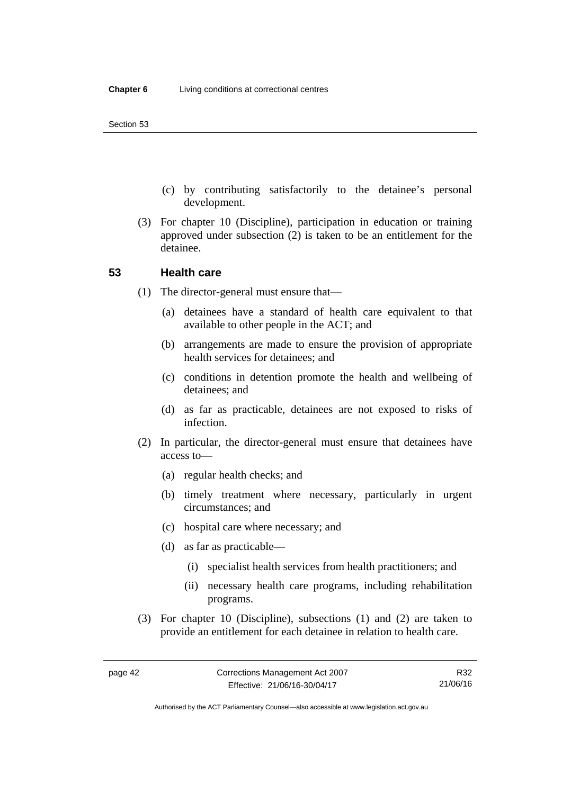- (c) by contributing satisfactorily to the detainee's personal development.
- (3) For chapter 10 (Discipline), participation in education or training approved under subsection (2) is taken to be an entitlement for the detainee.

#### **53 Health care**

- (1) The director-general must ensure that—
	- (a) detainees have a standard of health care equivalent to that available to other people in the ACT; and
	- (b) arrangements are made to ensure the provision of appropriate health services for detainees; and
	- (c) conditions in detention promote the health and wellbeing of detainees; and
	- (d) as far as practicable, detainees are not exposed to risks of infection.
- (2) In particular, the director-general must ensure that detainees have access to—
	- (a) regular health checks; and
	- (b) timely treatment where necessary, particularly in urgent circumstances; and
	- (c) hospital care where necessary; and
	- (d) as far as practicable—
		- (i) specialist health services from health practitioners; and
		- (ii) necessary health care programs, including rehabilitation programs.
- (3) For chapter 10 (Discipline), subsections (1) and (2) are taken to provide an entitlement for each detainee in relation to health care.

Authorised by the ACT Parliamentary Counsel—also accessible at www.legislation.act.gov.au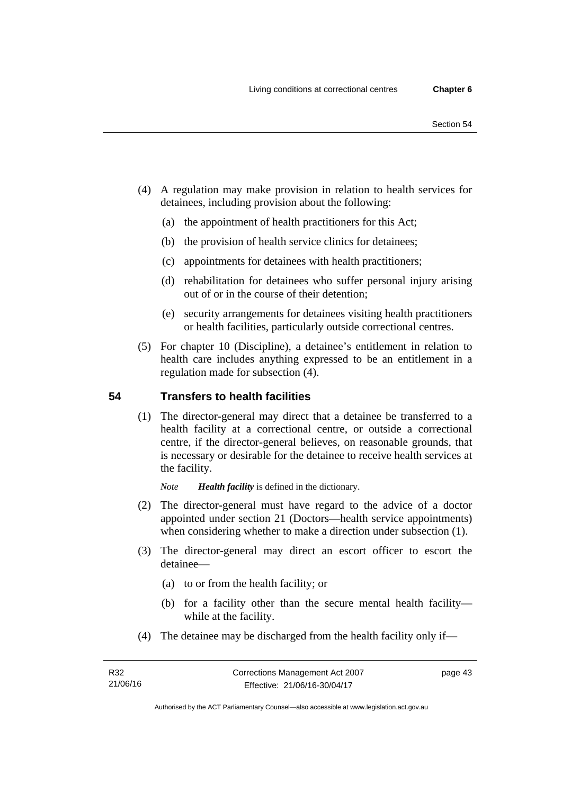- (4) A regulation may make provision in relation to health services for
	- detainees, including provision about the following:
		- (a) the appointment of health practitioners for this Act;
		- (b) the provision of health service clinics for detainees;
		- (c) appointments for detainees with health practitioners;
		- (d) rehabilitation for detainees who suffer personal injury arising out of or in the course of their detention;
		- (e) security arrangements for detainees visiting health practitioners or health facilities, particularly outside correctional centres.
	- (5) For chapter 10 (Discipline), a detainee's entitlement in relation to health care includes anything expressed to be an entitlement in a regulation made for subsection (4).

# **54 Transfers to health facilities**

(1) The director-general may direct that a detainee be transferred to a health facility at a correctional centre, or outside a correctional centre, if the director-general believes, on reasonable grounds, that is necessary or desirable for the detainee to receive health services at the facility.

*Note Health facility* is defined in the dictionary.

- (2) The director-general must have regard to the advice of a doctor appointed under section 21 (Doctors—health service appointments) when considering whether to make a direction under subsection  $(1)$ .
- (3) The director-general may direct an escort officer to escort the detainee—
	- (a) to or from the health facility; or
	- (b) for a facility other than the secure mental health facility while at the facility.
- (4) The detainee may be discharged from the health facility only if—

page 43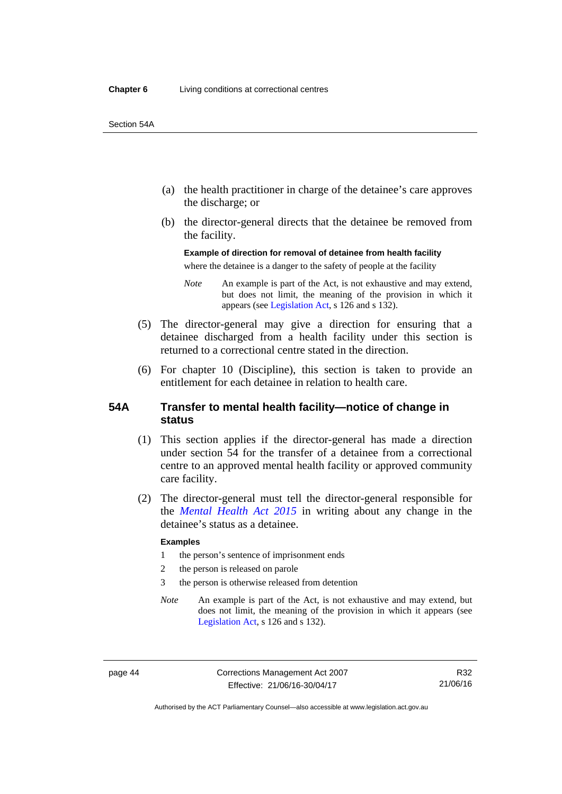- (a) the health practitioner in charge of the detainee's care approves the discharge; or
- (b) the director-general directs that the detainee be removed from the facility.

**Example of direction for removal of detainee from health facility**  where the detainee is a danger to the safety of people at the facility

*Note* An example is part of the Act, is not exhaustive and may extend, but does not limit, the meaning of the provision in which it appears (see [Legislation Act,](http://www.legislation.act.gov.au/a/2001-14) s 126 and s 132).

- (5) The director-general may give a direction for ensuring that a detainee discharged from a health facility under this section is returned to a correctional centre stated in the direction.
- (6) For chapter 10 (Discipline), this section is taken to provide an entitlement for each detainee in relation to health care.

#### **54A Transfer to mental health facility—notice of change in status**

- (1) This section applies if the director-general has made a direction under section 54 for the transfer of a detainee from a correctional centre to an approved mental health facility or approved community care facility.
- (2) The director-general must tell the director-general responsible for the *[Mental Health Act 2015](http://www.legislation.act.gov.au/a/2015-38/default.asp)* in writing about any change in the detainee's status as a detainee.

#### **Examples**

- 1 the person's sentence of imprisonment ends
- 2 the person is released on parole
- 3 the person is otherwise released from detention
- *Note* An example is part of the Act, is not exhaustive and may extend, but does not limit, the meaning of the provision in which it appears (see [Legislation Act,](http://www.legislation.act.gov.au/a/2001-14) s 126 and s 132).

page 44 Corrections Management Act 2007 Effective: 21/06/16-30/04/17

R32 21/06/16

Authorised by the ACT Parliamentary Counsel—also accessible at www.legislation.act.gov.au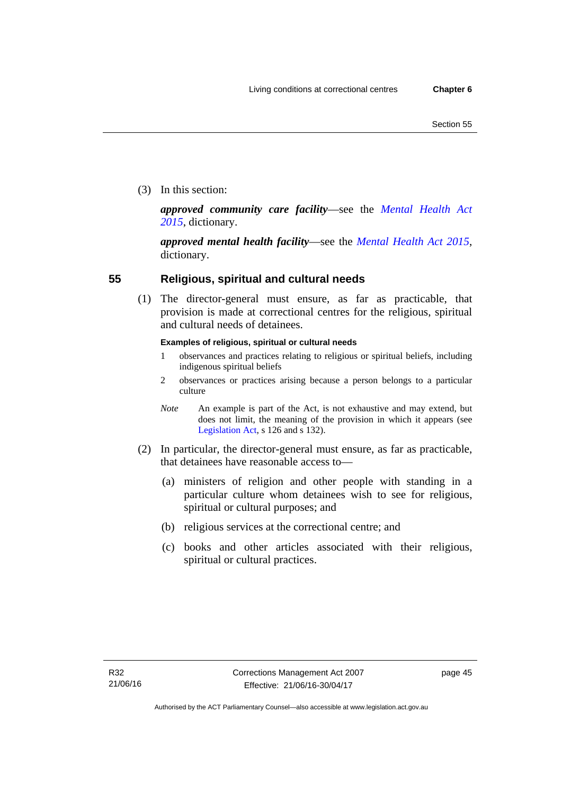(3) In this section:

*approved community care facility*—see the *[Mental Health Act](http://www.legislation.act.gov.au/a/2015-38/default.asp)  [2015](http://www.legislation.act.gov.au/a/2015-38/default.asp)*, dictionary.

*approved mental health facility*—see the *[Mental Health Act 2015](http://www.legislation.act.gov.au/a/2015-38/default.asp)*, dictionary.

# **55 Religious, spiritual and cultural needs**

(1) The director-general must ensure, as far as practicable, that provision is made at correctional centres for the religious, spiritual and cultural needs of detainees.

#### **Examples of religious, spiritual or cultural needs**

- 1 observances and practices relating to religious or spiritual beliefs, including indigenous spiritual beliefs
- 2 observances or practices arising because a person belongs to a particular culture
- *Note* An example is part of the Act, is not exhaustive and may extend, but does not limit, the meaning of the provision in which it appears (see [Legislation Act,](http://www.legislation.act.gov.au/a/2001-14) s 126 and s 132).
- (2) In particular, the director-general must ensure, as far as practicable, that detainees have reasonable access to—
	- (a) ministers of religion and other people with standing in a particular culture whom detainees wish to see for religious, spiritual or cultural purposes; and
	- (b) religious services at the correctional centre; and
	- (c) books and other articles associated with their religious, spiritual or cultural practices.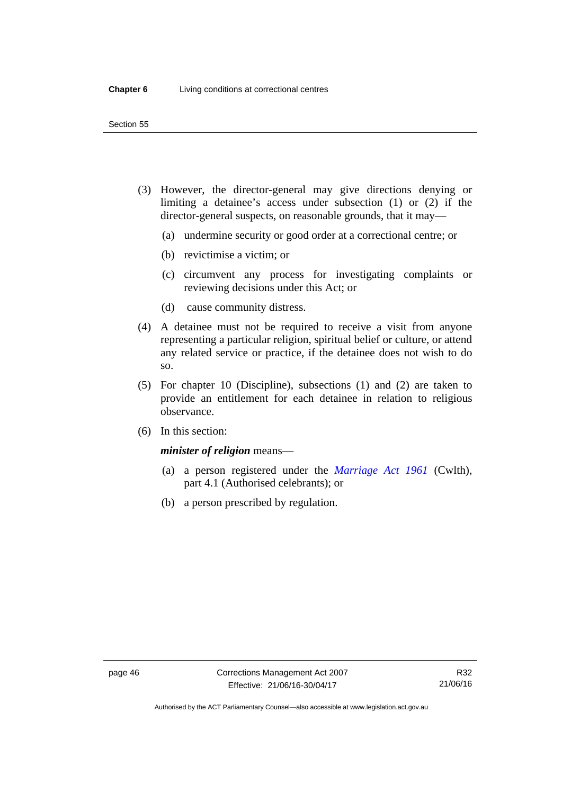- (3) However, the director-general may give directions denying or limiting a detainee's access under subsection (1) or (2) if the director-general suspects, on reasonable grounds, that it may—
	- (a) undermine security or good order at a correctional centre; or
	- (b) revictimise a victim; or
	- (c) circumvent any process for investigating complaints or reviewing decisions under this Act; or
	- (d) cause community distress.
- (4) A detainee must not be required to receive a visit from anyone representing a particular religion, spiritual belief or culture, or attend any related service or practice, if the detainee does not wish to do so.
- (5) For chapter 10 (Discipline), subsections (1) and (2) are taken to provide an entitlement for each detainee in relation to religious observance.
- (6) In this section:

## *minister of religion* means—

- (a) a person registered under the *[Marriage Act 1961](http://www.comlaw.gov.au/Series/C2004A07402)* (Cwlth), part 4.1 (Authorised celebrants); or
- (b) a person prescribed by regulation.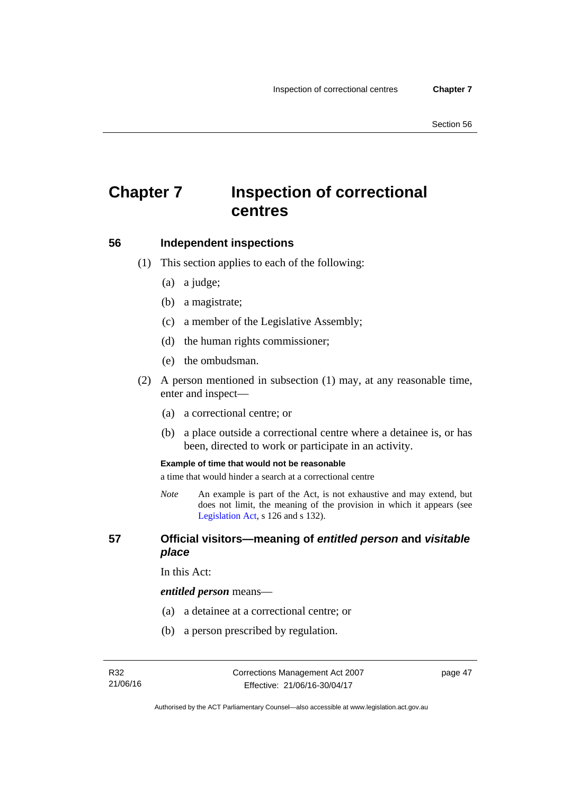# **Chapter 7 Inspection of correctional centres**

#### **56 Independent inspections**

- (1) This section applies to each of the following:
	- (a) a judge;
	- (b) a magistrate;
	- (c) a member of the Legislative Assembly;
	- (d) the human rights commissioner;
	- (e) the ombudsman.
- (2) A person mentioned in subsection (1) may, at any reasonable time, enter and inspect—
	- (a) a correctional centre; or
	- (b) a place outside a correctional centre where a detainee is, or has been, directed to work or participate in an activity.

#### **Example of time that would not be reasonable**

a time that would hinder a search at a correctional centre

*Note* An example is part of the Act, is not exhaustive and may extend, but does not limit, the meaning of the provision in which it appears (see [Legislation Act,](http://www.legislation.act.gov.au/a/2001-14) s 126 and s 132).

#### **57 Official visitors—meaning of** *entitled person* **and** *visitable place*

In this Act:

#### *entitled person* means—

- (a) a detainee at a correctional centre; or
- (b) a person prescribed by regulation.

page 47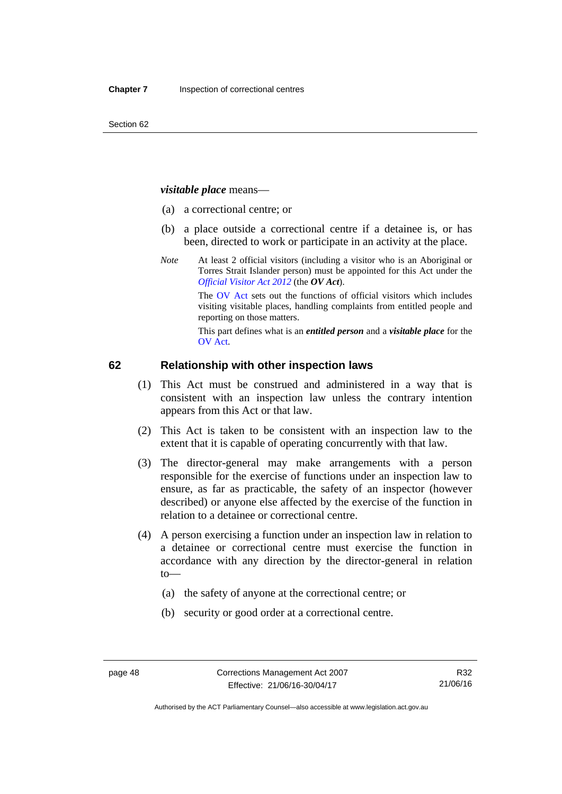#### *visitable place* means—

- (a) a correctional centre; or
- (b) a place outside a correctional centre if a detainee is, or has been, directed to work or participate in an activity at the place.
- *Note* At least 2 official visitors (including a visitor who is an Aboriginal or Torres Strait Islander person) must be appointed for this Act under the *[Official Visitor Act 2012](http://www.legislation.act.gov.au/a/2012-33/default.asp)* (the *OV Act*).

The [OV Act sets out the functions of official](#page-48-0) visitors which includes visiting visitable places, handling complaints from entitled people and reporting on those matters.

This part defines what is an *entitled person* and a *visitable place* for the OV Act.

#### **[6](#page-50-0)2 Relationship with other inspection laws**

- (1) This Act must be construed and administered in a way that is consistent with an inspection law unless the contrary intention appears from this Act or that law.
- (2) This Act is taken to be consistent with an inspection law to the extent that it is capable of operating concurrently with that law.
- (3) The director-general may make arrangements with a person responsible for the exercise of functions under an inspection law to ensure, as far as practicable, the safety of an inspector (however described) or anyone else affected by the exercise of the function in relation to a detainee or correctional centre.
- (4) A person exercising a function under an inspection law in relation to a detainee or correctional centre must exercise the function in accordance with any direction by the director-general in relation to—
	- (a) the safety of anyone at the correctional centre; or
	- (b) security or good order at a correctional centre.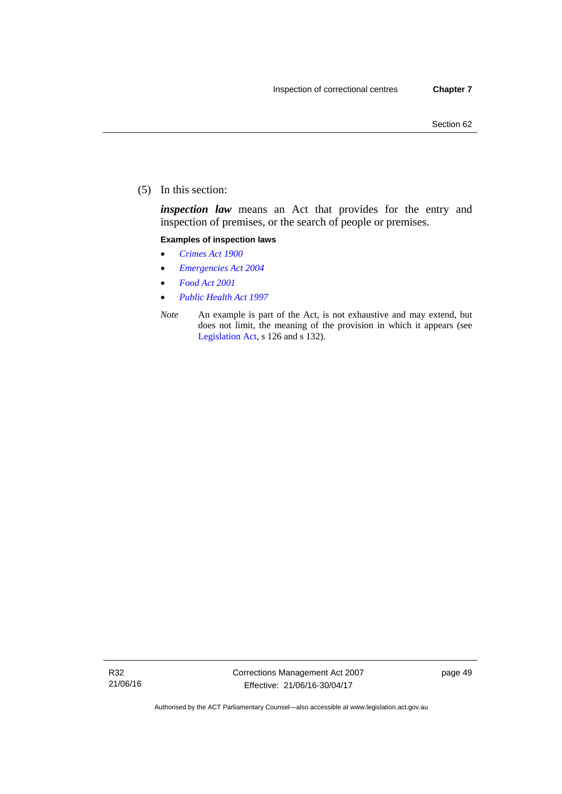(5) In this section:

*inspection law* means an Act that provides for the entry and inspection of premises, or the search of people or premises.

#### **Examples of inspection laws**

- *[Crimes Act 1900](http://www.legislation.act.gov.au/a/1900-40)*
- *[Emergencies Act 2004](http://www.legislation.act.gov.au/a/2004-28)*
- *[Food Act 2001](http://www.legislation.act.gov.au/a/2001-66)*
- *[Public Health Act 1997](http://www.legislation.act.gov.au/a/1997-69)*
- *Note* An example is part of the Act, is not exhaustive and may extend, but does not limit, the meaning of the provision in which it appears (see [Legislation Act,](http://www.legislation.act.gov.au/a/2001-14) s 126 and s 132).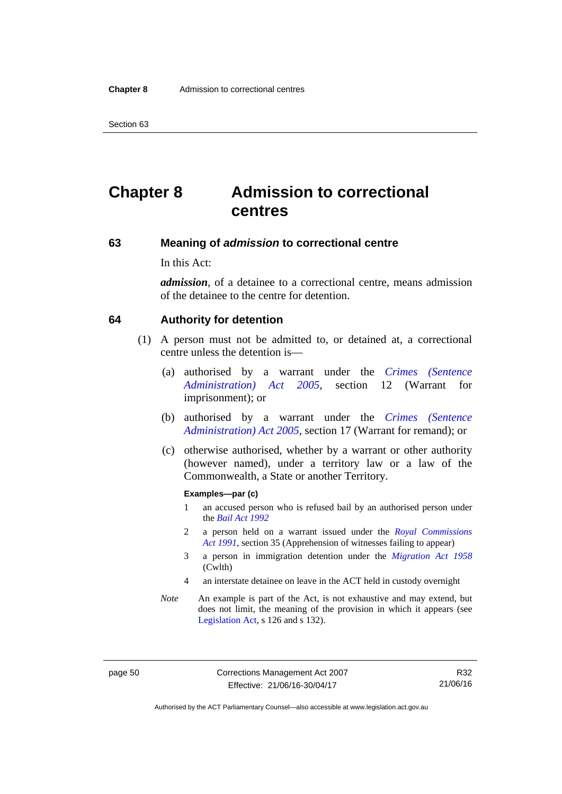Section 63

# **Chapter 8 Admission to correctional centres**

#### **63 Meaning of** *admission* **to correctional centre**

In this Act:

*admission*, of a detainee to a correctional centre, means admission of the detainee to the centre for detention.

#### **64 Authority for detention**

- (1) A person must not be admitted to, or detained at, a correctional centre unless the detention is—
	- (a) authorised by a warrant under the *[Crimes \(Sentence](http://www.legislation.act.gov.au/a/2005-59)  [Administration\) Act 2005](http://www.legislation.act.gov.au/a/2005-59)*, section 12 (Warrant for imprisonment); or
	- (b) authorised by a warrant under the *[Crimes \(Sentence](http://www.legislation.act.gov.au/a/2005-59)  [Administration\) Act 2005](http://www.legislation.act.gov.au/a/2005-59)*, section 17 (Warrant for remand); or
	- (c) otherwise authorised, whether by a warrant or other authority (however named), under a territory law or a law of the Commonwealth, a State or another Territory.

#### **Examples—par (c)**

- 1 an accused person who is refused bail by an authorised person under the *[Bail Act 1992](http://www.legislation.act.gov.au/a/1992-8)*
- 2 a person held on a warrant issued under the *[Royal Commissions](http://www.legislation.act.gov.au/a/1991-1)  [Act 1991](http://www.legislation.act.gov.au/a/1991-1)*, section 35 (Apprehension of witnesses failing to appear)
- 3 a person in immigration detention under the *[Migration Act 1958](http://www.comlaw.gov.au/Series/C2004A07412)* (Cwlth)
- 4 an interstate detainee on leave in the ACT held in custody overnight
- *Note* An example is part of the Act, is not exhaustive and may extend, but does not limit, the meaning of the provision in which it appears (see [Legislation Act,](http://www.legislation.act.gov.au/a/2001-14) s 126 and s 132).

page 50 Corrections Management Act 2007 Effective: 21/06/16-30/04/17

R32 21/06/16

Authorised by the ACT Parliamentary Counsel—also accessible at www.legislation.act.gov.au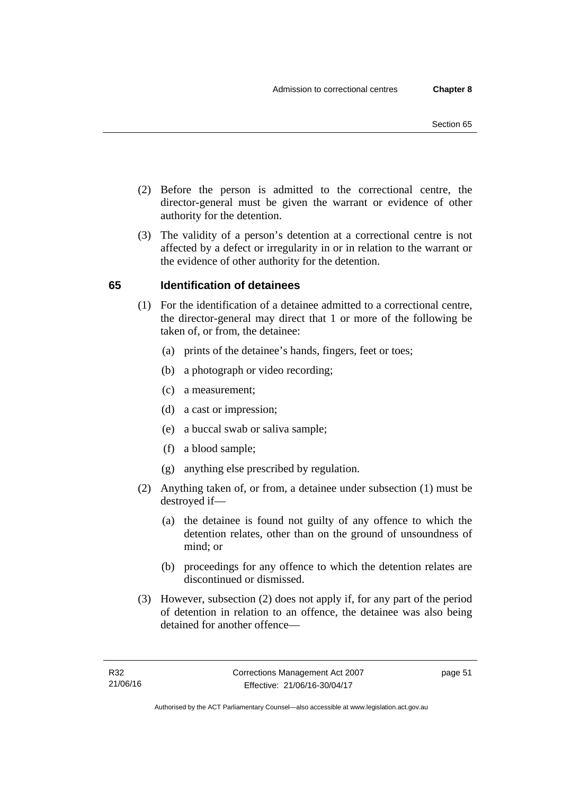- (2) Before the person is admitted to the correctional centre, the director-general must be given the warrant or evidence of other authority for the detention.
- (3) The validity of a person's detention at a correctional centre is not affected by a defect or irregularity in or in relation to the warrant or the evidence of other authority for the detention.

# **65 Identification of detainees**

- (1) For the identification of a detainee admitted to a correctional centre, the director-general may direct that 1 or more of the following be taken of, or from, the detainee:
	- (a) prints of the detainee's hands, fingers, feet or toes;
	- (b) a photograph or video recording;
	- (c) a measurement;
	- (d) a cast or impression;
	- (e) a buccal swab or saliva sample;
	- (f) a blood sample;
	- (g) anything else prescribed by regulation.
- (2) Anything taken of, or from, a detainee under subsection (1) must be destroyed if—
	- (a) the detainee is found not guilty of any offence to which the detention relates, other than on the ground of unsoundness of mind; or
	- (b) proceedings for any offence to which the detention relates are discontinued or dismissed.
- (3) However, subsection (2) does not apply if, for any part of the period of detention in relation to an offence, the detainee was also being detained for another offence—

page 51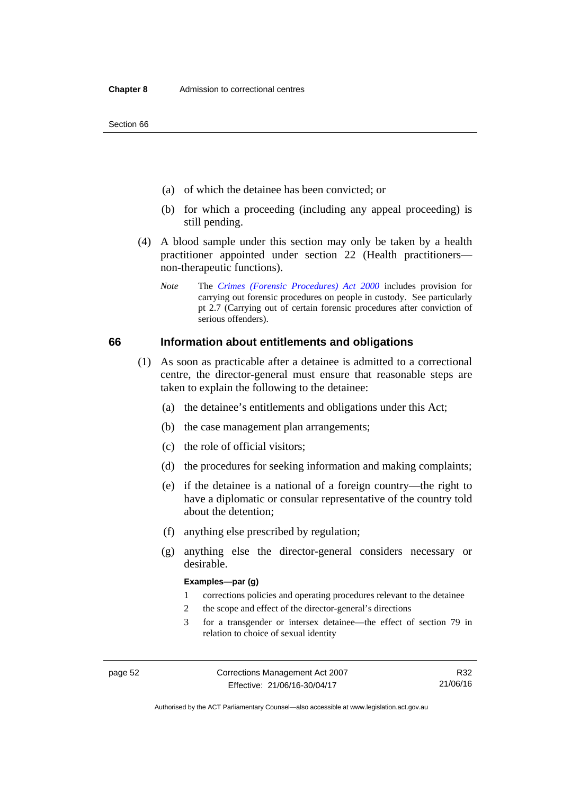Section 66

- (a) of which the detainee has been convicted; or
- (b) for which a proceeding (including any appeal proceeding) is still pending.
- (4) A blood sample under this section may only be taken by a health practitioner appointed under section 22 (Health practitioners non-therapeutic functions).
	- *Note* The *[Crimes \(Forensic Procedures\) Act 2000](http://www.legislation.act.gov.au/a/2000-61)* includes provision for carrying out forensic procedures on people in custody. See particularly pt 2.7 (Carrying out of certain forensic procedures after conviction of serious offenders).

#### **66 Information about entitlements and obligations**

- (1) As soon as practicable after a detainee is admitted to a correctional centre, the director-general must ensure that reasonable steps are taken to explain the following to the detainee:
	- (a) the detainee's entitlements and obligations under this Act;
	- (b) the case management plan arrangements;
	- (c) the role of official visitors;
	- (d) the procedures for seeking information and making complaints;
	- (e) if the detainee is a national of a foreign country—the right to have a diplomatic or consular representative of the country told about the detention;
	- (f) anything else prescribed by regulation;
	- (g) anything else the director-general considers necessary or desirable.

#### **Examples—par (g)**

- 1 corrections policies and operating procedures relevant to the detainee
- 2 the scope and effect of the director-general's directions
- 3 for a transgender or intersex detainee—the effect of section 79 in relation to choice of sexual identity

R32 21/06/16

Authorised by the ACT Parliamentary Counsel—also accessible at www.legislation.act.gov.au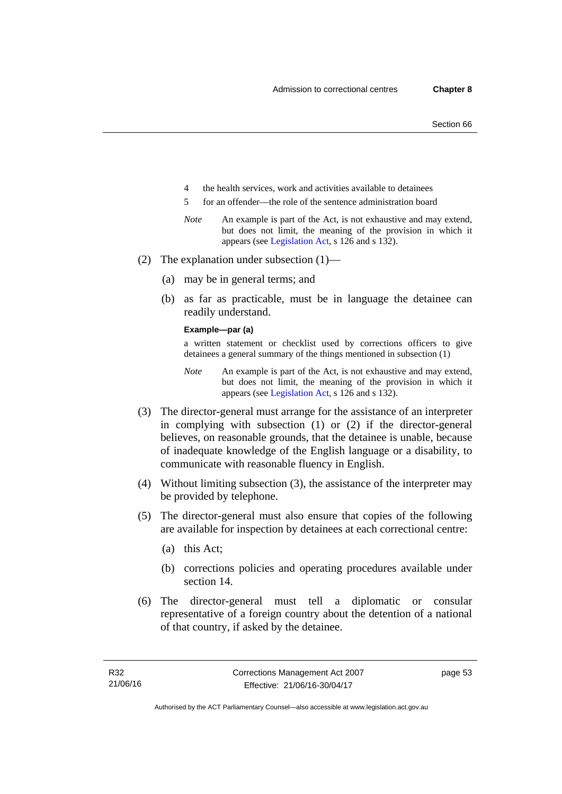- 4 the health services, work and activities available to detainees
- 5 for an offender—the role of the sentence administration board
- *Note* An example is part of the Act, is not exhaustive and may extend, but does not limit, the meaning of the provision in which it appears (see [Legislation Act,](http://www.legislation.act.gov.au/a/2001-14) s 126 and s 132).
- (2) The explanation under subsection (1)—
	- (a) may be in general terms; and
	- (b) as far as practicable, must be in language the detainee can readily understand.

#### **Example—par (a)**

a written statement or checklist used by corrections officers to give detainees a general summary of the things mentioned in subsection (1)

- *Note* An example is part of the Act, is not exhaustive and may extend, but does not limit, the meaning of the provision in which it appears (see [Legislation Act,](http://www.legislation.act.gov.au/a/2001-14) s 126 and s 132).
- (3) The director-general must arrange for the assistance of an interpreter in complying with subsection (1) or (2) if the director-general believes, on reasonable grounds, that the detainee is unable, because of inadequate knowledge of the English language or a disability, to communicate with reasonable fluency in English.
- (4) Without limiting subsection (3), the assistance of the interpreter may be provided by telephone.
- (5) The director-general must also ensure that copies of the following are available for inspection by detainees at each correctional centre:
	- (a) this Act;
	- (b) corrections policies and operating procedures available under section 14.
- (6) The director-general must tell a diplomatic or consular representative of a foreign country about the detention of a national of that country, if asked by the detainee.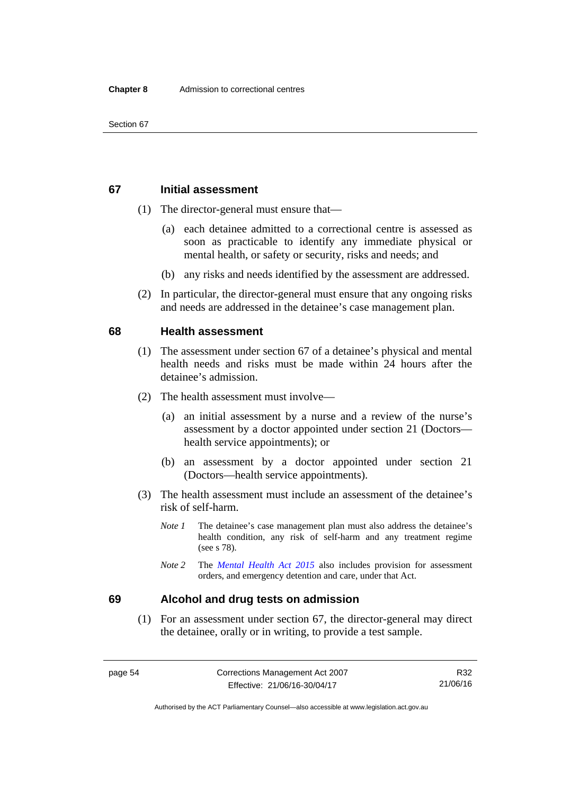## **67 Initial assessment**

- (1) The director-general must ensure that—
	- (a) each detainee admitted to a correctional centre is assessed as soon as practicable to identify any immediate physical or mental health, or safety or security, risks and needs; and
	- (b) any risks and needs identified by the assessment are addressed.
- (2) In particular, the director-general must ensure that any ongoing risks and needs are addressed in the detainee's case management plan.

#### **68 Health assessment**

- (1) The assessment under section 67 of a detainee's physical and mental health needs and risks must be made within 24 hours after the detainee's admission.
- (2) The health assessment must involve—
	- (a) an initial assessment by a nurse and a review of the nurse's assessment by a doctor appointed under section 21 (Doctors health service appointments); or
	- (b) an assessment by a doctor appointed under section 21 (Doctors—health service appointments).
- (3) The health assessment must include an assessment of the detainee's risk of self-harm.
	- *Note 1* The detainee's case management plan must also address the detainee's health condition, any risk of self-harm and any treatment regime (see s 78).
	- *Note 2* The *[Mental Health Act 2015](http://www.legislation.act.gov.au/a/2015-38/default.asp)* also includes provision for assessment orders, and emergency detention and care, under that Act.

#### **69 Alcohol and drug tests on admission**

 (1) For an assessment under section 67, the director-general may direct the detainee, orally or in writing, to provide a test sample.

Authorised by the ACT Parliamentary Counsel—also accessible at www.legislation.act.gov.au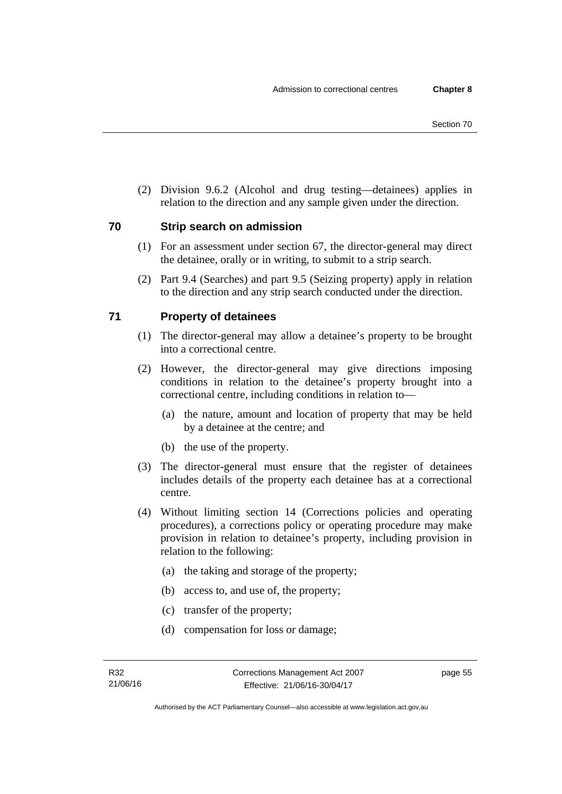(2) Division 9.6.2 (Alcohol and drug testing—detainees) applies in relation to the direction and any sample given under the direction.

## **70 Strip search on admission**

- (1) For an assessment under section 67, the director-general may direct the detainee, orally or in writing, to submit to a strip search.
- (2) Part 9.4 (Searches) and part 9.5 (Seizing property) apply in relation to the direction and any strip search conducted under the direction.

# **71 Property of detainees**

- (1) The director-general may allow a detainee's property to be brought into a correctional centre.
- (2) However, the director-general may give directions imposing conditions in relation to the detainee's property brought into a correctional centre, including conditions in relation to—
	- (a) the nature, amount and location of property that may be held by a detainee at the centre; and
	- (b) the use of the property.
- (3) The director-general must ensure that the register of detainees includes details of the property each detainee has at a correctional centre.
- (4) Without limiting section 14 (Corrections policies and operating procedures), a corrections policy or operating procedure may make provision in relation to detainee's property, including provision in relation to the following:
	- (a) the taking and storage of the property;
	- (b) access to, and use of, the property;
	- (c) transfer of the property;
	- (d) compensation for loss or damage;

page 55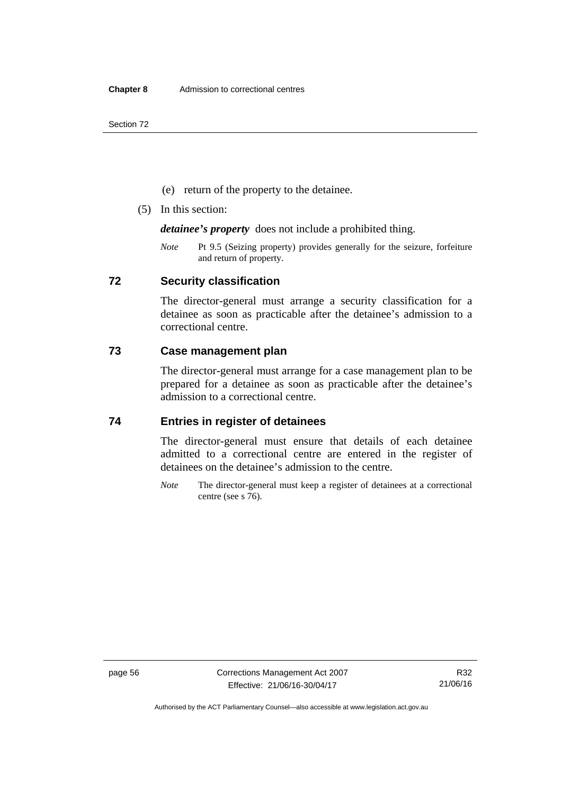Section 72

- (e) return of the property to the detainee.
- (5) In this section:

*detainee's property* does not include a prohibited thing.

*Note* Pt 9.5 (Seizing property) provides generally for the seizure, forfeiture and return of property.

## **72 Security classification**

The director-general must arrange a security classification for a detainee as soon as practicable after the detainee's admission to a correctional centre.

## **73 Case management plan**

The director-general must arrange for a case management plan to be prepared for a detainee as soon as practicable after the detainee's admission to a correctional centre.

## **74 Entries in register of detainees**

The director-general must ensure that details of each detainee admitted to a correctional centre are entered in the register of detainees on the detainee's admission to the centre.

*Note* The director-general must keep a register of detainees at a correctional centre (see s 76).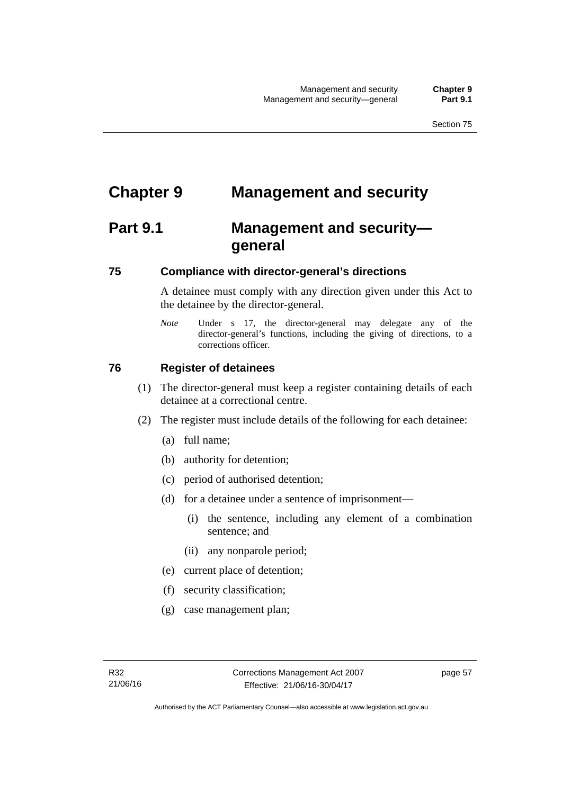# **Chapter 9 Management and security**

# **Part 9.1 Management and security general**

# **75 Compliance with director-general's directions**

A detainee must comply with any direction given under this Act to the detainee by the director-general.

*Note* Under s 17, the director-general may delegate any of the director-general's functions, including the giving of directions, to a corrections officer.

# **76 Register of detainees**

- (1) The director-general must keep a register containing details of each detainee at a correctional centre.
- (2) The register must include details of the following for each detainee:
	- (a) full name;
	- (b) authority for detention;
	- (c) period of authorised detention;
	- (d) for a detainee under a sentence of imprisonment—
		- (i) the sentence, including any element of a combination sentence; and
		- (ii) any nonparole period;
	- (e) current place of detention;
	- (f) security classification;
	- (g) case management plan;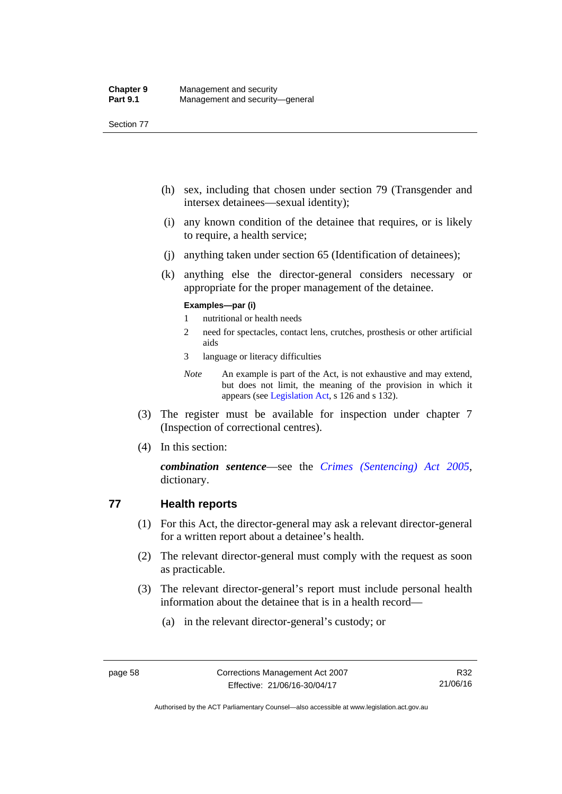Section 77

- (h) sex, including that chosen under section 79 (Transgender and intersex detainees—sexual identity);
- (i) any known condition of the detainee that requires, or is likely to require, a health service;
- (j) anything taken under section 65 (Identification of detainees);
- (k) anything else the director-general considers necessary or appropriate for the proper management of the detainee.

#### **Examples—par (i)**

- 1 nutritional or health needs
- 2 need for spectacles, contact lens, crutches, prosthesis or other artificial aids
- 3 language or literacy difficulties
- *Note* An example is part of the Act, is not exhaustive and may extend, but does not limit, the meaning of the provision in which it appears (see [Legislation Act,](http://www.legislation.act.gov.au/a/2001-14) s 126 and s 132).
- (3) The register must be available for inspection under chapter 7 (Inspection of correctional centres).
- (4) In this section:

*combination sentence*—see the *[Crimes \(Sentencing\) Act 2005](http://www.legislation.act.gov.au/a/2005-58)*, dictionary.

# **77 Health reports**

- (1) For this Act, the director-general may ask a relevant director-general for a written report about a detainee's health.
- (2) The relevant director-general must comply with the request as soon as practicable.
- (3) The relevant director-general's report must include personal health information about the detainee that is in a health record—
	- (a) in the relevant director-general's custody; or

Authorised by the ACT Parliamentary Counsel—also accessible at www.legislation.act.gov.au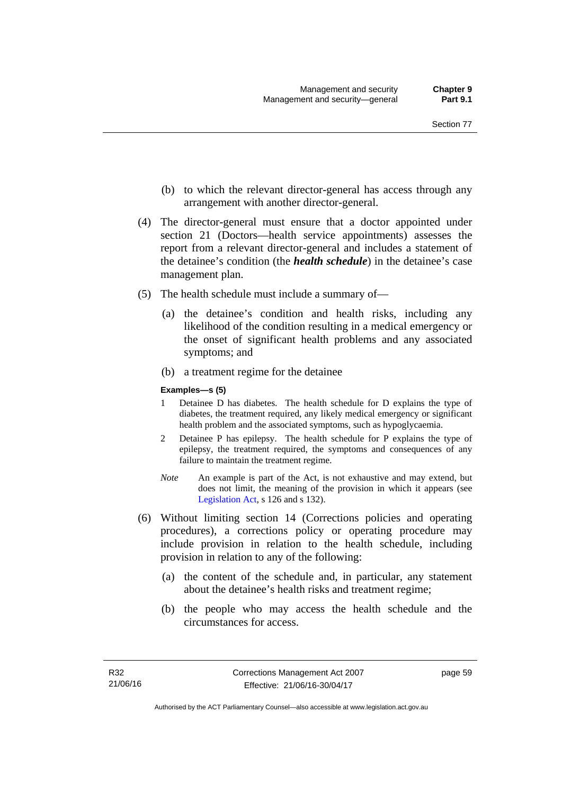- (b) to which the relevant director-general has access through any arrangement with another director-general.
- (4) The director-general must ensure that a doctor appointed under section 21 (Doctors—health service appointments) assesses the report from a relevant director-general and includes a statement of the detainee's condition (the *health schedule*) in the detainee's case management plan.
- (5) The health schedule must include a summary of—
	- (a) the detainee's condition and health risks, including any likelihood of the condition resulting in a medical emergency or the onset of significant health problems and any associated symptoms; and
	- (b) a treatment regime for the detainee

#### **Examples—s (5)**

- 1 Detainee D has diabetes. The health schedule for D explains the type of diabetes, the treatment required, any likely medical emergency or significant health problem and the associated symptoms, such as hypoglycaemia.
- 2 Detainee P has epilepsy. The health schedule for P explains the type of epilepsy, the treatment required, the symptoms and consequences of any failure to maintain the treatment regime.
- *Note* An example is part of the Act, is not exhaustive and may extend, but does not limit, the meaning of the provision in which it appears (see [Legislation Act,](http://www.legislation.act.gov.au/a/2001-14) s 126 and s 132).
- (6) Without limiting section 14 (Corrections policies and operating procedures), a corrections policy or operating procedure may include provision in relation to the health schedule, including provision in relation to any of the following:
	- (a) the content of the schedule and, in particular, any statement about the detainee's health risks and treatment regime;
	- (b) the people who may access the health schedule and the circumstances for access.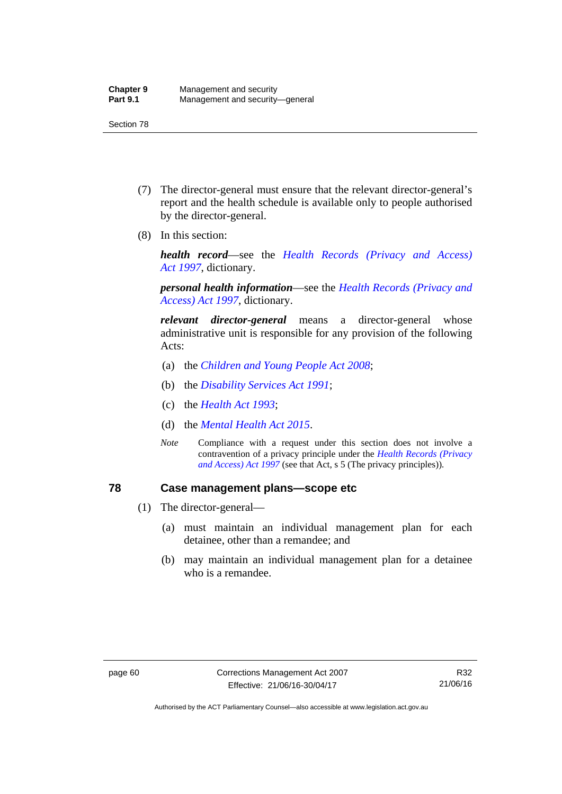- (7) The director-general must ensure that the relevant director-general's report and the health schedule is available only to people authorised by the director-general.
- (8) In this section:

*health record*—see the *[Health Records \(Privacy and Access\)](http://www.legislation.act.gov.au/a/1997-125)  [Act 1997](http://www.legislation.act.gov.au/a/1997-125)*, dictionary.

*personal health information*—see the *[Health Records \(Privacy and](http://www.legislation.act.gov.au/a/1997-125)  [Access\) Act 1997](http://www.legislation.act.gov.au/a/1997-125)*, dictionary.

*relevant director-general* means a director-general whose administrative unit is responsible for any provision of the following Acts:

- (a) the *[Children and Young People Act 2008](http://www.legislation.act.gov.au/a/2008-19)*;
- (b) the *[Disability Services Act 1991](http://www.legislation.act.gov.au/a/1991-98)*;
- (c) the *[Health Act 1993](http://www.legislation.act.gov.au/a/1993-13)*;
- (d) the *[Mental Health Act 2015](http://www.legislation.act.gov.au/a/2015-38/default.asp)*.
- *Note* Compliance with a request under this section does not involve a contravention of a privacy principle under the *[Health Records \(Privacy](http://www.legislation.act.gov.au/a/1997-125)  [and Access\) Act 1997](http://www.legislation.act.gov.au/a/1997-125)* (see that Act, s 5 (The privacy principles))*.*

## **78 Case management plans—scope etc**

- (1) The director-general—
	- (a) must maintain an individual management plan for each detainee, other than a remandee; and
	- (b) may maintain an individual management plan for a detainee who is a remandee.

Authorised by the ACT Parliamentary Counsel—also accessible at www.legislation.act.gov.au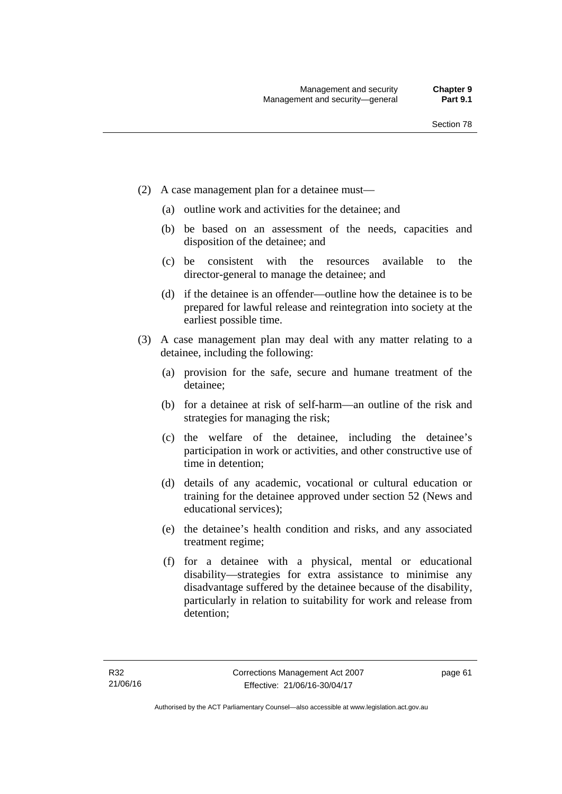- (2) A case management plan for a detainee must—
	- (a) outline work and activities for the detainee; and
	- (b) be based on an assessment of the needs, capacities and disposition of the detainee; and
	- (c) be consistent with the resources available to the director-general to manage the detainee; and
	- (d) if the detainee is an offender—outline how the detainee is to be prepared for lawful release and reintegration into society at the earliest possible time.
- (3) A case management plan may deal with any matter relating to a detainee, including the following:
	- (a) provision for the safe, secure and humane treatment of the detainee;
	- (b) for a detainee at risk of self-harm—an outline of the risk and strategies for managing the risk;
	- (c) the welfare of the detainee, including the detainee's participation in work or activities, and other constructive use of time in detention;
	- (d) details of any academic, vocational or cultural education or training for the detainee approved under section 52 (News and educational services);
	- (e) the detainee's health condition and risks, and any associated treatment regime;
	- (f) for a detainee with a physical, mental or educational disability—strategies for extra assistance to minimise any disadvantage suffered by the detainee because of the disability, particularly in relation to suitability for work and release from detention;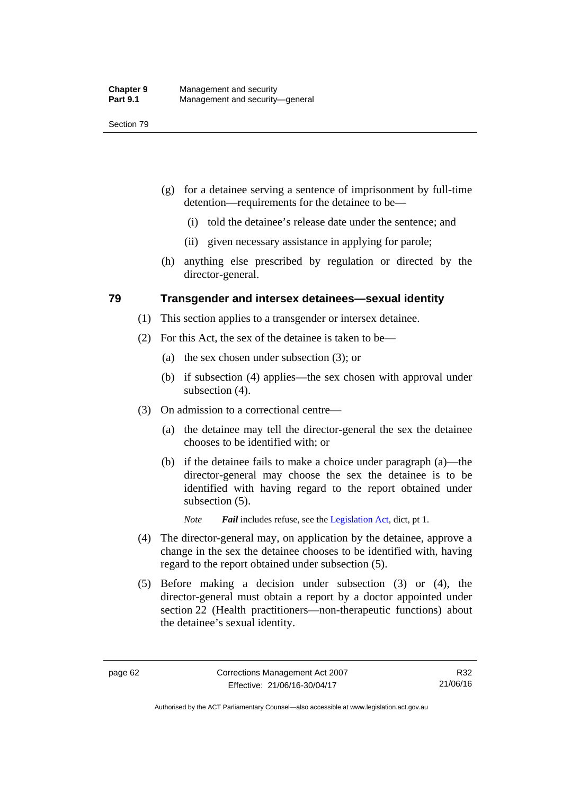- (g) for a detainee serving a sentence of imprisonment by full-time detention—requirements for the detainee to be—
	- (i) told the detainee's release date under the sentence; and
	- (ii) given necessary assistance in applying for parole;
- (h) anything else prescribed by regulation or directed by the director-general.

## **79 Transgender and intersex detainees—sexual identity**

- (1) This section applies to a transgender or intersex detainee.
- (2) For this Act, the sex of the detainee is taken to be—
	- (a) the sex chosen under subsection (3); or
	- (b) if subsection (4) applies—the sex chosen with approval under subsection (4).
- (3) On admission to a correctional centre—
	- (a) the detainee may tell the director-general the sex the detainee chooses to be identified with; or
	- (b) if the detainee fails to make a choice under paragraph (a)—the director-general may choose the sex the detainee is to be identified with having regard to the report obtained under subsection  $(5)$ .

*Note Fail* includes refuse, see the [Legislation Act,](http://www.legislation.act.gov.au/a/2001-14) dict, pt 1.

- (4) The director-general may, on application by the detainee, approve a change in the sex the detainee chooses to be identified with, having regard to the report obtained under subsection (5).
- (5) Before making a decision under subsection (3) or (4), the director-general must obtain a report by a doctor appointed under section 22 (Health practitioners—non-therapeutic functions) about the detainee's sexual identity.

Authorised by the ACT Parliamentary Counsel—also accessible at www.legislation.act.gov.au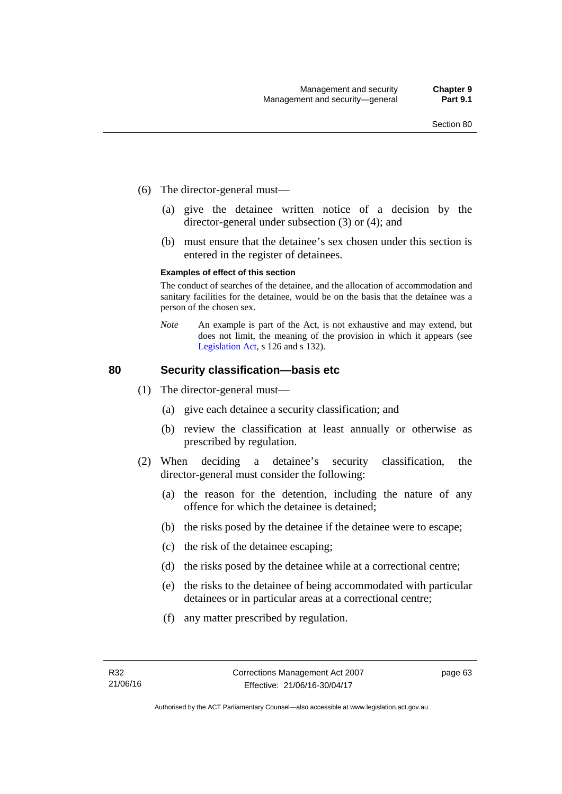- (6) The director-general must—
	- (a) give the detainee written notice of a decision by the director-general under subsection (3) or (4); and
	- (b) must ensure that the detainee's sex chosen under this section is entered in the register of detainees.

#### **Examples of effect of this section**

The conduct of searches of the detainee, and the allocation of accommodation and sanitary facilities for the detainee, would be on the basis that the detainee was a person of the chosen sex.

*Note* An example is part of the Act, is not exhaustive and may extend, but does not limit, the meaning of the provision in which it appears (see [Legislation Act,](http://www.legislation.act.gov.au/a/2001-14) s 126 and s 132).

## **80 Security classification—basis etc**

- (1) The director-general must—
	- (a) give each detainee a security classification; and
	- (b) review the classification at least annually or otherwise as prescribed by regulation.
- (2) When deciding a detainee's security classification, the director-general must consider the following:
	- (a) the reason for the detention, including the nature of any offence for which the detainee is detained;
	- (b) the risks posed by the detainee if the detainee were to escape;
	- (c) the risk of the detainee escaping;
	- (d) the risks posed by the detainee while at a correctional centre;
	- (e) the risks to the detainee of being accommodated with particular detainees or in particular areas at a correctional centre;
	- (f) any matter prescribed by regulation.

page 63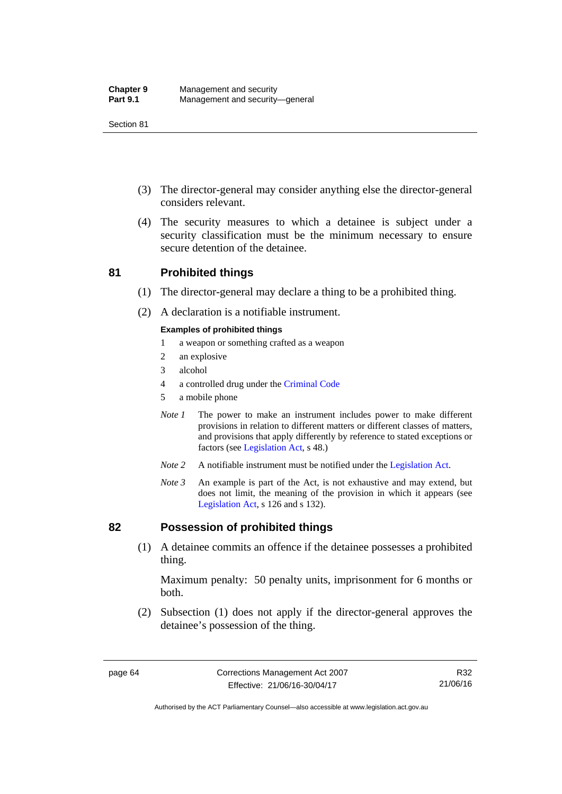- (3) The director-general may consider anything else the director-general considers relevant.
- (4) The security measures to which a detainee is subject under a security classification must be the minimum necessary to ensure secure detention of the detainee.

## **81 Prohibited things**

- (1) The director-general may declare a thing to be a prohibited thing.
- (2) A declaration is a notifiable instrument.

### **Examples of prohibited things**

- 1 a weapon or something crafted as a weapon
- 2 an explosive
- 3 alcohol
- 4 a controlled drug under the [Criminal Code](http://www.legislation.act.gov.au/a/2002-51)
- 5 a mobile phone
- *Note 1* The power to make an instrument includes power to make different provisions in relation to different matters or different classes of matters, and provisions that apply differently by reference to stated exceptions or factors (see [Legislation Act](http://www.legislation.act.gov.au/a/2001-14), s 48.)
- *Note 2* A notifiable instrument must be notified under the [Legislation Act](http://www.legislation.act.gov.au/a/2001-14).
- *Note 3* An example is part of the Act, is not exhaustive and may extend, but does not limit, the meaning of the provision in which it appears (see [Legislation Act,](http://www.legislation.act.gov.au/a/2001-14) s 126 and s 132).

## **82 Possession of prohibited things**

 (1) A detainee commits an offence if the detainee possesses a prohibited thing.

Maximum penalty: 50 penalty units, imprisonment for 6 months or both.

 (2) Subsection (1) does not apply if the director-general approves the detainee's possession of the thing.

Authorised by the ACT Parliamentary Counsel—also accessible at www.legislation.act.gov.au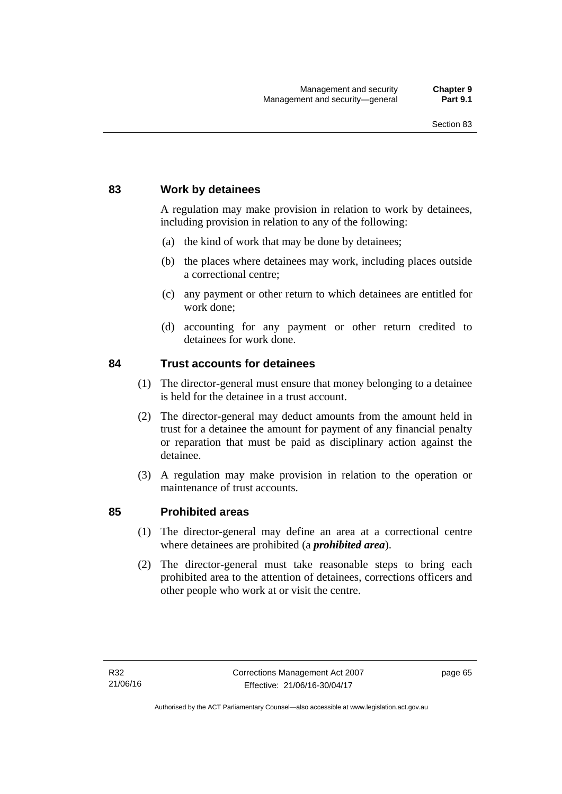## **83 Work by detainees**

A regulation may make provision in relation to work by detainees, including provision in relation to any of the following:

- (a) the kind of work that may be done by detainees;
- (b) the places where detainees may work, including places outside a correctional centre;
- (c) any payment or other return to which detainees are entitled for work done;
- (d) accounting for any payment or other return credited to detainees for work done.

## **84 Trust accounts for detainees**

- (1) The director-general must ensure that money belonging to a detainee is held for the detainee in a trust account.
- (2) The director-general may deduct amounts from the amount held in trust for a detainee the amount for payment of any financial penalty or reparation that must be paid as disciplinary action against the detainee.
- (3) A regulation may make provision in relation to the operation or maintenance of trust accounts.

## **85 Prohibited areas**

- (1) The director-general may define an area at a correctional centre where detainees are prohibited (a *prohibited area*).
- (2) The director-general must take reasonable steps to bring each prohibited area to the attention of detainees, corrections officers and other people who work at or visit the centre.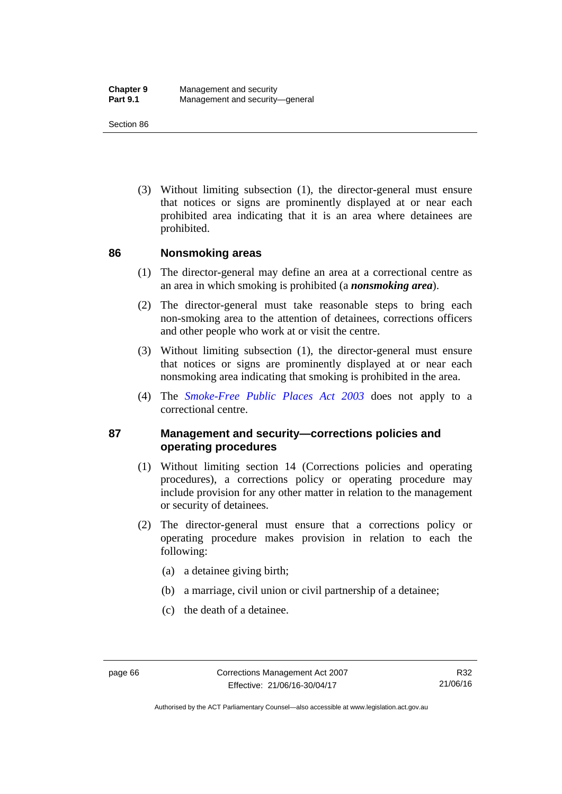(3) Without limiting subsection (1), the director-general must ensure that notices or signs are prominently displayed at or near each prohibited area indicating that it is an area where detainees are prohibited.

## **86 Nonsmoking areas**

- (1) The director-general may define an area at a correctional centre as an area in which smoking is prohibited (a *nonsmoking area*).
- (2) The director-general must take reasonable steps to bring each non-smoking area to the attention of detainees, corrections officers and other people who work at or visit the centre.
- (3) Without limiting subsection (1), the director-general must ensure that notices or signs are prominently displayed at or near each nonsmoking area indicating that smoking is prohibited in the area.
- (4) The *[Smoke-Free Public Places Act 2003](http://www.legislation.act.gov.au/a/2003-51)* does not apply to a correctional centre.

## **87 Management and security—corrections policies and operating procedures**

- (1) Without limiting section 14 (Corrections policies and operating procedures), a corrections policy or operating procedure may include provision for any other matter in relation to the management or security of detainees.
- (2) The director-general must ensure that a corrections policy or operating procedure makes provision in relation to each the following:
	- (a) a detainee giving birth;
	- (b) a marriage, civil union or civil partnership of a detainee;
	- (c) the death of a detainee.

Authorised by the ACT Parliamentary Counsel—also accessible at www.legislation.act.gov.au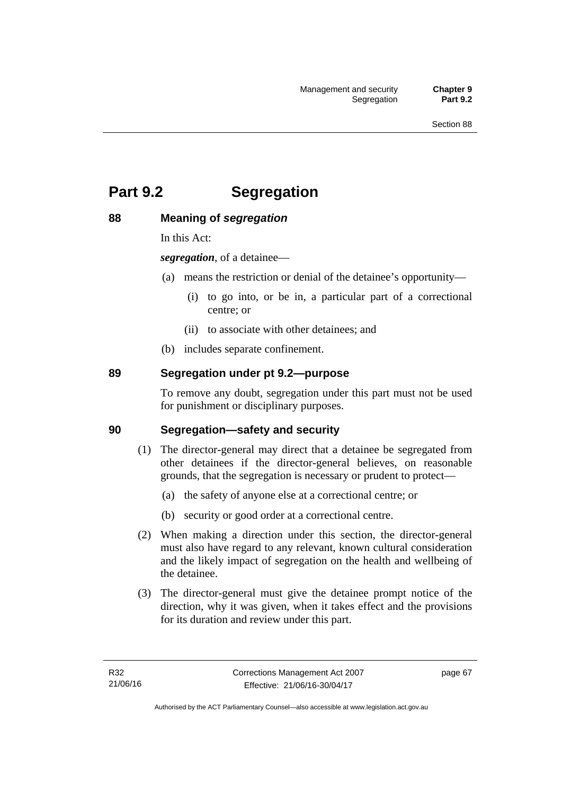# **Part 9.2 Segregation**

## **88 Meaning of** *segregation*

In this Act:

*segregation*, of a detainee—

- (a) means the restriction or denial of the detainee's opportunity—
	- (i) to go into, or be in, a particular part of a correctional centre; or
	- (ii) to associate with other detainees; and
- (b) includes separate confinement.

## **89 Segregation under pt 9.2—purpose**

To remove any doubt, segregation under this part must not be used for punishment or disciplinary purposes.

## **90 Segregation—safety and security**

- (1) The director-general may direct that a detainee be segregated from other detainees if the director-general believes, on reasonable grounds, that the segregation is necessary or prudent to protect—
	- (a) the safety of anyone else at a correctional centre; or
	- (b) security or good order at a correctional centre.
- (2) When making a direction under this section, the director-general must also have regard to any relevant, known cultural consideration and the likely impact of segregation on the health and wellbeing of the detainee.
- (3) The director-general must give the detainee prompt notice of the direction, why it was given, when it takes effect and the provisions for its duration and review under this part.

page 67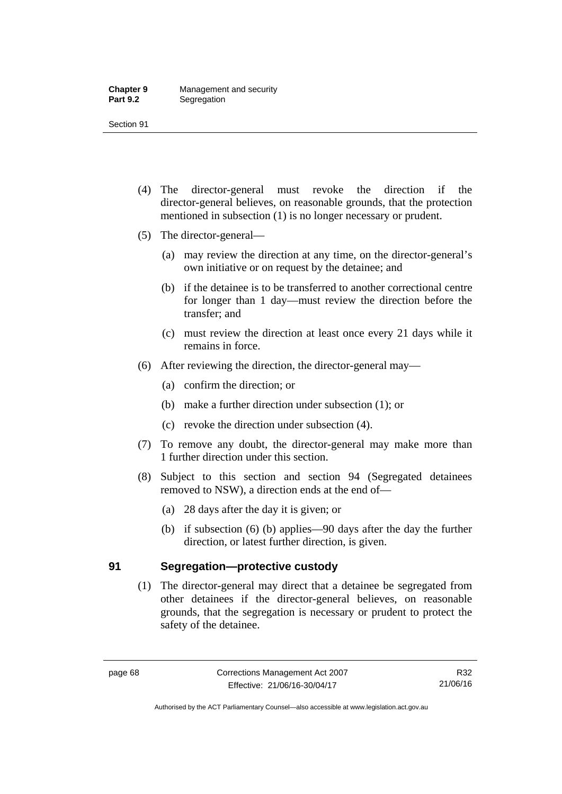- (4) The director-general must revoke the direction if the director-general believes, on reasonable grounds, that the protection mentioned in subsection (1) is no longer necessary or prudent.
- (5) The director-general—
	- (a) may review the direction at any time, on the director-general's own initiative or on request by the detainee; and
	- (b) if the detainee is to be transferred to another correctional centre for longer than 1 day—must review the direction before the transfer; and
	- (c) must review the direction at least once every 21 days while it remains in force.
- (6) After reviewing the direction, the director-general may—
	- (a) confirm the direction; or
	- (b) make a further direction under subsection (1); or
	- (c) revoke the direction under subsection (4).
- (7) To remove any doubt, the director-general may make more than 1 further direction under this section.
- (8) Subject to this section and section 94 (Segregated detainees removed to NSW), a direction ends at the end of—
	- (a) 28 days after the day it is given; or
	- (b) if subsection (6) (b) applies—90 days after the day the further direction, or latest further direction, is given.

## **91 Segregation—protective custody**

(1) The director-general may direct that a detainee be segregated from other detainees if the director-general believes, on reasonable grounds, that the segregation is necessary or prudent to protect the safety of the detainee.

R32 21/06/16

Authorised by the ACT Parliamentary Counsel—also accessible at www.legislation.act.gov.au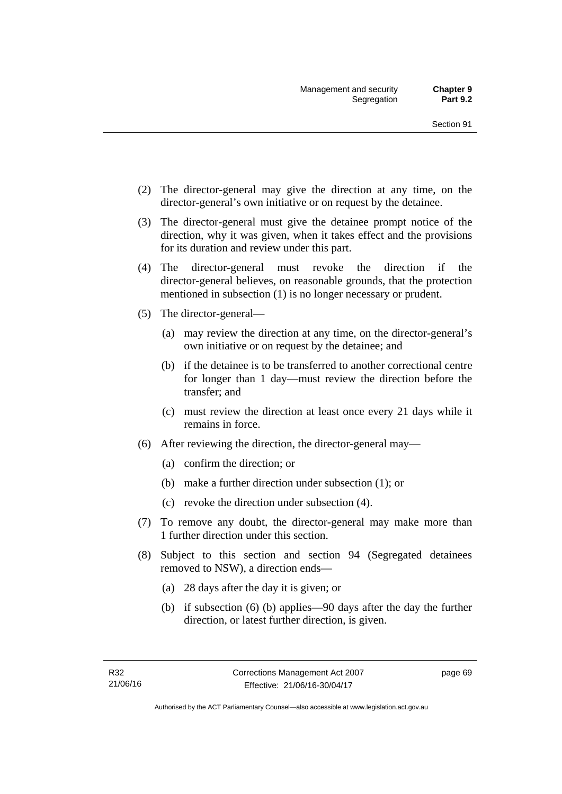- (2) The director-general may give the direction at any time, on the director-general's own initiative or on request by the detainee.
- (3) The director-general must give the detainee prompt notice of the direction, why it was given, when it takes effect and the provisions for its duration and review under this part.
- (4) The director-general must revoke the direction if the director-general believes, on reasonable grounds, that the protection mentioned in subsection (1) is no longer necessary or prudent.
- (5) The director-general—
	- (a) may review the direction at any time, on the director-general's own initiative or on request by the detainee; and
	- (b) if the detainee is to be transferred to another correctional centre for longer than 1 day—must review the direction before the transfer; and
	- (c) must review the direction at least once every 21 days while it remains in force.
- (6) After reviewing the direction, the director-general may—
	- (a) confirm the direction; or
	- (b) make a further direction under subsection (1); or
	- (c) revoke the direction under subsection (4).
- (7) To remove any doubt, the director-general may make more than 1 further direction under this section.
- (8) Subject to this section and section 94 (Segregated detainees removed to NSW), a direction ends—
	- (a) 28 days after the day it is given; or
	- (b) if subsection (6) (b) applies—90 days after the day the further direction, or latest further direction, is given.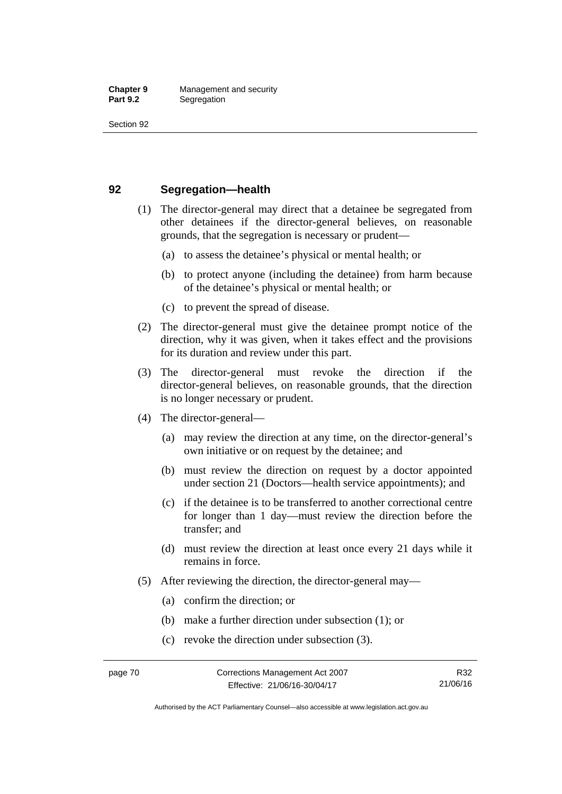## **92 Segregation—health**

- (1) The director-general may direct that a detainee be segregated from other detainees if the director-general believes, on reasonable grounds, that the segregation is necessary or prudent—
	- (a) to assess the detainee's physical or mental health; or
	- (b) to protect anyone (including the detainee) from harm because of the detainee's physical or mental health; or
	- (c) to prevent the spread of disease.
- (2) The director-general must give the detainee prompt notice of the direction, why it was given, when it takes effect and the provisions for its duration and review under this part.
- (3) The director-general must revoke the direction if the director-general believes, on reasonable grounds, that the direction is no longer necessary or prudent.
- (4) The director-general—
	- (a) may review the direction at any time, on the director-general's own initiative or on request by the detainee; and
	- (b) must review the direction on request by a doctor appointed under section 21 (Doctors—health service appointments); and
	- (c) if the detainee is to be transferred to another correctional centre for longer than 1 day—must review the direction before the transfer; and
	- (d) must review the direction at least once every 21 days while it remains in force.
- (5) After reviewing the direction, the director-general may—
	- (a) confirm the direction; or
	- (b) make a further direction under subsection (1); or
	- (c) revoke the direction under subsection (3).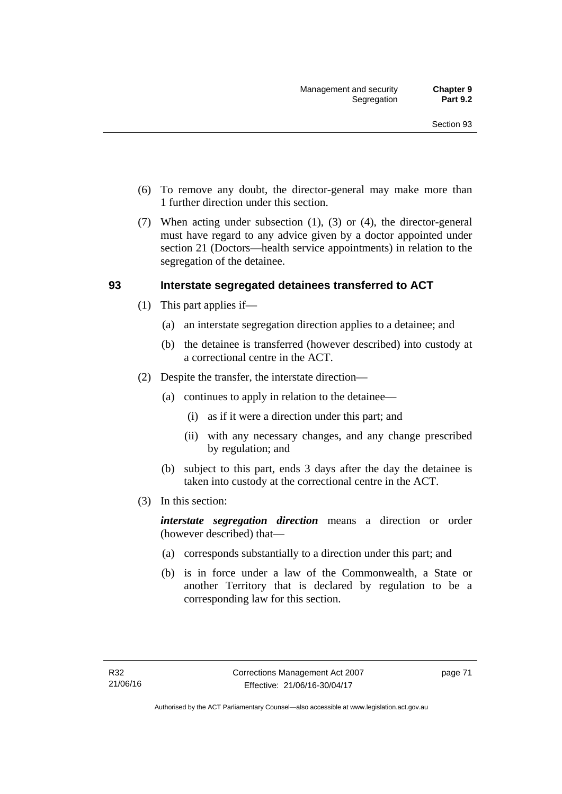- (6) To remove any doubt, the director-general may make more than 1 further direction under this section.
- (7) When acting under subsection (1), (3) or (4), the director-general must have regard to any advice given by a doctor appointed under section 21 (Doctors—health service appointments) in relation to the segregation of the detainee.

## **93 Interstate segregated detainees transferred to ACT**

- (1) This part applies if—
	- (a) an interstate segregation direction applies to a detainee; and
	- (b) the detainee is transferred (however described) into custody at a correctional centre in the ACT.
- (2) Despite the transfer, the interstate direction—
	- (a) continues to apply in relation to the detainee—
		- (i) as if it were a direction under this part; and
		- (ii) with any necessary changes, and any change prescribed by regulation; and
	- (b) subject to this part, ends 3 days after the day the detainee is taken into custody at the correctional centre in the ACT.
- (3) In this section:

*interstate segregation direction* means a direction or order (however described) that—

- (a) corresponds substantially to a direction under this part; and
- (b) is in force under a law of the Commonwealth, a State or another Territory that is declared by regulation to be a corresponding law for this section.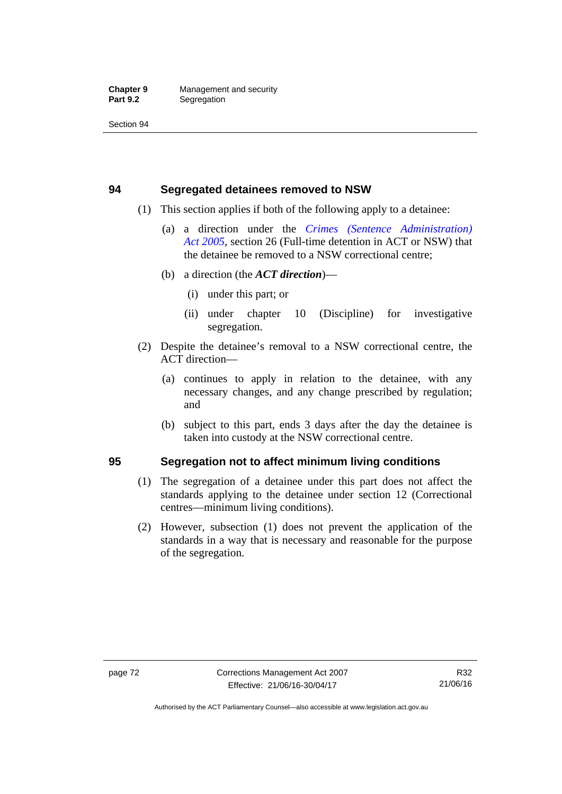## **94 Segregated detainees removed to NSW**

- (1) This section applies if both of the following apply to a detainee:
	- (a) a direction under the *[Crimes \(Sentence Administration\)](http://www.legislation.act.gov.au/a/2005-59)  [Act 2005](http://www.legislation.act.gov.au/a/2005-59)*, section 26 (Full-time detention in ACT or NSW) that the detainee be removed to a NSW correctional centre;
	- (b) a direction (the *ACT direction*)—
		- (i) under this part; or
		- (ii) under chapter 10 (Discipline) for investigative segregation.
- (2) Despite the detainee's removal to a NSW correctional centre, the ACT direction—
	- (a) continues to apply in relation to the detainee, with any necessary changes, and any change prescribed by regulation; and
	- (b) subject to this part, ends 3 days after the day the detainee is taken into custody at the NSW correctional centre.

## **95 Segregation not to affect minimum living conditions**

- (1) The segregation of a detainee under this part does not affect the standards applying to the detainee under section 12 (Correctional centres—minimum living conditions).
- (2) However, subsection (1) does not prevent the application of the standards in a way that is necessary and reasonable for the purpose of the segregation.

Authorised by the ACT Parliamentary Counsel—also accessible at www.legislation.act.gov.au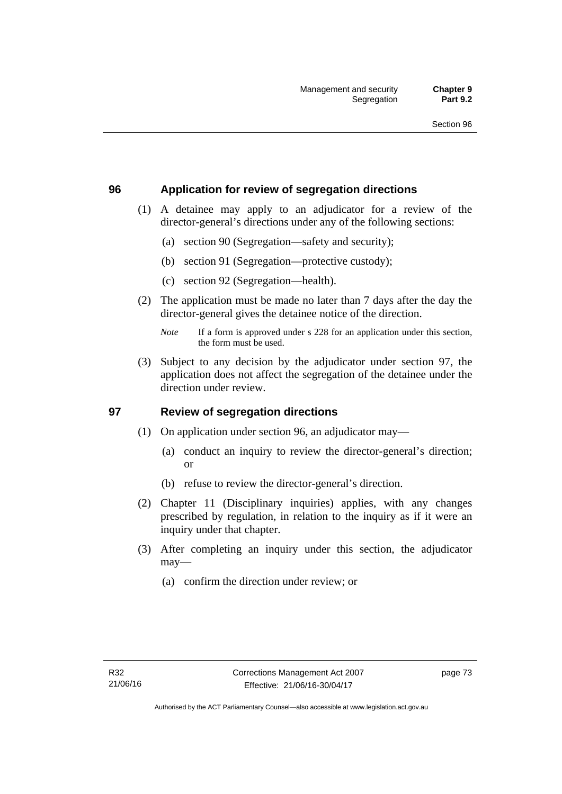## **96 Application for review of segregation directions**

- (1) A detainee may apply to an adjudicator for a review of the director-general's directions under any of the following sections:
	- (a) section 90 (Segregation—safety and security);
	- (b) section 91 (Segregation—protective custody);
	- (c) section 92 (Segregation—health).
- (2) The application must be made no later than 7 days after the day the director-general gives the detainee notice of the direction.

 (3) Subject to any decision by the adjudicator under section 97, the application does not affect the segregation of the detainee under the direction under review.

## **97 Review of segregation directions**

- (1) On application under section 96, an adjudicator may—
	- (a) conduct an inquiry to review the director-general's direction; or
	- (b) refuse to review the director-general's direction.
- (2) Chapter 11 (Disciplinary inquiries) applies, with any changes prescribed by regulation, in relation to the inquiry as if it were an inquiry under that chapter.
- (3) After completing an inquiry under this section, the adjudicator may—
	- (a) confirm the direction under review; or

*Note* If a form is approved under s 228 for an application under this section, the form must be used.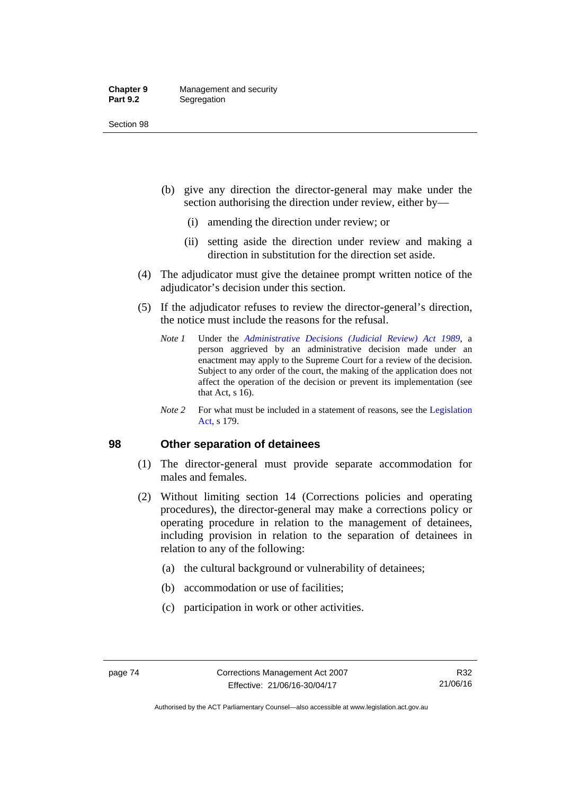#### **Chapter 9** Management and security<br>**Part 9.2** Segregation **Segregation**

Section 98

- (b) give any direction the director-general may make under the section authorising the direction under review, either by—
	- (i) amending the direction under review; or
	- (ii) setting aside the direction under review and making a direction in substitution for the direction set aside.
- (4) The adjudicator must give the detainee prompt written notice of the adjudicator's decision under this section.
- (5) If the adjudicator refuses to review the director-general's direction, the notice must include the reasons for the refusal.
	- *Note 1* Under the *[Administrative Decisions \(Judicial Review\) Act 1989](http://www.legislation.act.gov.au/a/alt_a1989-33co)*, a person aggrieved by an administrative decision made under an enactment may apply to the Supreme Court for a review of the decision. Subject to any order of the court, the making of the application does not affect the operation of the decision or prevent its implementation (see that Act, s 16).
	- *Note* 2 For what must be included in a statement of reasons, see the Legislation [Act,](http://www.legislation.act.gov.au/a/2001-14) s 179.

## **98 Other separation of detainees**

- (1) The director-general must provide separate accommodation for males and females.
- (2) Without limiting section 14 (Corrections policies and operating procedures), the director-general may make a corrections policy or operating procedure in relation to the management of detainees, including provision in relation to the separation of detainees in relation to any of the following:
	- (a) the cultural background or vulnerability of detainees;
	- (b) accommodation or use of facilities;
	- (c) participation in work or other activities.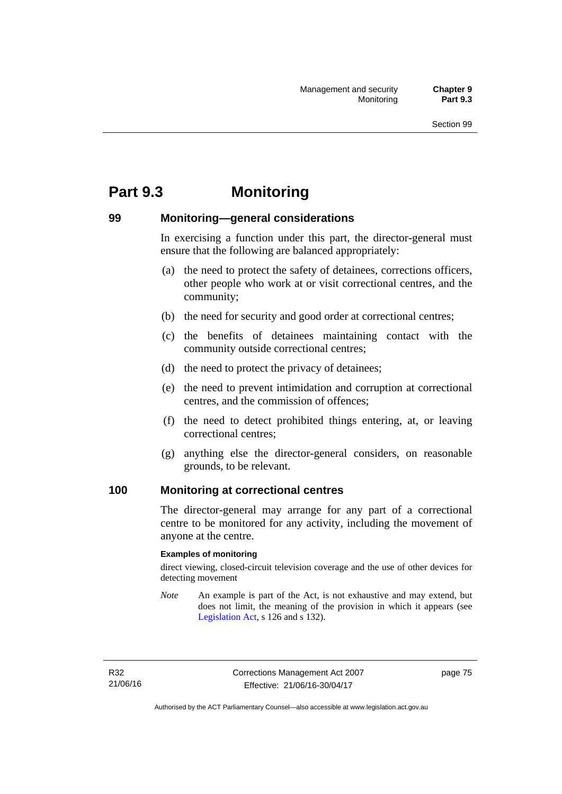# **Part 9.3 Monitoring**

## **99 Monitoring—general considerations**

In exercising a function under this part, the director-general must ensure that the following are balanced appropriately:

- (a) the need to protect the safety of detainees, corrections officers, other people who work at or visit correctional centres, and the community;
- (b) the need for security and good order at correctional centres;
- (c) the benefits of detainees maintaining contact with the community outside correctional centres;
- (d) the need to protect the privacy of detainees;
- (e) the need to prevent intimidation and corruption at correctional centres, and the commission of offences;
- (f) the need to detect prohibited things entering, at, or leaving correctional centres;
- (g) anything else the director-general considers, on reasonable grounds, to be relevant.

## **100 Monitoring at correctional centres**

The director-general may arrange for any part of a correctional centre to be monitored for any activity, including the movement of anyone at the centre.

#### **Examples of monitoring**

direct viewing, closed-circuit television coverage and the use of other devices for detecting movement

*Note* An example is part of the Act, is not exhaustive and may extend, but does not limit, the meaning of the provision in which it appears (see [Legislation Act,](http://www.legislation.act.gov.au/a/2001-14) s 126 and s 132).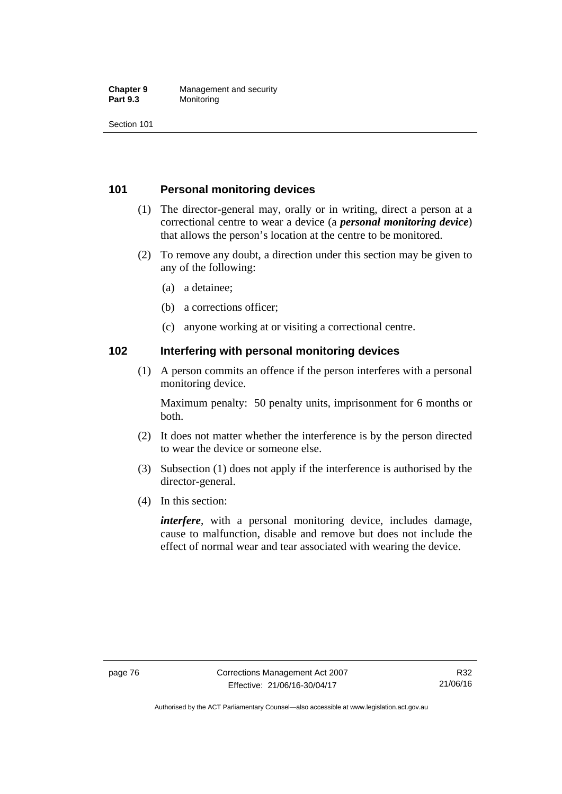#### **Chapter 9** Management and security<br>**Part 9.3** Monitoring **Monitoring**

Section 101

## **101 Personal monitoring devices**

- (1) The director-general may, orally or in writing, direct a person at a correctional centre to wear a device (a *personal monitoring device*) that allows the person's location at the centre to be monitored.
- (2) To remove any doubt, a direction under this section may be given to any of the following:
	- (a) a detainee;
	- (b) a corrections officer;
	- (c) anyone working at or visiting a correctional centre.

## **102 Interfering with personal monitoring devices**

 (1) A person commits an offence if the person interferes with a personal monitoring device.

Maximum penalty: 50 penalty units, imprisonment for 6 months or both.

- (2) It does not matter whether the interference is by the person directed to wear the device or someone else.
- (3) Subsection (1) does not apply if the interference is authorised by the director-general.
- (4) In this section:

*interfere*, with a personal monitoring device, includes damage, cause to malfunction, disable and remove but does not include the effect of normal wear and tear associated with wearing the device.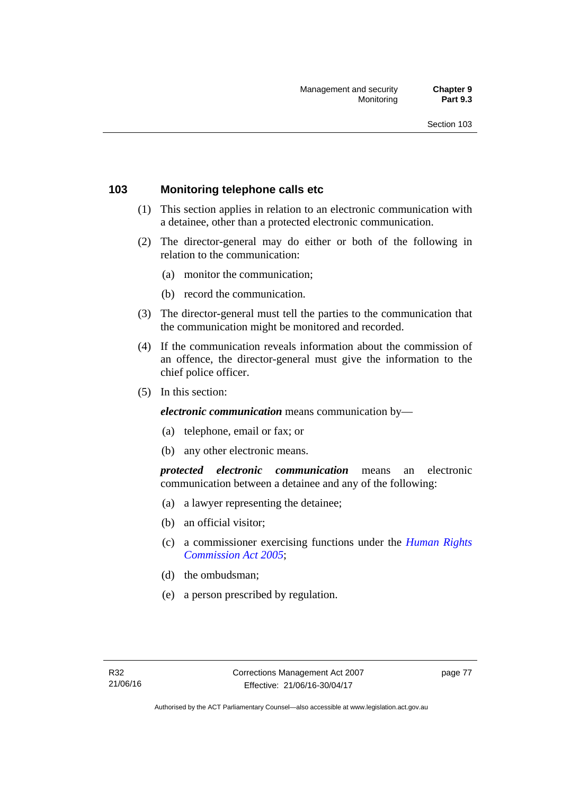## **103 Monitoring telephone calls etc**

- (1) This section applies in relation to an electronic communication with a detainee, other than a protected electronic communication.
- (2) The director-general may do either or both of the following in relation to the communication:
	- (a) monitor the communication;
	- (b) record the communication.
- (3) The director-general must tell the parties to the communication that the communication might be monitored and recorded.
- (4) If the communication reveals information about the commission of an offence, the director-general must give the information to the chief police officer.
- (5) In this section:

*electronic communication* means communication by—

- (a) telephone, email or fax; or
- (b) any other electronic means.

*protected electronic communication* means an electronic communication between a detainee and any of the following:

- (a) a lawyer representing the detainee;
- (b) an official visitor;
- (c) a commissioner exercising functions under the *[Human Rights](http://www.legislation.act.gov.au/a/2005-40)  [Commission Act 2005](http://www.legislation.act.gov.au/a/2005-40)*;
- (d) the ombudsman;
- (e) a person prescribed by regulation.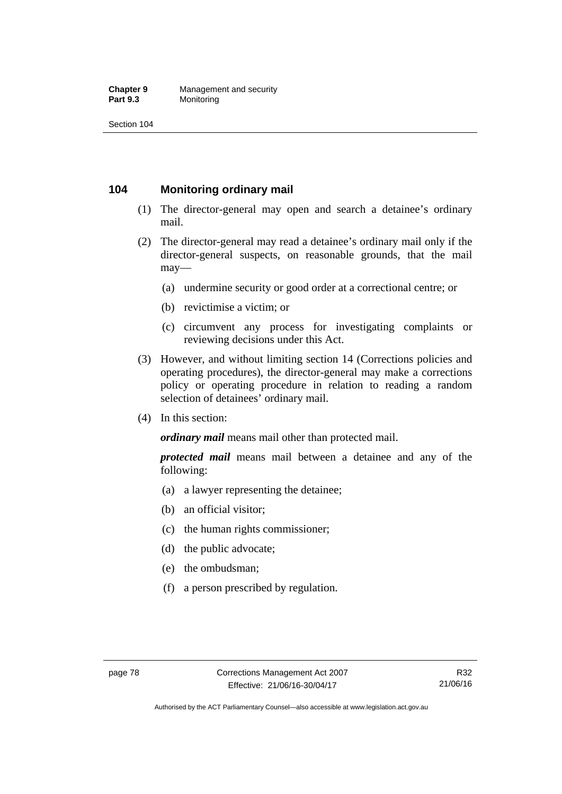#### **Chapter 9** Management and security<br>**Part 9.3** Monitoring **Monitoring**

Section 104

## **104 Monitoring ordinary mail**

- (1) The director-general may open and search a detainee's ordinary mail.
- (2) The director-general may read a detainee's ordinary mail only if the director-general suspects, on reasonable grounds, that the mail may—
	- (a) undermine security or good order at a correctional centre; or
	- (b) revictimise a victim; or
	- (c) circumvent any process for investigating complaints or reviewing decisions under this Act.
- (3) However, and without limiting section 14 (Corrections policies and operating procedures), the director-general may make a corrections policy or operating procedure in relation to reading a random selection of detainees' ordinary mail.
- (4) In this section:

*ordinary mail* means mail other than protected mail.

*protected mail* means mail between a detainee and any of the following:

- (a) a lawyer representing the detainee;
- (b) an official visitor;
- (c) the human rights commissioner;
- (d) the public advocate;
- (e) the ombudsman;
- (f) a person prescribed by regulation.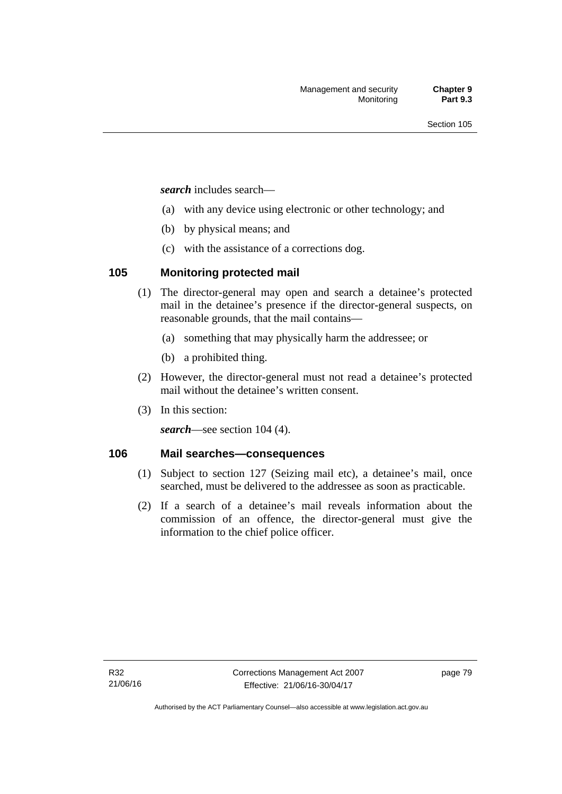*search* includes search—

- (a) with any device using electronic or other technology; and
- (b) by physical means; and
- (c) with the assistance of a corrections dog.

## **105 Monitoring protected mail**

- (1) The director-general may open and search a detainee's protected mail in the detainee's presence if the director-general suspects, on reasonable grounds, that the mail contains—
	- (a) something that may physically harm the addressee; or
	- (b) a prohibited thing.
- (2) However, the director-general must not read a detainee's protected mail without the detainee's written consent.
- (3) In this section:

*search*—see section 104 (4).

## **106 Mail searches—consequences**

- (1) Subject to section 127 (Seizing mail etc), a detainee's mail, once searched, must be delivered to the addressee as soon as practicable.
- (2) If a search of a detainee's mail reveals information about the commission of an offence, the director-general must give the information to the chief police officer.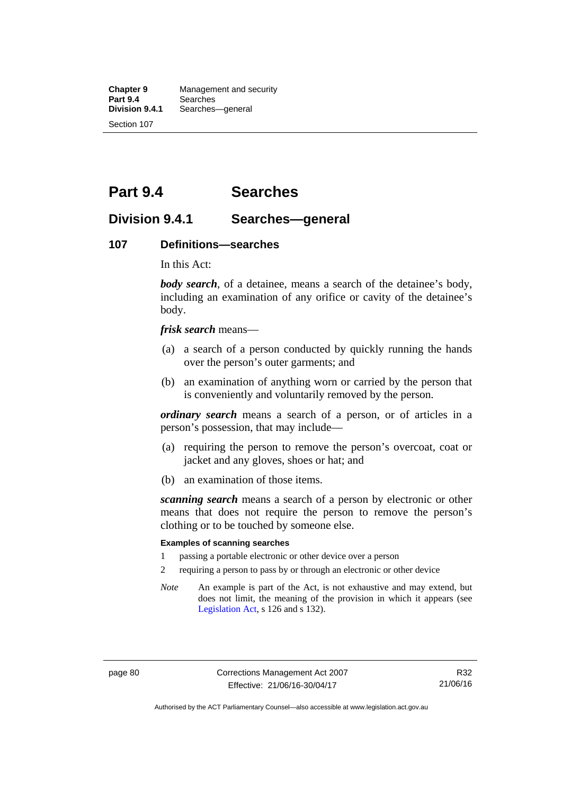**Chapter 9** Management and security<br>**Part 9.4** Searches **Part 9.4 Searches**<br>**Division 9.4.1** Searches Searches—general Section 107

# **Part 9.4 Searches**

## **Division 9.4.1 Searches—general**

#### **107 Definitions—searches**

In this Act:

*body search*, of a detainee, means a search of the detainee's body, including an examination of any orifice or cavity of the detainee's body.

*frisk search* means—

- (a) a search of a person conducted by quickly running the hands over the person's outer garments; and
- (b) an examination of anything worn or carried by the person that is conveniently and voluntarily removed by the person.

*ordinary search* means a search of a person, or of articles in a person's possession, that may include—

- (a) requiring the person to remove the person's overcoat, coat or jacket and any gloves, shoes or hat; and
- (b) an examination of those items.

*scanning search* means a search of a person by electronic or other means that does not require the person to remove the person's clothing or to be touched by someone else.

#### **Examples of scanning searches**

- 1 passing a portable electronic or other device over a person
- 2 requiring a person to pass by or through an electronic or other device
- *Note* An example is part of the Act, is not exhaustive and may extend, but does not limit, the meaning of the provision in which it appears (see [Legislation Act,](http://www.legislation.act.gov.au/a/2001-14) s 126 and s 132).

Authorised by the ACT Parliamentary Counsel—also accessible at www.legislation.act.gov.au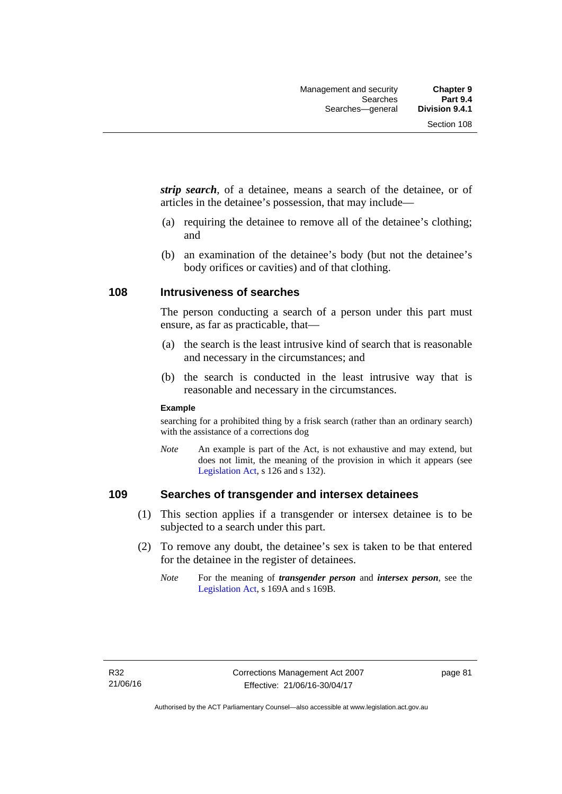*strip search*, of a detainee, means a search of the detainee, or of articles in the detainee's possession, that may include—

- (a) requiring the detainee to remove all of the detainee's clothing; and
- (b) an examination of the detainee's body (but not the detainee's body orifices or cavities) and of that clothing.

## **108 Intrusiveness of searches**

The person conducting a search of a person under this part must ensure, as far as practicable, that—

- (a) the search is the least intrusive kind of search that is reasonable and necessary in the circumstances; and
- (b) the search is conducted in the least intrusive way that is reasonable and necessary in the circumstances.

#### **Example**

searching for a prohibited thing by a frisk search (rather than an ordinary search) with the assistance of a corrections dog

*Note* An example is part of the Act, is not exhaustive and may extend, but does not limit, the meaning of the provision in which it appears (see [Legislation Act,](http://www.legislation.act.gov.au/a/2001-14) s 126 and s 132).

## **109 Searches of transgender and intersex detainees**

- (1) This section applies if a transgender or intersex detainee is to be subjected to a search under this part.
- (2) To remove any doubt, the detainee's sex is taken to be that entered for the detainee in the register of detainees.
	- *Note* For the meaning of *transgender person* and *intersex person*, see the [Legislation Act,](http://www.legislation.act.gov.au/a/2001-14) s 169A and s 169B.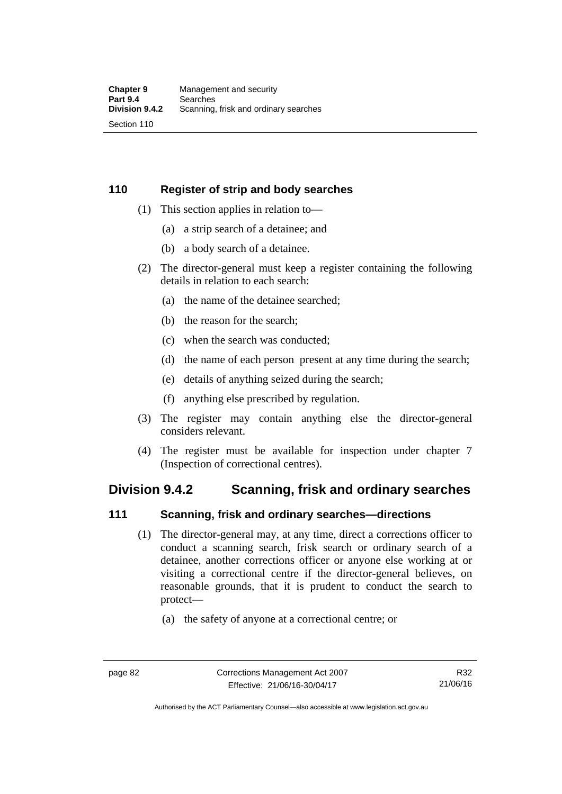## **110 Register of strip and body searches**

- (1) This section applies in relation to—
	- (a) a strip search of a detainee; and
	- (b) a body search of a detainee.
- (2) The director-general must keep a register containing the following details in relation to each search:
	- (a) the name of the detainee searched;
	- (b) the reason for the search;
	- (c) when the search was conducted;
	- (d) the name of each person present at any time during the search;
	- (e) details of anything seized during the search;
	- (f) anything else prescribed by regulation.
- (3) The register may contain anything else the director-general considers relevant.
- (4) The register must be available for inspection under chapter 7 (Inspection of correctional centres).

## **Division 9.4.2 Scanning, frisk and ordinary searches**

## **111 Scanning, frisk and ordinary searches—directions**

- (1) The director-general may, at any time, direct a corrections officer to conduct a scanning search, frisk search or ordinary search of a detainee, another corrections officer or anyone else working at or visiting a correctional centre if the director-general believes, on reasonable grounds, that it is prudent to conduct the search to protect—
	- (a) the safety of anyone at a correctional centre; or

Authorised by the ACT Parliamentary Counsel—also accessible at www.legislation.act.gov.au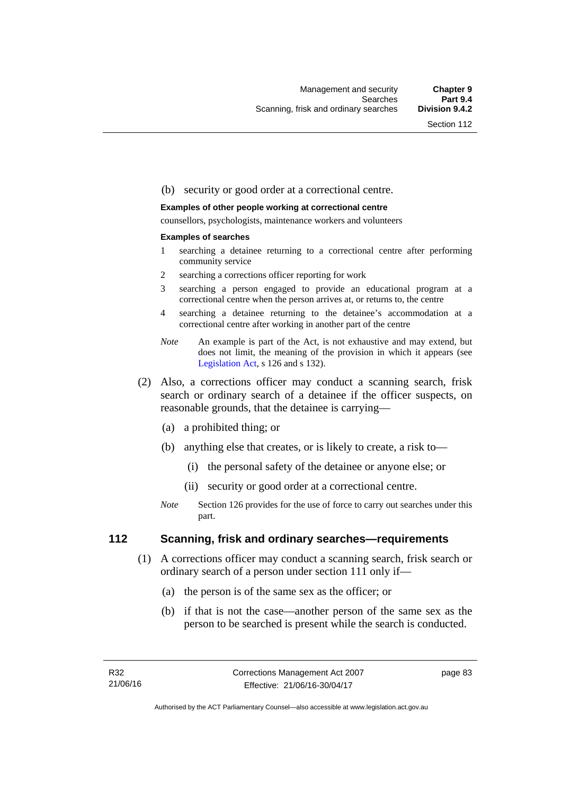#### (b) security or good order at a correctional centre.

#### **Examples of other people working at correctional centre**

counsellors, psychologists, maintenance workers and volunteers

#### **Examples of searches**

- 1 searching a detainee returning to a correctional centre after performing community service
- 2 searching a corrections officer reporting for work
- 3 searching a person engaged to provide an educational program at a correctional centre when the person arrives at, or returns to, the centre
- 4 searching a detainee returning to the detainee's accommodation at a correctional centre after working in another part of the centre
- *Note* An example is part of the Act, is not exhaustive and may extend, but does not limit, the meaning of the provision in which it appears (see [Legislation Act,](http://www.legislation.act.gov.au/a/2001-14) s 126 and s 132).
- (2) Also, a corrections officer may conduct a scanning search, frisk search or ordinary search of a detainee if the officer suspects, on reasonable grounds, that the detainee is carrying—
	- (a) a prohibited thing; or
	- (b) anything else that creates, or is likely to create, a risk to—
		- (i) the personal safety of the detainee or anyone else; or
		- (ii) security or good order at a correctional centre.
	- *Note* Section 126 provides for the use of force to carry out searches under this part.

## **112 Scanning, frisk and ordinary searches—requirements**

- (1) A corrections officer may conduct a scanning search, frisk search or ordinary search of a person under section 111 only if—
	- (a) the person is of the same sex as the officer; or
	- (b) if that is not the case—another person of the same sex as the person to be searched is present while the search is conducted.

page 83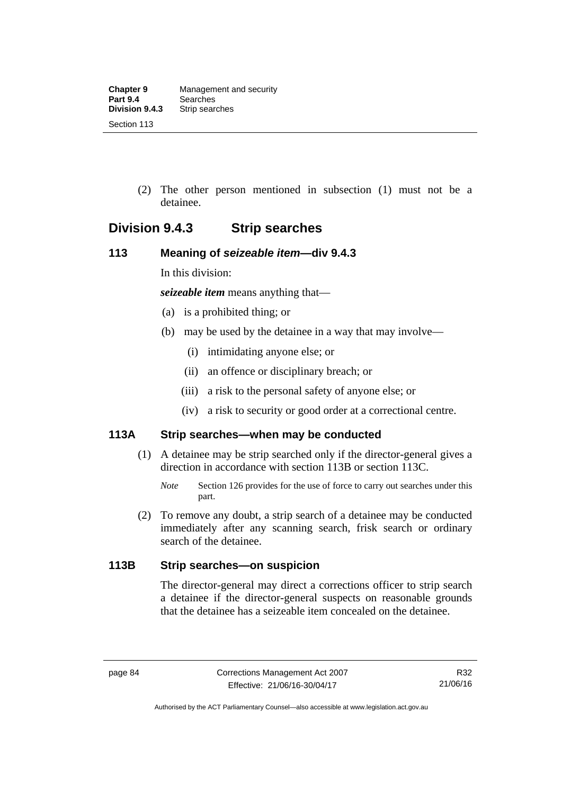(2) The other person mentioned in subsection (1) must not be a detainee.

## **Division 9.4.3 Strip searches**

## **113 Meaning of** *seizeable item***—div 9.4.3**

In this division:

*seizeable item* means anything that—

- (a) is a prohibited thing; or
- (b) may be used by the detainee in a way that may involve—
	- (i) intimidating anyone else; or
	- (ii) an offence or disciplinary breach; or
	- (iii) a risk to the personal safety of anyone else; or
	- (iv) a risk to security or good order at a correctional centre.

## **113A Strip searches—when may be conducted**

- (1) A detainee may be strip searched only if the director-general gives a direction in accordance with section 113B or section 113C.
	- *Note* Section 126 provides for the use of force to carry out searches under this part.
- (2) To remove any doubt, a strip search of a detainee may be conducted immediately after any scanning search, frisk search or ordinary search of the detainee.

## **113B Strip searches—on suspicion**

The director-general may direct a corrections officer to strip search a detainee if the director-general suspects on reasonable grounds that the detainee has a seizeable item concealed on the detainee.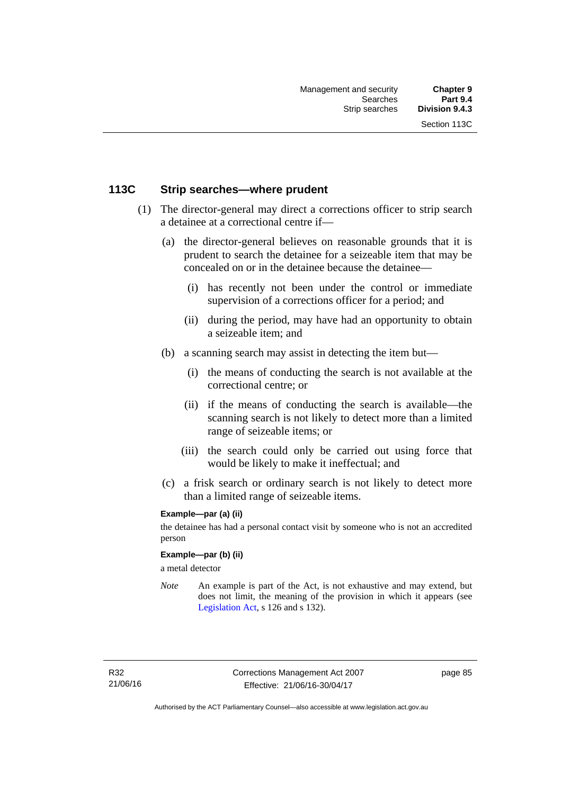## **113C Strip searches—where prudent**

- (1) The director-general may direct a corrections officer to strip search a detainee at a correctional centre if—
	- (a) the director-general believes on reasonable grounds that it is prudent to search the detainee for a seizeable item that may be concealed on or in the detainee because the detainee—
		- (i) has recently not been under the control or immediate supervision of a corrections officer for a period; and
		- (ii) during the period, may have had an opportunity to obtain a seizeable item; and
	- (b) a scanning search may assist in detecting the item but—
		- (i) the means of conducting the search is not available at the correctional centre; or
		- (ii) if the means of conducting the search is available—the scanning search is not likely to detect more than a limited range of seizeable items; or
		- (iii) the search could only be carried out using force that would be likely to make it ineffectual; and
	- (c) a frisk search or ordinary search is not likely to detect more than a limited range of seizeable items.

### **Example—par (a) (ii)**

the detainee has had a personal contact visit by someone who is not an accredited person

#### **Example—par (b) (ii)**

a metal detector

*Note* An example is part of the Act, is not exhaustive and may extend, but does not limit, the meaning of the provision in which it appears (see [Legislation Act,](http://www.legislation.act.gov.au/a/2001-14) s 126 and s 132).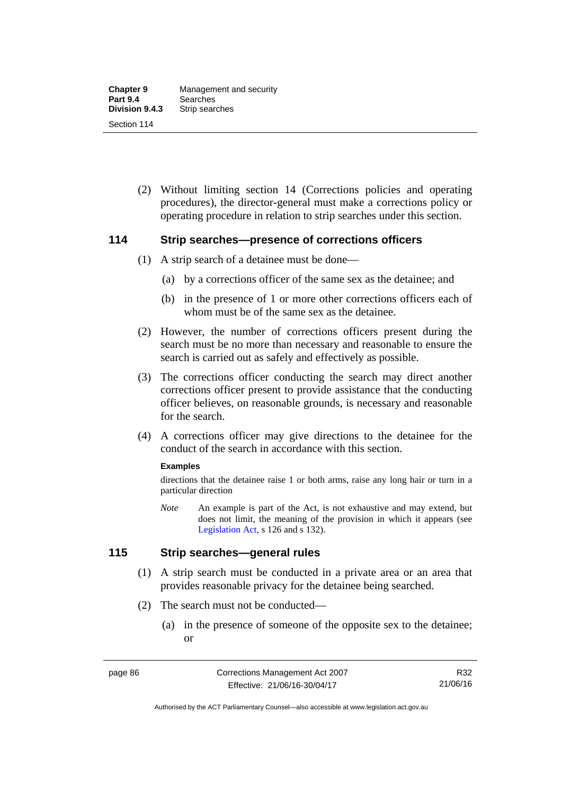(2) Without limiting section 14 (Corrections policies and operating procedures), the director-general must make a corrections policy or operating procedure in relation to strip searches under this section.

## **114 Strip searches—presence of corrections officers**

- (1) A strip search of a detainee must be done—
	- (a) by a corrections officer of the same sex as the detainee; and
	- (b) in the presence of 1 or more other corrections officers each of whom must be of the same sex as the detainee.
- (2) However, the number of corrections officers present during the search must be no more than necessary and reasonable to ensure the search is carried out as safely and effectively as possible.
- (3) The corrections officer conducting the search may direct another corrections officer present to provide assistance that the conducting officer believes, on reasonable grounds, is necessary and reasonable for the search.
- (4) A corrections officer may give directions to the detainee for the conduct of the search in accordance with this section.

#### **Examples**

directions that the detainee raise 1 or both arms, raise any long hair or turn in a particular direction

*Note* An example is part of the Act, is not exhaustive and may extend, but does not limit, the meaning of the provision in which it appears (see [Legislation Act,](http://www.legislation.act.gov.au/a/2001-14) s 126 and s 132).

## **115 Strip searches—general rules**

- (1) A strip search must be conducted in a private area or an area that provides reasonable privacy for the detainee being searched.
- (2) The search must not be conducted—
	- (a) in the presence of someone of the opposite sex to the detainee; or

Authorised by the ACT Parliamentary Counsel—also accessible at www.legislation.act.gov.au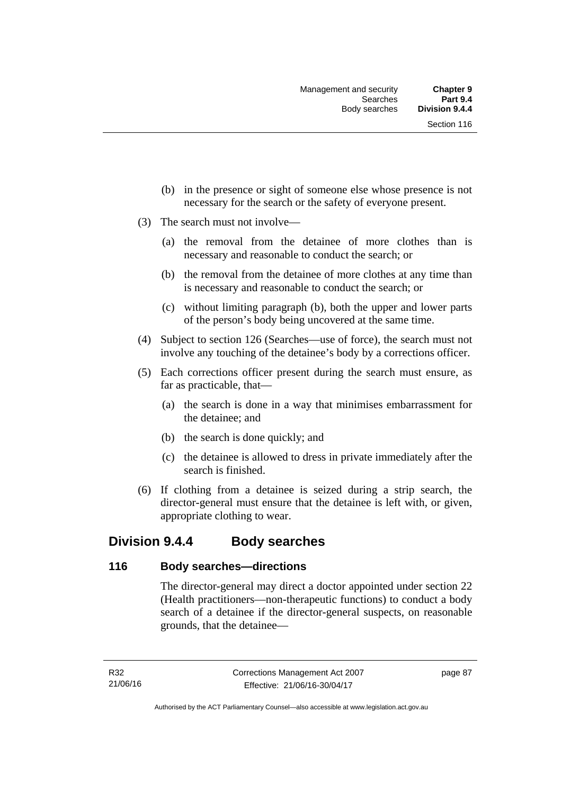- (b) in the presence or sight of someone else whose presence is not necessary for the search or the safety of everyone present.
- (3) The search must not involve—
	- (a) the removal from the detainee of more clothes than is necessary and reasonable to conduct the search; or
	- (b) the removal from the detainee of more clothes at any time than is necessary and reasonable to conduct the search; or
	- (c) without limiting paragraph (b), both the upper and lower parts of the person's body being uncovered at the same time.
- (4) Subject to section 126 (Searches—use of force), the search must not involve any touching of the detainee's body by a corrections officer.
- (5) Each corrections officer present during the search must ensure, as far as practicable, that—
	- (a) the search is done in a way that minimises embarrassment for the detainee; and
	- (b) the search is done quickly; and
	- (c) the detainee is allowed to dress in private immediately after the search is finished.
- (6) If clothing from a detainee is seized during a strip search, the director-general must ensure that the detainee is left with, or given, appropriate clothing to wear.

## **Division 9.4.4 Body searches**

## **116 Body searches—directions**

The director-general may direct a doctor appointed under section 22 (Health practitioners—non-therapeutic functions) to conduct a body search of a detainee if the director-general suspects, on reasonable grounds, that the detainee—

page 87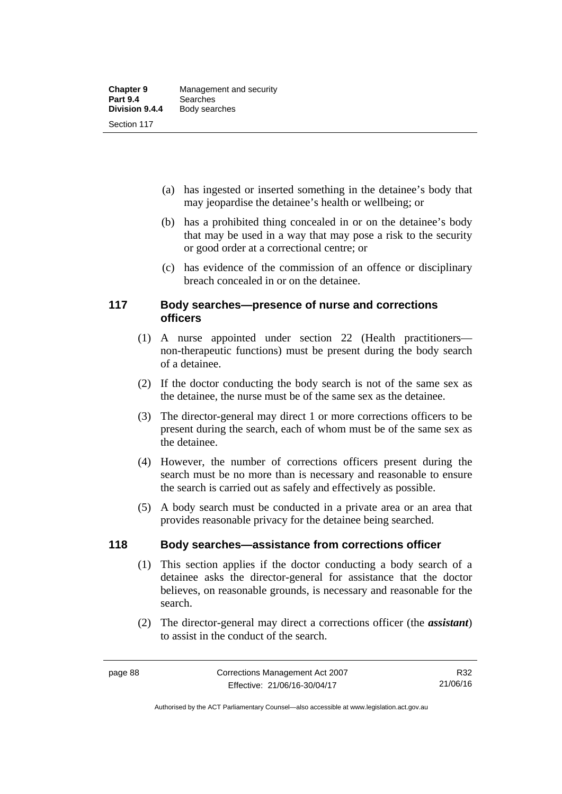- (a) has ingested or inserted something in the detainee's body that may jeopardise the detainee's health or wellbeing; or
- (b) has a prohibited thing concealed in or on the detainee's body that may be used in a way that may pose a risk to the security or good order at a correctional centre; or
- (c) has evidence of the commission of an offence or disciplinary breach concealed in or on the detainee.

## **117 Body searches—presence of nurse and corrections officers**

- (1) A nurse appointed under section 22 (Health practitioners non-therapeutic functions) must be present during the body search of a detainee.
- (2) If the doctor conducting the body search is not of the same sex as the detainee, the nurse must be of the same sex as the detainee.
- (3) The director-general may direct 1 or more corrections officers to be present during the search, each of whom must be of the same sex as the detainee.
- (4) However, the number of corrections officers present during the search must be no more than is necessary and reasonable to ensure the search is carried out as safely and effectively as possible.
- (5) A body search must be conducted in a private area or an area that provides reasonable privacy for the detainee being searched.

## **118 Body searches—assistance from corrections officer**

- (1) This section applies if the doctor conducting a body search of a detainee asks the director-general for assistance that the doctor believes, on reasonable grounds, is necessary and reasonable for the search.
- (2) The director-general may direct a corrections officer (the *assistant*) to assist in the conduct of the search.

Authorised by the ACT Parliamentary Counsel—also accessible at www.legislation.act.gov.au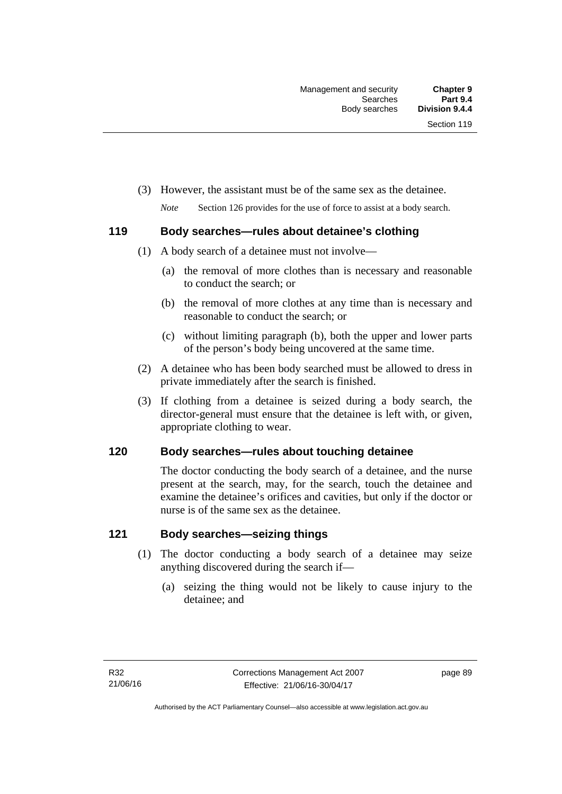(3) However, the assistant must be of the same sex as the detainee.

*Note* Section 126 provides for the use of force to assist at a body search.

## **119 Body searches—rules about detainee's clothing**

- (1) A body search of a detainee must not involve—
	- (a) the removal of more clothes than is necessary and reasonable to conduct the search; or
	- (b) the removal of more clothes at any time than is necessary and reasonable to conduct the search; or
	- (c) without limiting paragraph (b), both the upper and lower parts of the person's body being uncovered at the same time.
- (2) A detainee who has been body searched must be allowed to dress in private immediately after the search is finished.
- (3) If clothing from a detainee is seized during a body search, the director-general must ensure that the detainee is left with, or given, appropriate clothing to wear.

## **120 Body searches—rules about touching detainee**

The doctor conducting the body search of a detainee, and the nurse present at the search, may, for the search, touch the detainee and examine the detainee's orifices and cavities, but only if the doctor or nurse is of the same sex as the detainee.

## **121 Body searches—seizing things**

- (1) The doctor conducting a body search of a detainee may seize anything discovered during the search if—
	- (a) seizing the thing would not be likely to cause injury to the detainee; and

page 89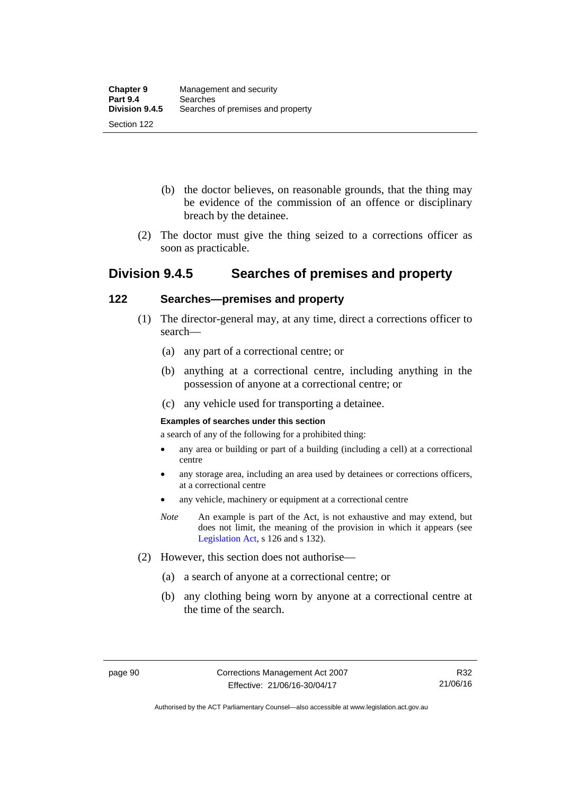- (b) the doctor believes, on reasonable grounds, that the thing may be evidence of the commission of an offence or disciplinary breach by the detainee.
- (2) The doctor must give the thing seized to a corrections officer as soon as practicable.

## **Division 9.4.5 Searches of premises and property**

## **122 Searches—premises and property**

- (1) The director-general may, at any time, direct a corrections officer to search—
	- (a) any part of a correctional centre; or
	- (b) anything at a correctional centre, including anything in the possession of anyone at a correctional centre; or
	- (c) any vehicle used for transporting a detainee.

### **Examples of searches under this section**

a search of any of the following for a prohibited thing:

- any area or building or part of a building (including a cell) at a correctional centre
- any storage area, including an area used by detainees or corrections officers, at a correctional centre
- any vehicle, machinery or equipment at a correctional centre
- *Note* An example is part of the Act, is not exhaustive and may extend, but does not limit, the meaning of the provision in which it appears (see [Legislation Act,](http://www.legislation.act.gov.au/a/2001-14) s 126 and s 132).
- (2) However, this section does not authorise—
	- (a) a search of anyone at a correctional centre; or
	- (b) any clothing being worn by anyone at a correctional centre at the time of the search.

Authorised by the ACT Parliamentary Counsel—also accessible at www.legislation.act.gov.au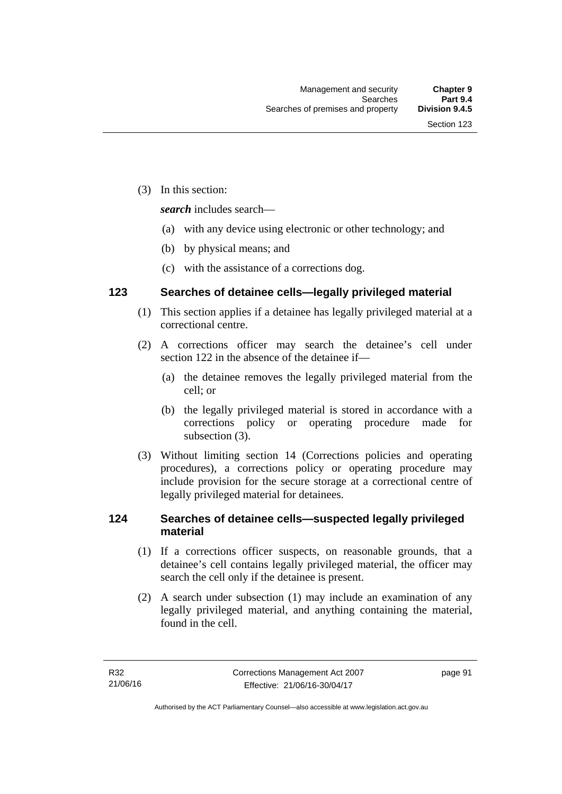(3) In this section:

*search* includes search—

- (a) with any device using electronic or other technology; and
- (b) by physical means; and
- (c) with the assistance of a corrections dog.

## **123 Searches of detainee cells—legally privileged material**

- (1) This section applies if a detainee has legally privileged material at a correctional centre.
- (2) A corrections officer may search the detainee's cell under section 122 in the absence of the detainee if—
	- (a) the detainee removes the legally privileged material from the cell; or
	- (b) the legally privileged material is stored in accordance with a corrections policy or operating procedure made for subsection (3).
- (3) Without limiting section 14 (Corrections policies and operating procedures), a corrections policy or operating procedure may include provision for the secure storage at a correctional centre of legally privileged material for detainees.

## **124 Searches of detainee cells—suspected legally privileged material**

- (1) If a corrections officer suspects, on reasonable grounds, that a detainee's cell contains legally privileged material, the officer may search the cell only if the detainee is present.
- (2) A search under subsection (1) may include an examination of any legally privileged material, and anything containing the material, found in the cell.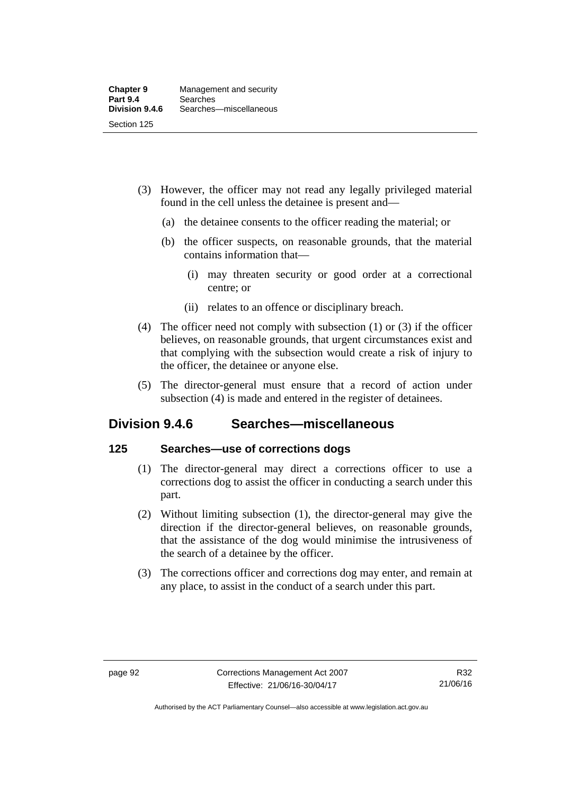- (3) However, the officer may not read any legally privileged material found in the cell unless the detainee is present and—
	- (a) the detainee consents to the officer reading the material; or
	- (b) the officer suspects, on reasonable grounds, that the material contains information that—
		- (i) may threaten security or good order at a correctional centre; or
		- (ii) relates to an offence or disciplinary breach.
- (4) The officer need not comply with subsection (1) or (3) if the officer believes, on reasonable grounds, that urgent circumstances exist and that complying with the subsection would create a risk of injury to the officer, the detainee or anyone else.
- (5) The director-general must ensure that a record of action under subsection (4) is made and entered in the register of detainees.

## **Division 9.4.6 Searches—miscellaneous**

## **125 Searches—use of corrections dogs**

- (1) The director-general may direct a corrections officer to use a corrections dog to assist the officer in conducting a search under this part.
- (2) Without limiting subsection (1), the director-general may give the direction if the director-general believes, on reasonable grounds, that the assistance of the dog would minimise the intrusiveness of the search of a detainee by the officer.
- (3) The corrections officer and corrections dog may enter, and remain at any place, to assist in the conduct of a search under this part.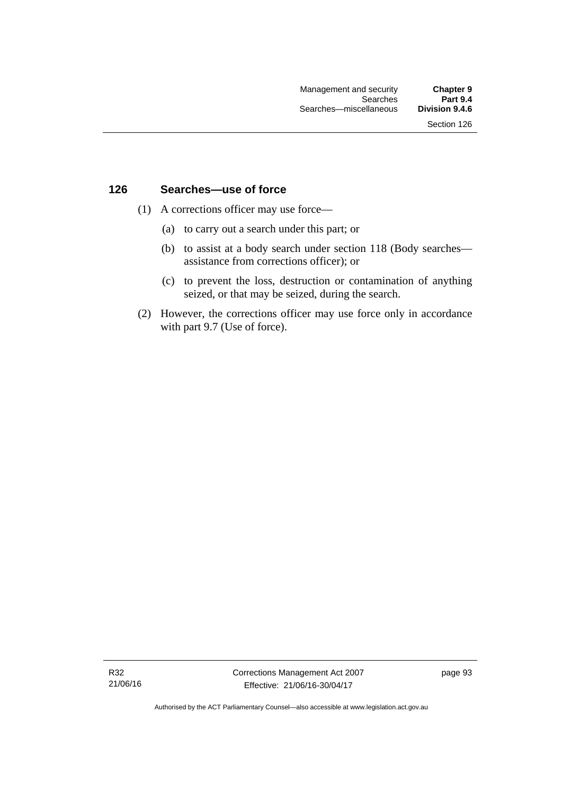## **126 Searches—use of force**

- (1) A corrections officer may use force—
	- (a) to carry out a search under this part; or
	- (b) to assist at a body search under section 118 (Body searches assistance from corrections officer); or
	- (c) to prevent the loss, destruction or contamination of anything seized, or that may be seized, during the search.
- (2) However, the corrections officer may use force only in accordance with part 9.7 (Use of force).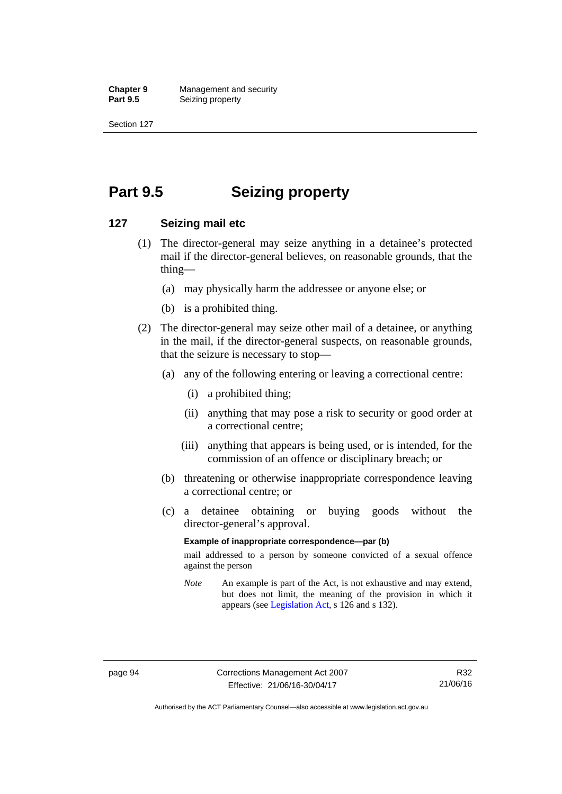**Chapter 9 Management and security**<br>**Part 9.5 Conserved Seizing property Seizing property** 

Section 127

# **Part 9.5 Seizing property**

## **127 Seizing mail etc**

- (1) The director-general may seize anything in a detainee's protected mail if the director-general believes, on reasonable grounds, that the thing—
	- (a) may physically harm the addressee or anyone else; or
	- (b) is a prohibited thing.
- (2) The director-general may seize other mail of a detainee, or anything in the mail, if the director-general suspects, on reasonable grounds, that the seizure is necessary to stop—
	- (a) any of the following entering or leaving a correctional centre:
		- (i) a prohibited thing;
		- (ii) anything that may pose a risk to security or good order at a correctional centre;
		- (iii) anything that appears is being used, or is intended, for the commission of an offence or disciplinary breach; or
	- (b) threatening or otherwise inappropriate correspondence leaving a correctional centre; or
	- (c) a detainee obtaining or buying goods without the director-general's approval.

#### **Example of inappropriate correspondence—par (b)**

mail addressed to a person by someone convicted of a sexual offence against the person

*Note* An example is part of the Act, is not exhaustive and may extend, but does not limit, the meaning of the provision in which it appears (see [Legislation Act,](http://www.legislation.act.gov.au/a/2001-14) s 126 and s 132).

Authorised by the ACT Parliamentary Counsel—also accessible at www.legislation.act.gov.au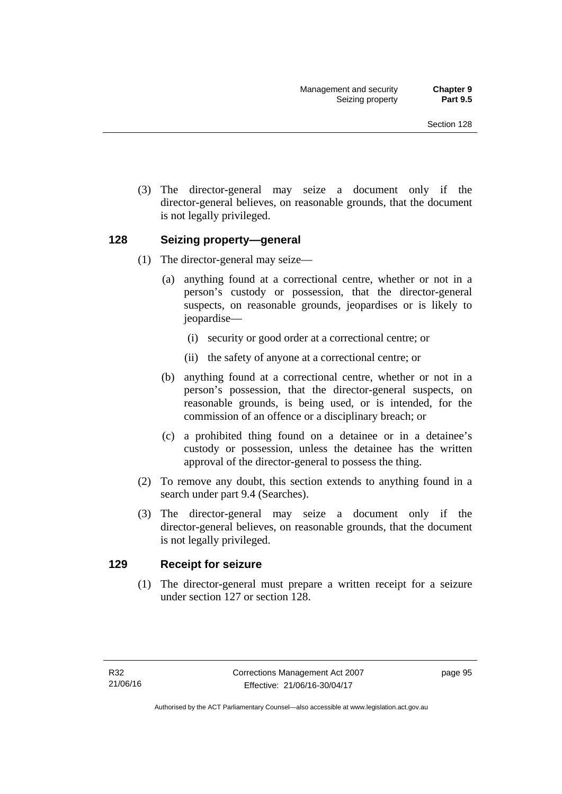(3) The director-general may seize a document only if the director-general believes, on reasonable grounds, that the document is not legally privileged.

### **128 Seizing property—general**

- (1) The director-general may seize—
	- (a) anything found at a correctional centre, whether or not in a person's custody or possession, that the director-general suspects, on reasonable grounds, jeopardises or is likely to jeopardise—
		- (i) security or good order at a correctional centre; or
		- (ii) the safety of anyone at a correctional centre; or
	- (b) anything found at a correctional centre, whether or not in a person's possession, that the director-general suspects, on reasonable grounds, is being used, or is intended, for the commission of an offence or a disciplinary breach; or
	- (c) a prohibited thing found on a detainee or in a detainee's custody or possession, unless the detainee has the written approval of the director-general to possess the thing.
- (2) To remove any doubt, this section extends to anything found in a search under part 9.4 (Searches).
- (3) The director-general may seize a document only if the director-general believes, on reasonable grounds, that the document is not legally privileged.

### **129 Receipt for seizure**

(1) The director-general must prepare a written receipt for a seizure under section 127 or section 128.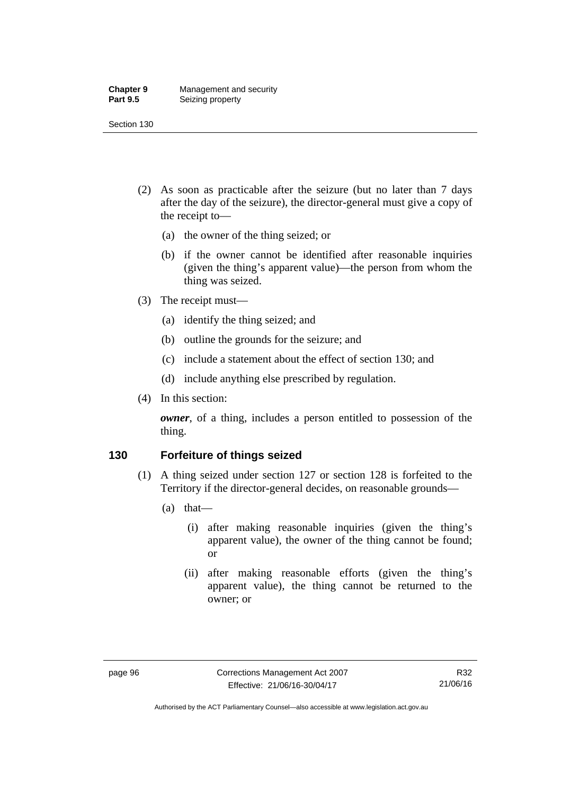#### **Chapter 9** Management and security<br>**Part 9.5** Seizing property **Seizing property**

Section 130

- (2) As soon as practicable after the seizure (but no later than 7 days after the day of the seizure), the director-general must give a copy of the receipt to—
	- (a) the owner of the thing seized; or
	- (b) if the owner cannot be identified after reasonable inquiries (given the thing's apparent value)—the person from whom the thing was seized.
- (3) The receipt must—
	- (a) identify the thing seized; and
	- (b) outline the grounds for the seizure; and
	- (c) include a statement about the effect of section 130; and
	- (d) include anything else prescribed by regulation.
- (4) In this section:

*owner*, of a thing, includes a person entitled to possession of the thing.

### **130 Forfeiture of things seized**

- (1) A thing seized under section 127 or section 128 is forfeited to the Territory if the director-general decides, on reasonable grounds—
	- (a) that—
		- (i) after making reasonable inquiries (given the thing's apparent value), the owner of the thing cannot be found; or
		- (ii) after making reasonable efforts (given the thing's apparent value), the thing cannot be returned to the owner; or

Authorised by the ACT Parliamentary Counsel—also accessible at www.legislation.act.gov.au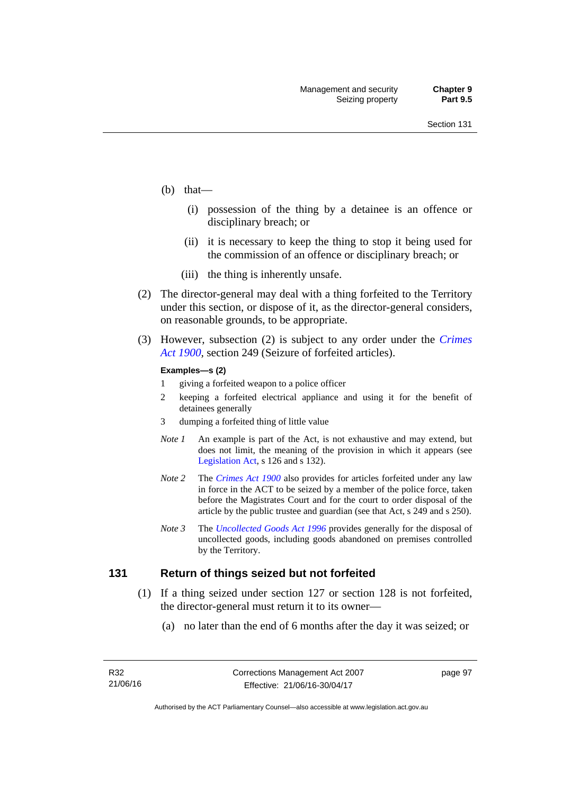- (b) that—
	- (i) possession of the thing by a detainee is an offence or disciplinary breach; or
	- (ii) it is necessary to keep the thing to stop it being used for the commission of an offence or disciplinary breach; or
	- (iii) the thing is inherently unsafe.
- (2) The director-general may deal with a thing forfeited to the Territory under this section, or dispose of it, as the director-general considers, on reasonable grounds, to be appropriate.
- (3) However, subsection (2) is subject to any order under the *[Crimes](http://www.legislation.act.gov.au/a/1900-40)  [Act 1900](http://www.legislation.act.gov.au/a/1900-40),* section 249 (Seizure of forfeited articles).

#### **Examples—s (2)**

- 1 giving a forfeited weapon to a police officer
- 2 keeping a forfeited electrical appliance and using it for the benefit of detainees generally
- 3 dumping a forfeited thing of little value
- *Note 1* An example is part of the Act, is not exhaustive and may extend, but does not limit, the meaning of the provision in which it appears (see [Legislation Act,](http://www.legislation.act.gov.au/a/2001-14) s 126 and s 132).
- *Note 2* The *[Crimes Act 1900](http://www.legislation.act.gov.au/a/1900-40)* also provides for articles forfeited under any law in force in the ACT to be seized by a member of the police force, taken before the Magistrates Court and for the court to order disposal of the article by the public trustee and guardian (see that Act, s 249 and s 250).
- *Note 3* The *[Uncollected Goods Act 1996](http://www.legislation.act.gov.au/a/1996-86)* provides generally for the disposal of uncollected goods, including goods abandoned on premises controlled by the Territory.

#### **131 Return of things seized but not forfeited**

- (1) If a thing seized under section 127 or section 128 is not forfeited, the director-general must return it to its owner—
	- (a) no later than the end of 6 months after the day it was seized; or

page 97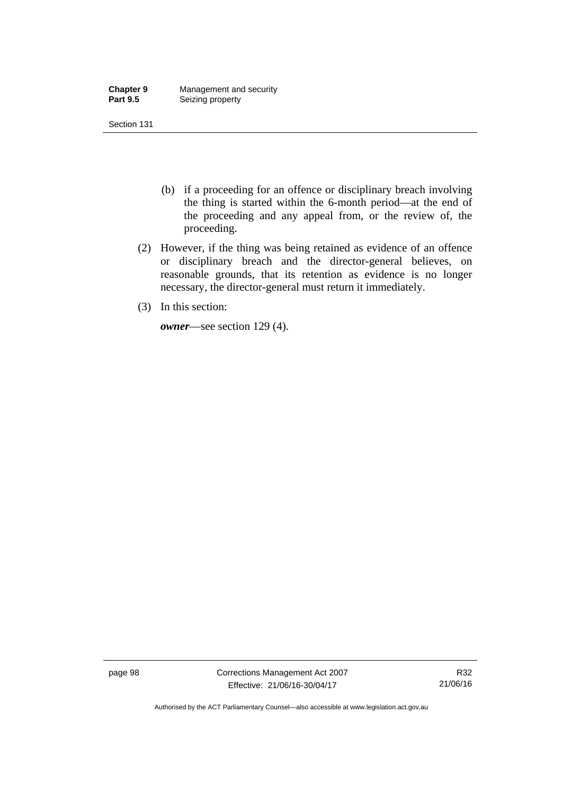| <b>Chapter 9</b> | Management and security |
|------------------|-------------------------|
| <b>Part 9.5</b>  | Seizing property        |

Section 131

- (b) if a proceeding for an offence or disciplinary breach involving the thing is started within the 6-month period—at the end of the proceeding and any appeal from, or the review of, the proceeding.
- (2) However, if the thing was being retained as evidence of an offence or disciplinary breach and the director-general believes, on reasonable grounds, that its retention as evidence is no longer necessary, the director-general must return it immediately.
- (3) In this section:

*owner*—see section 129 (4).

page 98 Corrections Management Act 2007 Effective: 21/06/16-30/04/17

R32 21/06/16

Authorised by the ACT Parliamentary Counsel—also accessible at www.legislation.act.gov.au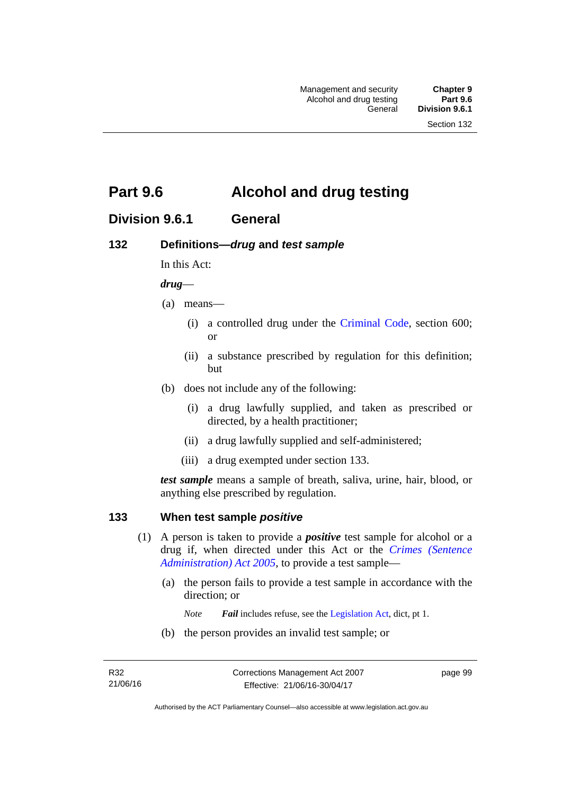# **Part 9.6 Alcohol and drug testing**

## **Division 9.6.1 General**

## **132 Definitions—***drug* **and** *test sample*

In this Act:

#### *drug*—

- (a) means—
	- (i) a controlled drug under the [Criminal Code](http://www.legislation.act.gov.au/a/2002-51), section 600; or
	- (ii) a substance prescribed by regulation for this definition; but
- (b) does not include any of the following:
	- (i) a drug lawfully supplied, and taken as prescribed or directed, by a health practitioner;
	- (ii) a drug lawfully supplied and self-administered;
	- (iii) a drug exempted under section 133.

*test sample* means a sample of breath, saliva, urine, hair, blood, or anything else prescribed by regulation.

### **133 When test sample** *positive*

- (1) A person is taken to provide a *positive* test sample for alcohol or a drug if, when directed under this Act or the *[Crimes \(Sentence](http://www.legislation.act.gov.au/a/2005-59)  [Administration\) Act 2005](http://www.legislation.act.gov.au/a/2005-59)*, to provide a test sample—
	- (a) the person fails to provide a test sample in accordance with the direction; or
		- *Note Fail* includes refuse, see the [Legislation Act,](http://www.legislation.act.gov.au/a/2001-14) dict, pt 1.
	- (b) the person provides an invalid test sample; or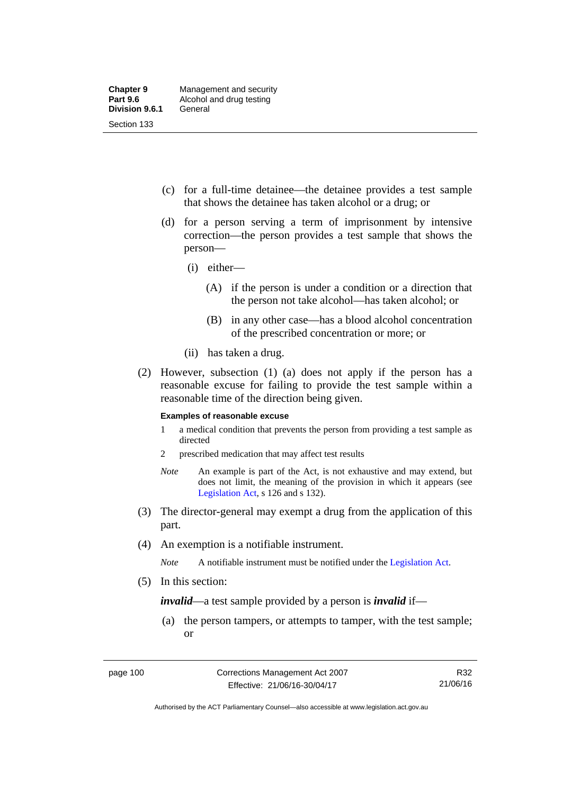- (c) for a full-time detainee—the detainee provides a test sample that shows the detainee has taken alcohol or a drug; or
- (d) for a person serving a term of imprisonment by intensive correction—the person provides a test sample that shows the person—
	- (i) either—
		- (A) if the person is under a condition or a direction that the person not take alcohol—has taken alcohol; or
		- (B) in any other case—has a blood alcohol concentration of the prescribed concentration or more; or
	- (ii) has taken a drug.
- (2) However, subsection (1) (a) does not apply if the person has a reasonable excuse for failing to provide the test sample within a reasonable time of the direction being given.

#### **Examples of reasonable excuse**

- 1 a medical condition that prevents the person from providing a test sample as directed
- 2 prescribed medication that may affect test results
- *Note* An example is part of the Act, is not exhaustive and may extend, but does not limit, the meaning of the provision in which it appears (see [Legislation Act,](http://www.legislation.act.gov.au/a/2001-14) s 126 and s 132).
- (3) The director-general may exempt a drug from the application of this part.
- (4) An exemption is a notifiable instrument.

*Note* A notifiable instrument must be notified under the [Legislation Act](http://www.legislation.act.gov.au/a/2001-14).

(5) In this section:

*invalid*—a test sample provided by a person is *invalid* if—

 (a) the person tampers, or attempts to tamper, with the test sample; or

Authorised by the ACT Parliamentary Counsel—also accessible at www.legislation.act.gov.au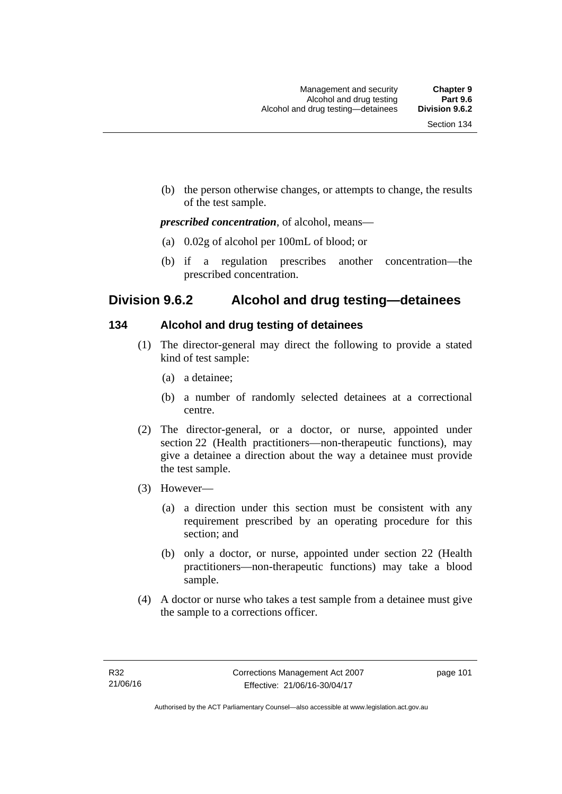(b) the person otherwise changes, or attempts to change, the results of the test sample.

#### *prescribed concentration*, of alcohol, means—

- (a) 0.02g of alcohol per 100mL of blood; or
- (b) if a regulation prescribes another concentration—the prescribed concentration.

## **Division 9.6.2 Alcohol and drug testing—detainees**

## **134 Alcohol and drug testing of detainees**

- (1) The director-general may direct the following to provide a stated kind of test sample:
	- (a) a detainee;
	- (b) a number of randomly selected detainees at a correctional centre.
- (2) The director-general, or a doctor, or nurse, appointed under section 22 (Health practitioners—non-therapeutic functions), may give a detainee a direction about the way a detainee must provide the test sample.
- (3) However—
	- (a) a direction under this section must be consistent with any requirement prescribed by an operating procedure for this section; and
	- (b) only a doctor, or nurse, appointed under section 22 (Health practitioners—non-therapeutic functions) may take a blood sample.
- (4) A doctor or nurse who takes a test sample from a detainee must give the sample to a corrections officer.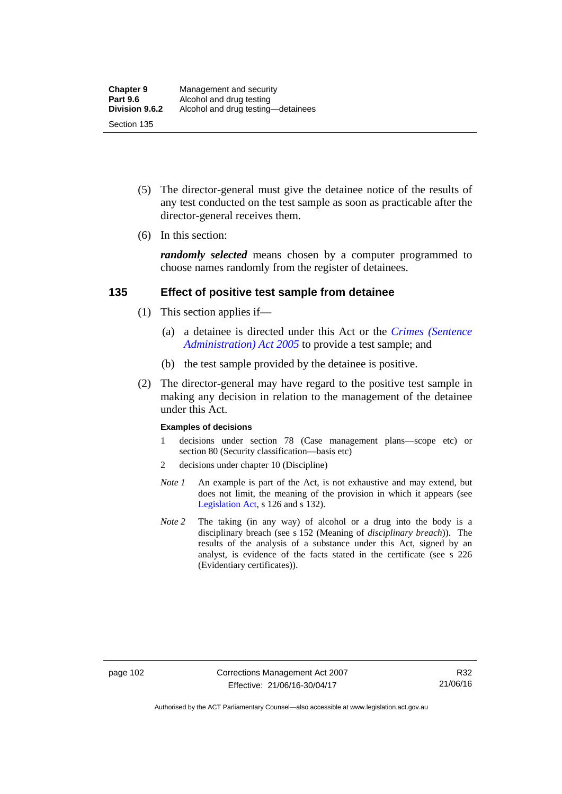- (5) The director-general must give the detainee notice of the results of any test conducted on the test sample as soon as practicable after the director-general receives them.
- (6) In this section:

*randomly selected* means chosen by a computer programmed to choose names randomly from the register of detainees.

### **135 Effect of positive test sample from detainee**

- (1) This section applies if—
	- (a) a detainee is directed under this Act or the *[Crimes \(Sentence](http://www.legislation.act.gov.au/a/2005-59)  [Administration\) Act 2005](http://www.legislation.act.gov.au/a/2005-59)* to provide a test sample; and
	- (b) the test sample provided by the detainee is positive.
- (2) The director-general may have regard to the positive test sample in making any decision in relation to the management of the detainee under this Act.

#### **Examples of decisions**

- 1 decisions under section 78 (Case management plans—scope etc) or section 80 (Security classification—basis etc)
- 2 decisions under chapter 10 (Discipline)
- *Note 1* An example is part of the Act, is not exhaustive and may extend, but does not limit, the meaning of the provision in which it appears (see [Legislation Act,](http://www.legislation.act.gov.au/a/2001-14) s 126 and s 132).
- *Note* 2 The taking (in any way) of alcohol or a drug into the body is a disciplinary breach (see s 152 (Meaning of *disciplinary breach*)). The results of the analysis of a substance under this Act, signed by an analyst, is evidence of the facts stated in the certificate (see s 226 (Evidentiary certificates)).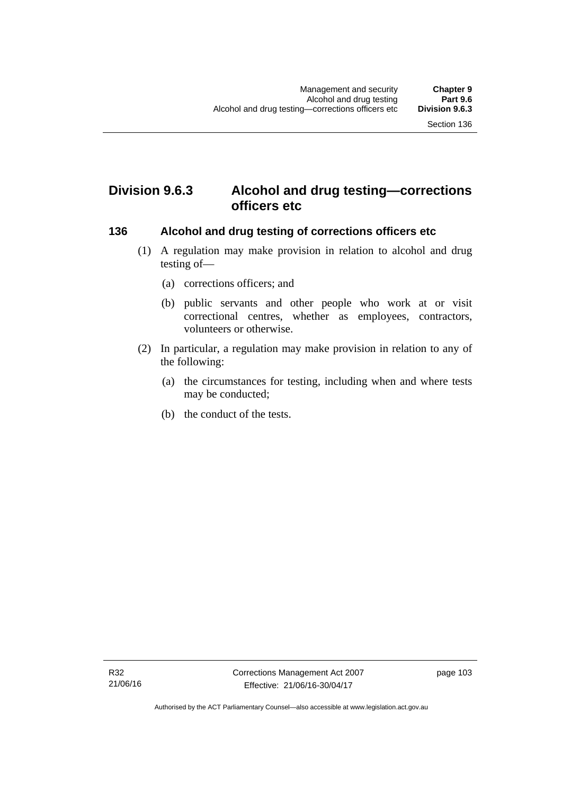# **Division 9.6.3 Alcohol and drug testing—corrections officers etc**

#### **136 Alcohol and drug testing of corrections officers etc**

- (1) A regulation may make provision in relation to alcohol and drug testing of—
	- (a) corrections officers; and
	- (b) public servants and other people who work at or visit correctional centres, whether as employees, contractors, volunteers or otherwise.
- (2) In particular, a regulation may make provision in relation to any of the following:
	- (a) the circumstances for testing, including when and where tests may be conducted;
	- (b) the conduct of the tests.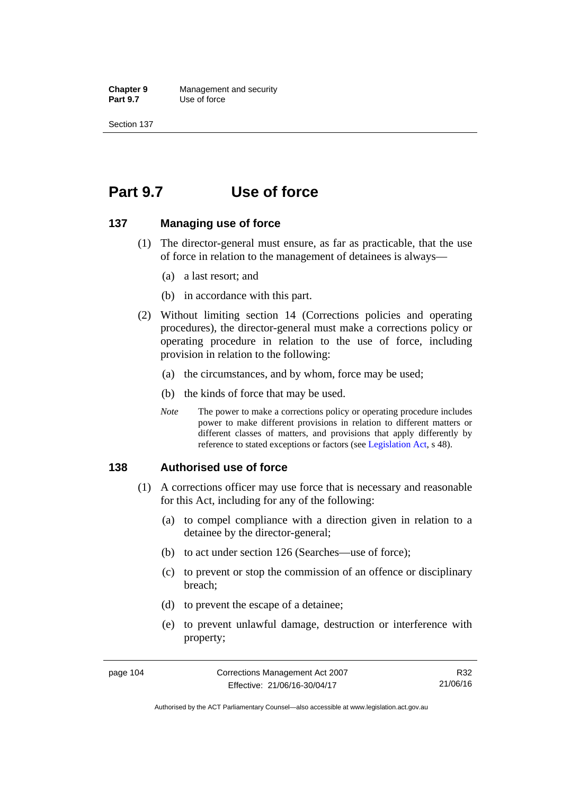**Chapter 9** Management and security<br>**Part 9.7** Use of force **Use of force** 

Section 137

# **Part 9.7 Use of force**

#### **137 Managing use of force**

- (1) The director-general must ensure, as far as practicable, that the use of force in relation to the management of detainees is always—
	- (a) a last resort; and
	- (b) in accordance with this part.
- (2) Without limiting section 14 (Corrections policies and operating procedures), the director-general must make a corrections policy or operating procedure in relation to the use of force, including provision in relation to the following:
	- (a) the circumstances, and by whom, force may be used;
	- (b) the kinds of force that may be used.
	- *Note* The power to make a corrections policy or operating procedure includes power to make different provisions in relation to different matters or different classes of matters, and provisions that apply differently by reference to stated exceptions or factors (see [Legislation Act](http://www.legislation.act.gov.au/a/2001-14), s 48).

#### **138 Authorised use of force**

- (1) A corrections officer may use force that is necessary and reasonable for this Act, including for any of the following:
	- (a) to compel compliance with a direction given in relation to a detainee by the director-general;
	- (b) to act under section 126 (Searches—use of force);
	- (c) to prevent or stop the commission of an offence or disciplinary breach;
	- (d) to prevent the escape of a detainee;
	- (e) to prevent unlawful damage, destruction or interference with property;

R32 21/06/16

Authorised by the ACT Parliamentary Counsel—also accessible at www.legislation.act.gov.au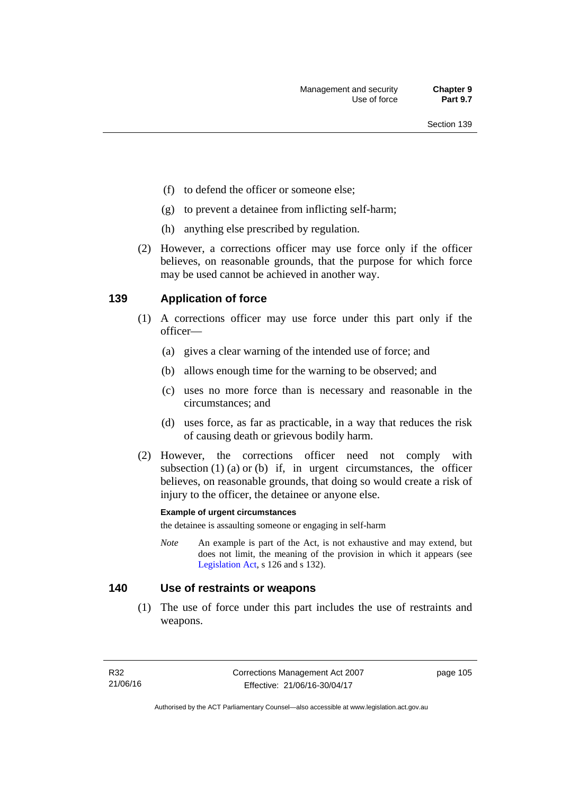- (f) to defend the officer or someone else;
- (g) to prevent a detainee from inflicting self-harm;
- (h) anything else prescribed by regulation.
- (2) However, a corrections officer may use force only if the officer believes, on reasonable grounds, that the purpose for which force may be used cannot be achieved in another way.

### **139 Application of force**

- (1) A corrections officer may use force under this part only if the officer—
	- (a) gives a clear warning of the intended use of force; and
	- (b) allows enough time for the warning to be observed; and
	- (c) uses no more force than is necessary and reasonable in the circumstances; and
	- (d) uses force, as far as practicable, in a way that reduces the risk of causing death or grievous bodily harm.
- (2) However, the corrections officer need not comply with subsection  $(1)$   $(a)$  or  $(b)$  if, in urgent circumstances, the officer believes, on reasonable grounds, that doing so would create a risk of injury to the officer, the detainee or anyone else.

#### **Example of urgent circumstances**

the detainee is assaulting someone or engaging in self-harm

*Note* An example is part of the Act, is not exhaustive and may extend, but does not limit, the meaning of the provision in which it appears (see [Legislation Act,](http://www.legislation.act.gov.au/a/2001-14) s 126 and s 132).

### **140 Use of restraints or weapons**

 (1) The use of force under this part includes the use of restraints and weapons.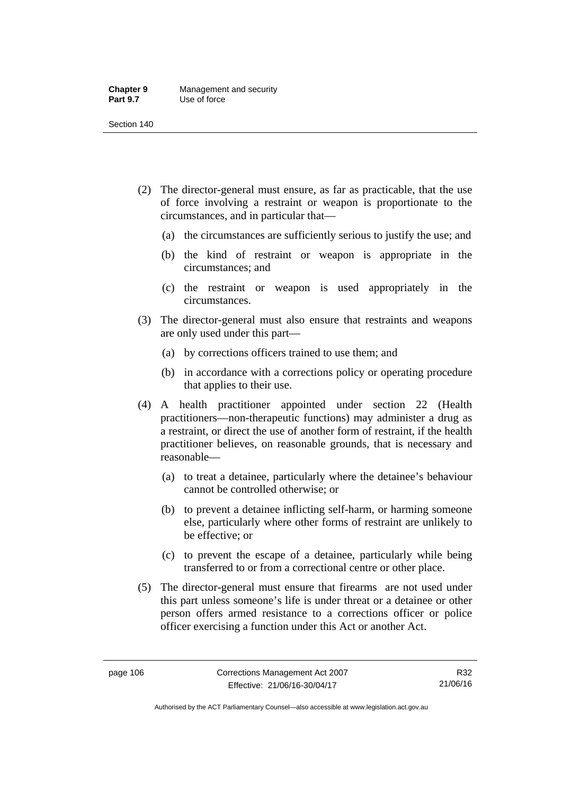#### **Chapter 9** Management and security<br>**Part 9.7** Use of force **Use of force**

Section 140

- (2) The director-general must ensure, as far as practicable, that the use of force involving a restraint or weapon is proportionate to the circumstances, and in particular that—
	- (a) the circumstances are sufficiently serious to justify the use; and
	- (b) the kind of restraint or weapon is appropriate in the circumstances; and
	- (c) the restraint or weapon is used appropriately in the circumstances.
- (3) The director-general must also ensure that restraints and weapons are only used under this part—
	- (a) by corrections officers trained to use them; and
	- (b) in accordance with a corrections policy or operating procedure that applies to their use.
- (4) A health practitioner appointed under section 22 (Health practitioners—non-therapeutic functions) may administer a drug as a restraint, or direct the use of another form of restraint, if the health practitioner believes, on reasonable grounds, that is necessary and reasonable—
	- (a) to treat a detainee, particularly where the detainee's behaviour cannot be controlled otherwise; or
	- (b) to prevent a detainee inflicting self-harm, or harming someone else, particularly where other forms of restraint are unlikely to be effective; or
	- (c) to prevent the escape of a detainee, particularly while being transferred to or from a correctional centre or other place.
- (5) The director-general must ensure that firearms are not used under this part unless someone's life is under threat or a detainee or other person offers armed resistance to a corrections officer or police officer exercising a function under this Act or another Act.

R32 21/06/16

Authorised by the ACT Parliamentary Counsel—also accessible at www.legislation.act.gov.au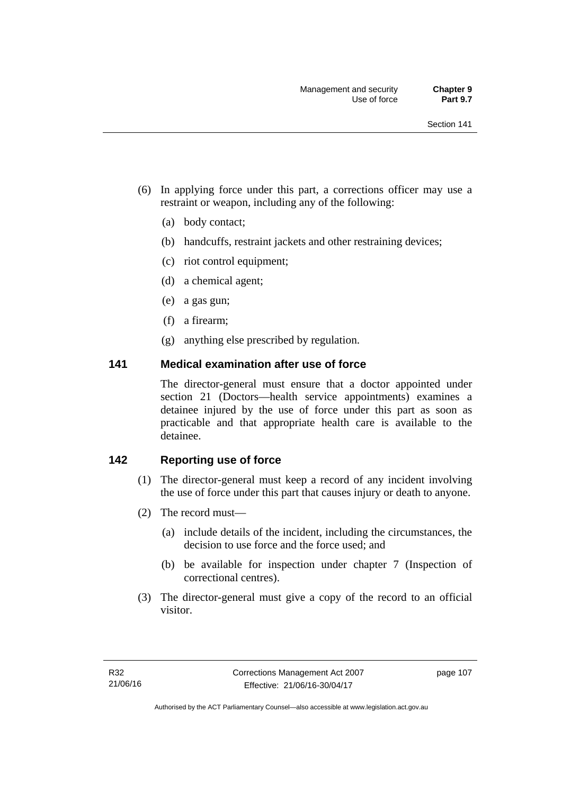- (6) In applying force under this part, a corrections officer may use a restraint or weapon, including any of the following:
	- (a) body contact;
	- (b) handcuffs, restraint jackets and other restraining devices;
	- (c) riot control equipment;
	- (d) a chemical agent;
	- (e) a gas gun;
	- (f) a firearm;
	- (g) anything else prescribed by regulation.

#### **141 Medical examination after use of force**

The director-general must ensure that a doctor appointed under section 21 (Doctors—health service appointments) examines a detainee injured by the use of force under this part as soon as practicable and that appropriate health care is available to the detainee.

## **142 Reporting use of force**

- (1) The director-general must keep a record of any incident involving the use of force under this part that causes injury or death to anyone.
- (2) The record must—
	- (a) include details of the incident, including the circumstances, the decision to use force and the force used; and
	- (b) be available for inspection under chapter 7 (Inspection of correctional centres).
- (3) The director-general must give a copy of the record to an official visitor.

page 107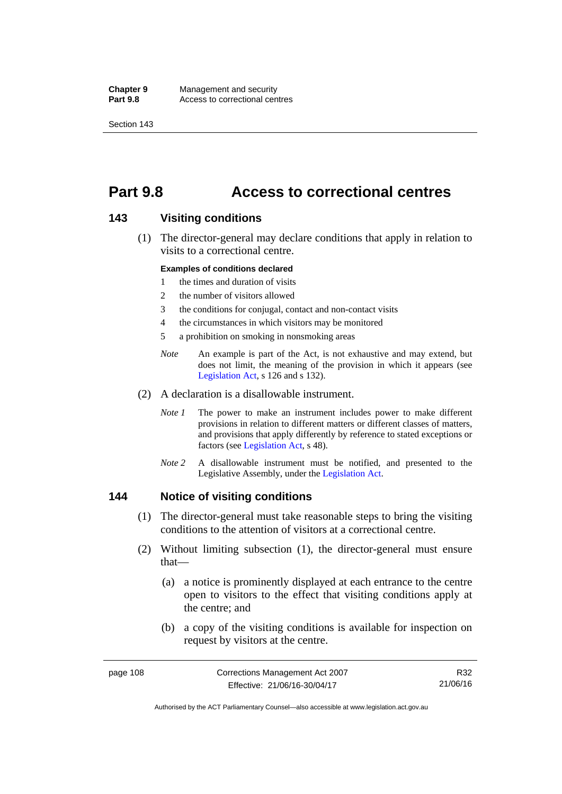**Chapter 9** Management and security<br>**Part 9.8** Access to correctional cen Access to correctional centres

Section 143

# **Part 9.8 Access to correctional centres**

#### **143 Visiting conditions**

 (1) The director-general may declare conditions that apply in relation to visits to a correctional centre.

#### **Examples of conditions declared**

- 1 the times and duration of visits
- 2 the number of visitors allowed
- 3 the conditions for conjugal, contact and non-contact visits
- 4 the circumstances in which visitors may be monitored
- 5 a prohibition on smoking in nonsmoking areas
- *Note* An example is part of the Act, is not exhaustive and may extend, but does not limit, the meaning of the provision in which it appears (see [Legislation Act,](http://www.legislation.act.gov.au/a/2001-14) s 126 and s 132).
- (2) A declaration is a disallowable instrument.
	- *Note I* The power to make an instrument includes power to make different provisions in relation to different matters or different classes of matters, and provisions that apply differently by reference to stated exceptions or factors (see [Legislation Act](http://www.legislation.act.gov.au/a/2001-14), s 48).
	- *Note 2* A disallowable instrument must be notified, and presented to the Legislative Assembly, under the [Legislation Act.](http://www.legislation.act.gov.au/a/2001-14)

#### **144 Notice of visiting conditions**

- (1) The director-general must take reasonable steps to bring the visiting conditions to the attention of visitors at a correctional centre.
- (2) Without limiting subsection (1), the director-general must ensure that—
	- (a) a notice is prominently displayed at each entrance to the centre open to visitors to the effect that visiting conditions apply at the centre; and
	- (b) a copy of the visiting conditions is available for inspection on request by visitors at the centre.

R32 21/06/16

Authorised by the ACT Parliamentary Counsel—also accessible at www.legislation.act.gov.au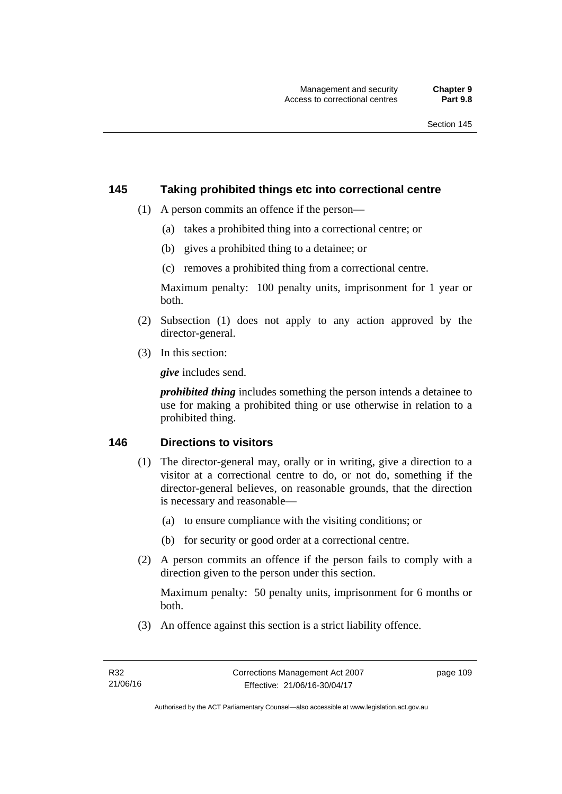#### **145 Taking prohibited things etc into correctional centre**

- (1) A person commits an offence if the person—
	- (a) takes a prohibited thing into a correctional centre; or
	- (b) gives a prohibited thing to a detainee; or
	- (c) removes a prohibited thing from a correctional centre.

Maximum penalty: 100 penalty units, imprisonment for 1 year or both.

- (2) Subsection (1) does not apply to any action approved by the director-general.
- (3) In this section:

*give* includes send.

*prohibited thing* includes something the person intends a detainee to use for making a prohibited thing or use otherwise in relation to a prohibited thing.

### **146 Directions to visitors**

- (1) The director-general may, orally or in writing, give a direction to a visitor at a correctional centre to do, or not do, something if the director-general believes, on reasonable grounds, that the direction is necessary and reasonable—
	- (a) to ensure compliance with the visiting conditions; or
	- (b) for security or good order at a correctional centre.
- (2) A person commits an offence if the person fails to comply with a direction given to the person under this section.

Maximum penalty: 50 penalty units, imprisonment for 6 months or both.

(3) An offence against this section is a strict liability offence.

page 109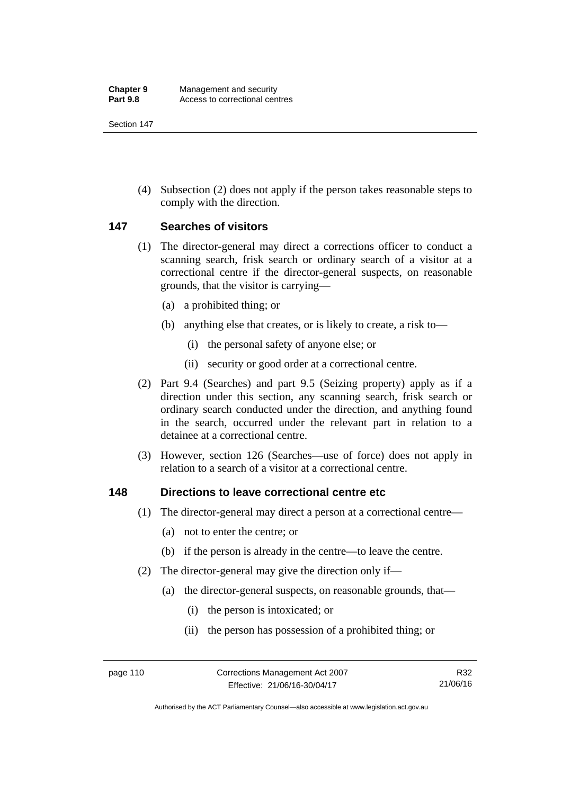Section 147

 (4) Subsection (2) does not apply if the person takes reasonable steps to comply with the direction.

### **147 Searches of visitors**

- (1) The director-general may direct a corrections officer to conduct a scanning search, frisk search or ordinary search of a visitor at a correctional centre if the director-general suspects, on reasonable grounds, that the visitor is carrying—
	- (a) a prohibited thing; or
	- (b) anything else that creates, or is likely to create, a risk to—
		- (i) the personal safety of anyone else; or
		- (ii) security or good order at a correctional centre.
- (2) Part 9.4 (Searches) and part 9.5 (Seizing property) apply as if a direction under this section, any scanning search, frisk search or ordinary search conducted under the direction, and anything found in the search, occurred under the relevant part in relation to a detainee at a correctional centre.
- (3) However, section 126 (Searches—use of force) does not apply in relation to a search of a visitor at a correctional centre.

#### **148 Directions to leave correctional centre etc**

- (1) The director-general may direct a person at a correctional centre—
	- (a) not to enter the centre; or
	- (b) if the person is already in the centre—to leave the centre.
- (2) The director-general may give the direction only if—
	- (a) the director-general suspects, on reasonable grounds, that—
		- (i) the person is intoxicated; or
		- (ii) the person has possession of a prohibited thing; or

Authorised by the ACT Parliamentary Counsel—also accessible at www.legislation.act.gov.au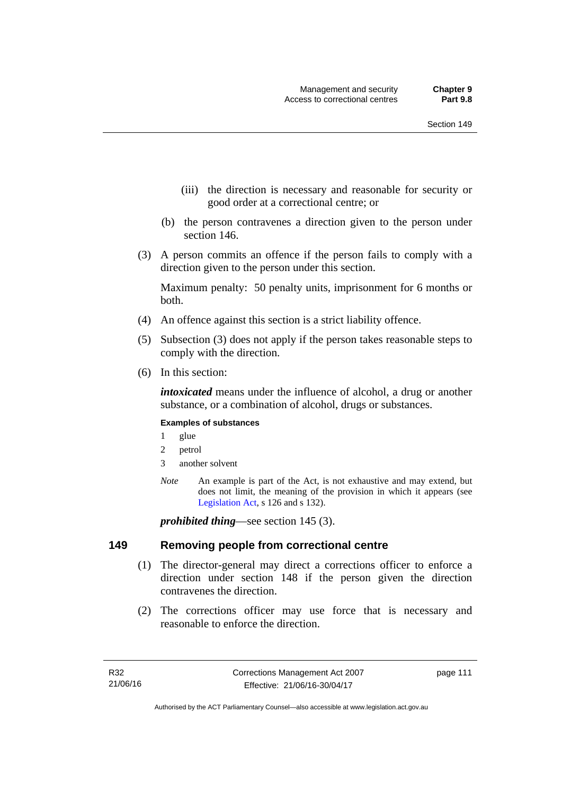- (iii) the direction is necessary and reasonable for security or good order at a correctional centre; or
- (b) the person contravenes a direction given to the person under section 146.
- (3) A person commits an offence if the person fails to comply with a direction given to the person under this section.

Maximum penalty: 50 penalty units, imprisonment for 6 months or both.

- (4) An offence against this section is a strict liability offence.
- (5) Subsection (3) does not apply if the person takes reasonable steps to comply with the direction.
- (6) In this section:

*intoxicated* means under the influence of alcohol, a drug or another substance, or a combination of alcohol, drugs or substances.

#### **Examples of substances**

- 1 glue
- 2 petrol
- 3 another solvent
- *Note* An example is part of the Act, is not exhaustive and may extend, but does not limit, the meaning of the provision in which it appears (see [Legislation Act,](http://www.legislation.act.gov.au/a/2001-14) s 126 and s 132).

*prohibited thing*—see section 145 (3).

#### **149 Removing people from correctional centre**

- (1) The director-general may direct a corrections officer to enforce a direction under section 148 if the person given the direction contravenes the direction.
- (2) The corrections officer may use force that is necessary and reasonable to enforce the direction.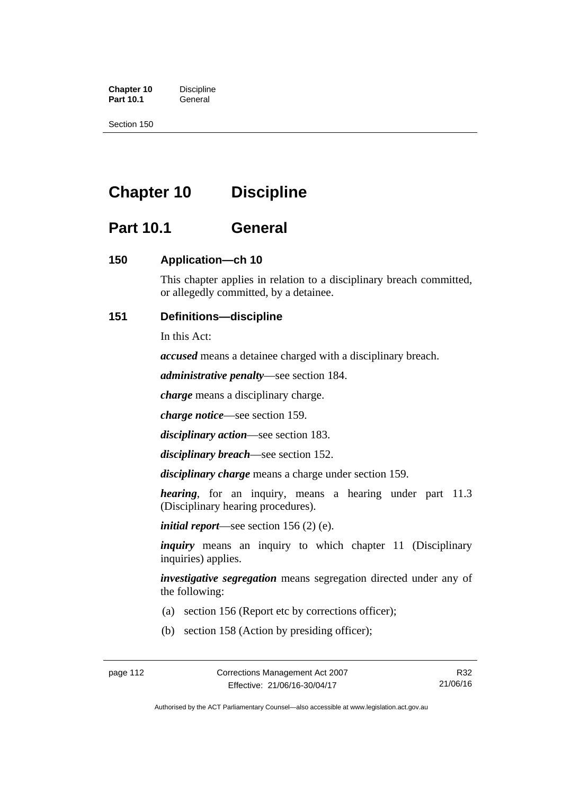**Chapter 10** Discipline<br>**Part 10.1** General **Part 10.1** 

Section 150

# **Chapter 10 Discipline**

# **Part 10.1 General**

## **150 Application—ch 10**

This chapter applies in relation to a disciplinary breach committed, or allegedly committed, by a detainee.

## **151 Definitions—discipline**

In this Act:

*accused* means a detainee charged with a disciplinary breach.

*administrative penalty*—see section 184.

*charge* means a disciplinary charge.

*charge notice*—see section 159.

*disciplinary action*—see section 183.

*disciplinary breach*—see section 152.

*disciplinary charge* means a charge under section 159.

*hearing*, for an inquiry, means a hearing under part 11.3 (Disciplinary hearing procedures).

*initial report*—see section 156 (2) (e).

*inquiry* means an inquiry to which chapter 11 (Disciplinary inquiries) applies.

*investigative segregation* means segregation directed under any of the following:

- (a) section 156 (Report etc by corrections officer);
- (b) section 158 (Action by presiding officer);

Authorised by the ACT Parliamentary Counsel—also accessible at www.legislation.act.gov.au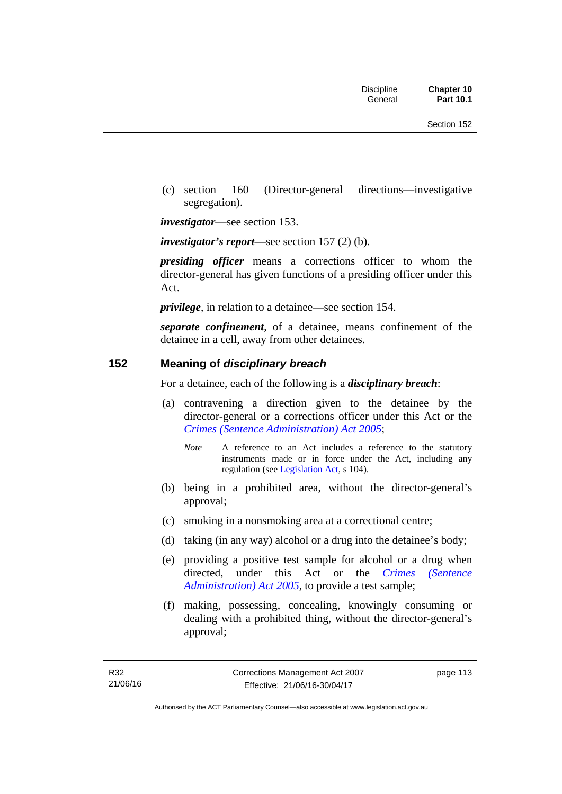(c) section 160 (Director-general directions—investigative segregation).

*investigator*—see section 153.

*investigator's report*—see section 157 (2) (b).

*presiding officer* means a corrections officer to whom the director-general has given functions of a presiding officer under this Act.

*privilege*, in relation to a detainee—see section 154.

*separate confinement*, of a detainee, means confinement of the detainee in a cell, away from other detainees.

#### **152 Meaning of** *disciplinary breach*

For a detainee, each of the following is a *disciplinary breach*:

- (a) contravening a direction given to the detainee by the director-general or a corrections officer under this Act or the *[Crimes \(Sentence Administration\) Act 2005](http://www.legislation.act.gov.au/a/2005-59)*;
	- *Note* A reference to an Act includes a reference to the statutory instruments made or in force under the Act, including any regulation (see [Legislation Act,](http://www.legislation.act.gov.au/a/2001-14) s 104).
- (b) being in a prohibited area, without the director-general's approval;
- (c) smoking in a nonsmoking area at a correctional centre;
- (d) taking (in any way) alcohol or a drug into the detainee's body;
- (e) providing a positive test sample for alcohol or a drug when directed, under this Act or the *[Crimes \(Sentence](http://www.legislation.act.gov.au/a/2005-59)  [Administration\) Act 2005](http://www.legislation.act.gov.au/a/2005-59)*, to provide a test sample;
- (f) making, possessing, concealing, knowingly consuming or dealing with a prohibited thing, without the director-general's approval;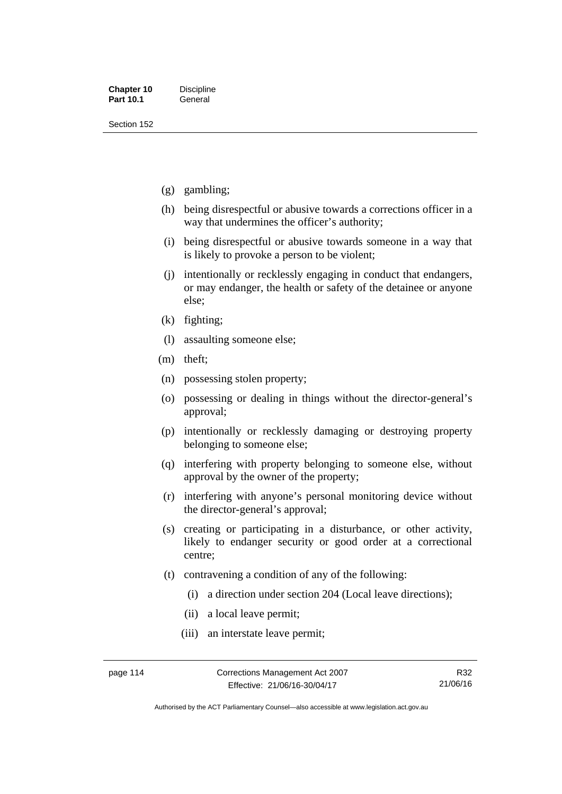Section 152

- (g) gambling;
- (h) being disrespectful or abusive towards a corrections officer in a way that undermines the officer's authority;
- (i) being disrespectful or abusive towards someone in a way that is likely to provoke a person to be violent;
- (j) intentionally or recklessly engaging in conduct that endangers, or may endanger, the health or safety of the detainee or anyone else;
- (k) fighting;
- (l) assaulting someone else;
- (m) theft;
- (n) possessing stolen property;
- (o) possessing or dealing in things without the director-general's approval;
- (p) intentionally or recklessly damaging or destroying property belonging to someone else;
- (q) interfering with property belonging to someone else, without approval by the owner of the property;
- (r) interfering with anyone's personal monitoring device without the director-general's approval;
- (s) creating or participating in a disturbance, or other activity, likely to endanger security or good order at a correctional centre;
- (t) contravening a condition of any of the following:
	- (i) a direction under section 204 (Local leave directions);
	- (ii) a local leave permit;
	- (iii) an interstate leave permit;

Authorised by the ACT Parliamentary Counsel—also accessible at www.legislation.act.gov.au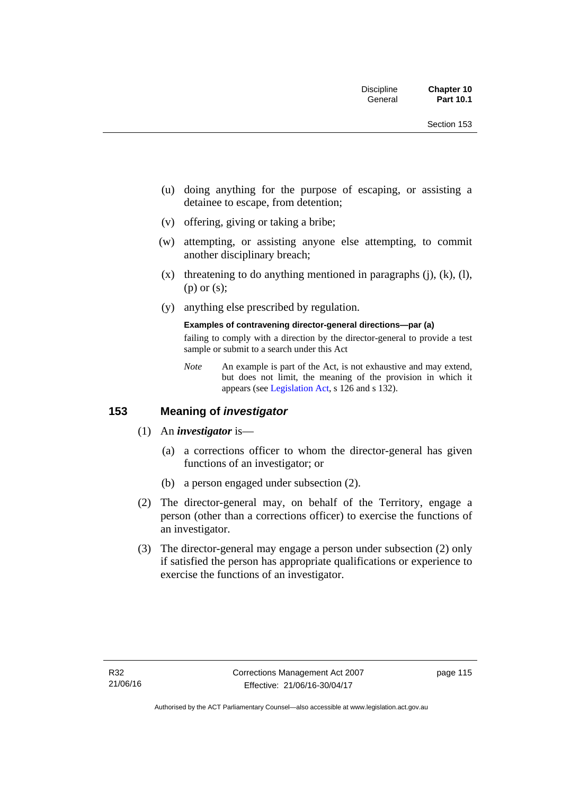- (u) doing anything for the purpose of escaping, or assisting a detainee to escape, from detention;
- (v) offering, giving or taking a bribe;
- (w) attempting, or assisting anyone else attempting, to commit another disciplinary breach;
- $(x)$  threatening to do anything mentioned in paragraphs  $(i)$ ,  $(k)$ ,  $(l)$ , (p) or (s);
- (y) anything else prescribed by regulation.

#### **Examples of contravening director-general directions—par (a)**

failing to comply with a direction by the director-general to provide a test sample or submit to a search under this Act

*Note* An example is part of the Act, is not exhaustive and may extend, but does not limit, the meaning of the provision in which it appears (see [Legislation Act,](http://www.legislation.act.gov.au/a/2001-14) s 126 and s 132).

## **153 Meaning of** *investigator*

- (1) An *investigator* is—
	- (a) a corrections officer to whom the director-general has given functions of an investigator; or
	- (b) a person engaged under subsection (2).
- (2) The director-general may, on behalf of the Territory, engage a person (other than a corrections officer) to exercise the functions of an investigator.
- (3) The director-general may engage a person under subsection (2) only if satisfied the person has appropriate qualifications or experience to exercise the functions of an investigator.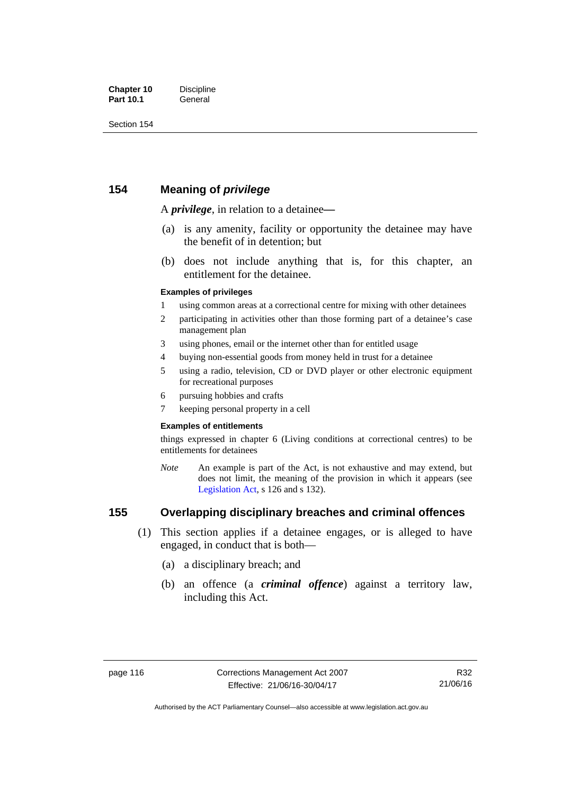## **154 Meaning of** *privilege*

A *privilege*, in relation to a detainee*—*

- (a) is any amenity, facility or opportunity the detainee may have the benefit of in detention; but
- (b) does not include anything that is, for this chapter, an entitlement for the detainee.

#### **Examples of privileges**

- 1 using common areas at a correctional centre for mixing with other detainees
- 2 participating in activities other than those forming part of a detainee's case management plan
- 3 using phones, email or the internet other than for entitled usage
- 4 buying non-essential goods from money held in trust for a detainee
- 5 using a radio, television, CD or DVD player or other electronic equipment for recreational purposes
- 6 pursuing hobbies and crafts
- 7 keeping personal property in a cell

#### **Examples of entitlements**

things expressed in chapter 6 (Living conditions at correctional centres) to be entitlements for detainees

*Note* An example is part of the Act, is not exhaustive and may extend, but does not limit, the meaning of the provision in which it appears (see [Legislation Act,](http://www.legislation.act.gov.au/a/2001-14) s 126 and s 132).

## **155 Overlapping disciplinary breaches and criminal offences**

- (1) This section applies if a detainee engages, or is alleged to have engaged, in conduct that is both—
	- (a) a disciplinary breach; and
	- (b) an offence (a *criminal offence*) against a territory law, including this Act.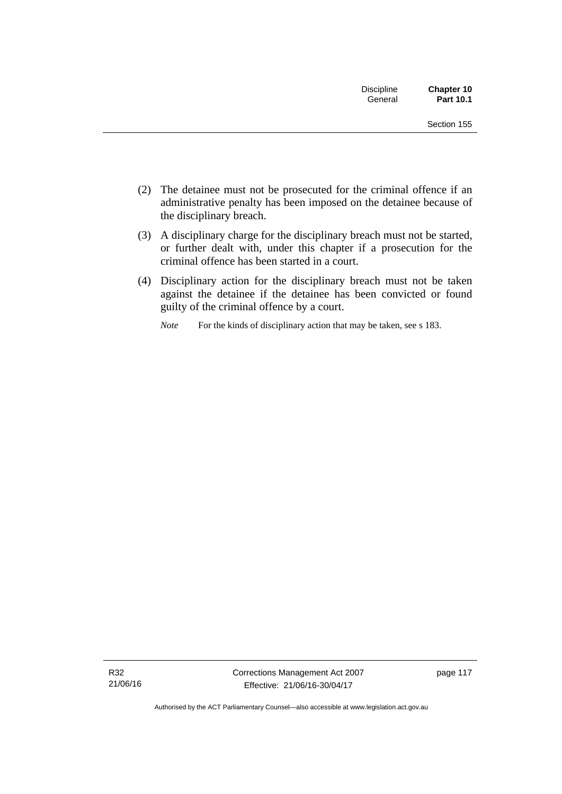| <b>Discipline</b><br>General | Chapter 10<br>Part 10.1 |
|------------------------------|-------------------------|
|                              | Section 155             |

- (2) The detainee must not be prosecuted for the criminal offence if an administrative penalty has been imposed on the detainee because of the disciplinary breach.
- (3) A disciplinary charge for the disciplinary breach must not be started, or further dealt with, under this chapter if a prosecution for the criminal offence has been started in a court.
- (4) Disciplinary action for the disciplinary breach must not be taken against the detainee if the detainee has been convicted or found guilty of the criminal offence by a court.

*Note* For the kinds of disciplinary action that may be taken, see s 183.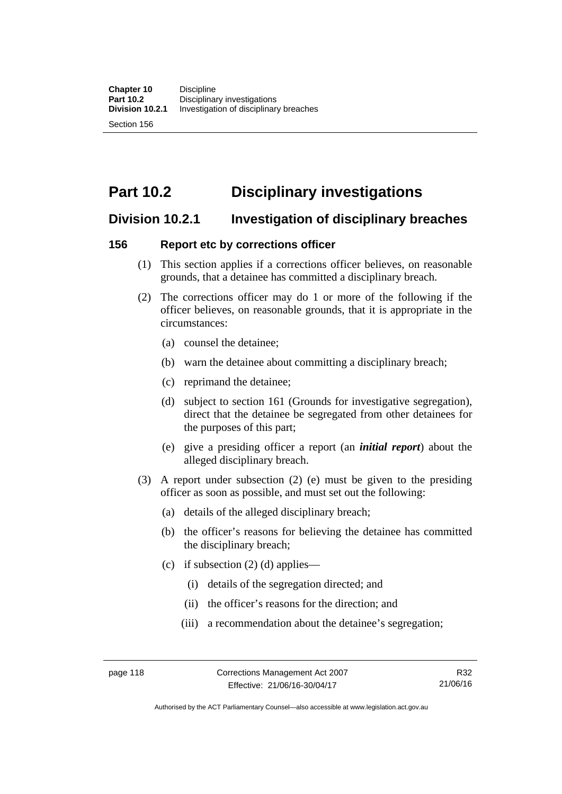Section 156

# **Part 10.2 Disciplinary investigations**

## **Division 10.2.1 Investigation of disciplinary breaches**

## **156 Report etc by corrections officer**

- (1) This section applies if a corrections officer believes, on reasonable grounds, that a detainee has committed a disciplinary breach.
- (2) The corrections officer may do 1 or more of the following if the officer believes, on reasonable grounds, that it is appropriate in the circumstances:
	- (a) counsel the detainee;
	- (b) warn the detainee about committing a disciplinary breach;
	- (c) reprimand the detainee;
	- (d) subject to section 161 (Grounds for investigative segregation), direct that the detainee be segregated from other detainees for the purposes of this part;
	- (e) give a presiding officer a report (an *initial report*) about the alleged disciplinary breach.
- (3) A report under subsection (2) (e) must be given to the presiding officer as soon as possible, and must set out the following:
	- (a) details of the alleged disciplinary breach;
	- (b) the officer's reasons for believing the detainee has committed the disciplinary breach;
	- (c) if subsection  $(2)$  (d) applies—
		- (i) details of the segregation directed; and
		- (ii) the officer's reasons for the direction; and
		- (iii) a recommendation about the detainee's segregation;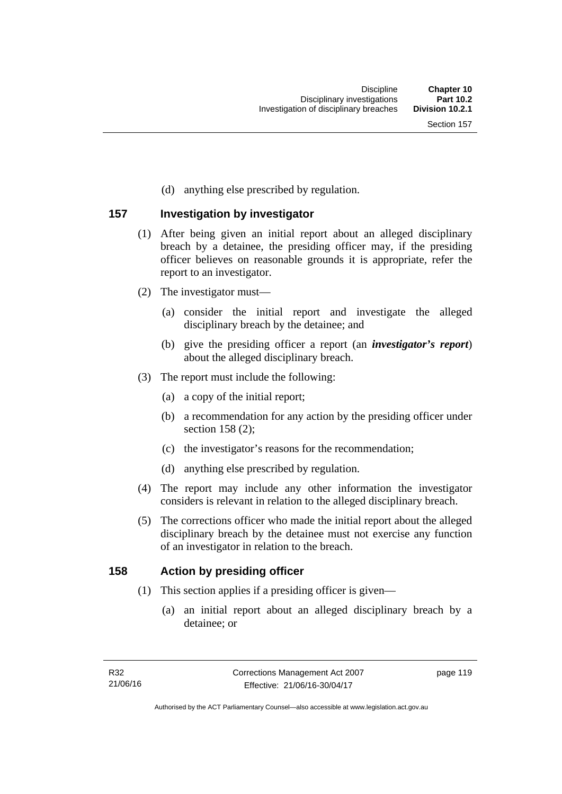(d) anything else prescribed by regulation.

## **157 Investigation by investigator**

- (1) After being given an initial report about an alleged disciplinary breach by a detainee, the presiding officer may, if the presiding officer believes on reasonable grounds it is appropriate, refer the report to an investigator.
- (2) The investigator must—
	- (a) consider the initial report and investigate the alleged disciplinary breach by the detainee; and
	- (b) give the presiding officer a report (an *investigator's report*) about the alleged disciplinary breach.
- (3) The report must include the following:
	- (a) a copy of the initial report;
	- (b) a recommendation for any action by the presiding officer under section 158 (2):
	- (c) the investigator's reasons for the recommendation;
	- (d) anything else prescribed by regulation.
- (4) The report may include any other information the investigator considers is relevant in relation to the alleged disciplinary breach.
- (5) The corrections officer who made the initial report about the alleged disciplinary breach by the detainee must not exercise any function of an investigator in relation to the breach.

### **158 Action by presiding officer**

- (1) This section applies if a presiding officer is given—
	- (a) an initial report about an alleged disciplinary breach by a detainee; or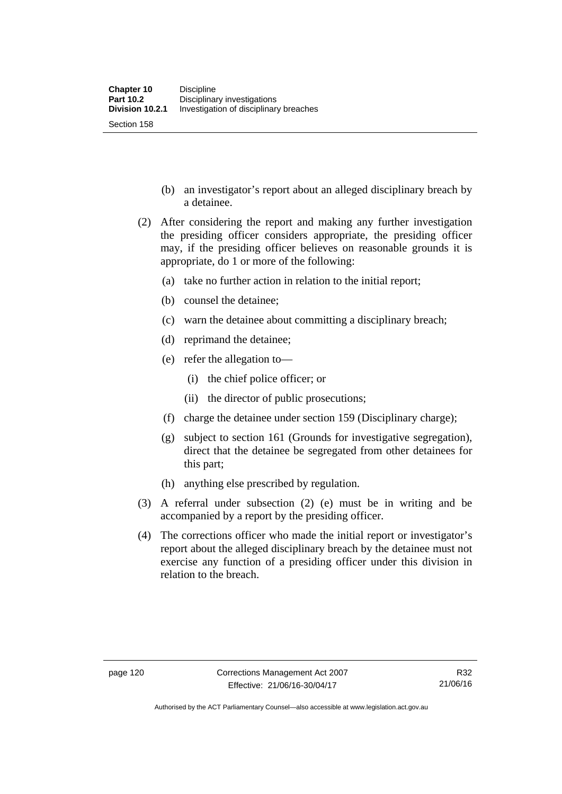- (b) an investigator's report about an alleged disciplinary breach by a detainee.
- (2) After considering the report and making any further investigation the presiding officer considers appropriate, the presiding officer may, if the presiding officer believes on reasonable grounds it is appropriate, do 1 or more of the following:
	- (a) take no further action in relation to the initial report;
	- (b) counsel the detainee;
	- (c) warn the detainee about committing a disciplinary breach;
	- (d) reprimand the detainee;
	- (e) refer the allegation to—
		- (i) the chief police officer; or
		- (ii) the director of public prosecutions;
	- (f) charge the detainee under section 159 (Disciplinary charge);
	- (g) subject to section 161 (Grounds for investigative segregation), direct that the detainee be segregated from other detainees for this part;
	- (h) anything else prescribed by regulation.
- (3) A referral under subsection (2) (e) must be in writing and be accompanied by a report by the presiding officer.
- (4) The corrections officer who made the initial report or investigator's report about the alleged disciplinary breach by the detainee must not exercise any function of a presiding officer under this division in relation to the breach.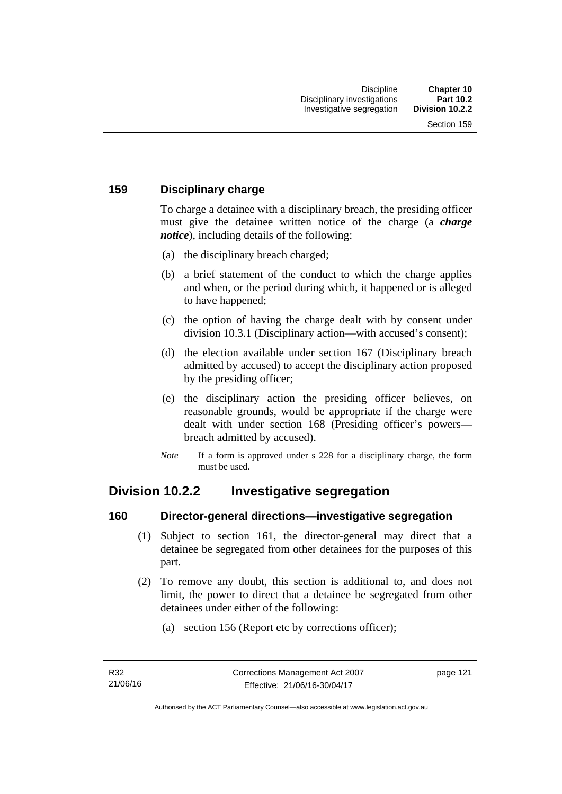## **159 Disciplinary charge**

To charge a detainee with a disciplinary breach, the presiding officer must give the detainee written notice of the charge (a *charge notice*), including details of the following:

- (a) the disciplinary breach charged;
- (b) a brief statement of the conduct to which the charge applies and when, or the period during which, it happened or is alleged to have happened;
- (c) the option of having the charge dealt with by consent under division 10.3.1 (Disciplinary action—with accused's consent);
- (d) the election available under section 167 (Disciplinary breach admitted by accused) to accept the disciplinary action proposed by the presiding officer;
- (e) the disciplinary action the presiding officer believes, on reasonable grounds, would be appropriate if the charge were dealt with under section 168 (Presiding officer's powers breach admitted by accused).
- *Note* If a form is approved under s 228 for a disciplinary charge, the form must be used.

# **Division 10.2.2 Investigative segregation**

### **160 Director-general directions—investigative segregation**

- (1) Subject to section 161, the director-general may direct that a detainee be segregated from other detainees for the purposes of this part.
- (2) To remove any doubt, this section is additional to, and does not limit, the power to direct that a detainee be segregated from other detainees under either of the following:
	- (a) section 156 (Report etc by corrections officer);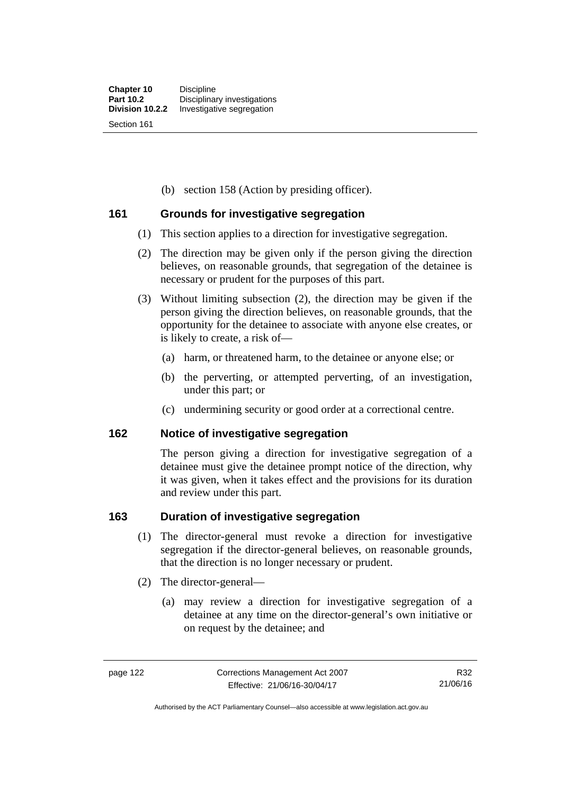(b) section 158 (Action by presiding officer).

### **161 Grounds for investigative segregation**

- (1) This section applies to a direction for investigative segregation.
- (2) The direction may be given only if the person giving the direction believes, on reasonable grounds, that segregation of the detainee is necessary or prudent for the purposes of this part.
- (3) Without limiting subsection (2), the direction may be given if the person giving the direction believes, on reasonable grounds, that the opportunity for the detainee to associate with anyone else creates, or is likely to create, a risk of—
	- (a) harm, or threatened harm, to the detainee or anyone else; or
	- (b) the perverting, or attempted perverting, of an investigation, under this part; or
	- (c) undermining security or good order at a correctional centre.

### **162 Notice of investigative segregation**

The person giving a direction for investigative segregation of a detainee must give the detainee prompt notice of the direction, why it was given, when it takes effect and the provisions for its duration and review under this part.

### **163 Duration of investigative segregation**

- (1) The director-general must revoke a direction for investigative segregation if the director-general believes, on reasonable grounds, that the direction is no longer necessary or prudent.
- (2) The director-general—
	- (a) may review a direction for investigative segregation of a detainee at any time on the director-general's own initiative or on request by the detainee; and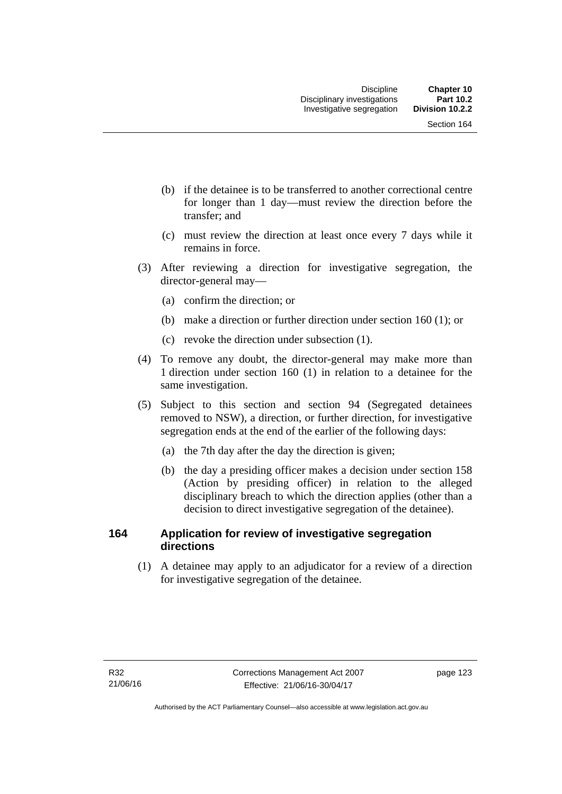- (b) if the detainee is to be transferred to another correctional centre for longer than 1 day—must review the direction before the transfer; and
- (c) must review the direction at least once every 7 days while it remains in force.
- (3) After reviewing a direction for investigative segregation, the director-general may—
	- (a) confirm the direction; or
	- (b) make a direction or further direction under section 160 (1); or
	- (c) revoke the direction under subsection (1).
- (4) To remove any doubt, the director-general may make more than 1 direction under section 160 (1) in relation to a detainee for the same investigation.
- (5) Subject to this section and section 94 (Segregated detainees removed to NSW), a direction, or further direction, for investigative segregation ends at the end of the earlier of the following days:
	- (a) the 7th day after the day the direction is given;
	- (b) the day a presiding officer makes a decision under section 158 (Action by presiding officer) in relation to the alleged disciplinary breach to which the direction applies (other than a decision to direct investigative segregation of the detainee).

## **164 Application for review of investigative segregation directions**

(1) A detainee may apply to an adjudicator for a review of a direction for investigative segregation of the detainee.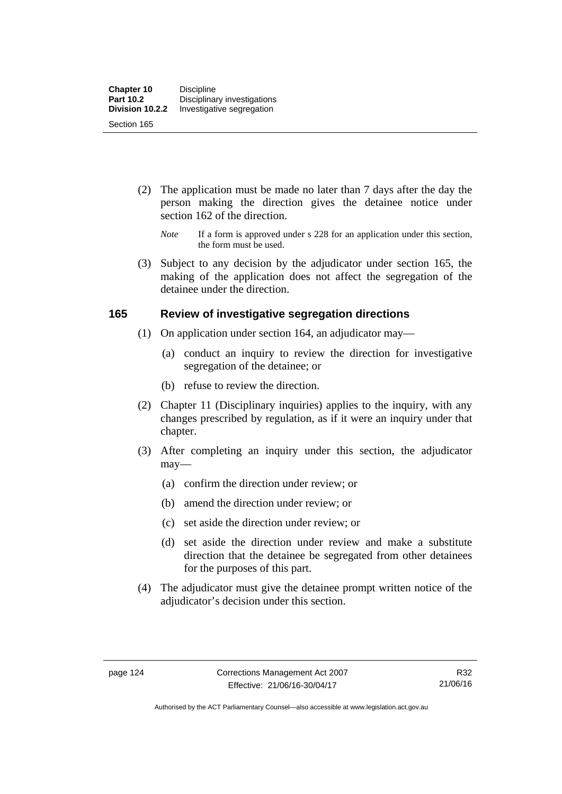- (2) The application must be made no later than 7 days after the day the person making the direction gives the detainee notice under section 162 of the direction.
	- *Note* If a form is approved under s 228 for an application under this section, the form must be used.
- (3) Subject to any decision by the adjudicator under section 165, the making of the application does not affect the segregation of the detainee under the direction.

### **165 Review of investigative segregation directions**

- (1) On application under section 164, an adjudicator may—
	- (a) conduct an inquiry to review the direction for investigative segregation of the detainee; or
	- (b) refuse to review the direction.
- (2) Chapter 11 (Disciplinary inquiries) applies to the inquiry, with any changes prescribed by regulation, as if it were an inquiry under that chapter.
- (3) After completing an inquiry under this section, the adjudicator may—
	- (a) confirm the direction under review; or
	- (b) amend the direction under review; or
	- (c) set aside the direction under review; or
	- (d) set aside the direction under review and make a substitute direction that the detainee be segregated from other detainees for the purposes of this part.
- (4) The adjudicator must give the detainee prompt written notice of the adjudicator's decision under this section.

Authorised by the ACT Parliamentary Counsel—also accessible at www.legislation.act.gov.au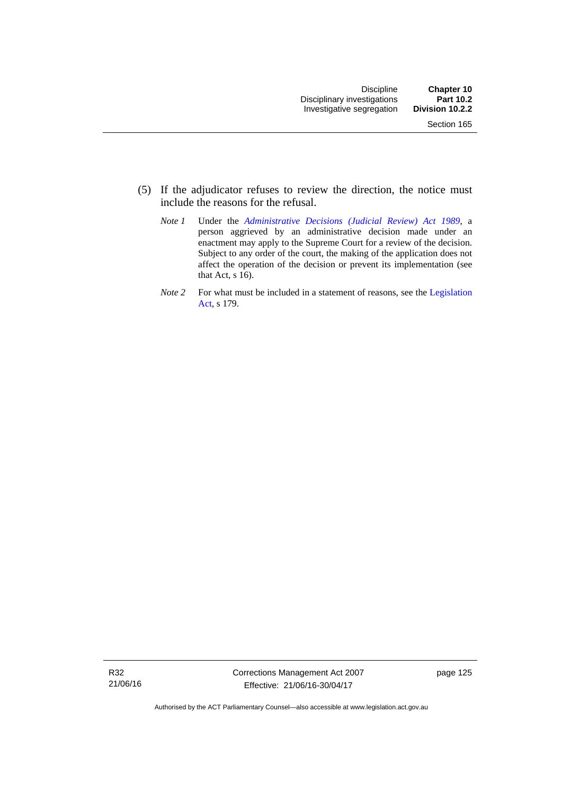- (5) If the adjudicator refuses to review the direction, the notice must include the reasons for the refusal.
	- *Note 1* Under the *[Administrative Decisions \(Judicial Review\) Act 1989](http://www.legislation.act.gov.au/a/alt_a1989-33co)*, a person aggrieved by an administrative decision made under an enactment may apply to the Supreme Court for a review of the decision. Subject to any order of the court, the making of the application does not affect the operation of the decision or prevent its implementation (see that Act, s 16).
	- *Note 2* For what must be included in a statement of reasons, see the Legislation [Act,](http://www.legislation.act.gov.au/a/2001-14) s 179.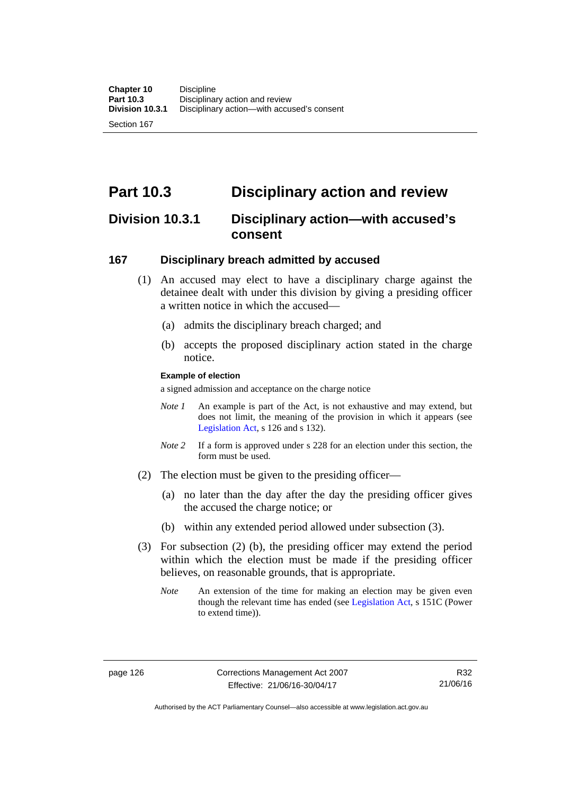Section 167

# **Part 10.3 Disciplinary action and review**

## **Division 10.3.1 Disciplinary action—with accused's consent**

### **167 Disciplinary breach admitted by accused**

- (1) An accused may elect to have a disciplinary charge against the detainee dealt with under this division by giving a presiding officer a written notice in which the accused-
	- (a) admits the disciplinary breach charged; and
	- (b) accepts the proposed disciplinary action stated in the charge notice.

#### **Example of election**

a signed admission and acceptance on the charge notice

- *Note 1* An example is part of the Act, is not exhaustive and may extend, but does not limit, the meaning of the provision in which it appears (see [Legislation Act,](http://www.legislation.act.gov.au/a/2001-14) s 126 and s 132).
- *Note* 2 If a form is approved under s 228 for an election under this section, the form must be used.
- (2) The election must be given to the presiding officer—
	- (a) no later than the day after the day the presiding officer gives the accused the charge notice; or
	- (b) within any extended period allowed under subsection (3).
- (3) For subsection (2) (b), the presiding officer may extend the period within which the election must be made if the presiding officer believes, on reasonable grounds, that is appropriate.
	- *Note* An extension of the time for making an election may be given even though the relevant time has ended (see [Legislation Act](http://www.legislation.act.gov.au/a/2001-14), s 151C (Power to extend time)).

Authorised by the ACT Parliamentary Counsel—also accessible at www.legislation.act.gov.au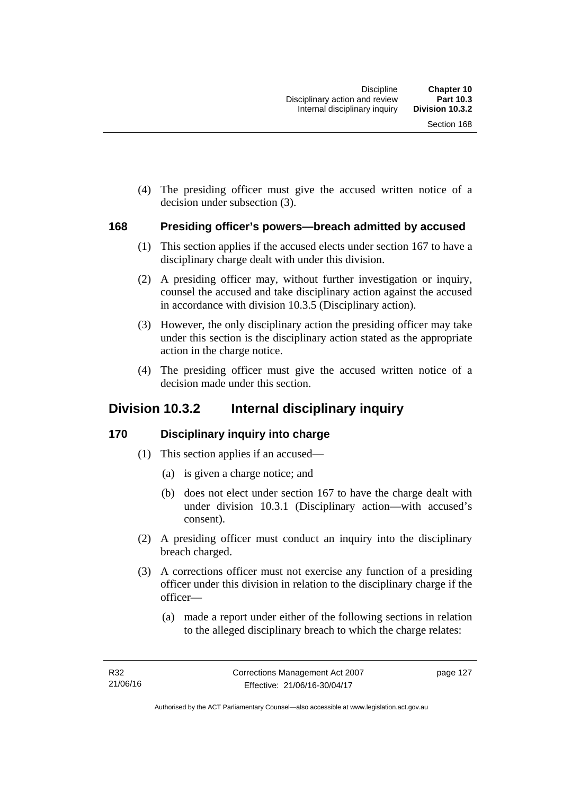(4) The presiding officer must give the accused written notice of a decision under subsection (3).

### **168 Presiding officer's powers—breach admitted by accused**

- (1) This section applies if the accused elects under section 167 to have a disciplinary charge dealt with under this division.
- (2) A presiding officer may, without further investigation or inquiry, counsel the accused and take disciplinary action against the accused in accordance with division 10.3.5 (Disciplinary action).
- (3) However, the only disciplinary action the presiding officer may take under this section is the disciplinary action stated as the appropriate action in the charge notice.
- (4) The presiding officer must give the accused written notice of a decision made under this section.

## **Division 10.3.2 Internal disciplinary inquiry**

## **170 Disciplinary inquiry into charge**

- (1) This section applies if an accused—
	- (a) is given a charge notice; and
	- (b) does not elect under section 167 to have the charge dealt with under division 10.3.1 (Disciplinary action—with accused's consent).
- (2) A presiding officer must conduct an inquiry into the disciplinary breach charged.
- (3) A corrections officer must not exercise any function of a presiding officer under this division in relation to the disciplinary charge if the officer—
	- (a) made a report under either of the following sections in relation to the alleged disciplinary breach to which the charge relates: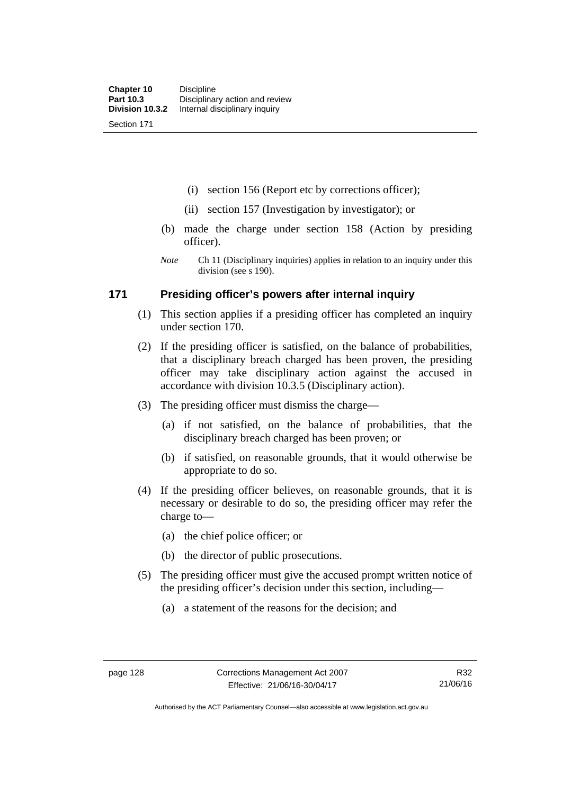Section 171

(i) section 156 (Report etc by corrections officer);

- (ii) section 157 (Investigation by investigator); or
- (b) made the charge under section 158 (Action by presiding officer).
- *Note* Ch 11 (Disciplinary inquiries) applies in relation to an inquiry under this division (see s 190).

### **171 Presiding officer's powers after internal inquiry**

- (1) This section applies if a presiding officer has completed an inquiry under section 170.
- (2) If the presiding officer is satisfied, on the balance of probabilities, that a disciplinary breach charged has been proven, the presiding officer may take disciplinary action against the accused in accordance with division 10.3.5 (Disciplinary action).
- (3) The presiding officer must dismiss the charge—
	- (a) if not satisfied, on the balance of probabilities, that the disciplinary breach charged has been proven; or
	- (b) if satisfied, on reasonable grounds, that it would otherwise be appropriate to do so.
- (4) If the presiding officer believes, on reasonable grounds, that it is necessary or desirable to do so, the presiding officer may refer the charge to—
	- (a) the chief police officer; or
	- (b) the director of public prosecutions.
- (5) The presiding officer must give the accused prompt written notice of the presiding officer's decision under this section, including—
	- (a) a statement of the reasons for the decision; and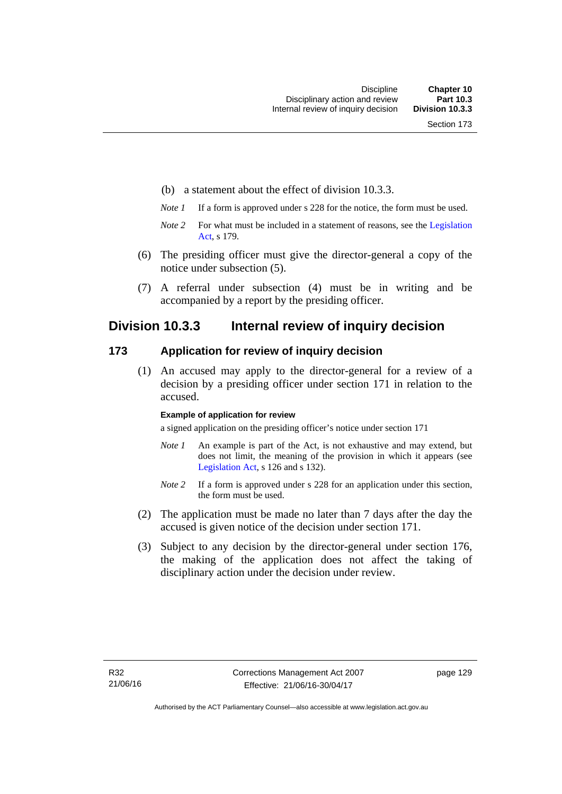- (b) a statement about the effect of division 10.3.3.
- *Note 1* If a form is approved under s 228 for the notice, the form must be used.
- *Note 2* For what must be included in a statement of reasons, see the Legislation [Act,](http://www.legislation.act.gov.au/a/2001-14) s 179.
- (6) The presiding officer must give the director-general a copy of the notice under subsection (5).
- (7) A referral under subsection (4) must be in writing and be accompanied by a report by the presiding officer.

## **Division 10.3.3 Internal review of inquiry decision**

### **173 Application for review of inquiry decision**

 (1) An accused may apply to the director-general for a review of a decision by a presiding officer under section 171 in relation to the accused.

#### **Example of application for review**

a signed application on the presiding officer's notice under section 171

- *Note 1* An example is part of the Act, is not exhaustive and may extend, but does not limit, the meaning of the provision in which it appears (see [Legislation Act,](http://www.legislation.act.gov.au/a/2001-14) s 126 and s 132).
- *Note 2* If a form is approved under s 228 for an application under this section, the form must be used.
- (2) The application must be made no later than 7 days after the day the accused is given notice of the decision under section 171.
- (3) Subject to any decision by the director-general under section 176, the making of the application does not affect the taking of disciplinary action under the decision under review.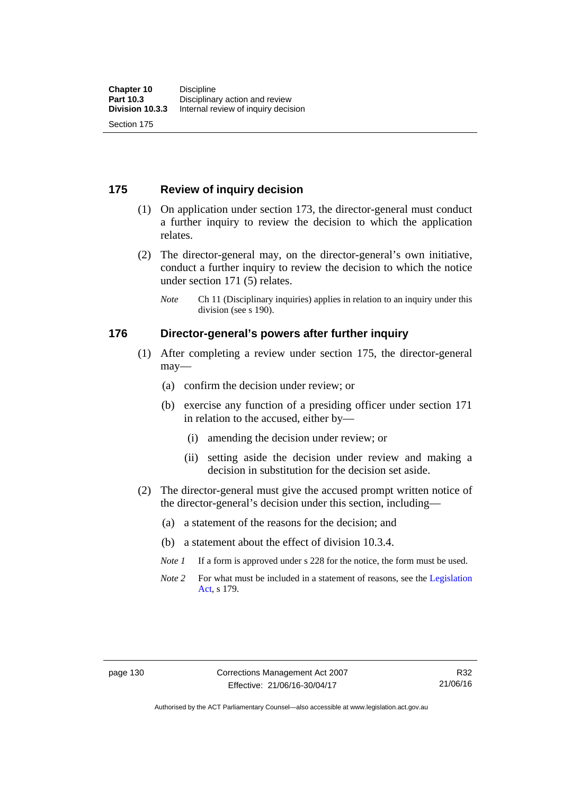## **175 Review of inquiry decision**

- (1) On application under section 173, the director-general must conduct a further inquiry to review the decision to which the application relates.
- (2) The director-general may, on the director-general's own initiative, conduct a further inquiry to review the decision to which the notice under section 171 (5) relates.
	- *Note* Ch 11 (Disciplinary inquiries) applies in relation to an inquiry under this division (see s 190).

#### **176 Director-general's powers after further inquiry**

- (1) After completing a review under section 175, the director-general may—
	- (a) confirm the decision under review; or
	- (b) exercise any function of a presiding officer under section 171 in relation to the accused, either by—
		- (i) amending the decision under review; or
		- (ii) setting aside the decision under review and making a decision in substitution for the decision set aside.
- (2) The director-general must give the accused prompt written notice of the director-general's decision under this section, including—
	- (a) a statement of the reasons for the decision; and
	- (b) a statement about the effect of division 10.3.4.
	- *Note 1* If a form is approved under s 228 for the notice, the form must be used.
	- *Note* 2 For what must be included in a statement of reasons, see the Legislation [Act,](http://www.legislation.act.gov.au/a/2001-14) s 179.

Authorised by the ACT Parliamentary Counsel—also accessible at www.legislation.act.gov.au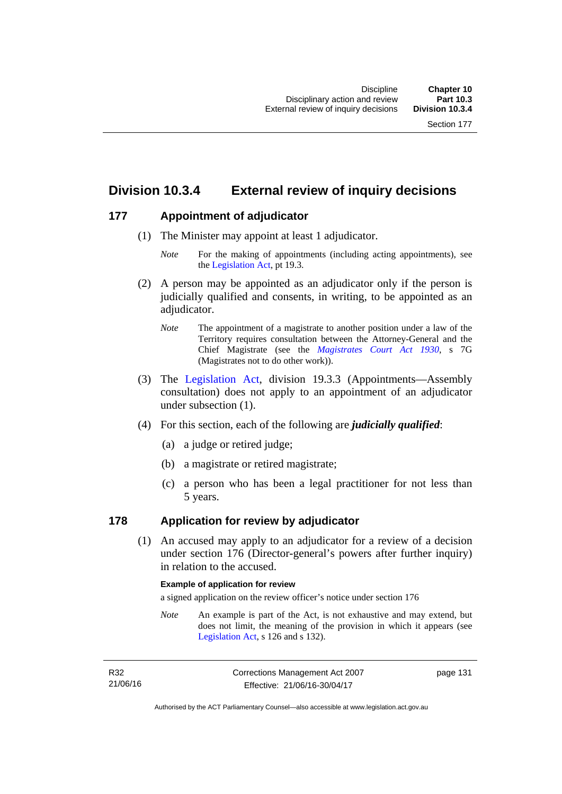# **Division 10.3.4 External review of inquiry decisions**

## **177 Appointment of adjudicator**

- (1) The Minister may appoint at least 1 adjudicator.
	- *Note* For the making of appointments (including acting appointments), see the [Legislation Act,](http://www.legislation.act.gov.au/a/2001-14) pt 19.3.
- (2) A person may be appointed as an adjudicator only if the person is judicially qualified and consents, in writing, to be appointed as an adjudicator.
	- *Note* The appointment of a magistrate to another position under a law of the Territory requires consultation between the Attorney-General and the Chief Magistrate (see the *[Magistrates Court Act 1930](http://www.legislation.act.gov.au/a/1930-21)*, s 7G (Magistrates not to do other work)).
- (3) The [Legislation Act,](http://www.legislation.act.gov.au/a/2001-14) division 19.3.3 (Appointments—Assembly consultation) does not apply to an appointment of an adjudicator under subsection (1).
- (4) For this section, each of the following are *judicially qualified*:
	- (a) a judge or retired judge;
	- (b) a magistrate or retired magistrate;
	- (c) a person who has been a legal practitioner for not less than 5 years.

## **178 Application for review by adjudicator**

 (1) An accused may apply to an adjudicator for a review of a decision under section 176 (Director-general's powers after further inquiry) in relation to the accused.

#### **Example of application for review**

a signed application on the review officer's notice under section 176

*Note* An example is part of the Act, is not exhaustive and may extend, but does not limit, the meaning of the provision in which it appears (see [Legislation Act,](http://www.legislation.act.gov.au/a/2001-14) s 126 and s 132).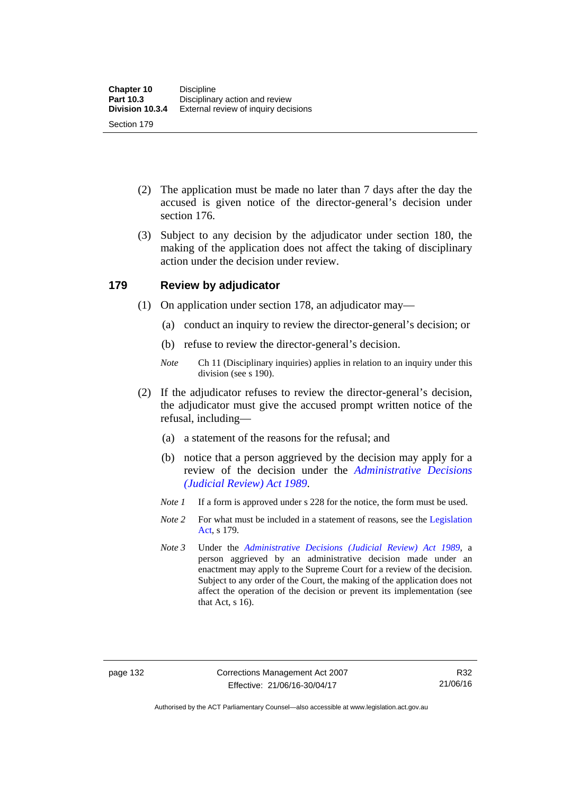- (2) The application must be made no later than 7 days after the day the accused is given notice of the director-general's decision under section 176.
- (3) Subject to any decision by the adjudicator under section 180, the making of the application does not affect the taking of disciplinary action under the decision under review.

## **179 Review by adjudicator**

- (1) On application under section 178, an adjudicator may—
	- (a) conduct an inquiry to review the director-general's decision; or
	- (b) refuse to review the director-general's decision.
	- *Note* Ch 11 (Disciplinary inquiries) applies in relation to an inquiry under this division (see s 190).
- (2) If the adjudicator refuses to review the director-general's decision, the adjudicator must give the accused prompt written notice of the refusal, including—
	- (a) a statement of the reasons for the refusal; and
	- (b) notice that a person aggrieved by the decision may apply for a review of the decision under the *[Administrative Decisions](http://www.legislation.act.gov.au/a/alt_a1989-33co)  [\(Judicial Review\) Act 1989](http://www.legislation.act.gov.au/a/alt_a1989-33co)*.
	- *Note 1* If a form is approved under s 228 for the notice, the form must be used.
	- *Note 2* For what must be included in a statement of reasons, see the Legislation [Act,](http://www.legislation.act.gov.au/a/2001-14) s 179.
	- *Note 3* Under the *[Administrative Decisions \(Judicial Review\) Act 1989](http://www.legislation.act.gov.au/a/alt_a1989-33co)*, a person aggrieved by an administrative decision made under an enactment may apply to the Supreme Court for a review of the decision. Subject to any order of the Court, the making of the application does not affect the operation of the decision or prevent its implementation (see that Act, s 16).

Authorised by the ACT Parliamentary Counsel—also accessible at www.legislation.act.gov.au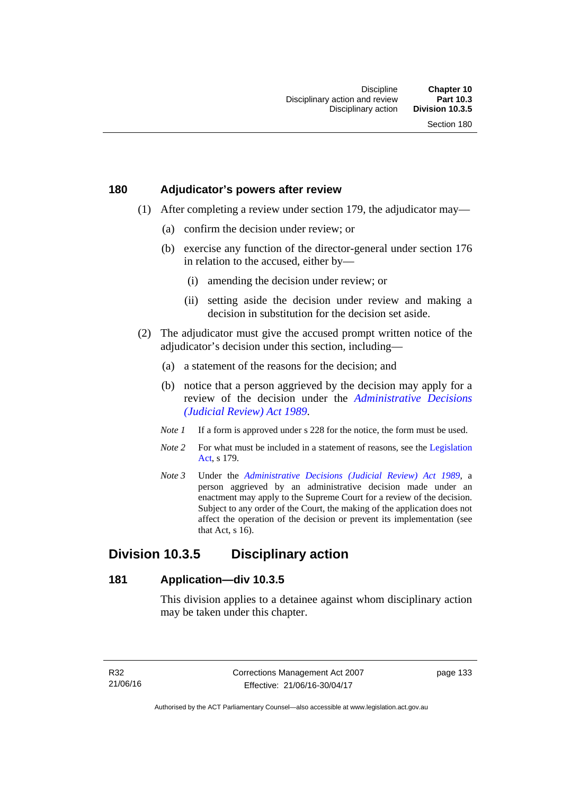## **180 Adjudicator's powers after review**

- (1) After completing a review under section 179, the adjudicator may—
	- (a) confirm the decision under review; or
	- (b) exercise any function of the director-general under section 176 in relation to the accused, either by—
		- (i) amending the decision under review; or
		- (ii) setting aside the decision under review and making a decision in substitution for the decision set aside.
- (2) The adjudicator must give the accused prompt written notice of the adjudicator's decision under this section, including—
	- (a) a statement of the reasons for the decision; and
	- (b) notice that a person aggrieved by the decision may apply for a review of the decision under the *[Administrative Decisions](http://www.legislation.act.gov.au/a/alt_a1989-33co)  [\(Judicial Review\) Act 1989](http://www.legislation.act.gov.au/a/alt_a1989-33co)*.
	- *Note 1* If a form is approved under s 228 for the notice, the form must be used.
	- *Note* 2 For what must be included in a statement of reasons, see the Legislation [Act,](http://www.legislation.act.gov.au/a/2001-14) s 179.
	- *Note 3* Under the *[Administrative Decisions \(Judicial Review\) Act 1989](http://www.legislation.act.gov.au/a/alt_a1989-33co)*, a person aggrieved by an administrative decision made under an enactment may apply to the Supreme Court for a review of the decision. Subject to any order of the Court, the making of the application does not affect the operation of the decision or prevent its implementation (see that Act, s 16).

# **Division 10.3.5 Disciplinary action**

## **181 Application—div 10.3.5**

This division applies to a detainee against whom disciplinary action may be taken under this chapter.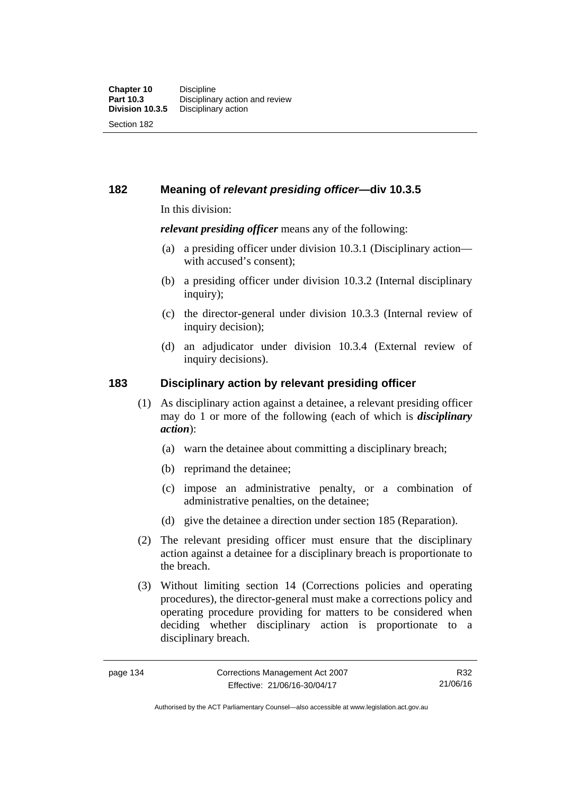**182 Meaning of** *relevant presiding officer***—div 10.3.5**

In this division:

*relevant presiding officer* means any of the following:

- (a) a presiding officer under division 10.3.1 (Disciplinary action with accused's consent);
- (b) a presiding officer under division 10.3.2 (Internal disciplinary inquiry);
- (c) the director-general under division 10.3.3 (Internal review of inquiry decision):
- (d) an adjudicator under division 10.3.4 (External review of inquiry decisions).

# **183 Disciplinary action by relevant presiding officer**

- (1) As disciplinary action against a detainee, a relevant presiding officer may do 1 or more of the following (each of which is *disciplinary action*):
	- (a) warn the detainee about committing a disciplinary breach;
	- (b) reprimand the detainee;
	- (c) impose an administrative penalty, or a combination of administrative penalties, on the detainee;
	- (d) give the detainee a direction under section 185 (Reparation).
- (2) The relevant presiding officer must ensure that the disciplinary action against a detainee for a disciplinary breach is proportionate to the breach.
- (3) Without limiting section 14 (Corrections policies and operating procedures), the director-general must make a corrections policy and operating procedure providing for matters to be considered when deciding whether disciplinary action is proportionate to a disciplinary breach.

R32 21/06/16

Authorised by the ACT Parliamentary Counsel—also accessible at www.legislation.act.gov.au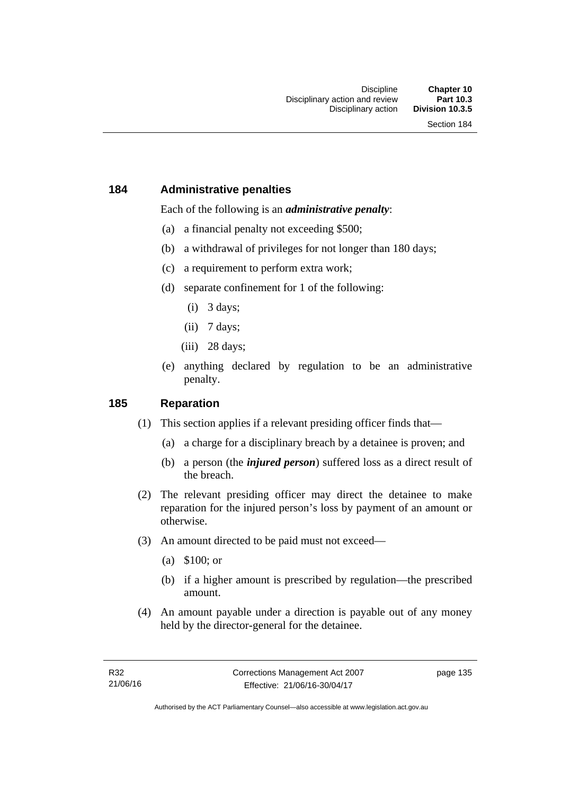## **184 Administrative penalties**

Each of the following is an *administrative penalty*:

- (a) a financial penalty not exceeding \$500;
- (b) a withdrawal of privileges for not longer than 180 days;
- (c) a requirement to perform extra work;
- (d) separate confinement for 1 of the following:
	- (i) 3 days;
	- (ii) 7 days;
	- (iii) 28 days:
- (e) anything declared by regulation to be an administrative penalty.

## **185 Reparation**

- (1) This section applies if a relevant presiding officer finds that—
	- (a) a charge for a disciplinary breach by a detainee is proven; and
	- (b) a person (the *injured person*) suffered loss as a direct result of the breach.
- (2) The relevant presiding officer may direct the detainee to make reparation for the injured person's loss by payment of an amount or otherwise.
- (3) An amount directed to be paid must not exceed—
	- (a) \$100; or
	- (b) if a higher amount is prescribed by regulation—the prescribed amount.
- (4) An amount payable under a direction is payable out of any money held by the director-general for the detainee.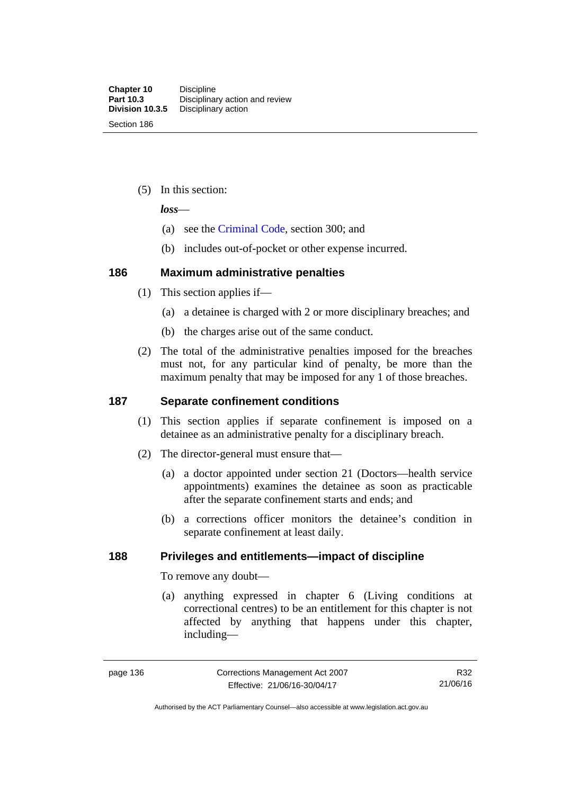(5) In this section:

*loss*—

- (a) see the [Criminal Code](http://www.legislation.act.gov.au/a/2002-51), section 300; and
- (b) includes out-of-pocket or other expense incurred.

## **186 Maximum administrative penalties**

- (1) This section applies if—
	- (a) a detainee is charged with 2 or more disciplinary breaches; and
	- (b) the charges arise out of the same conduct.
- (2) The total of the administrative penalties imposed for the breaches must not, for any particular kind of penalty, be more than the maximum penalty that may be imposed for any 1 of those breaches.

## **187 Separate confinement conditions**

- (1) This section applies if separate confinement is imposed on a detainee as an administrative penalty for a disciplinary breach.
- (2) The director-general must ensure that—
	- (a) a doctor appointed under section 21 (Doctors—health service appointments) examines the detainee as soon as practicable after the separate confinement starts and ends; and
	- (b) a corrections officer monitors the detainee's condition in separate confinement at least daily.

# **188 Privileges and entitlements—impact of discipline**

To remove any doubt—

 (a) anything expressed in chapter 6 (Living conditions at correctional centres) to be an entitlement for this chapter is not affected by anything that happens under this chapter, including—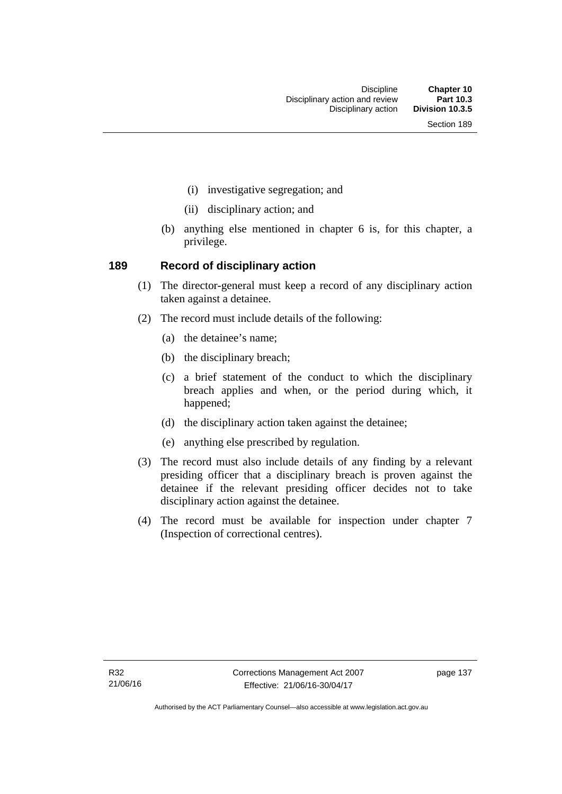- (i) investigative segregation; and
- (ii) disciplinary action; and
- (b) anything else mentioned in chapter 6 is, for this chapter, a privilege.

## **189 Record of disciplinary action**

- (1) The director-general must keep a record of any disciplinary action taken against a detainee.
- (2) The record must include details of the following:
	- (a) the detainee's name;
	- (b) the disciplinary breach;
	- (c) a brief statement of the conduct to which the disciplinary breach applies and when, or the period during which, it happened;
	- (d) the disciplinary action taken against the detainee;
	- (e) anything else prescribed by regulation.
- (3) The record must also include details of any finding by a relevant presiding officer that a disciplinary breach is proven against the detainee if the relevant presiding officer decides not to take disciplinary action against the detainee.
- (4) The record must be available for inspection under chapter 7 (Inspection of correctional centres).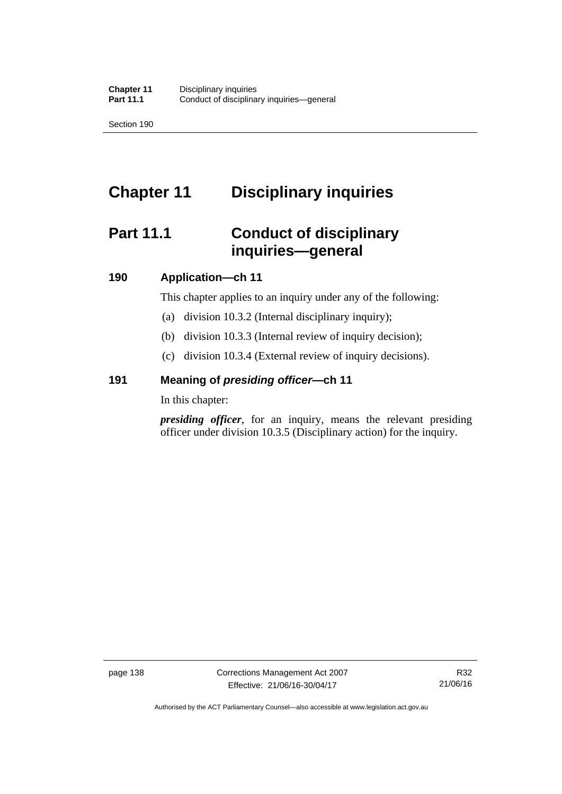Section 190

# **Chapter 11 Disciplinary inquiries**

# **Part 11.1 Conduct of disciplinary inquiries—general**

## **190 Application—ch 11**

This chapter applies to an inquiry under any of the following:

- (a) division 10.3.2 (Internal disciplinary inquiry);
- (b) division 10.3.3 (Internal review of inquiry decision);
- (c) division 10.3.4 (External review of inquiry decisions).

## **191 Meaning of** *presiding officer—***ch 11**

In this chapter:

*presiding officer*, for an inquiry, means the relevant presiding officer under division 10.3.5 (Disciplinary action) for the inquiry.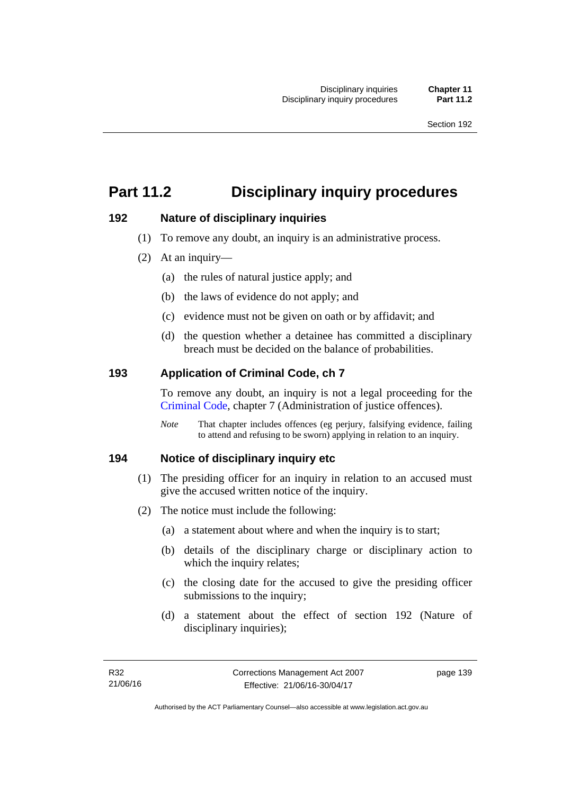# **Part 11.2 Disciplinary inquiry procedures**

# **192 Nature of disciplinary inquiries**

- (1) To remove any doubt, an inquiry is an administrative process.
- (2) At an inquiry—
	- (a) the rules of natural justice apply; and
	- (b) the laws of evidence do not apply; and
	- (c) evidence must not be given on oath or by affidavit; and
	- (d) the question whether a detainee has committed a disciplinary breach must be decided on the balance of probabilities.

# **193 Application of Criminal Code, ch 7**

To remove any doubt, an inquiry is not a legal proceeding for the [Criminal Code](http://www.legislation.act.gov.au/a/2002-51), chapter 7 (Administration of justice offences).

*Note* That chapter includes offences (eg perjury, falsifying evidence, failing to attend and refusing to be sworn) applying in relation to an inquiry.

# **194 Notice of disciplinary inquiry etc**

- (1) The presiding officer for an inquiry in relation to an accused must give the accused written notice of the inquiry.
- (2) The notice must include the following:
	- (a) a statement about where and when the inquiry is to start;
	- (b) details of the disciplinary charge or disciplinary action to which the inquiry relates:
	- (c) the closing date for the accused to give the presiding officer submissions to the inquiry;
	- (d) a statement about the effect of section 192 (Nature of disciplinary inquiries);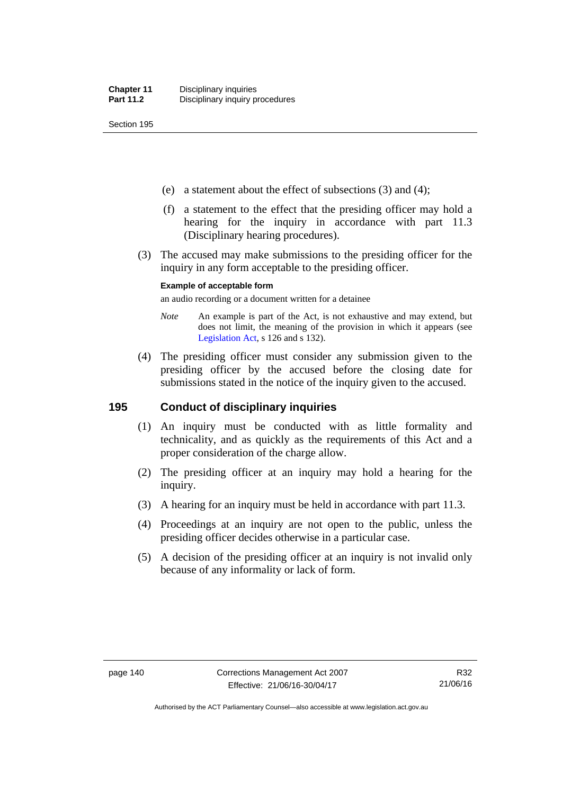Section 195

- (e) a statement about the effect of subsections (3) and (4);
- (f) a statement to the effect that the presiding officer may hold a hearing for the inquiry in accordance with part 11.3 (Disciplinary hearing procedures).
- (3) The accused may make submissions to the presiding officer for the inquiry in any form acceptable to the presiding officer.

#### **Example of acceptable form**

an audio recording or a document written for a detainee

- *Note* An example is part of the Act, is not exhaustive and may extend, but does not limit, the meaning of the provision in which it appears (see [Legislation Act,](http://www.legislation.act.gov.au/a/2001-14) s 126 and s 132).
- (4) The presiding officer must consider any submission given to the presiding officer by the accused before the closing date for submissions stated in the notice of the inquiry given to the accused.

## **195 Conduct of disciplinary inquiries**

- (1) An inquiry must be conducted with as little formality and technicality, and as quickly as the requirements of this Act and a proper consideration of the charge allow.
- (2) The presiding officer at an inquiry may hold a hearing for the inquiry.
- (3) A hearing for an inquiry must be held in accordance with part 11.3.
- (4) Proceedings at an inquiry are not open to the public, unless the presiding officer decides otherwise in a particular case.
- (5) A decision of the presiding officer at an inquiry is not invalid only because of any informality or lack of form.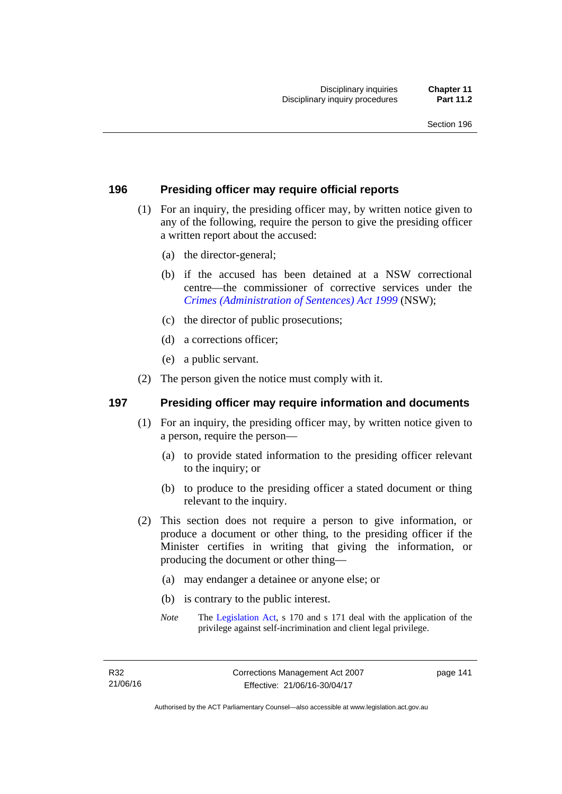## **196 Presiding officer may require official reports**

- (1) For an inquiry, the presiding officer may, by written notice given to any of the following, require the person to give the presiding officer a written report about the accused:
	- (a) the director-general;
	- (b) if the accused has been detained at a NSW correctional centre—the commissioner of corrective services under the *[Crimes \(Administration of Sentences\) Act 1999](http://www.legislation.nsw.gov.au/maintop/view/inforce/act+93+1999+cd+0+N)* (NSW);
	- (c) the director of public prosecutions;
	- (d) a corrections officer;
	- (e) a public servant.
- (2) The person given the notice must comply with it.

### **197 Presiding officer may require information and documents**

- (1) For an inquiry, the presiding officer may, by written notice given to a person, require the person—
	- (a) to provide stated information to the presiding officer relevant to the inquiry; or
	- (b) to produce to the presiding officer a stated document or thing relevant to the inquiry.
- (2) This section does not require a person to give information, or produce a document or other thing, to the presiding officer if the Minister certifies in writing that giving the information, or producing the document or other thing—
	- (a) may endanger a detainee or anyone else; or
	- (b) is contrary to the public interest.
	- *Note* The [Legislation Act,](http://www.legislation.act.gov.au/a/2001-14) s 170 and s 171 deal with the application of the privilege against self-incrimination and client legal privilege.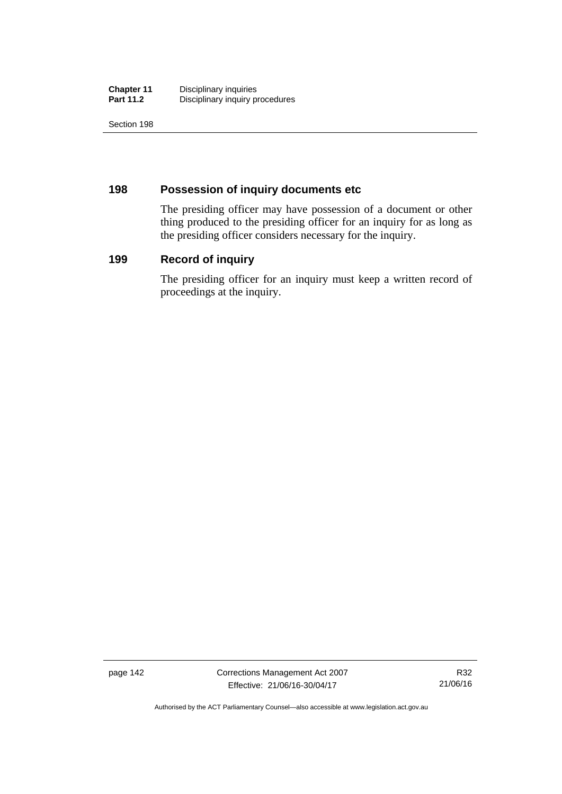| <b>Chapter 11</b> | Disciplinary inquiries          |
|-------------------|---------------------------------|
| <b>Part 11.2</b>  | Disciplinary inquiry procedures |

Section 198

# **198 Possession of inquiry documents etc**

The presiding officer may have possession of a document or other thing produced to the presiding officer for an inquiry for as long as the presiding officer considers necessary for the inquiry.

# **199 Record of inquiry**

The presiding officer for an inquiry must keep a written record of proceedings at the inquiry.

page 142 Corrections Management Act 2007 Effective: 21/06/16-30/04/17

R32 21/06/16

Authorised by the ACT Parliamentary Counsel—also accessible at www.legislation.act.gov.au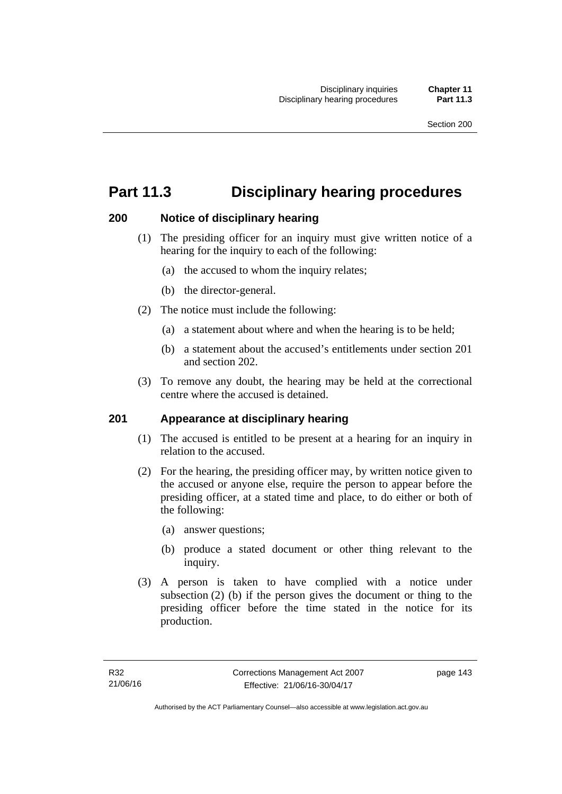# **Part 11.3 Disciplinary hearing procedures**

## **200 Notice of disciplinary hearing**

- (1) The presiding officer for an inquiry must give written notice of a hearing for the inquiry to each of the following:
	- (a) the accused to whom the inquiry relates;
	- (b) the director-general.
- (2) The notice must include the following:
	- (a) a statement about where and when the hearing is to be held;
	- (b) a statement about the accused's entitlements under section 201 and section 202.
- (3) To remove any doubt, the hearing may be held at the correctional centre where the accused is detained.

## **201 Appearance at disciplinary hearing**

- (1) The accused is entitled to be present at a hearing for an inquiry in relation to the accused.
- (2) For the hearing, the presiding officer may, by written notice given to the accused or anyone else, require the person to appear before the presiding officer, at a stated time and place, to do either or both of the following:
	- (a) answer questions;
	- (b) produce a stated document or other thing relevant to the inquiry.
- (3) A person is taken to have complied with a notice under subsection (2) (b) if the person gives the document or thing to the presiding officer before the time stated in the notice for its production.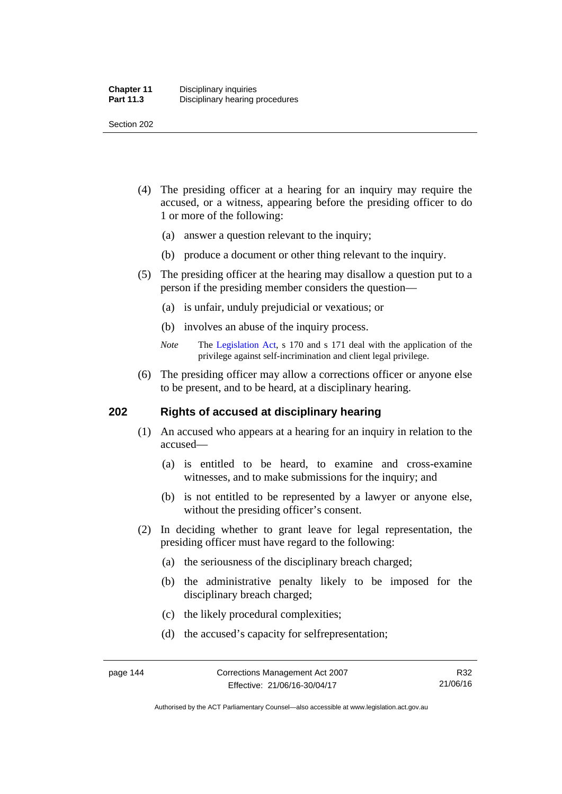Section 202

- (4) The presiding officer at a hearing for an inquiry may require the accused, or a witness, appearing before the presiding officer to do 1 or more of the following:
	- (a) answer a question relevant to the inquiry;
	- (b) produce a document or other thing relevant to the inquiry.
- (5) The presiding officer at the hearing may disallow a question put to a person if the presiding member considers the question—
	- (a) is unfair, unduly prejudicial or vexatious; or
	- (b) involves an abuse of the inquiry process.
	- *Note* The [Legislation Act,](http://www.legislation.act.gov.au/a/2001-14) s 170 and s 171 deal with the application of the privilege against self-incrimination and client legal privilege.
- (6) The presiding officer may allow a corrections officer or anyone else to be present, and to be heard, at a disciplinary hearing.

## **202 Rights of accused at disciplinary hearing**

- (1) An accused who appears at a hearing for an inquiry in relation to the accused—
	- (a) is entitled to be heard, to examine and cross-examine witnesses, and to make submissions for the inquiry; and
	- (b) is not entitled to be represented by a lawyer or anyone else, without the presiding officer's consent.
- (2) In deciding whether to grant leave for legal representation, the presiding officer must have regard to the following:
	- (a) the seriousness of the disciplinary breach charged;
	- (b) the administrative penalty likely to be imposed for the disciplinary breach charged;
	- (c) the likely procedural complexities;
	- (d) the accused's capacity for selfrepresentation;

Authorised by the ACT Parliamentary Counsel—also accessible at www.legislation.act.gov.au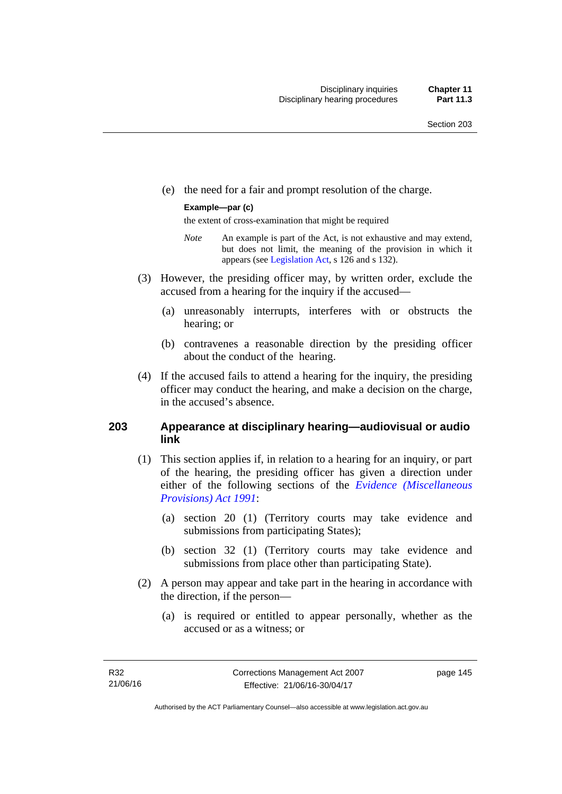(e) the need for a fair and prompt resolution of the charge.

#### **Example—par (c)**

the extent of cross-examination that might be required

- *Note* An example is part of the Act, is not exhaustive and may extend, but does not limit, the meaning of the provision in which it appears (see [Legislation Act,](http://www.legislation.act.gov.au/a/2001-14) s 126 and s 132).
- (3) However, the presiding officer may, by written order, exclude the accused from a hearing for the inquiry if the accused—
	- (a) unreasonably interrupts, interferes with or obstructs the hearing; or
	- (b) contravenes a reasonable direction by the presiding officer about the conduct of the hearing.
- (4) If the accused fails to attend a hearing for the inquiry, the presiding officer may conduct the hearing, and make a decision on the charge, in the accused's absence.

## **203 Appearance at disciplinary hearing—audiovisual or audio link**

- (1) This section applies if, in relation to a hearing for an inquiry, or part of the hearing, the presiding officer has given a direction under either of the following sections of the *[Evidence \(Miscellaneous](http://www.legislation.act.gov.au/a/1991-34)  [Provisions\) Act 1991](http://www.legislation.act.gov.au/a/1991-34)*:
	- (a) section 20 (1) (Territory courts may take evidence and submissions from participating States);
	- (b) section 32 (1) (Territory courts may take evidence and submissions from place other than participating State).
- (2) A person may appear and take part in the hearing in accordance with the direction, if the person—
	- (a) is required or entitled to appear personally, whether as the accused or as a witness; or

page 145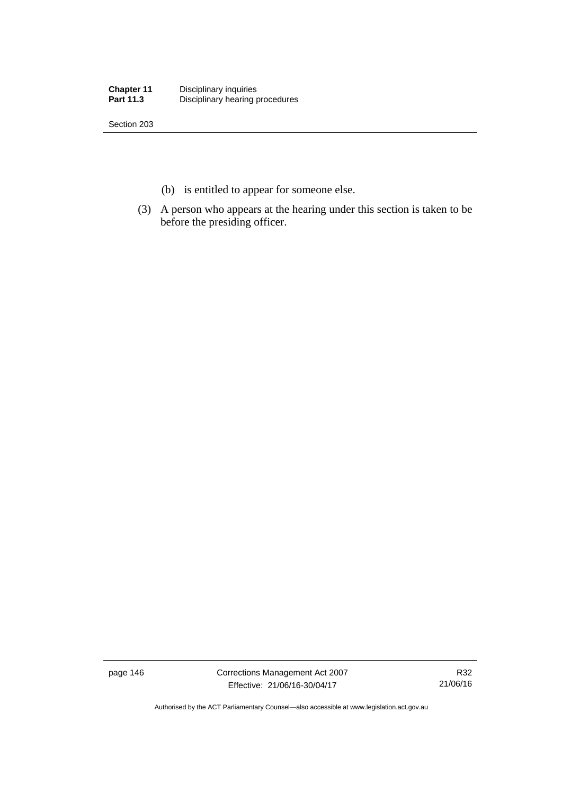| <b>Chapter 11</b> | Disciplinary inquiries          |
|-------------------|---------------------------------|
| <b>Part 11.3</b>  | Disciplinary hearing procedures |

Section 203

- (b) is entitled to appear for someone else.
- (3) A person who appears at the hearing under this section is taken to be before the presiding officer.

page 146 Corrections Management Act 2007 Effective: 21/06/16-30/04/17

R32 21/06/16

Authorised by the ACT Parliamentary Counsel—also accessible at www.legislation.act.gov.au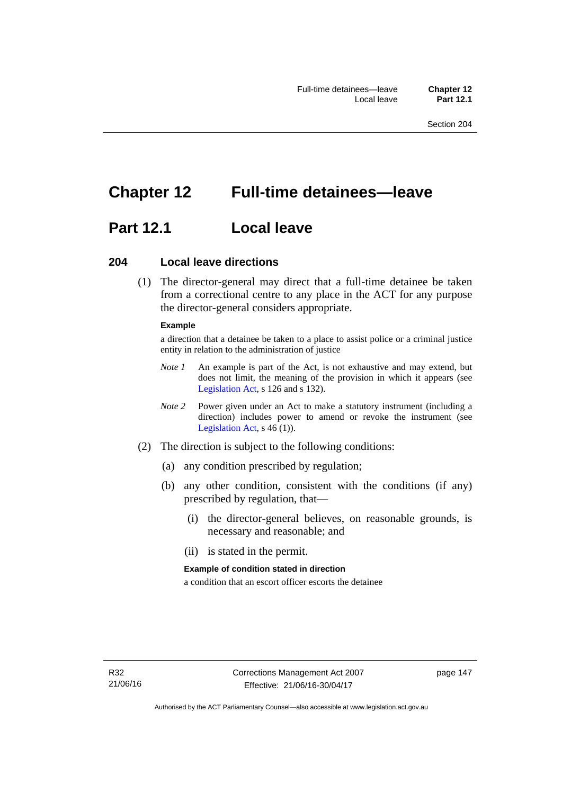# **Chapter 12 Full-time detainees—leave**

# **Part 12.1 Local leave**

## **204 Local leave directions**

 (1) The director-general may direct that a full-time detainee be taken from a correctional centre to any place in the ACT for any purpose the director-general considers appropriate.

#### **Example**

a direction that a detainee be taken to a place to assist police or a criminal justice entity in relation to the administration of justice

- *Note 1* An example is part of the Act, is not exhaustive and may extend, but does not limit, the meaning of the provision in which it appears (see [Legislation Act,](http://www.legislation.act.gov.au/a/2001-14) s 126 and s 132).
- *Note 2* Power given under an Act to make a statutory instrument (including a direction) includes power to amend or revoke the instrument (see [Legislation Act,](http://www.legislation.act.gov.au/a/2001-14) s 46 (1)).
- (2) The direction is subject to the following conditions:
	- (a) any condition prescribed by regulation;
	- (b) any other condition, consistent with the conditions (if any) prescribed by regulation, that—
		- (i) the director-general believes, on reasonable grounds, is necessary and reasonable; and
		- (ii) is stated in the permit.

#### **Example of condition stated in direction**

a condition that an escort officer escorts the detainee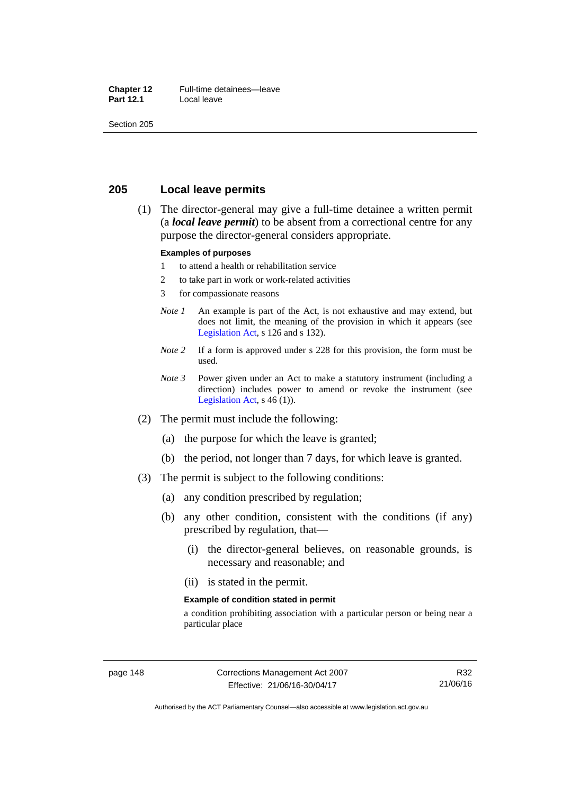#### **Chapter 12** Full-time detainees—leave<br>**Part 12.1** Local leave **Local leave**

Section 205

## **205 Local leave permits**

 (1) The director-general may give a full-time detainee a written permit (a *local leave permit*) to be absent from a correctional centre for any purpose the director-general considers appropriate.

#### **Examples of purposes**

- 1 to attend a health or rehabilitation service
- 2 to take part in work or work-related activities
- 3 for compassionate reasons
- *Note 1* An example is part of the Act, is not exhaustive and may extend, but does not limit, the meaning of the provision in which it appears (see [Legislation Act,](http://www.legislation.act.gov.au/a/2001-14) s 126 and s 132).
- *Note* 2 If a form is approved under s 228 for this provision, the form must be used.
- *Note 3* Power given under an Act to make a statutory instrument (including a direction) includes power to amend or revoke the instrument (see [Legislation Act,](http://www.legislation.act.gov.au/a/2001-14)  $s$  46 (1)).
- (2) The permit must include the following:
	- (a) the purpose for which the leave is granted;
	- (b) the period, not longer than 7 days, for which leave is granted.
- (3) The permit is subject to the following conditions:
	- (a) any condition prescribed by regulation;
	- (b) any other condition, consistent with the conditions (if any) prescribed by regulation, that—
		- (i) the director-general believes, on reasonable grounds, is necessary and reasonable; and
		- (ii) is stated in the permit.

#### **Example of condition stated in permit**

a condition prohibiting association with a particular person or being near a particular place

R32 21/06/16

Authorised by the ACT Parliamentary Counsel—also accessible at www.legislation.act.gov.au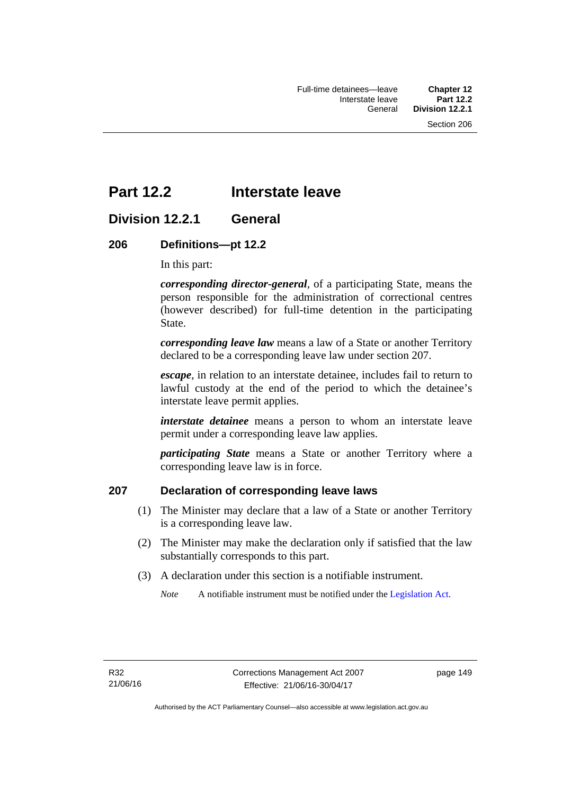# **Part 12.2 Interstate leave**

# **Division 12.2.1 General**

## **206 Definitions—pt 12.2**

In this part:

*corresponding director-general*, of a participating State, means the person responsible for the administration of correctional centres (however described) for full-time detention in the participating State.

*corresponding leave law* means a law of a State or another Territory declared to be a corresponding leave law under section 207.

*escape*, in relation to an interstate detainee, includes fail to return to lawful custody at the end of the period to which the detainee's interstate leave permit applies.

*interstate detainee* means a person to whom an interstate leave permit under a corresponding leave law applies.

*participating State* means a State or another Territory where a corresponding leave law is in force.

# **207 Declaration of corresponding leave laws**

- (1) The Minister may declare that a law of a State or another Territory is a corresponding leave law.
- (2) The Minister may make the declaration only if satisfied that the law substantially corresponds to this part.
- (3) A declaration under this section is a notifiable instrument.

*Note* A notifiable instrument must be notified under the [Legislation Act](http://www.legislation.act.gov.au/a/2001-14).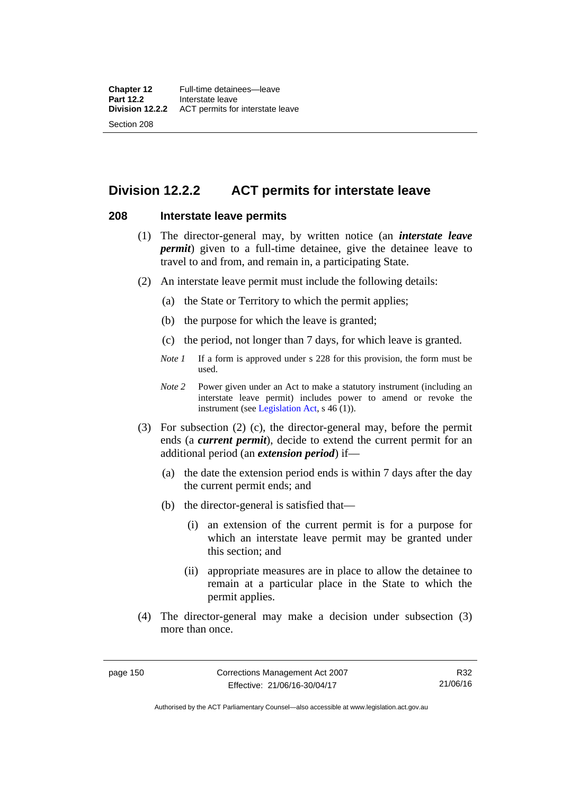# **Division 12.2.2 ACT permits for interstate leave**

### **208 Interstate leave permits**

- (1) The director-general may, by written notice (an *interstate leave permit*) given to a full-time detainee, give the detainee leave to travel to and from, and remain in, a participating State.
- (2) An interstate leave permit must include the following details:
	- (a) the State or Territory to which the permit applies;
	- (b) the purpose for which the leave is granted;
	- (c) the period, not longer than 7 days, for which leave is granted.
	- *Note 1* If a form is approved under s 228 for this provision, the form must be used.
	- *Note 2* Power given under an Act to make a statutory instrument (including an interstate leave permit) includes power to amend or revoke the instrument (see [Legislation Act,](http://www.legislation.act.gov.au/a/2001-14) s 46 (1)).
- (3) For subsection (2) (c), the director-general may, before the permit ends (a *current permit*), decide to extend the current permit for an additional period (an *extension period*) if—
	- (a) the date the extension period ends is within 7 days after the day the current permit ends; and
	- (b) the director-general is satisfied that—
		- (i) an extension of the current permit is for a purpose for which an interstate leave permit may be granted under this section; and
		- (ii) appropriate measures are in place to allow the detainee to remain at a particular place in the State to which the permit applies.
- (4) The director-general may make a decision under subsection (3) more than once.

Authorised by the ACT Parliamentary Counsel—also accessible at www.legislation.act.gov.au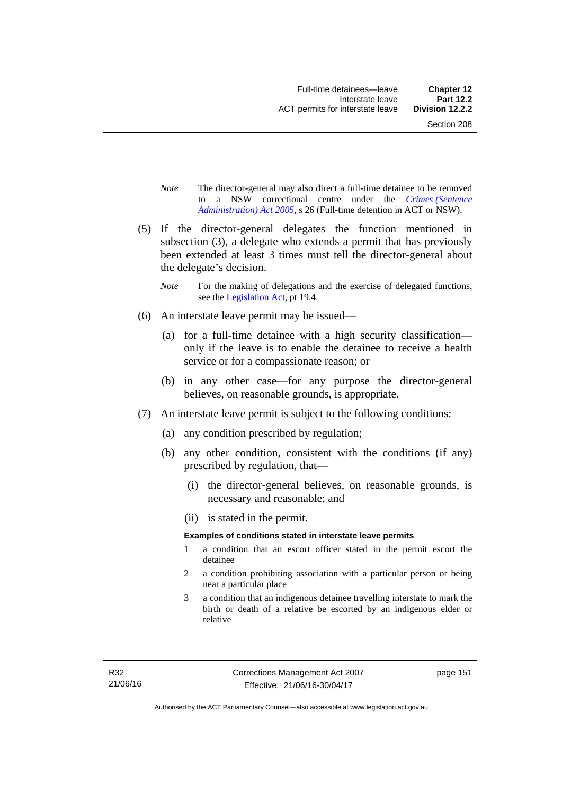- *Note* The director-general may also direct a full-time detainee to be removed to a NSW correctional centre under the *[Crimes \(Sentence](http://www.legislation.act.gov.au/a/2005-59)  [Administration\) Act 2005](http://www.legislation.act.gov.au/a/2005-59)*, s 26 (Full-time detention in ACT or NSW).
- (5) If the director-general delegates the function mentioned in subsection (3), a delegate who extends a permit that has previously been extended at least 3 times must tell the director-general about the delegate's decision.
	- *Note* For the making of delegations and the exercise of delegated functions, see the [Legislation Act,](http://www.legislation.act.gov.au/a/2001-14) pt 19.4.
- (6) An interstate leave permit may be issued—
	- (a) for a full-time detainee with a high security classification only if the leave is to enable the detainee to receive a health service or for a compassionate reason; or
	- (b) in any other case—for any purpose the director-general believes, on reasonable grounds, is appropriate.
- (7) An interstate leave permit is subject to the following conditions:
	- (a) any condition prescribed by regulation;
	- (b) any other condition, consistent with the conditions (if any) prescribed by regulation, that—
		- (i) the director-general believes, on reasonable grounds, is necessary and reasonable; and
		- (ii) is stated in the permit.

#### **Examples of conditions stated in interstate leave permits**

- 1 a condition that an escort officer stated in the permit escort the detainee
- 2 a condition prohibiting association with a particular person or being near a particular place
- 3 a condition that an indigenous detainee travelling interstate to mark the birth or death of a relative be escorted by an indigenous elder or relative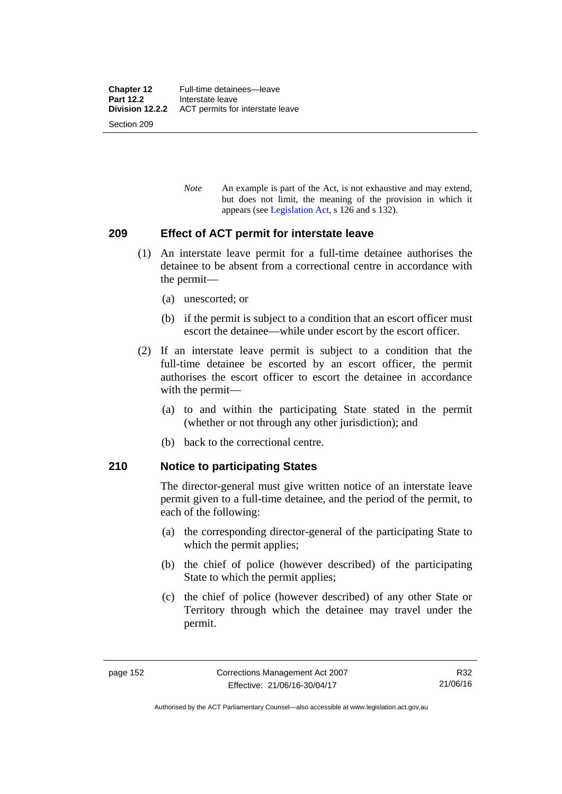*Note* An example is part of the Act, is not exhaustive and may extend, but does not limit, the meaning of the provision in which it appears (see [Legislation Act,](http://www.legislation.act.gov.au/a/2001-14) s 126 and s 132).

## **209 Effect of ACT permit for interstate leave**

- (1) An interstate leave permit for a full-time detainee authorises the detainee to be absent from a correctional centre in accordance with the permit—
	- (a) unescorted; or
	- (b) if the permit is subject to a condition that an escort officer must escort the detainee—while under escort by the escort officer.
- (2) If an interstate leave permit is subject to a condition that the full-time detainee be escorted by an escort officer, the permit authorises the escort officer to escort the detainee in accordance with the permit—
	- (a) to and within the participating State stated in the permit (whether or not through any other jurisdiction); and
	- (b) back to the correctional centre.

## **210 Notice to participating States**

The director-general must give written notice of an interstate leave permit given to a full-time detainee, and the period of the permit, to each of the following:

- (a) the corresponding director-general of the participating State to which the permit applies;
- (b) the chief of police (however described) of the participating State to which the permit applies;
- (c) the chief of police (however described) of any other State or Territory through which the detainee may travel under the permit.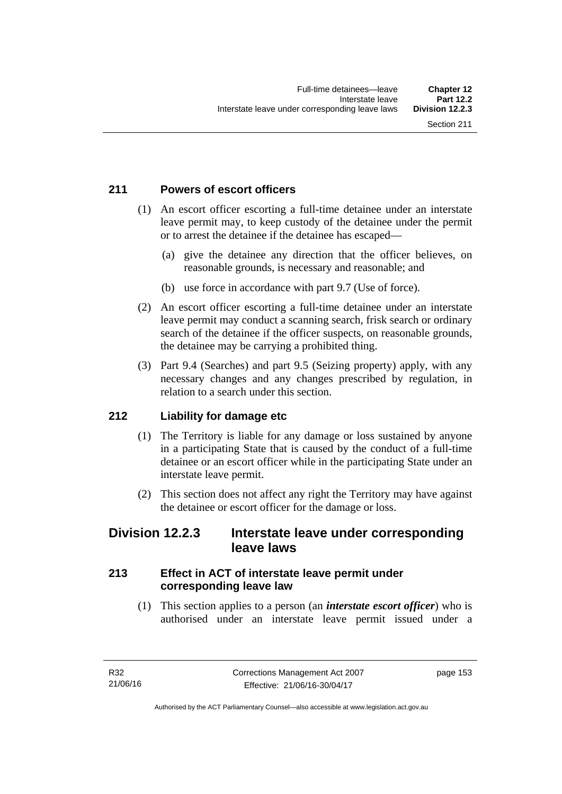# **211 Powers of escort officers**

- (1) An escort officer escorting a full-time detainee under an interstate leave permit may, to keep custody of the detainee under the permit or to arrest the detainee if the detainee has escaped—
	- (a) give the detainee any direction that the officer believes, on reasonable grounds, is necessary and reasonable; and
	- (b) use force in accordance with part 9.7 (Use of force).
- (2) An escort officer escorting a full-time detainee under an interstate leave permit may conduct a scanning search, frisk search or ordinary search of the detainee if the officer suspects, on reasonable grounds, the detainee may be carrying a prohibited thing.
- (3) Part 9.4 (Searches) and part 9.5 (Seizing property) apply, with any necessary changes and any changes prescribed by regulation, in relation to a search under this section.

## **212 Liability for damage etc**

- (1) The Territory is liable for any damage or loss sustained by anyone in a participating State that is caused by the conduct of a full-time detainee or an escort officer while in the participating State under an interstate leave permit.
- (2) This section does not affect any right the Territory may have against the detainee or escort officer for the damage or loss.

# **Division 12.2.3 Interstate leave under corresponding leave laws**

# **213 Effect in ACT of interstate leave permit under corresponding leave law**

 (1) This section applies to a person (an *interstate escort officer*) who is authorised under an interstate leave permit issued under a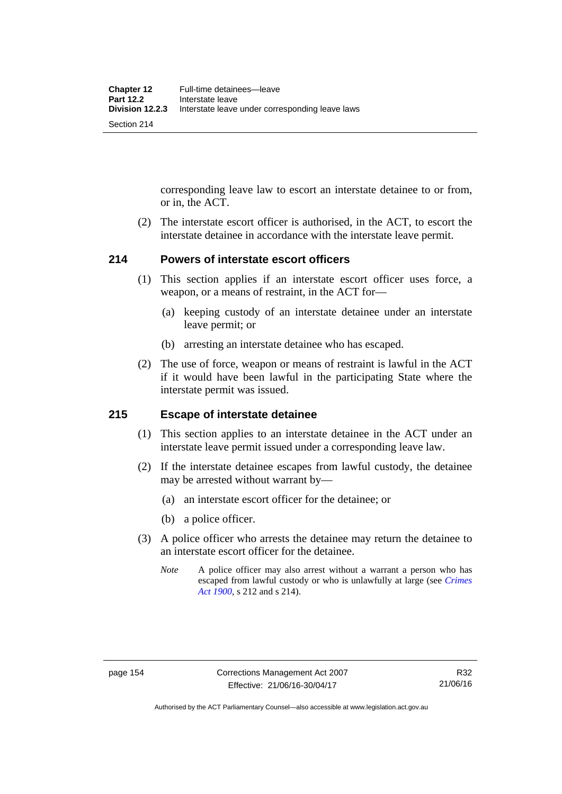corresponding leave law to escort an interstate detainee to or from, or in, the ACT.

 (2) The interstate escort officer is authorised, in the ACT, to escort the interstate detainee in accordance with the interstate leave permit.

## **214 Powers of interstate escort officers**

- (1) This section applies if an interstate escort officer uses force, a weapon, or a means of restraint, in the ACT for—
	- (a) keeping custody of an interstate detainee under an interstate leave permit; or
	- (b) arresting an interstate detainee who has escaped.
- (2) The use of force, weapon or means of restraint is lawful in the ACT if it would have been lawful in the participating State where the interstate permit was issued.

### **215 Escape of interstate detainee**

- (1) This section applies to an interstate detainee in the ACT under an interstate leave permit issued under a corresponding leave law.
- (2) If the interstate detainee escapes from lawful custody, the detainee may be arrested without warrant by—
	- (a) an interstate escort officer for the detainee; or
	- (b) a police officer.
- (3) A police officer who arrests the detainee may return the detainee to an interstate escort officer for the detainee.
	- *Note* A police officer may also arrest without a warrant a person who has escaped from lawful custody or who is unlawfully at large (see *[Crimes](http://www.legislation.act.gov.au/a/1900-40)  [Act 1900](http://www.legislation.act.gov.au/a/1900-40)*, s 212 and s 214).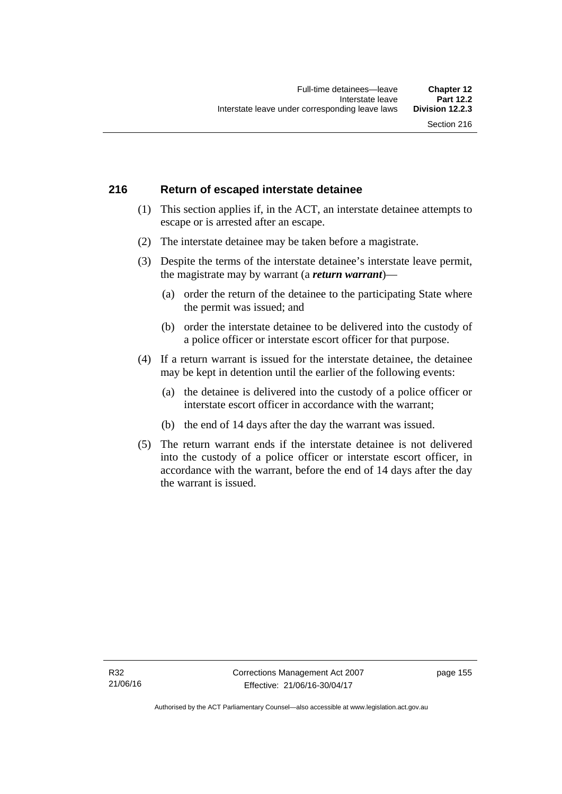# **216 Return of escaped interstate detainee**

- (1) This section applies if, in the ACT, an interstate detainee attempts to escape or is arrested after an escape.
- (2) The interstate detainee may be taken before a magistrate.
- (3) Despite the terms of the interstate detainee's interstate leave permit, the magistrate may by warrant (a *return warrant*)—
	- (a) order the return of the detainee to the participating State where the permit was issued; and
	- (b) order the interstate detainee to be delivered into the custody of a police officer or interstate escort officer for that purpose.
- (4) If a return warrant is issued for the interstate detainee, the detainee may be kept in detention until the earlier of the following events:
	- (a) the detainee is delivered into the custody of a police officer or interstate escort officer in accordance with the warrant;
	- (b) the end of 14 days after the day the warrant was issued.
- (5) The return warrant ends if the interstate detainee is not delivered into the custody of a police officer or interstate escort officer, in accordance with the warrant, before the end of 14 days after the day the warrant is issued.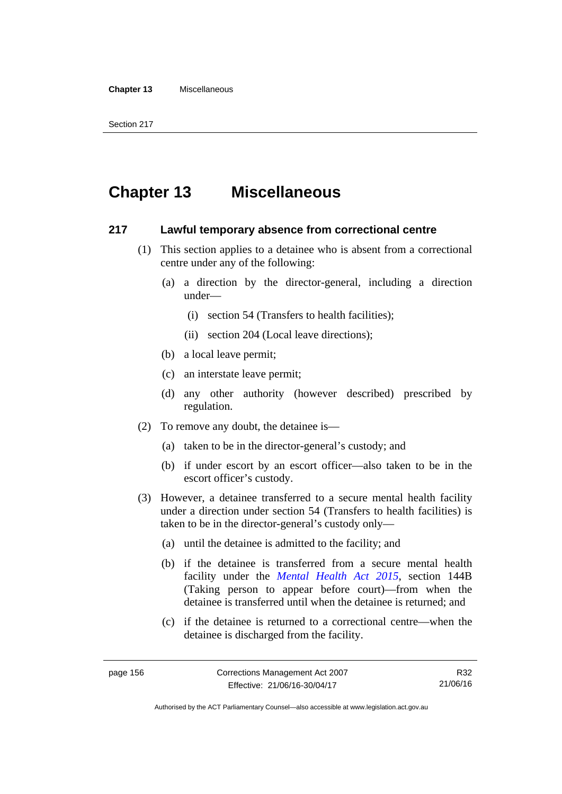#### **Chapter 13** Miscellaneous

Section 217

# **Chapter 13 Miscellaneous**

### **217 Lawful temporary absence from correctional centre**

- (1) This section applies to a detainee who is absent from a correctional centre under any of the following:
	- (a) a direction by the director-general, including a direction under—
		- (i) section 54 (Transfers to health facilities);
		- (ii) section 204 (Local leave directions);
	- (b) a local leave permit;
	- (c) an interstate leave permit;
	- (d) any other authority (however described) prescribed by regulation.
- (2) To remove any doubt, the detainee is—
	- (a) taken to be in the director-general's custody; and
	- (b) if under escort by an escort officer—also taken to be in the escort officer's custody.
- (3) However, a detainee transferred to a secure mental health facility under a direction under section 54 (Transfers to health facilities) is taken to be in the director-general's custody only—
	- (a) until the detainee is admitted to the facility; and
	- (b) if the detainee is transferred from a secure mental health facility under the *[Mental Health Act 2015](http://www.legislation.act.gov.au/a/2015-38/default.asp)*, section 144B (Taking person to appear before court)—from when the detainee is transferred until when the detainee is returned; and
	- (c) if the detainee is returned to a correctional centre—when the detainee is discharged from the facility.

R32 21/06/16

Authorised by the ACT Parliamentary Counsel—also accessible at www.legislation.act.gov.au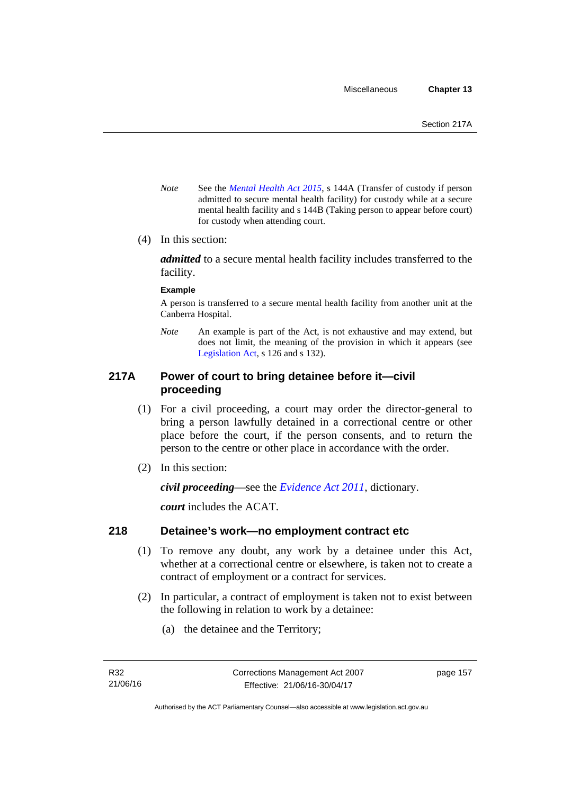- *Note* See the *[Mental Health Act 2015](http://www.legislation.act.gov.au/a/2015-38/default.asp)*, s 144A (Transfer of custody if person admitted to secure mental health facility) for custody while at a secure mental health facility and s 144B (Taking person to appear before court) for custody when attending court.
- (4) In this section:

*admitted* to a secure mental health facility includes transferred to the facility.

#### **Example**

A person is transferred to a secure mental health facility from another unit at the Canberra Hospital.

*Note* An example is part of the Act, is not exhaustive and may extend, but does not limit, the meaning of the provision in which it appears (see [Legislation Act,](http://www.legislation.act.gov.au/a/2001-14) s 126 and s 132).

## **217A Power of court to bring detainee before it—civil proceeding**

- (1) For a civil proceeding, a court may order the director-general to bring a person lawfully detained in a correctional centre or other place before the court, if the person consents, and to return the person to the centre or other place in accordance with the order.
- (2) In this section:

*civil proceeding*—see the *[Evidence Act 2011](http://www.legislation.act.gov.au/a/2011-12)*, dictionary.

*court* includes the ACAT.

## **218 Detainee's work—no employment contract etc**

- (1) To remove any doubt, any work by a detainee under this Act, whether at a correctional centre or elsewhere, is taken not to create a contract of employment or a contract for services.
- (2) In particular, a contract of employment is taken not to exist between the following in relation to work by a detainee:
	- (a) the detainee and the Territory;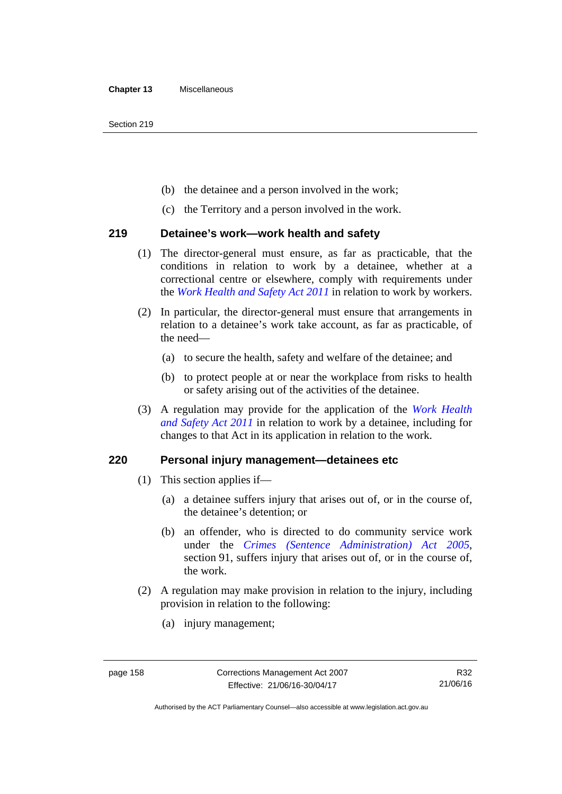Section 219

- (b) the detainee and a person involved in the work;
- (c) the Territory and a person involved in the work.

## **219 Detainee's work—work health and safety**

- (1) The director-general must ensure, as far as practicable, that the conditions in relation to work by a detainee, whether at a correctional centre or elsewhere, comply with requirements under the *[Work Health and Safety Act 2011](http://www.legislation.act.gov.au/a/2011-35)* in relation to work by workers.
- (2) In particular, the director-general must ensure that arrangements in relation to a detainee's work take account, as far as practicable, of the need—
	- (a) to secure the health, safety and welfare of the detainee; and
	- (b) to protect people at or near the workplace from risks to health or safety arising out of the activities of the detainee.
- (3) A regulation may provide for the application of the *[Work Health](http://www.legislation.act.gov.au/a/2011-35)  [and Safety Act 2011](http://www.legislation.act.gov.au/a/2011-35)* in relation to work by a detainee, including for changes to that Act in its application in relation to the work.

## **220 Personal injury management—detainees etc**

- (1) This section applies if—
	- (a) a detainee suffers injury that arises out of, or in the course of, the detainee's detention; or
	- (b) an offender, who is directed to do community service work under the *[Crimes \(Sentence Administration\) Act 2005](http://www.legislation.act.gov.au/a/2005-59)*, section 91, suffers injury that arises out of, or in the course of, the work.
- (2) A regulation may make provision in relation to the injury, including provision in relation to the following:
	- (a) injury management;

Authorised by the ACT Parliamentary Counsel—also accessible at www.legislation.act.gov.au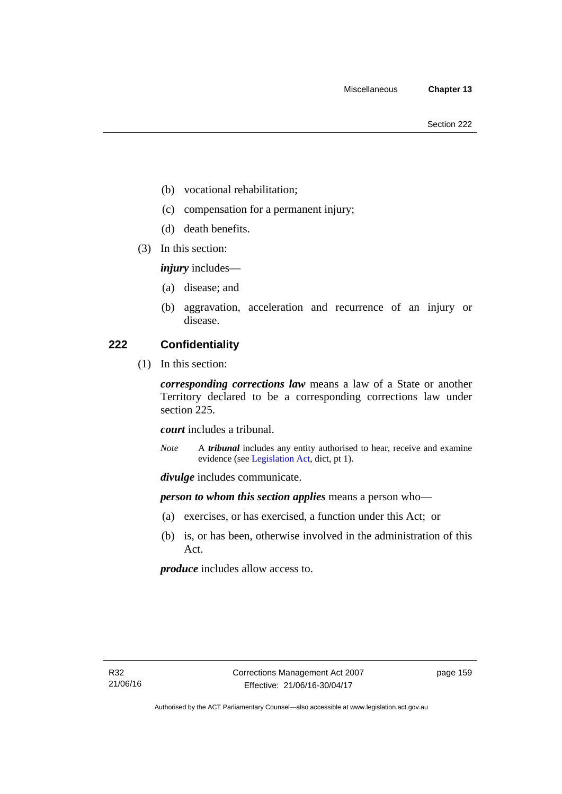- (b) vocational rehabilitation;
- (c) compensation for a permanent injury;
- (d) death benefits.
- (3) In this section:

*injury* includes—

- (a) disease; and
- (b) aggravation, acceleration and recurrence of an injury or disease.

## **222 Confidentiality**

(1) In this section:

*corresponding corrections law* means a law of a State or another Territory declared to be a corresponding corrections law under section 225.

*court* includes a tribunal.

*Note* A *tribunal* includes any entity authorised to hear, receive and examine evidence (see [Legislation Act,](http://www.legislation.act.gov.au/a/2001-14) dict, pt 1).

*divulge* includes communicate.

*person to whom this section applies* means a person who—

- (a) exercises, or has exercised, a function under this Act; or
- (b) is, or has been, otherwise involved in the administration of this Act.

*produce* includes allow access to.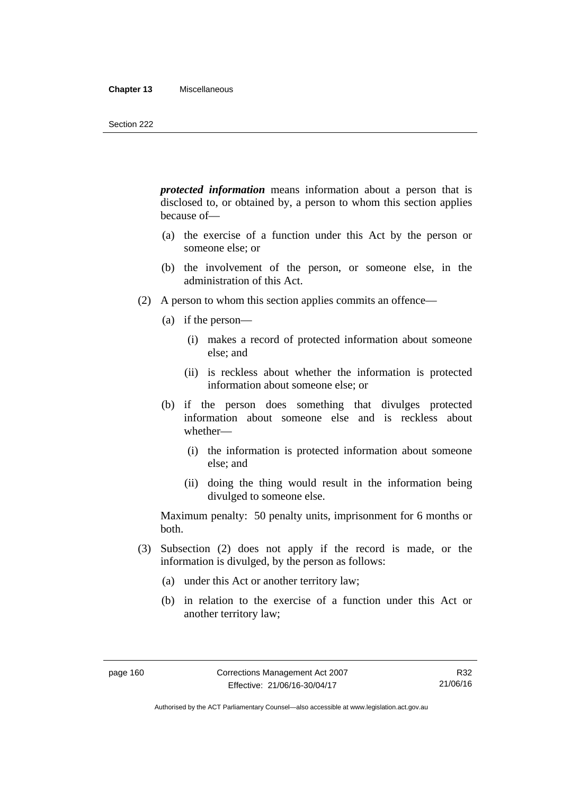#### **Chapter 13** Miscellaneous

*protected information* means information about a person that is disclosed to, or obtained by, a person to whom this section applies because of—

- (a) the exercise of a function under this Act by the person or someone else; or
- (b) the involvement of the person, or someone else, in the administration of this Act.
- (2) A person to whom this section applies commits an offence—
	- (a) if the person—
		- (i) makes a record of protected information about someone else; and
		- (ii) is reckless about whether the information is protected information about someone else; or
	- (b) if the person does something that divulges protected information about someone else and is reckless about whether—
		- (i) the information is protected information about someone else; and
		- (ii) doing the thing would result in the information being divulged to someone else.

Maximum penalty: 50 penalty units, imprisonment for 6 months or both.

- (3) Subsection (2) does not apply if the record is made, or the information is divulged, by the person as follows:
	- (a) under this Act or another territory law;
	- (b) in relation to the exercise of a function under this Act or another territory law;

Authorised by the ACT Parliamentary Counsel—also accessible at www.legislation.act.gov.au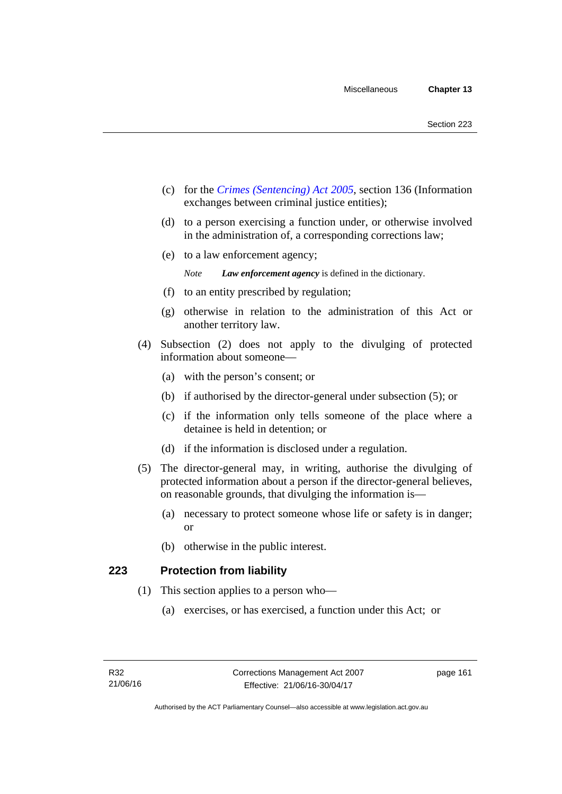- (c) for the *[Crimes \(Sentencing\) Act 2005](http://www.legislation.act.gov.au/a/2005-58)*, section 136 (Information exchanges between criminal justice entities);
- (d) to a person exercising a function under, or otherwise involved in the administration of, a corresponding corrections law;
- (e) to a law enforcement agency;

*Note Law enforcement agency* is defined in the dictionary.

- (f) to an entity prescribed by regulation;
- (g) otherwise in relation to the administration of this Act or another territory law.
- (4) Subsection (2) does not apply to the divulging of protected information about someone—
	- (a) with the person's consent; or
	- (b) if authorised by the director-general under subsection (5); or
	- (c) if the information only tells someone of the place where a detainee is held in detention; or
	- (d) if the information is disclosed under a regulation.
- (5) The director-general may, in writing, authorise the divulging of protected information about a person if the director-general believes, on reasonable grounds, that divulging the information is—
	- (a) necessary to protect someone whose life or safety is in danger; or
	- (b) otherwise in the public interest.

## **223 Protection from liability**

- (1) This section applies to a person who—
	- (a) exercises, or has exercised, a function under this Act; or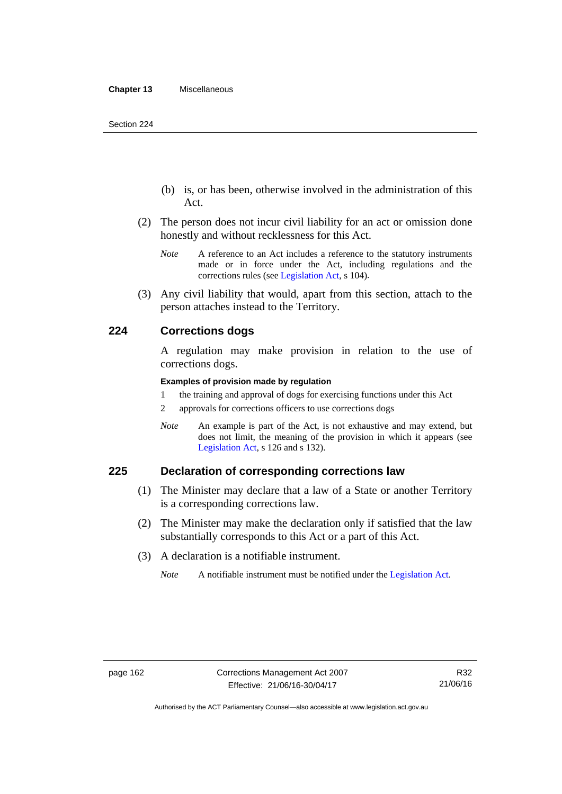- (b) is, or has been, otherwise involved in the administration of this Act.
- (2) The person does not incur civil liability for an act or omission done honestly and without recklessness for this Act.
	- *Note* A reference to an Act includes a reference to the statutory instruments made or in force under the Act, including regulations and the corrections rules (see [Legislation Act,](http://www.legislation.act.gov.au/a/2001-14) s 104).
- (3) Any civil liability that would, apart from this section, attach to the person attaches instead to the Territory.

### **224 Corrections dogs**

A regulation may make provision in relation to the use of corrections dogs.

#### **Examples of provision made by regulation**

- 1 the training and approval of dogs for exercising functions under this Act
- 2 approvals for corrections officers to use corrections dogs
- *Note* An example is part of the Act, is not exhaustive and may extend, but does not limit, the meaning of the provision in which it appears (see [Legislation Act,](http://www.legislation.act.gov.au/a/2001-14) s 126 and s 132).

## **225 Declaration of corresponding corrections law**

- (1) The Minister may declare that a law of a State or another Territory is a corresponding corrections law.
- (2) The Minister may make the declaration only if satisfied that the law substantially corresponds to this Act or a part of this Act.
- (3) A declaration is a notifiable instrument.
	- *Note* A notifiable instrument must be notified under the [Legislation Act](http://www.legislation.act.gov.au/a/2001-14).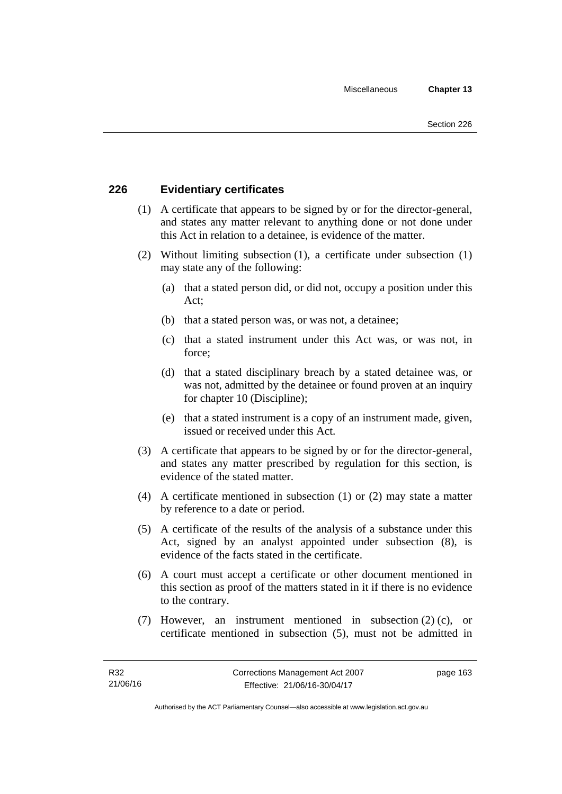# **226 Evidentiary certificates**

- (1) A certificate that appears to be signed by or for the director-general, and states any matter relevant to anything done or not done under this Act in relation to a detainee, is evidence of the matter.
- (2) Without limiting subsection (1), a certificate under subsection (1) may state any of the following:
	- (a) that a stated person did, or did not, occupy a position under this Act;
	- (b) that a stated person was, or was not, a detainee;
	- (c) that a stated instrument under this Act was, or was not, in force;
	- (d) that a stated disciplinary breach by a stated detainee was, or was not, admitted by the detainee or found proven at an inquiry for chapter 10 (Discipline);
	- (e) that a stated instrument is a copy of an instrument made, given, issued or received under this Act.
- (3) A certificate that appears to be signed by or for the director-general, and states any matter prescribed by regulation for this section, is evidence of the stated matter.
- (4) A certificate mentioned in subsection (1) or (2) may state a matter by reference to a date or period.
- (5) A certificate of the results of the analysis of a substance under this Act, signed by an analyst appointed under subsection (8), is evidence of the facts stated in the certificate.
- (6) A court must accept a certificate or other document mentioned in this section as proof of the matters stated in it if there is no evidence to the contrary.
- (7) However, an instrument mentioned in subsection (2) (c), or certificate mentioned in subsection (5), must not be admitted in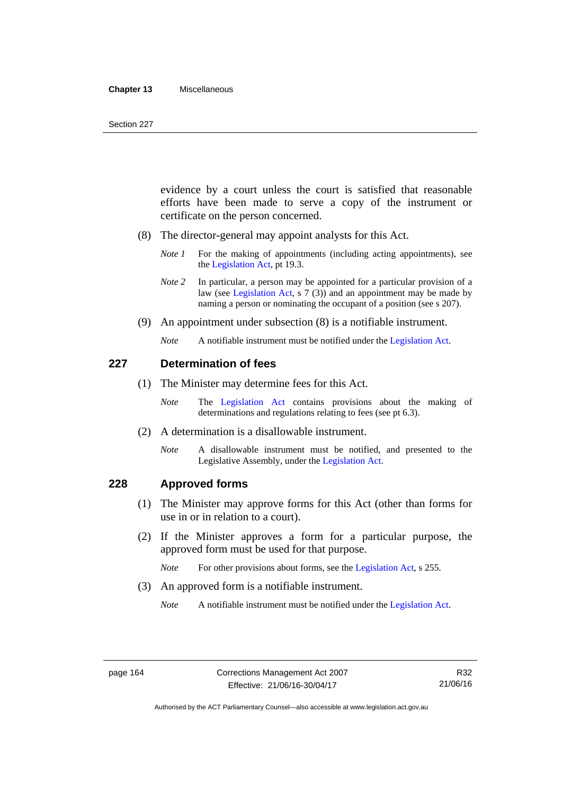#### **Chapter 13** Miscellaneous

evidence by a court unless the court is satisfied that reasonable efforts have been made to serve a copy of the instrument or certificate on the person concerned.

- (8) The director-general may appoint analysts for this Act.
	- *Note 1* For the making of appointments (including acting appointments), see the [Legislation Act,](http://www.legislation.act.gov.au/a/2001-14) pt 19.3.
	- *Note 2* In particular, a person may be appointed for a particular provision of a law (see [Legislation Act,](http://www.legislation.act.gov.au/a/2001-14) s 7 (3)) and an appointment may be made by naming a person or nominating the occupant of a position (see s 207).
- (9) An appointment under subsection (8) is a notifiable instrument.
	- *Note* A notifiable instrument must be notified under the [Legislation Act](http://www.legislation.act.gov.au/a/2001-14).

### **227 Determination of fees**

- (1) The Minister may determine fees for this Act.
	- *Note* The [Legislation Act](http://www.legislation.act.gov.au/a/2001-14) contains provisions about the making of determinations and regulations relating to fees (see pt 6.3).
- (2) A determination is a disallowable instrument.
	- *Note* A disallowable instrument must be notified, and presented to the Legislative Assembly, under the [Legislation Act.](http://www.legislation.act.gov.au/a/2001-14)

## **228 Approved forms**

- (1) The Minister may approve forms for this Act (other than forms for use in or in relation to a court).
- (2) If the Minister approves a form for a particular purpose, the approved form must be used for that purpose.

*Note* For other provisions about forms, see the [Legislation Act,](http://www.legislation.act.gov.au/a/2001-14) s 255.

(3) An approved form is a notifiable instrument.

*Note* A notifiable instrument must be notified under the [Legislation Act](http://www.legislation.act.gov.au/a/2001-14).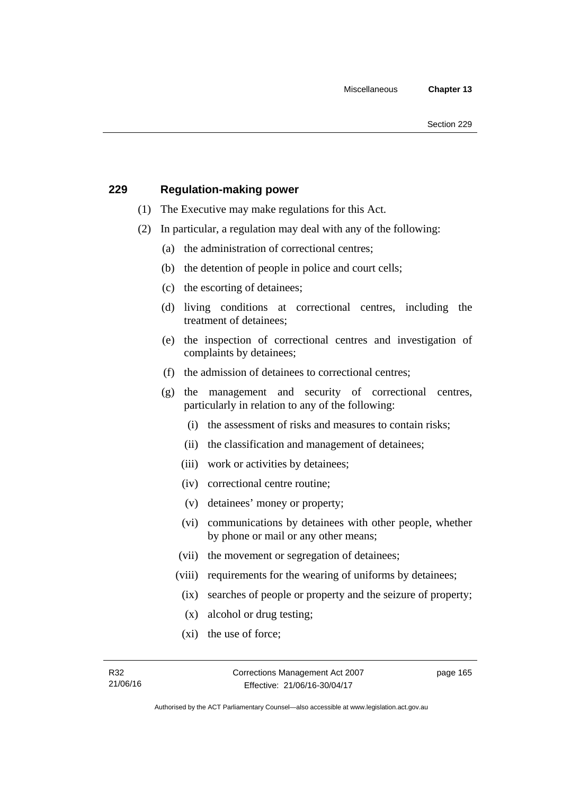## **229 Regulation-making power**

- (1) The Executive may make regulations for this Act.
- (2) In particular, a regulation may deal with any of the following:
	- (a) the administration of correctional centres;
	- (b) the detention of people in police and court cells;
	- (c) the escorting of detainees;
	- (d) living conditions at correctional centres, including the treatment of detainees;
	- (e) the inspection of correctional centres and investigation of complaints by detainees;
	- (f) the admission of detainees to correctional centres;
	- (g) the management and security of correctional centres, particularly in relation to any of the following:
		- (i) the assessment of risks and measures to contain risks;
		- (ii) the classification and management of detainees;
		- (iii) work or activities by detainees;
		- (iv) correctional centre routine;
		- (v) detainees' money or property;
		- (vi) communications by detainees with other people, whether by phone or mail or any other means;
		- (vii) the movement or segregation of detainees;
		- (viii) requirements for the wearing of uniforms by detainees;
		- (ix) searches of people or property and the seizure of property;
		- (x) alcohol or drug testing;
		- (xi) the use of force;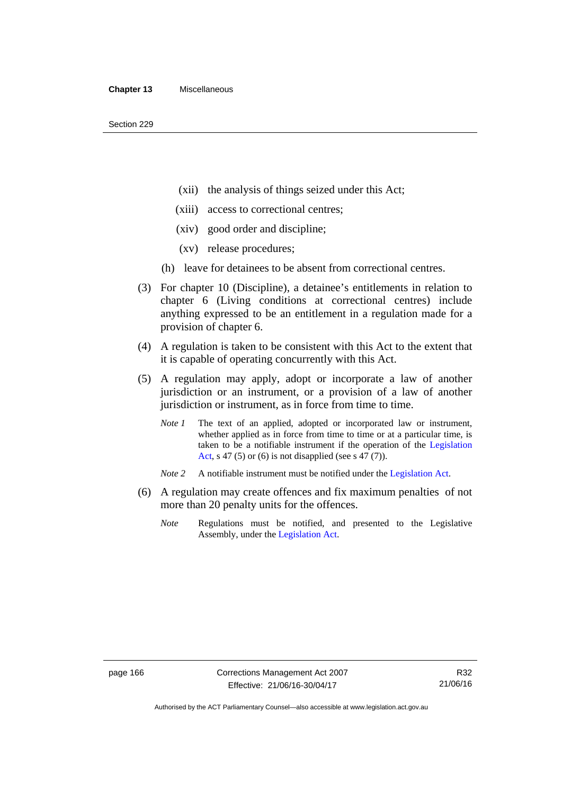- (xii) the analysis of things seized under this Act;
- (xiii) access to correctional centres;
- (xiv) good order and discipline;
- (xv) release procedures;
- (h) leave for detainees to be absent from correctional centres.
- (3) For chapter 10 (Discipline), a detainee's entitlements in relation to chapter 6 (Living conditions at correctional centres) include anything expressed to be an entitlement in a regulation made for a provision of chapter 6.
- (4) A regulation is taken to be consistent with this Act to the extent that it is capable of operating concurrently with this Act.
- (5) A regulation may apply, adopt or incorporate a law of another jurisdiction or an instrument, or a provision of a law of another jurisdiction or instrument, as in force from time to time.
	- *Note 1* The text of an applied, adopted or incorporated law or instrument, whether applied as in force from time to time or at a particular time, is taken to be a notifiable instrument if the operation of the [Legislation](http://www.legislation.act.gov.au/a/2001-14)  [Act,](http://www.legislation.act.gov.au/a/2001-14) s 47 (5) or (6) is not disapplied (see s 47 (7)).
	- *Note 2* A notifiable instrument must be notified under the [Legislation Act](http://www.legislation.act.gov.au/a/2001-14).
- (6) A regulation may create offences and fix maximum penalties of not more than 20 penalty units for the offences.
	- *Note* Regulations must be notified, and presented to the Legislative Assembly, under the [Legislation Act](http://www.legislation.act.gov.au/a/2001-14).

Authorised by the ACT Parliamentary Counsel—also accessible at www.legislation.act.gov.au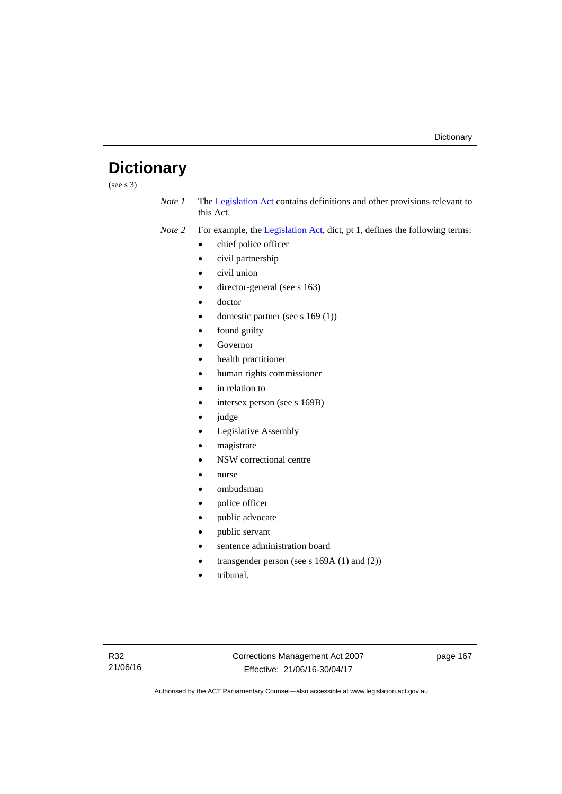# **Dictionary**

(see s 3)

*Note 1* The [Legislation Act](http://www.legislation.act.gov.au/a/2001-14) contains definitions and other provisions relevant to this Act.

*Note 2* For example, the [Legislation Act,](http://www.legislation.act.gov.au/a/2001-14) dict, pt 1, defines the following terms:

- chief police officer
- civil partnership
- civil union
- director-general (see s 163)
- doctor
- domestic partner (see s 169 (1))
- found guilty
- Governor
- health practitioner
- human rights commissioner
- in relation to
- intersex person (see s 169B)
- judge
- Legislative Assembly
- magistrate
- NSW correctional centre
- nurse
- ombudsman
- police officer
- public advocate
- public servant
- sentence administration board
- transgender person (see s 169A (1) and (2))
- tribunal.

page 167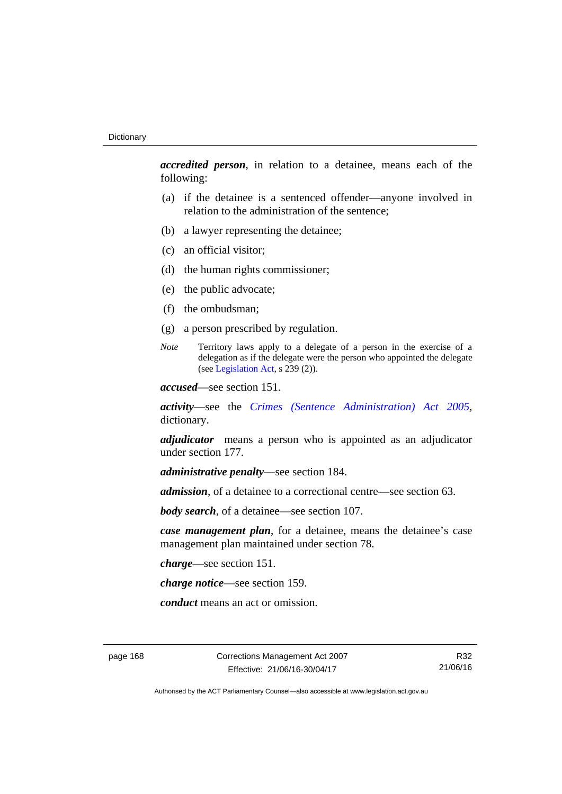*accredited person*, in relation to a detainee, means each of the following:

- (a) if the detainee is a sentenced offender—anyone involved in relation to the administration of the sentence;
- (b) a lawyer representing the detainee;
- (c) an official visitor;
- (d) the human rights commissioner;
- (e) the public advocate;
- (f) the ombudsman;
- (g) a person prescribed by regulation.
- *Note* Territory laws apply to a delegate of a person in the exercise of a delegation as if the delegate were the person who appointed the delegate (see [Legislation Act,](http://www.legislation.act.gov.au/a/2001-14) s 239 (2)).

*accused*—see section 151.

*activity*—see the *[Crimes \(Sentence Administration\) Act 2005](http://www.legislation.act.gov.au/a/2005-59)*, dictionary.

*adjudicator* means a person who is appointed as an adjudicator under section 177.

*administrative penalty*—see section 184.

*admission*, of a detainee to a correctional centre—see section 63.

*body search*, of a detainee—see section 107.

*case management plan*, for a detainee, means the detainee's case management plan maintained under section 78.

*charge*—see section 151.

*charge notice*—see section 159.

*conduct* means an act or omission.

page 168 Corrections Management Act 2007 Effective: 21/06/16-30/04/17

R32 21/06/16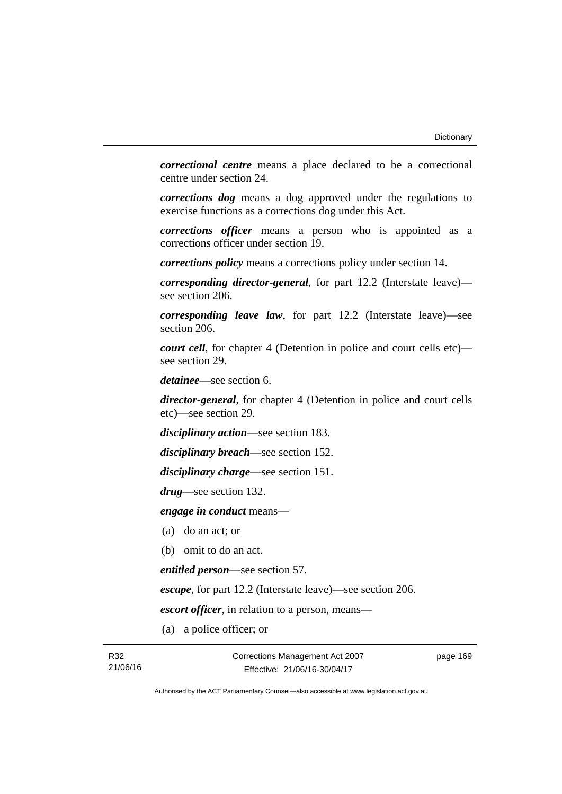*correctional centre* means a place declared to be a correctional centre under section 24.

*corrections dog* means a dog approved under the regulations to exercise functions as a corrections dog under this Act.

*corrections officer* means a person who is appointed as a corrections officer under section 19.

*corrections policy* means a corrections policy under section 14.

*corresponding director-general*, for part 12.2 (Interstate leave) see section 206.

*corresponding leave law*, for part 12.2 (Interstate leave)—see section 206.

*court cell*, for chapter 4 (Detention in police and court cells etc) see section 29.

*detainee*—see section 6.

*director-general*, for chapter 4 (Detention in police and court cells etc)—see section 29.

*disciplinary action*—see section 183.

*disciplinary breach*—see section 152.

*disciplinary charge*—see section 151.

*drug*—see section 132.

*engage in conduct* means—

- (a) do an act; or
- (b) omit to do an act.

*entitled person*—see section 57.

*escape*, for part 12.2 (Interstate leave)—see section 206.

*escort officer*, in relation to a person, means—

(a) a police officer; or

page 169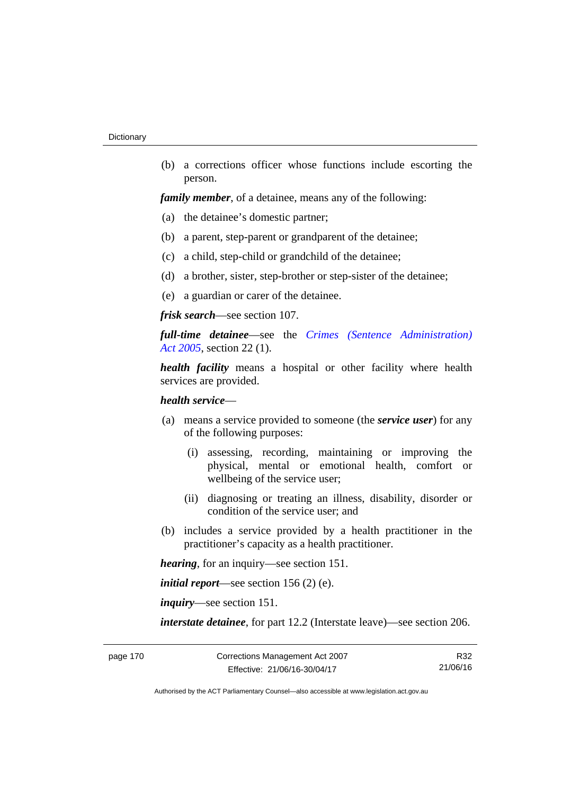(b) a corrections officer whose functions include escorting the person.

*family member*, of a detainee, means any of the following:

- (a) the detainee's domestic partner;
- (b) a parent, step-parent or grandparent of the detainee;
- (c) a child, step-child or grandchild of the detainee;
- (d) a brother, sister, step-brother or step-sister of the detainee;
- (e) a guardian or carer of the detainee.

*frisk search*—see section 107.

*full-time detainee*—see the *[Crimes \(Sentence Administration\)](http://www.legislation.act.gov.au/a/2005-59)  [Act 2005](http://www.legislation.act.gov.au/a/2005-59)*, section 22 (1).

*health facility* means a hospital or other facility where health services are provided.

# *health service*—

- (a) means a service provided to someone (the *service user*) for any of the following purposes:
	- (i) assessing, recording, maintaining or improving the physical, mental or emotional health, comfort or wellbeing of the service user;
	- (ii) diagnosing or treating an illness, disability, disorder or condition of the service user; and
- (b) includes a service provided by a health practitioner in the practitioner's capacity as a health practitioner.

*hearing*, for an inquiry—see section 151.

*initial report*—see section 156 (2) (e).

*inquiry*—see section 151.

*interstate detainee*, for part 12.2 (Interstate leave)—see section 206.

R32 21/06/16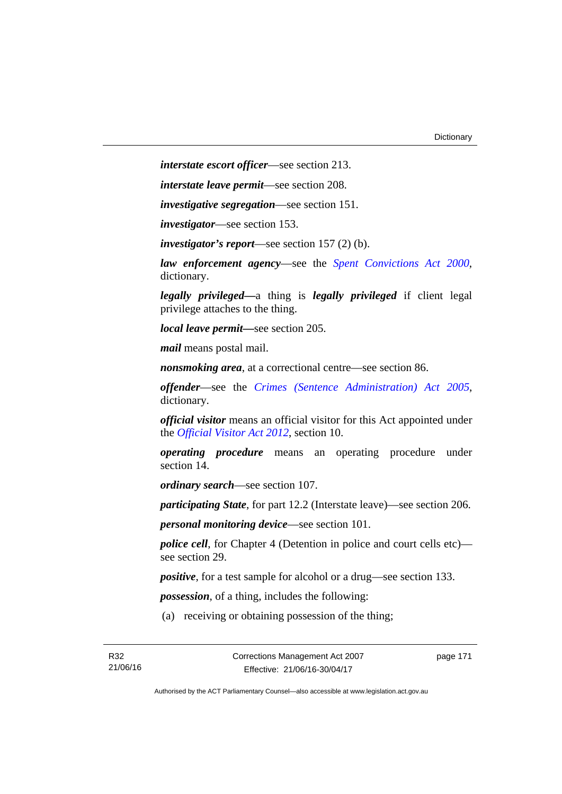*interstate escort officer*—see section 213.

*interstate leave permit*—see section 208.

*investigative segregation*—see section 151.

*investigator*—see section 153.

*investigator's report*—see section 157 (2) (b).

*law enforcement agency*—see the *[Spent Convictions Act 2000](http://www.legislation.act.gov.au/a/2000-48)*, dictionary.

*legally privileged—*a thing is *legally privileged* if client legal privilege attaches to the thing.

*local leave permit—*see section 205.

*mail* means postal mail.

*nonsmoking area*, at a correctional centre—see section 86.

*offender*—see the *[Crimes \(Sentence Administration\) Act 2005](http://www.legislation.act.gov.au/a/2005-59)*, dictionary.

*official visitor* means an official visitor for this Act appointed under the *[Official Visitor Act 2012](http://www.legislation.act.gov.au/a/2012-33)*, section 10.

*operating procedure* means an operating procedure under section 14.

*ordinary search*—see section 107.

*participating State*, for part 12.2 (Interstate leave)—see section 206.

*personal monitoring device*—see section 101.

*police cell*, for Chapter 4 (Detention in police and court cells etc) see section 29.

*positive*, for a test sample for alcohol or a drug—see section 133.

*possession*, of a thing, includes the following:

(a) receiving or obtaining possession of the thing;

page 171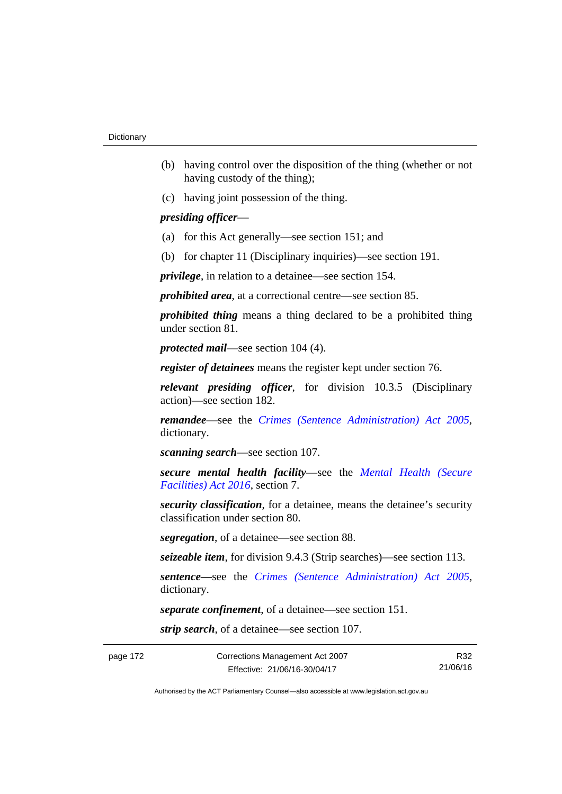- (b) having control over the disposition of the thing (whether or not having custody of the thing);
- (c) having joint possession of the thing.

# *presiding officer*—

- (a) for this Act generally—see section 151; and
- (b) for chapter 11 (Disciplinary inquiries)—see section 191.

*privilege*, in relation to a detainee—see section 154.

*prohibited area*, at a correctional centre—see section 85.

*prohibited thing* means a thing declared to be a prohibited thing under section 81.

*protected mail*—see section 104 (4).

*register of detainees* means the register kept under section 76.

*relevant presiding officer*, for division 10.3.5 (Disciplinary action)—see section 182.

*remandee*—see the *[Crimes \(Sentence Administration\) Act 2005](http://www.legislation.act.gov.au/a/2005-59)*, dictionary.

*scanning search*—see section 107.

*secure mental health facility*—see the *[Mental Health \(Secure](http://www.legislation.act.gov.au/a/2016-31/default.asp)  [Facilities\) Act 2016](http://www.legislation.act.gov.au/a/2016-31/default.asp)*, section 7.

*security classification*, for a detainee, means the detainee's security classification under section 80.

*segregation*, of a detainee—see section 88.

*seizeable item*, for division 9.4.3 (Strip searches)—see section 113.

*sentence—*see the *[Crimes \(Sentence Administration\) Act 2005](http://www.legislation.act.gov.au/a/2005-59)*, dictionary.

*separate confinement*, of a detainee—see section 151.

*strip search*, of a detainee—see section 107.

R32 21/06/16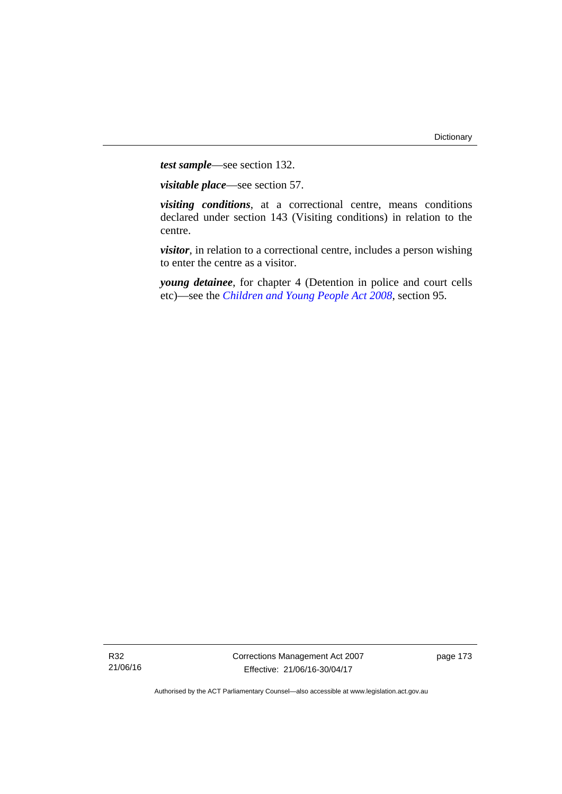*test sample*—see section 132.

*visitable place*—see section 57.

*visiting conditions*, at a correctional centre, means conditions declared under section 143 (Visiting conditions) in relation to the centre.

*visitor*, in relation to a correctional centre, includes a person wishing to enter the centre as a visitor.

*young detainee*, for chapter 4 (Detention in police and court cells etc)—see the *[Children and Young People Act 2008](http://www.legislation.act.gov.au/a/2008-19)*, section 95.

R32 21/06/16 Corrections Management Act 2007 Effective: 21/06/16-30/04/17

page 173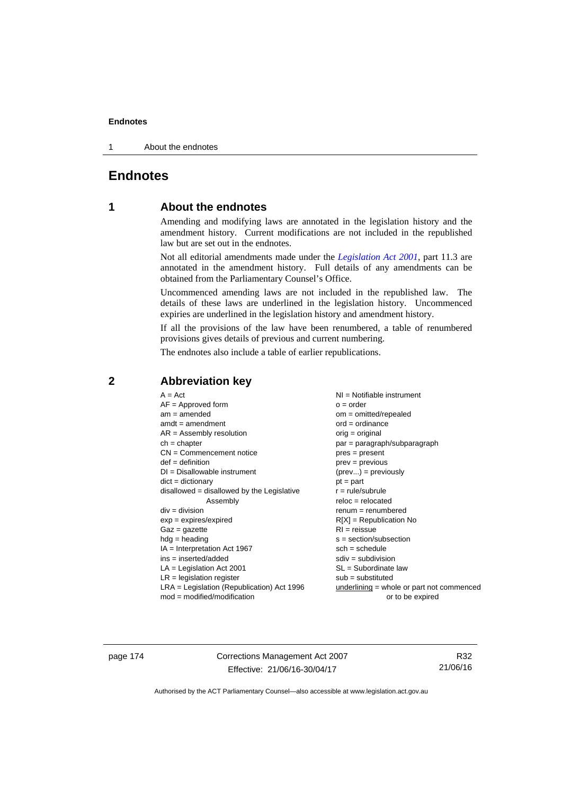1 About the endnotes

# **Endnotes**

# **1 About the endnotes**

Amending and modifying laws are annotated in the legislation history and the amendment history. Current modifications are not included in the republished law but are set out in the endnotes.

Not all editorial amendments made under the *[Legislation Act 2001](http://www.legislation.act.gov.au/a/2001-14)*, part 11.3 are annotated in the amendment history. Full details of any amendments can be obtained from the Parliamentary Counsel's Office.

Uncommenced amending laws are not included in the republished law. The details of these laws are underlined in the legislation history. Uncommenced expiries are underlined in the legislation history and amendment history.

If all the provisions of the law have been renumbered, a table of renumbered provisions gives details of previous and current numbering.

The endnotes also include a table of earlier republications.

| $AF =$ Approved form<br>$am = amended$<br>$om = omitted/repealed$<br>$amdt = amendment$<br>$AR = Assembly resolution$<br>$ch = chapter$<br>$CN =$ Commencement notice<br>$def = definition$<br>$DI = Disallowable instrument$<br>$dict = dictionary$<br>disallowed = disallowed by the Legislative<br>Assembly<br>$div =$ division<br>$exp = expires/expired$<br>$Gaz = gazette$<br>$hdg = heading$<br>$IA = Interpretation Act 1967$<br>$ins = inserted/added$<br>$LA =$ Legislation Act 2001<br>$LR =$ legislation register<br>$LRA =$ Legislation (Republication) Act 1996 | $ord = ordinance$<br>$orig = original$<br>$par = paragraph/subparagraph$<br>$pres = present$<br>$prev = previous$<br>$(\text{prev}) = \text{previously}$<br>$pt = part$<br>$r = rule/subrule$<br>$reloc = relocated$<br>$remum = renumbered$<br>$R[X]$ = Republication No<br>$RI = reissue$<br>$s = section/subsection$<br>$sch = schedule$<br>$sdiv = subdivision$<br>$SL = Subordinate$ law<br>$sub =$ substituted<br>underlining = whole or part not commenced |
|-------------------------------------------------------------------------------------------------------------------------------------------------------------------------------------------------------------------------------------------------------------------------------------------------------------------------------------------------------------------------------------------------------------------------------------------------------------------------------------------------------------------------------------------------------------------------------|-------------------------------------------------------------------------------------------------------------------------------------------------------------------------------------------------------------------------------------------------------------------------------------------------------------------------------------------------------------------------------------------------------------------------------------------------------------------|
| $mod = modified/modification$                                                                                                                                                                                                                                                                                                                                                                                                                                                                                                                                                 | or to be expired                                                                                                                                                                                                                                                                                                                                                                                                                                                  |

# **2 Abbreviation key**

page 174 Corrections Management Act 2007 Effective: 21/06/16-30/04/17

R32 21/06/16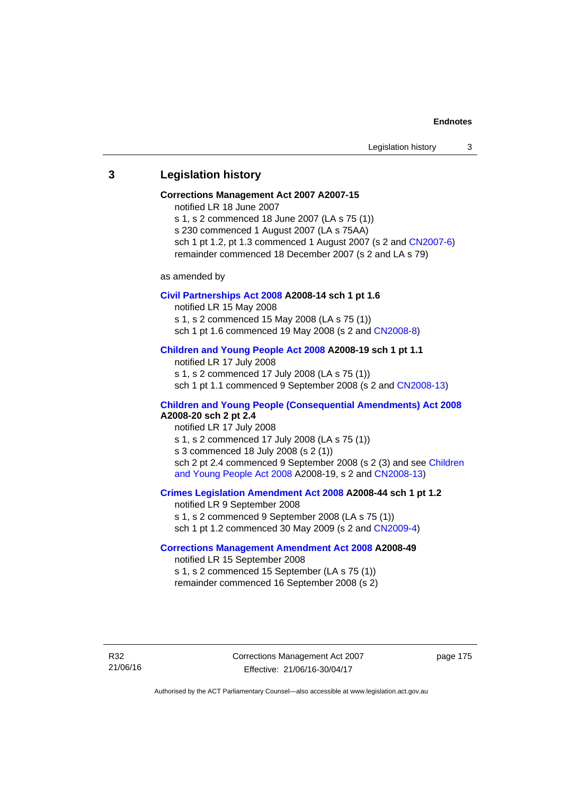# **3 Legislation history**

#### **Corrections Management Act 2007 A2007-15**

notified LR 18 June 2007

s 1, s 2 commenced 18 June 2007 (LA s 75 (1)) s 230 commenced 1 August 2007 (LA s 75AA) sch 1 pt 1.2, pt 1.3 commenced 1 August 2007 (s 2 and [CN2007-6](http://www.legislation.act.gov.au/cn/2007-6/default.asp))

remainder commenced 18 December 2007 (s 2 and LA s 79)

as amended by

#### **[Civil Partnerships Act 2008](http://www.legislation.act.gov.au/a/2008-14) A2008-14 sch 1 pt 1.6**

notified LR 15 May 2008

s 1, s 2 commenced 15 May 2008 (LA s 75 (1))

sch 1 pt 1.6 commenced 19 May 2008 (s 2 and [CN2008-8\)](http://www.legislation.act.gov.au/cn/2008-8/default.asp)

## **[Children and Young People Act 2008](http://www.legislation.act.gov.au/a/2008-19) A2008-19 sch 1 pt 1.1**

notified LR 17 July 2008 s 1, s 2 commenced 17 July 2008 (LA s 75 (1)) sch 1 pt 1.1 commenced 9 September 2008 (s 2 and [CN2008-13\)](http://www.legislation.act.gov.au/cn/2008-13/default.asp)

# **[Children and Young People \(Consequential Amendments\) Act 2008](http://www.legislation.act.gov.au/a/2008-20) A2008-20 sch 2 pt 2.4**

notified LR 17 July 2008 s 1, s 2 commenced 17 July 2008 (LA s 75 (1)) s 3 commenced 18 July 2008 (s 2 (1)) sch 2 pt 2.4 commenced 9 September 2008 (s 2 (3) and see Children [and Young People Act 2008](http://www.legislation.act.gov.au/a/2008-19) A2008-19, s 2 and [CN2008-13](http://www.legislation.act.gov.au/cn/2008-13/default.asp))

# **[Crimes Legislation Amendment Act 2008](http://www.legislation.act.gov.au/a/2008-44) A2008-44 sch 1 pt 1.2**

notified LR 9 September 2008 s 1, s 2 commenced 9 September 2008 (LA s 75 (1)) sch 1 pt 1.2 commenced 30 May 2009 (s 2 and [CN2009-4\)](http://www.legislation.act.gov.au/cn/2009-4/default.asp)

# **[Corrections Management Amendment Act 2008](http://www.legislation.act.gov.au/a/2008-49) A2008-49**

notified LR 15 September 2008 s 1, s 2 commenced 15 September (LA s 75 (1)) remainder commenced 16 September 2008 (s 2)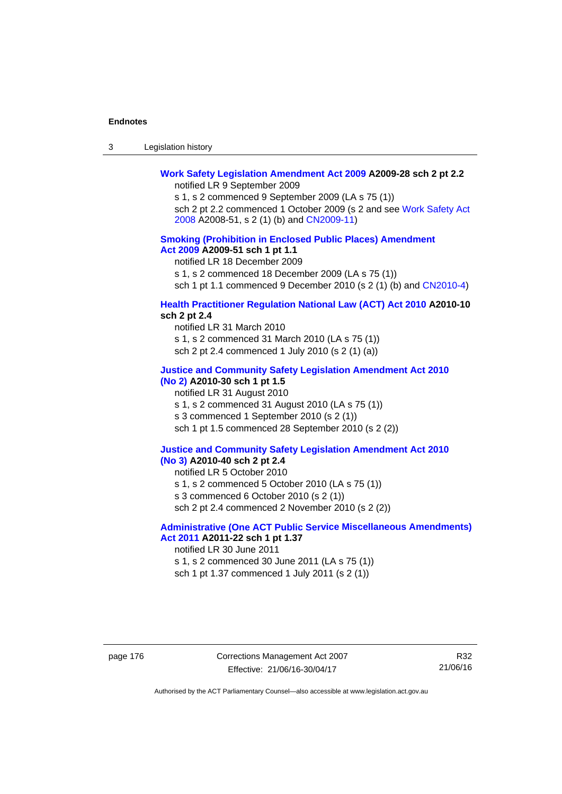| -3 | Legislation history |  |
|----|---------------------|--|
|----|---------------------|--|

### **[Work Safety Legislation Amendment Act 2009](http://www.legislation.act.gov.au/a/2009-28) A2009-28 sch 2 pt 2.2**  notified LR 9 September 2009

s 1, s 2 commenced 9 September 2009 (LA s 75 (1)) sch 2 pt 2.2 commenced 1 October 2009 (s 2 and see [Work Safety Act](http://www.legislation.act.gov.au/a/2008-51)  [2008](http://www.legislation.act.gov.au/a/2008-51) A2008-51, s 2 (1) (b) and [CN2009-11\)](http://www.legislation.act.gov.au/cn/2009-11/default.asp)

# **[Smoking \(Prohibition in Enclosed Public Places\) Amendment](http://www.legislation.act.gov.au/a/2009-51)  [Act 2009](http://www.legislation.act.gov.au/a/2009-51) A2009-51 sch 1 pt 1.1**

notified LR 18 December 2009

s 1, s 2 commenced 18 December 2009 (LA s 75 (1))

sch 1 pt 1.1 commenced 9 December 2010 (s 2 (1) (b) and [CN2010-4\)](http://www.legislation.act.gov.au/cn/2010-4/default.asp)

# **[Health Practitioner Regulation National Law \(ACT\) Act 2010](http://www.legislation.act.gov.au/a/2010-10) A2010-10 sch 2 pt 2.4**

notified LR 31 March 2010 s 1, s 2 commenced 31 March 2010 (LA s 75 (1)) sch 2 pt 2.4 commenced 1 July 2010 (s 2 (1) (a))

### **[Justice and Community Safety Legislation Amendment Act 2010](http://www.legislation.act.gov.au/a/2010-30)**

# **[\(No 2\)](http://www.legislation.act.gov.au/a/2010-30) A2010-30 sch 1 pt 1.5**  notified LR 31 August 2010 s 1, s 2 commenced 31 August 2010 (LA s 75 (1)) s 3 commenced 1 September 2010 (s 2 (1)) sch 1 pt 1.5 commenced 28 September 2010 (s 2 (2))

#### **[Justice and Community Safety Legislation Amendment Act 2010](http://www.legislation.act.gov.au/a/2010-40)  [\(No 3\)](http://www.legislation.act.gov.au/a/2010-40) A2010-40 sch 2 pt 2.4**

notified LR 5 October 2010

s 1, s 2 commenced 5 October 2010 (LA s 75 (1))

s 3 commenced 6 October 2010 (s 2 (1))

sch 2 pt 2.4 commenced 2 November 2010 (s 2 (2))

# **[Administrative \(One ACT Public Service Miscellaneous Amendments\)](http://www.legislation.act.gov.au/a/2011-22)  [Act 2011](http://www.legislation.act.gov.au/a/2011-22) A2011-22 sch 1 pt 1.37**

notified LR 30 June 2011

s 1, s 2 commenced 30 June 2011 (LA s 75 (1)) sch 1 pt 1.37 commenced 1 July 2011 (s 2 (1))

page 176 Corrections Management Act 2007 Effective: 21/06/16-30/04/17

R32 21/06/16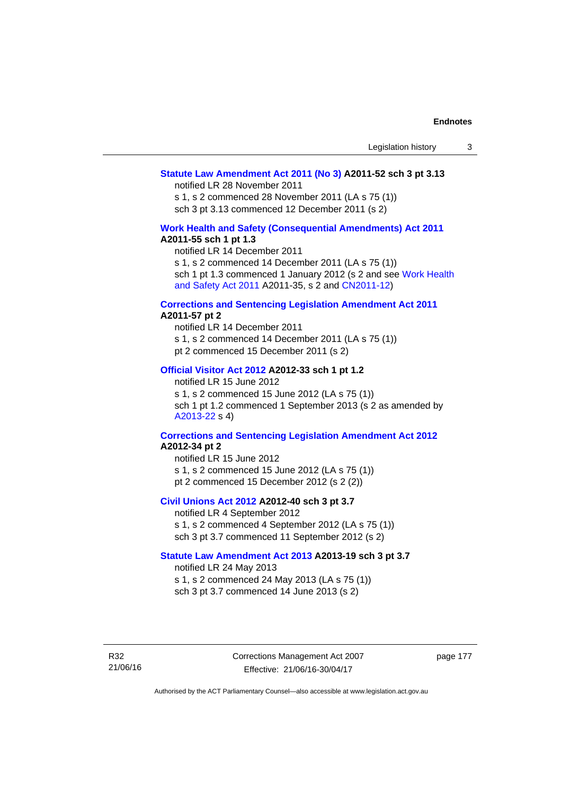# **[Statute Law Amendment Act 2011 \(No 3\)](http://www.legislation.act.gov.au/a/2011-52) A2011-52 sch 3 pt 3.13**

notified LR 28 November 2011

s 1, s 2 commenced 28 November 2011 (LA s 75 (1)) sch 3 pt 3.13 commenced 12 December 2011 (s 2)

#### **[Work Health and Safety \(Consequential Amendments\) Act 2011](http://www.legislation.act.gov.au/a/2011-55) A2011-55 sch 1 pt 1.3**

notified LR 14 December 2011

s 1, s 2 commenced 14 December 2011 (LA s 75 (1))

sch 1 pt 1.3 commenced 1 January 2012 (s 2 and see Work Health [and Safety Act 2011](http://www.legislation.act.gov.au/a/2011-35) A2011-35, s 2 and [CN2011-12\)](http://www.legislation.act.gov.au/cn/2011-12/default.asp)

#### **[Corrections and Sentencing Legislation Amendment Act 2011](http://www.legislation.act.gov.au/a/2011-57) A2011-57 pt 2**

notified LR 14 December 2011 s 1, s 2 commenced 14 December 2011 (LA s 75 (1)) pt 2 commenced 15 December 2011 (s 2)

#### **[Official Visitor Act 2012](http://www.legislation.act.gov.au/a/2012-33) A2012-33 sch 1 pt 1.2**

notified LR 15 June 2012 s 1, s 2 commenced 15 June 2012 (LA s 75 (1)) sch 1 pt 1.2 commenced 1 September 2013 (s 2 as amended by [A2013-22](http://www.legislation.act.gov.au/a/2013-22) s 4)

# **[Corrections and Sentencing Legislation Amendment Act 2012](http://www.legislation.act.gov.au/a/2012-34) A2012-34 pt 2**

notified LR 15 June 2012 s 1, s 2 commenced 15 June 2012 (LA s 75 (1)) pt 2 commenced 15 December 2012 (s 2 (2))

# **[Civil Unions Act 2012](http://www.legislation.act.gov.au/a/2012-40) A2012-40 sch 3 pt 3.7**

notified LR 4 September 2012 s 1, s 2 commenced 4 September 2012 (LA s 75 (1)) sch 3 pt 3.7 commenced 11 September 2012 (s 2)

#### **[Statute Law Amendment Act 2013](http://www.legislation.act.gov.au/a/2013-19) A2013-19 sch 3 pt 3.7**

notified LR 24 May 2013 s 1, s 2 commenced 24 May 2013 (LA s 75 (1)) sch 3 pt 3.7 commenced 14 June 2013 (s 2)

R32 21/06/16 Corrections Management Act 2007 Effective: 21/06/16-30/04/17

page 177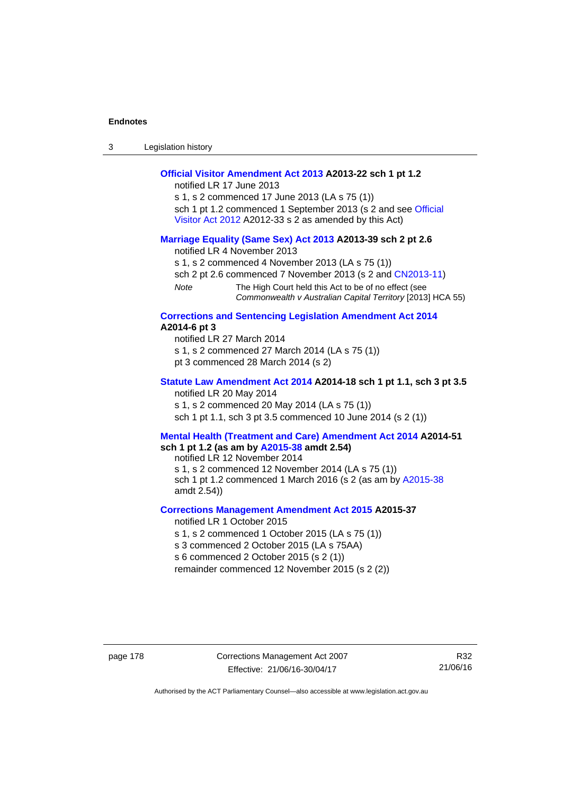| Legislation history<br>3 |  |
|--------------------------|--|
|--------------------------|--|

# **[Official Visitor Amendment Act 2013](http://www.legislation.act.gov.au/a/2013-22) A2013-22 sch 1 pt 1.2**

notified LR 17 June 2013

s 1, s 2 commenced 17 June 2013 (LA s 75 (1)) sch 1 pt 1.2 commenced 1 September 2013 (s 2 and see Official [Visitor Act 2012](http://www.legislation.act.gov.au/a/2012-33) A2012-33 s 2 as amended by this Act)

### **[Marriage Equality \(Same Sex\) Act 2013](http://www.legislation.act.gov.au/a/2013-39) A2013-39 sch 2 pt 2.6**

notified LR 4 November 2013

s 1, s 2 commenced 4 November 2013 (LA s 75 (1))

sch 2 pt 2.6 commenced 7 November 2013 (s 2 and [CN2013-11](http://www.legislation.act.gov.au/cn/2013-11))

*Note* The High Court held this Act to be of no effect (see *Commonwealth v Australian Capital Territory* [2013] HCA 55)

#### **[Corrections and Sentencing Legislation Amendment Act 2014](http://www.legislation.act.gov.au/a/2014-6) A2014-6 pt 3**

notified LR 27 March 2014 s 1, s 2 commenced 27 March 2014 (LA s 75 (1)) pt 3 commenced 28 March 2014 (s 2)

### **[Statute Law Amendment Act 2014](http://www.legislation.act.gov.au/a/2014-18) A2014-18 sch 1 pt 1.1, sch 3 pt 3.5**  notified LR 20 May 2014

s 1, s 2 commenced 20 May 2014 (LA s 75 (1)) sch 1 pt 1.1, sch 3 pt 3.5 commenced 10 June 2014 (s 2 (1))

#### **[Mental Health \(Treatment and Care\) Amendment Act 2014](http://www.legislation.act.gov.au/a/2014-51/default.asp) A2014-51 sch 1 pt 1.2 (as am by [A2015-38](http://www.legislation.act.gov.au/a/2015-38) amdt 2.54)**

notified LR 12 November 2014

s 1, s 2 commenced 12 November 2014 (LA s 75 (1)) sch 1 pt 1.2 commenced 1 March 2016 (s 2 (as am by [A2015-38](http://www.legislation.act.gov.au/a/2015-38) amdt 2.54))

# **[Corrections Management Amendment Act 2015](http://www.legislation.act.gov.au/a/2015-37) A2015-37**

notified LR 1 October 2015

s 1, s 2 commenced 1 October 2015 (LA s 75 (1))

s 3 commenced 2 October 2015 (LA s 75AA)

s 6 commenced 2 October 2015 (s 2 (1))

remainder commenced 12 November 2015 (s 2 (2))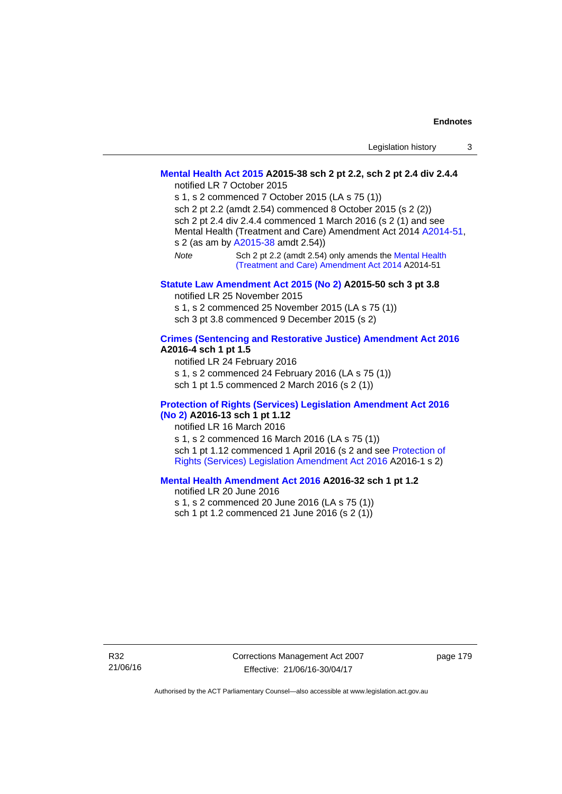# **[Mental Health Act 2015](http://www.legislation.act.gov.au/a/2015-38) A2015-38 sch 2 pt 2.2, sch 2 pt 2.4 div 2.4.4**

notified LR 7 October 2015

s 1, s 2 commenced 7 October 2015 (LA s 75 (1)) sch 2 pt 2.2 (amdt 2.54) commenced 8 October 2015 (s 2 (2)) sch 2 pt 2.4 div 2.4.4 commenced 1 March 2016 (s 2 (1) and see Mental Health (Treatment and Care) Amendment Act 2014 [A2014-51,](http://www.legislation.act.gov.au/a/2014-51/default.asp) s 2 (as am by [A2015-38](http://www.legislation.act.gov.au/a/2015-38) amdt 2.54)) *Note* Sch 2 pt 2.2 (amdt 2.54) only amends the [Mental Health](http://www.legislation.act.gov.au/a/2014-51/default.asp)  [\(Treatment and Care\) Amendment Act 2014](http://www.legislation.act.gov.au/a/2014-51/default.asp) A2014-51

# **[Statute Law Amendment Act 2015 \(No 2\)](http://www.legislation.act.gov.au/a/2015-50) A2015-50 sch 3 pt 3.8**

notified LR 25 November 2015

s 1, s 2 commenced 25 November 2015 (LA s 75 (1)) sch 3 pt 3.8 commenced 9 December 2015 (s 2)

# **[Crimes \(Sentencing and Restorative Justice\) Amendment Act 2016](http://www.legislation.act.gov.au/a/2016-4/default.asp) A2016-4 sch 1 pt 1.5**

notified LR 24 February 2016 s 1, s 2 commenced 24 February 2016 (LA s 75 (1)) sch 1 pt 1.5 commenced 2 March 2016 (s 2 (1))

# **[Protection of Rights \(Services\) Legislation Amendment Act 2016](http://www.legislation.act.gov.au/a/2016-13)  [\(No 2\)](http://www.legislation.act.gov.au/a/2016-13) A2016-13 sch 1 pt 1.12**

notified LR 16 March 2016 s 1, s 2 commenced 16 March 2016 (LA s 75 (1)) sch 1 pt 1.12 commenced 1 April 2016 (s 2 and see [Protection of](http://www.legislation.act.gov.au/a/2016-1/default.asp)  [Rights \(Services\) Legislation Amendment Act 2016](http://www.legislation.act.gov.au/a/2016-1/default.asp) A2016-1 s 2)

# **[Mental Health Amendment Act 2016](http://www.legislation.act.gov.au/a/2016-32/default.asp) A2016-32 sch 1 pt 1.2**

notified LR 20 June 2016 s 1, s 2 commenced 20 June 2016 (LA s 75 (1)) sch 1 pt 1.2 commenced 21 June 2016 (s 2 (1))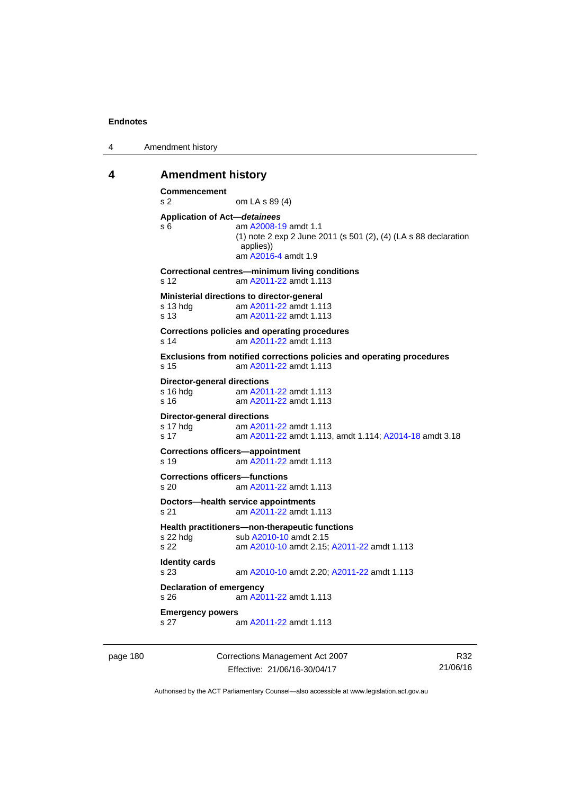4 Amendment history

# **4 Amendment history**

```
Commencement 
s 2 om LA s 89 (4) 
Application of Act—detainees
s 6 am A2008-19 amdt 1.1
               (1) note 2 exp 2 June 2011 (s 501 (2), (4) (LA s 88 declaration 
               applies)) 
                am A2016-4 amdt 1.9 
Correctional centres—minimum living conditions 
s 12 am A2011-22 amdt 1.113
Ministerial directions to director-general 
s 13 hdg am A2011-22 amdt 1.113
 A2011-22 amdt 1.113
Corrections policies and operating procedures 
s 14 am A2011-22 amdt 1.113
Exclusions from notified corrections policies and operating procedures 
s 15 am A2011-22 amdt 1.113
Director-general directions 
s 16 hdg am A2011-22 amdt 1.113
s 16 am A2011-22 amdt 1.113
Director-general directions 
 A2011-22 amdt 1.113
s 17 am A2011-22 amdt 1.113, amdt 1.114; A2014-18 amdt 3.18 
Corrections officers—appointment 
s 19 am A2011-22 amdt 1.113
Corrections officers—functions 
s 20 am A2011-22 amdt 1.113
Doctors—health service appointments 
s 21 am A2011-22 amdt 1.113
Health practitioners—non-therapeutic functions 
A2010-10 amdt 2.15
s 22 am A2010-10 amdt 2.15; A2011-22 amdt 1.113 
Identity cards 
s 23 am A2010-10 amdt 2.20; A2011-22 amdt 1.113 
Declaration of emergency 
s 26 am A2011-22 amdt 1.113
Emergency powers 
s 27 am A2011-22 amdt 1.113
```
page 180 Corrections Management Act 2007 Effective: 21/06/16-30/04/17

R32 21/06/16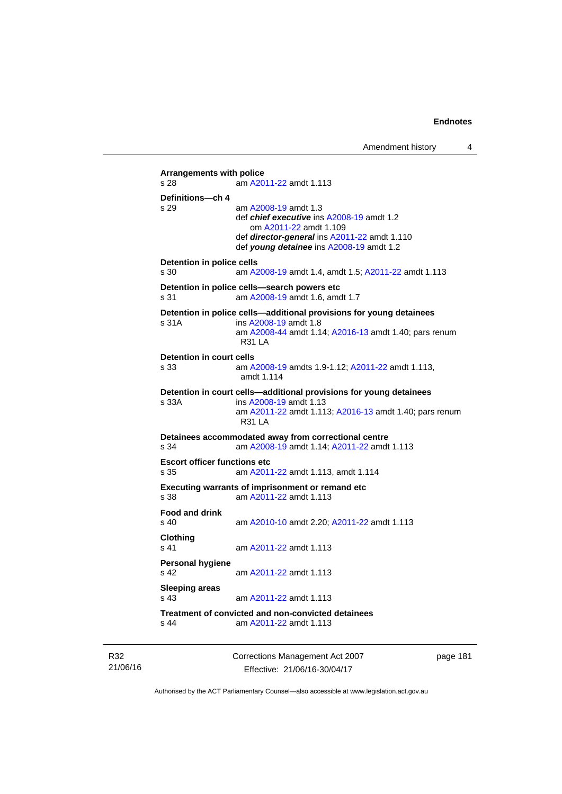```
Arrangements with police 
s 28 am A2011-22 amdt 1.113
Definitions—ch 4 
s 29 am A2008-19 amdt 1.3
                 def chief executive ins A2008-19 amdt 1.2 
                    om A2011-22 amdt 1.109
                 def director-general ins A2011-22 amdt 1.110 
                 def young detainee ins A2008-19 amdt 1.2 
Detention in police cells 
s 30 am A2008-19 amdt 1.4, amdt 1.5; A2011-22 amdt 1.113
Detention in police cells—search powers etc 
s 31 am A2008-19 amdt 1.6, amdt 1.7 
Detention in police cells—additional provisions for young detainees 
s 31A ins A2008-19 amdt 1.8 
                 am A2008-44 amdt 1.14; A2016-13 amdt 1.40; pars renum 
                 R31 LA 
Detention in court cells 
s 33 am A2008-19 amdts 1.9-1.12; A2011-22 amdt 1.113, 
                 amdt 1.114 
Detention in court cells—additional provisions for young detainees 
s 33A ins A2008-19 amdt 1.13 
                 am A2011-22 amdt 1.113; A2016-13 amdt 1.40; pars renum 
                 R31 LA 
Detainees accommodated away from correctional centre 
s 34 am A2008-19 amdt 1.14; A2011-22 amdt 1.113 
Escort officer functions etc 
s 35 am A2011-22 amdt 1.113, amdt 1.114 
Executing warrants of imprisonment or remand etc 
s 38 am A2011-22 amdt 1.113
Food and drink 
                s 40 am A2010-10 amdt 2.20; A2011-22 amdt 1.113 
Clothing 
s 41 A2011-22 amdt 1.113
Personal hygiene 
s 42 am A2011-22 amdt 1.113
Sleeping areas 
s 43 am A2011-22 amdt 1.113
Treatment of convicted and non-convicted detainees 
s 44 am A2011-22 amdt 1.113
```
R32 21/06/16 Corrections Management Act 2007 Effective: 21/06/16-30/04/17

page 181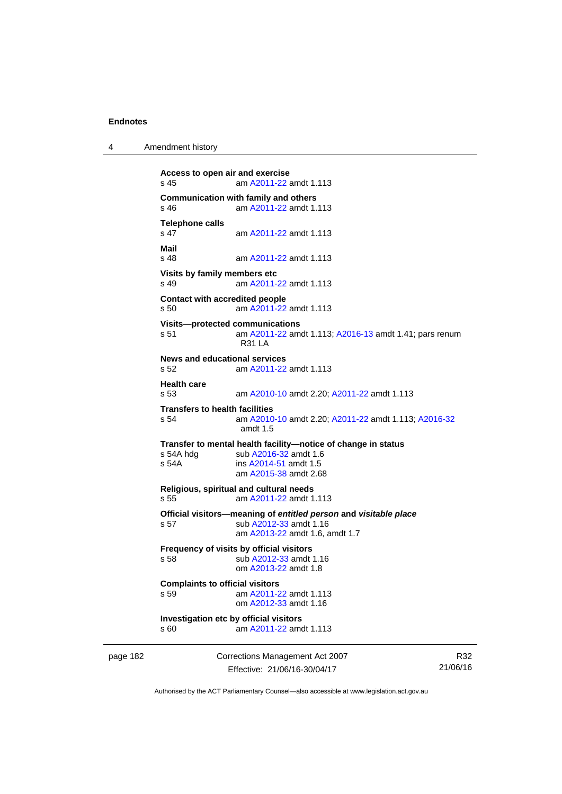4 Amendment history

```
page 182 Corrections Management Act 2007 
                                                                              R32
           Access to open air and exercise 
           s 45 am A2011-22 amdt 1.113
           Communication with family and others<br>s 46 am A2011-22 amdt 1.
                             A2011-22 amdt 1.113
           Telephone calls 
                             A2011-22 amdt 1.113
           Mail 
           s 48 am A2011-22 amdt 1.113
           Visits by family members etc 
           s 49 am A2011-22 amdt 1.113
           Contact with accredited people 
           s 50 am A2011-22 amdt 1.113
           Visits—protected communications 
           s 51 am A2011-22 amdt 1.113; A2016-13 amdt 1.41; pars renum 
                             R31 LA 
           News and educational services 
           s 52 am A2011-22 amdt 1.113
           Health care 
           s 53 am A2010-10 amdt 2.20; A2011-22 amdt 1.113 
           Transfers to health facilities<br>s 54 am A2010
                            s 54 am A2010-10 amdt 2.20; A2011-22 amdt 1.113; A2016-32
                             amdt 1.5
           Transfer to mental health facility—notice of change in status 
            A2016-32 amdt 1.6<br>s 54A ins A2014-51 amdt 1.5
                            A2014-51 amdt 1.5
                             am A2015-38 amdt 2.68
           Religious, spiritual and cultural needs 
           s 55 am A2011-22 amdt 1.113
           Official visitors—meaning of entitled person and visitable place 
           s 57 sub A2012-33 amdt 1.16 
                             am A2013-22 amdt 1.6, amdt 1.7 
           Frequency of visits by official visitors
           s 58 sub A2012-33 amdt 1.16 
                             om A2013-22 amdt 1.8
           Complaints to official visitors 
           s 59 am A2011-22 amdt 1.113
                             om A2012-33 amdt 1.16
           Investigation etc by official visitors 
           s 60 am A2011-22 amdt 1.113
```
Authorised by the ACT Parliamentary Counsel—also accessible at www.legislation.act.gov.au

Effective: 21/06/16-30/04/17

21/06/16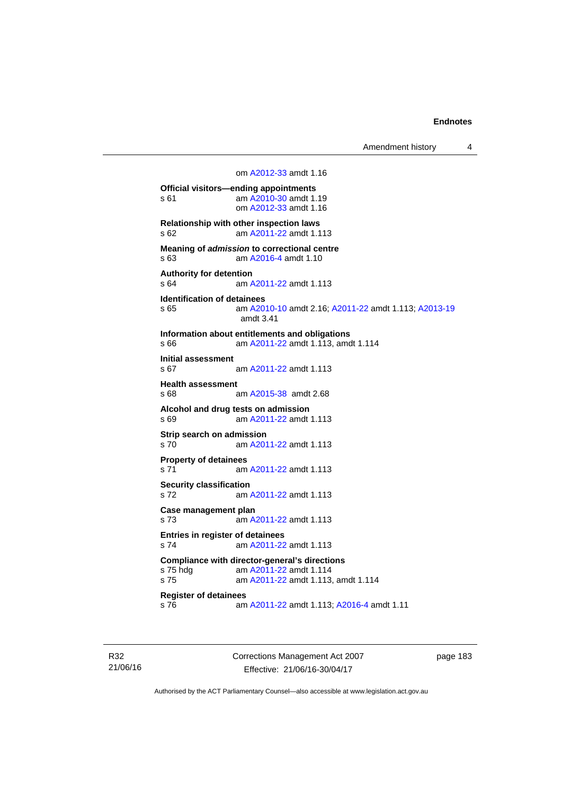Amendment history 4

```
 om A2012-33 amdt 1.16
Official visitors—ending appointments 
s 61  A2010-30 amdt 1.19
                om A2012-33 amdt 1.16
Relationship with other inspection laws 
s 62 am A2011-22 amdt 1.113
Meaning of admission to correctional centre 
s 63 am A2016-4 amdt 1.10 
Authority for detention 
s 64 A2011-22 amdt 1.113
Identification of detainees 
s 65 am A2010-10 amdt 2.16; A2011-22 amdt 1.113; A2013-19
                amdt 3.41
Information about entitlements and obligations 
s 66 am A2011-22 amdt 1.113, amdt 1.114 
Initial assessment 
s 67 am A2011-22 amdt 1.113
Health assessment 
s 68 am A2015-38 amdt 2.68
Alcohol and drug tests on admission 
s 69 am A2011-22 amdt 1.113
Strip search on admission 
s 70 am A2011-22 amdt 1.113
Property of detainees 
 A2011-22 amdt 1.113
Security classification 
s 72 am A2011-22 amdt 1.113
Case management plan 
s 73 am A2011-22 amdt 1.113
Entries in register of detainees 
s 74 am A2011-22 amdt 1.113
Compliance with director-general's directions 
s 75 hdg am A2011-22 amdt 1.114
s 75 am A2011-22 amdt 1.113, amdt 1.114 
Register of detainees 
s 76 am A2011-22 amdt 1.113; A2016-4 amdt 1.11
```
R32 21/06/16 Corrections Management Act 2007 Effective: 21/06/16-30/04/17

page 183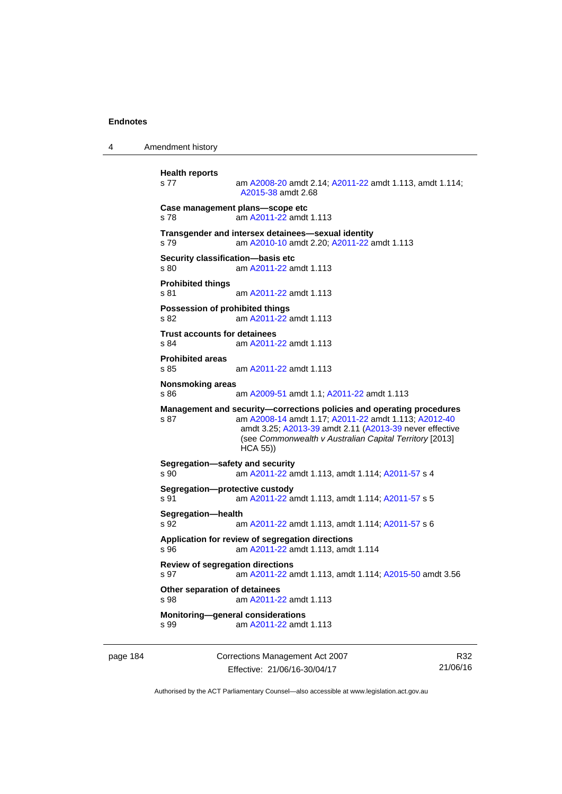4 Amendment history

```
Health reports 
s 77 am A2008-20 amdt 2.14; A2011-22 amdt 1.113, amdt 1.114; 
                A2015-38 amdt 2.68 
Case management plans—scope etc 
s 78 am A2011-22 amdt 1.113
Transgender and intersex detainees—sexual identity 
s 79 am A2010-10 amdt 2.20; A2011-22 amdt 1.113 
Security classification—basis etc 
s 80 A2011-22 amdt 1.113
Prohibited things 
s 81 am A2011-22 amdt 1.113
Possession of prohibited things 
s 82 am A2011-22 amdt 1.113
Trust accounts for detainees 
s 84 am A2011-22 amdt 1.113
Prohibited areas 
s 85 am A2011-22 amdt 1.113
Nonsmoking areas 
s 86 am A2009-51 amdt 1.1; A2011-22 amdt 1.113 
Management and security—corrections policies and operating procedures 
s 87 am A2008-14 amdt 1.17; A2011-22 amdt 1.113; A2012-40
                amdt 3.25; A2013-39 amdt 2.11 (A2013-39 never effective 
                (see Commonwealth v Australian Capital Territory [2013] 
                HCA 55)) 
Segregation—safety and security 
s 90 am A2011-22 amdt 1.113, amdt 1.114; A2011-57 s 4 
Segregation—protective custody 
s 91 am A2011-22 amdt 1.113, amdt 1.114; A2011-57 s 5 
Segregation—health 
s 92 am A2011-22 amdt 1.113, amdt 1.114; A2011-57 s 6 
Application for review of segregation directions 
s 96 am A2011-22 amdt 1.113, amdt 1.114 
Review of segregation directions 
s 97 am A2011-22 amdt 1.113, amdt 1.114; A2015-50 amdt 3.56 
Other separation of detainees 
s 98 am A2011-22 amdt 1.113
Monitoring—general considerations 
s 99 am A2011-22 amdt 1.113
```
page 184 Corrections Management Act 2007 Effective: 21/06/16-30/04/17

R32 21/06/16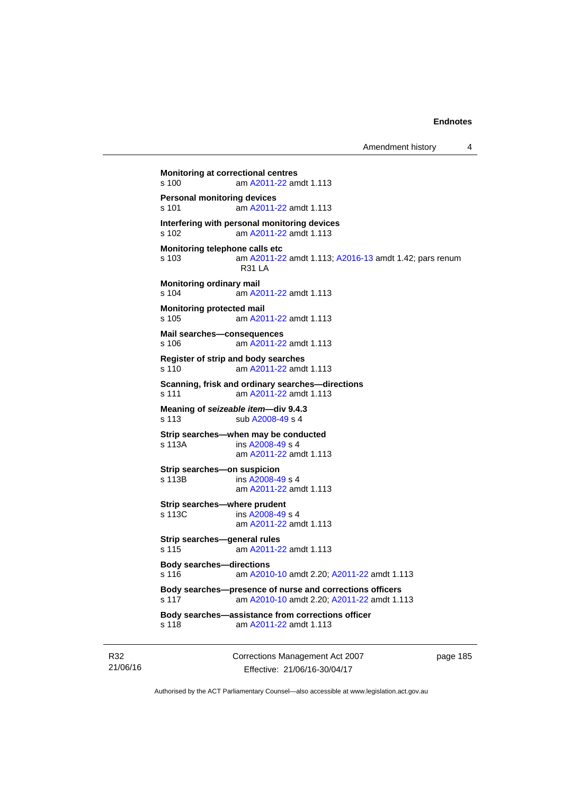```
Amendment history 4
```

```
Monitoring at correctional centres 
s 100 am A2011-22 amdt 1.113
Personal monitoring devices 
s 101 am A2011-22 amdt 1.113
Interfering with personal monitoring devices 
s 102 am A2011-22 amdt 1.113
Monitoring telephone calls etc 
s 103 am A2011-22 amdt 1.113; A2016-13 amdt 1.42; pars renum 
                R31 LA 
Monitoring ordinary mail 
s 104 am A2011-22 amdt 1.113
Monitoring protected mail 
s 105 am A2011-22 amdt 1.113
Mail searches—consequences 
s 106 am A2011-22 amdt 1.113
Register of strip and body searches 
s 110 am A2011-22 amdt 1.113
Scanning, frisk and ordinary searches—directions 
s 111 am A2011-22 amdt 1.113
Meaning of seizeable item—div 9.4.3 
A2008-49 s 4
Strip searches—when may be conducted 
s 113A ins A2008-49 s 4
                am A2011-22 amdt 1.113
Strip searches—on suspicion 
s 113B ins A2008-49 s 4
                am A2011-22 amdt 1.113
Strip searches—where prudent 
s 113C ins A2008-49 s 4
                am A2011-22 amdt 1.113
Strip searches—general rules 
s 115 am A2011-22 amdt 1.113
Body searches—directions 
s 116 am A2010-10 amdt 2.20; A2011-22 amdt 1.113 
Body searches—presence of nurse and corrections officers 
s 117 am A2010-10 amdt 2.20; A2011-22 amdt 1.113 
Body searches—assistance from corrections officer 
s 118 am A2011-22 amdt 1.113
```
R32 21/06/16 Corrections Management Act 2007 Effective: 21/06/16-30/04/17

page 185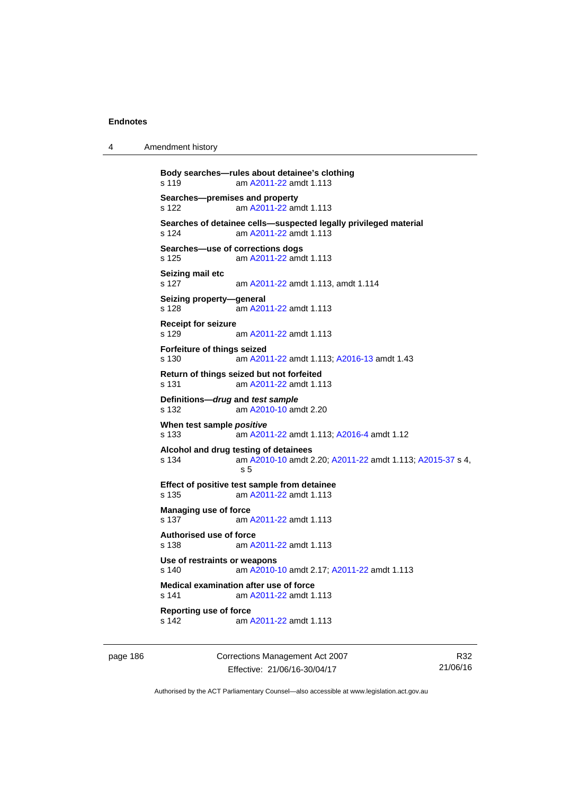4 Amendment history

```
Body searches—rules about detainee's clothing 
s 119 am A2011-22 amdt 1.113
Searches—premises and property 
s 122 am A2011-22 amdt 1.113
Searches of detainee cells—suspected legally privileged material 
s 124 am A2011-22 amdt 1.113
Searches—use of corrections dogs 
s 125 am A2011-22 amdt 1.113
Seizing mail etc 
s 127 am A2011-22 amdt 1.113, amdt 1.114 
Seizing property—general 
s 128 am A2011-22 amdt 1.113
Receipt for seizure 
s 129 am A2011-22 amdt 1.113
Forfeiture of things seized 
s 130 am A2011-22 amdt 1.113; A2016-13 amdt 1.43 
Return of things seized but not forfeited 
s 131 am A2011-22 amdt 1.113
Definitions—drug and test sample
s 132 am A2010-10 amdt 2.20
When test sample positive
s 133 am A2011-22 amdt 1.113; A2016-4 amdt 1.12 
Alcohol and drug testing of detainees 
s 134 am A2010-10 amdt 2.20; A2011-22 amdt 1.113; A2015-37 s 4, 
                s 5 
Effect of positive test sample from detainee 
s 135 am A2011-22 amdt 1.113
Managing use of force 
 A2011-22 amdt 1.113
Authorised use of force 
s 138 am A2011-22 amdt 1.113
Use of restraints or weapons 
s 140 am A2010-10 amdt 2.17; A2011-22 amdt 1.113 
Medical examination after use of force 
s 141 am A2011-22 amdt 1.113
Reporting use of force 
                A2011-22 amdt 1.113
```
page 186 Corrections Management Act 2007 Effective: 21/06/16-30/04/17

R32 21/06/16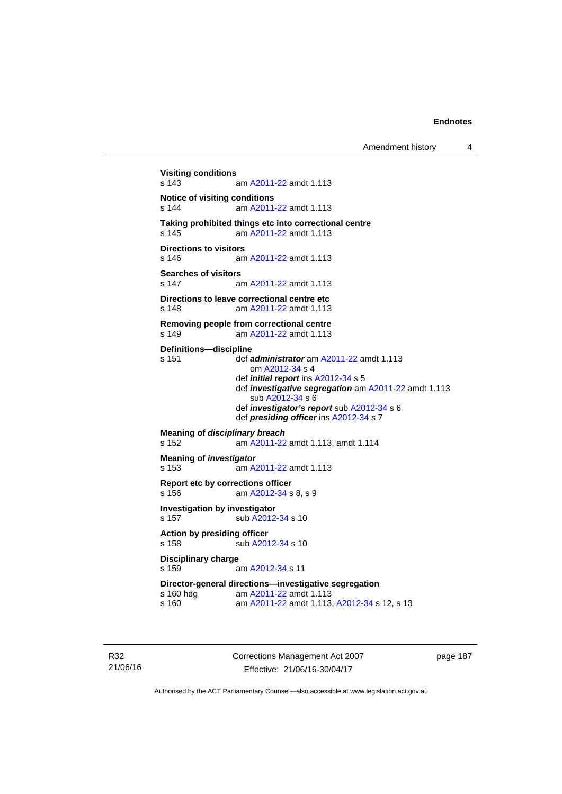```
Visiting conditions 
                 A2011-22 amdt 1.113
Notice of visiting conditions 
s 144 am A2011-22 amdt 1.113
Taking prohibited things etc into correctional centre 
 A2011-22 amdt 1.113
Directions to visitors 
s 146 am A2011-22 amdt 1.113
Searches of visitors<br>s 147 a
                 A2011-22 amdt 1.113
Directions to leave correctional centre etc 
s 148 am A2011-22 amdt 1.113
Removing people from correctional centre 
s 149 am A2011-22 amdt 1.113
Definitions—discipline 
s 151 def administrator am A2011-22 amdt 1.113 
                    om A2012-34 s 4 
                  def initial report ins A2012-34 s 5 
                  def investigative segregation am A2011-22 amdt 1.113 
                     sub A2012-34 s 6 
                  def investigator's report sub A2012-34 s 6 
                  def presiding officer ins A2012-34 s 7 
Meaning of disciplinary breach
s 152 am A2011-22 amdt 1.113, amdt 1.114 
Meaning of investigator
s 153 am A2011-22 amdt 1.113
Report etc by corrections officer 
s 156 am A2012-34 s 8, s 9 
Investigation by investigator 
A2012-34 s 10
Action by presiding officer 
A2012-34 s 10
Disciplinary charge 
s 159 am A2012-34 s 11 
Director-general directions—investigative segregation<br>s 160 hdg am A2011-22 amdt 1.113
 A2011-22 amdt 1.113<br>s 160 am A2011-22 amdt 1.113
                  A2011-22A2012-34 s 12, s 13
```
R32 21/06/16 Corrections Management Act 2007 Effective: 21/06/16-30/04/17

page 187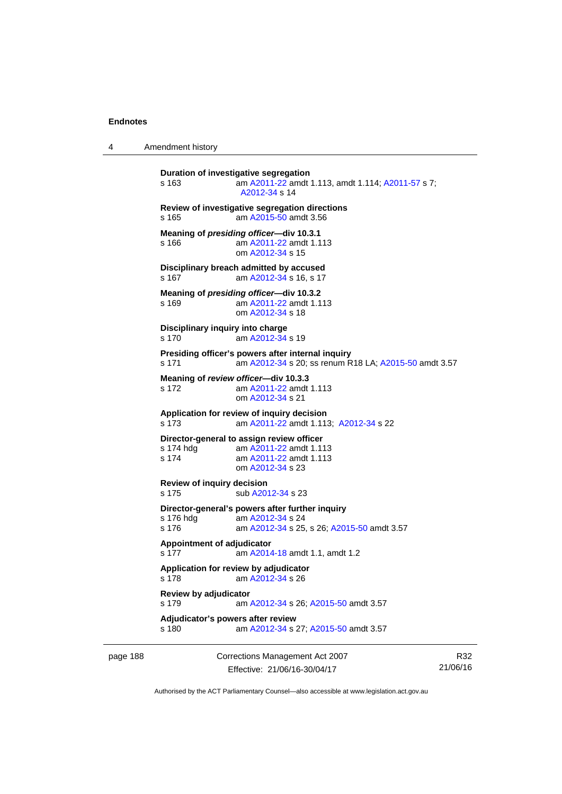4 Amendment history

```
Duration of investigative segregation 
s 163 am A2011-22 amdt 1.113, amdt 1.114; A2011-57 s 7; 
                 A2012-34 s 14 
Review of investigative segregation directions 
s 165 am A2015-50 amdt 3.56
Meaning of presiding officer—div 10.3.1 
s 166 am A2011-22 amdt 1.113
                 om A2012-34 s 15 
Disciplinary breach admitted by accused 
 A2012-34 s 16, s 17
Meaning of presiding officer—div 10.3.2 
s 169 am A2011-22 amdt 1.113
                 om A2012-34 s 18 
Disciplinary inquiry into charge 
s 170 am A2012-34 s 19 
Presiding officer's powers after internal inquiry 
s 171 am A2012-34 s 20; ss renum R18 LA; A2015-50 amdt 3.57 
Meaning of review officer—div 10.3.3 
s 172 am A2011-22 amdt 1.113
                 om A2012-34 s 21 
Application for review of inquiry decision 
s 173 am A2011-22 amdt 1.113; A2012-34 s 22 
Director-general to assign review officer 
 A2011-22 amdt 1.113<br>s 174 am A2011-22 amdt 1.113
                 A2011-22 amdt 1.113
                 om A2012-34 s 23 
Review of inquiry decision 
A2012-34 s 23
Director-general's powers after further inquiry 
 A2012-34 s 24
s 176 am A2012-34 s 25, s 26; A2015-50 amdt 3.57 
Appointment of adjudicator 
s 177 am A2014-18 amdt 1.1, amdt 1.2 
Application for review by adjudicator 
s 178 am A2012-34 s 26 
Review by adjudicator 
s 179 am A2012-34 s 26; A2015-50 amdt 3.57 
Adjudicator's powers after review 
s 180 am A2012-34 s 27; A2015-50 amdt 3.57
```
page 188 Corrections Management Act 2007 Effective: 21/06/16-30/04/17

R32 21/06/16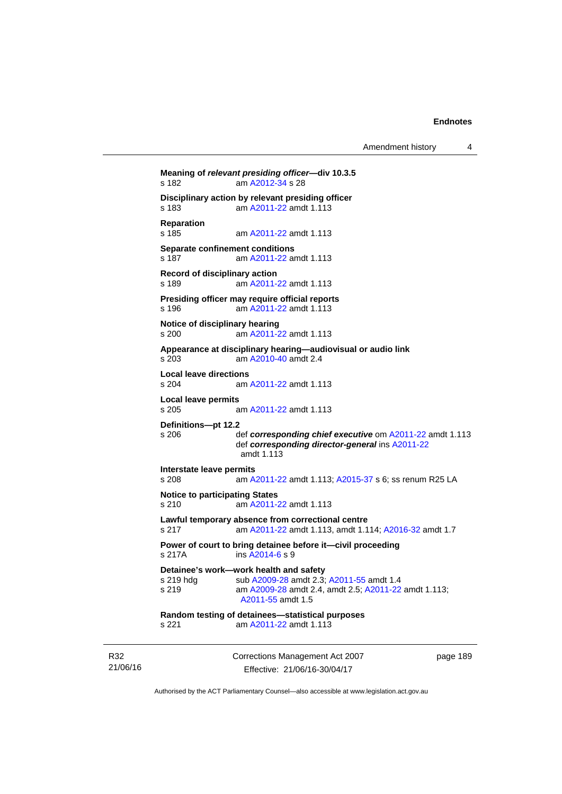Amendment history 4

```
Meaning of relevant presiding officer—div 10.3.5 
s 182 am A2012-34 s 28 
Disciplinary action by relevant presiding officer 
s 183 am A2011-22 amdt 1.113
Reparation 
                 A2011-22 amdt 1.113
Separate confinement conditions 
s 187 am A2011-22 amdt 1.113
Record of disciplinary action 
s 189 am A2011-22 amdt 1.113
Presiding officer may require official reports 
s 196 am A2011-22 amdt 1.113
Notice of disciplinary hearing 
s 200 am A2011-22 amdt 1.113
Appearance at disciplinary hearing—audiovisual or audio link 
s 203 am A2010-40 amdt 2.4
Local leave directions 
s 204 am A2011-22 amdt 1.113
Local leave permits 
s 205 am A2011-22 amdt 1.113
Definitions—pt 12.2 
s 206 def corresponding chief executive om A2011-22 amdt 1.113 
                 def corresponding director-general ins A2011-22
                amdt 1.113
Interstate leave permits 
s 208 am A2011-22 amdt 1.113; A2015-37 s 6; ss renum R25 LA 
Notice to participating States 
s 210 am A2011-22 amdt 1.113
Lawful temporary absence from correctional centre 
s 217 am A2011-22 amdt 1.113, amdt 1.114; A2016-32 amdt 1.7
Power of court to bring detainee before it—civil proceeding 
s 217A ins A2014-6 s 9 
Detainee's work—work health and safety 
A2009-28 A2011-55 amdt 1.4
s 219 am A2009-28 amdt 2.4, amdt 2.5; A2011-22 amdt 1.113; 
                A2011-55 amdt 1.5 
Random testing of detainees—statistical purposes 
s 221 am A2011-22 amdt 1.113
```
R32 21/06/16 Corrections Management Act 2007 Effective: 21/06/16-30/04/17

page 189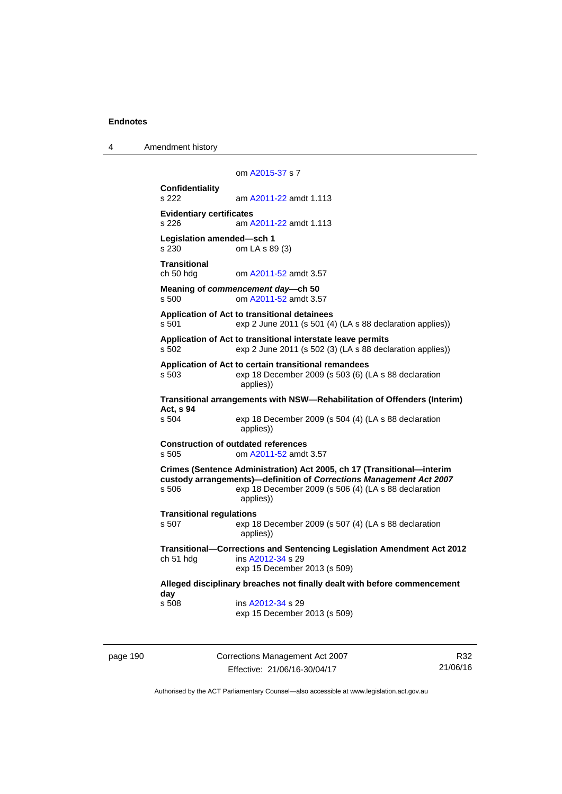4 Amendment history

 om [A2015-37](http://www.legislation.act.gov.au/a/2015-37) s 7 **Confidentiality**  s 222 am [A2011-22](http://www.legislation.act.gov.au/a/2011-22) amdt 1.113 **Evidentiary certificates**  s 226 am [A2011-22](http://www.legislation.act.gov.au/a/2011-22) amdt 1.113 **Legislation amended—sch 1**  s 230 om LA s 89 (3) **Transitional**  ch 50 hdg om [A2011-52](http://www.legislation.act.gov.au/a/2011-52) amdt 3.57 **Meaning of** *commencement day***—ch 50**  s 500 om [A2011-52](http://www.legislation.act.gov.au/a/2011-52) amdt 3.57 **Application of Act to transitional detainees**  s 501 exp 2 June 2011 (s 501 (4) (LA s 88 declaration applies)) **Application of Act to transitional interstate leave permits**  s 502 exp 2 June 2011 (s 502 (3) (LA s 88 declaration applies)) **Application of Act to certain transitional remandees**  s 503 exp 18 December 2009 (s 503 (6) (LA s 88 declaration applies)) **Transitional arrangements with NSW—Rehabilitation of Offenders (Interim) Act, s 94**  exp 18 December 2009 (s 504 (4) (LA s 88 declaration applies)) **Construction of outdated references**  s 505 om [A2011-52](http://www.legislation.act.gov.au/a/2011-52) amdt 3.57 **Crimes (Sentence Administration) Act 2005, ch 17 (Transitional—interim custody arrangements)—definition of** *Corrections Management Act 2007* s 506 exp 18 December 2009 (s 506 (4) (LA s 88 declaration applies)) **Transitional regulations**  s 507 exp 18 December 2009 (s 507 (4) (LA s 88 declaration applies)) **Transitional—Corrections and Sentencing Legislation Amendment Act 2012**  ch 51 hdg ins [A2012-34](http://www.legislation.act.gov.au/a/2012-34) s 29 exp 15 December 2013 (s 509) **Alleged disciplinary breaches not finally dealt with before commencement day**  ins [A2012-34](http://www.legislation.act.gov.au/a/2012-34) s 29 exp 15 December 2013 (s 509)

page 190 Corrections Management Act 2007 Effective: 21/06/16-30/04/17

R32 21/06/16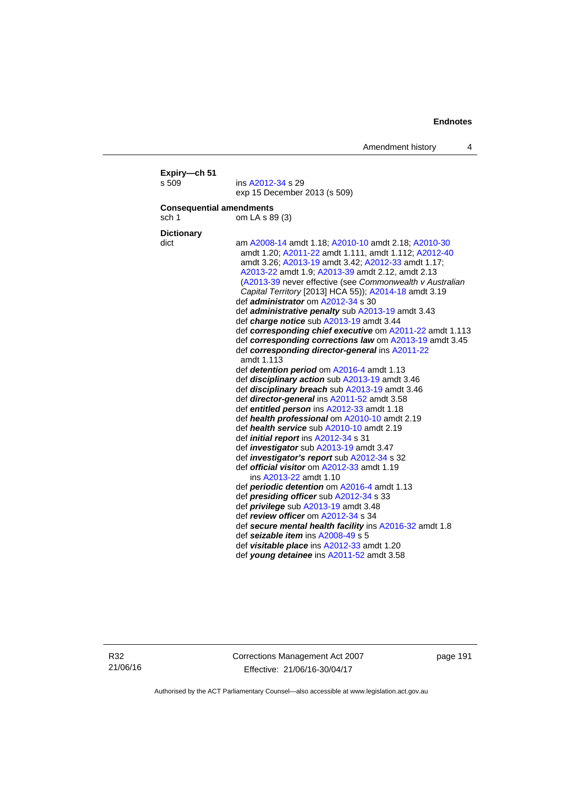|                                          | exp 15 December 2013 (s 509)                                                                                                                                                                                                                                                                                                                                                                                                                                                                                                                                                                                                                                                                                                                                                                                                                                                                                                                                                                                                                                                                                                                                                                                                                                                                                                           |
|------------------------------------------|----------------------------------------------------------------------------------------------------------------------------------------------------------------------------------------------------------------------------------------------------------------------------------------------------------------------------------------------------------------------------------------------------------------------------------------------------------------------------------------------------------------------------------------------------------------------------------------------------------------------------------------------------------------------------------------------------------------------------------------------------------------------------------------------------------------------------------------------------------------------------------------------------------------------------------------------------------------------------------------------------------------------------------------------------------------------------------------------------------------------------------------------------------------------------------------------------------------------------------------------------------------------------------------------------------------------------------------|
| <b>Consequential amendments</b><br>sch 1 | om LA s 89 (3)                                                                                                                                                                                                                                                                                                                                                                                                                                                                                                                                                                                                                                                                                                                                                                                                                                                                                                                                                                                                                                                                                                                                                                                                                                                                                                                         |
|                                          |                                                                                                                                                                                                                                                                                                                                                                                                                                                                                                                                                                                                                                                                                                                                                                                                                                                                                                                                                                                                                                                                                                                                                                                                                                                                                                                                        |
|                                          |                                                                                                                                                                                                                                                                                                                                                                                                                                                                                                                                                                                                                                                                                                                                                                                                                                                                                                                                                                                                                                                                                                                                                                                                                                                                                                                                        |
| <b>Dictionary</b><br>dict                | am A2008-14 amdt 1.18; A2010-10 amdt 2.18; A2010-30<br>amdt 1.20; A2011-22 amdt 1.111, amdt 1.112; A2012-40<br>amdt 3.26; A2013-19 amdt 3.42; A2012-33 amdt 1.17;<br>A2013-22 amdt 1.9; A2013-39 amdt 2.12, amdt 2.13<br>(A2013-39 never effective (see Commonwealth v Australian<br>Capital Territory [2013] HCA 55)); A2014-18 amdt 3.19<br>def <i>administrator</i> om A2012-34 s 30<br>def administrative penalty sub A2013-19 amdt 3.43<br>def charge notice sub A2013-19 amdt 3.44<br>def corresponding chief executive om A2011-22 amdt 1.113<br>def corresponding corrections law om A2013-19 amdt 3.45<br>def corresponding director-general ins A2011-22<br>amdt 1.113<br>def detention period om A2016-4 amdt 1.13<br>def <i>disciplinary action</i> sub A2013-19 amdt 3.46<br>def <i>disciplinary breach</i> sub A2013-19 amdt 3.46<br>def <i>director-general</i> ins A2011-52 amdt 3.58<br>def entitled person ins A2012-33 amdt 1.18<br>def health professional om A2010-10 amdt 2.19<br>def health service sub A2010-10 amdt 2.19<br>def <i>initial report</i> ins A2012-34 s 31<br>def <i>investigator</i> sub A2013-19 amdt 3.47<br>def <i>investigator's report</i> sub A2012-34 s 32<br>def official visitor om A2012-33 amdt 1.19<br>ins A2013-22 amdt 1.10<br>def <b>periodic detention</b> om A2016-4 amdt 1.13 |
|                                          | def presiding officer sub A2012-34 s 33                                                                                                                                                                                                                                                                                                                                                                                                                                                                                                                                                                                                                                                                                                                                                                                                                                                                                                                                                                                                                                                                                                                                                                                                                                                                                                |
|                                          | def <i>privilege</i> sub A2013-19 amdt 3.48                                                                                                                                                                                                                                                                                                                                                                                                                                                                                                                                                                                                                                                                                                                                                                                                                                                                                                                                                                                                                                                                                                                                                                                                                                                                                            |
|                                          | def review officer om A2012-34 s 34                                                                                                                                                                                                                                                                                                                                                                                                                                                                                                                                                                                                                                                                                                                                                                                                                                                                                                                                                                                                                                                                                                                                                                                                                                                                                                    |
|                                          | def secure mental health facility ins A2016-32 amdt 1.8                                                                                                                                                                                                                                                                                                                                                                                                                                                                                                                                                                                                                                                                                                                                                                                                                                                                                                                                                                                                                                                                                                                                                                                                                                                                                |
|                                          | def seizable item ins A2008-49 s 5                                                                                                                                                                                                                                                                                                                                                                                                                                                                                                                                                                                                                                                                                                                                                                                                                                                                                                                                                                                                                                                                                                                                                                                                                                                                                                     |
|                                          | def visitable place ins A2012-33 amdt 1.20                                                                                                                                                                                                                                                                                                                                                                                                                                                                                                                                                                                                                                                                                                                                                                                                                                                                                                                                                                                                                                                                                                                                                                                                                                                                                             |

R32 21/06/16 Corrections Management Act 2007 Effective: 21/06/16-30/04/17

page 191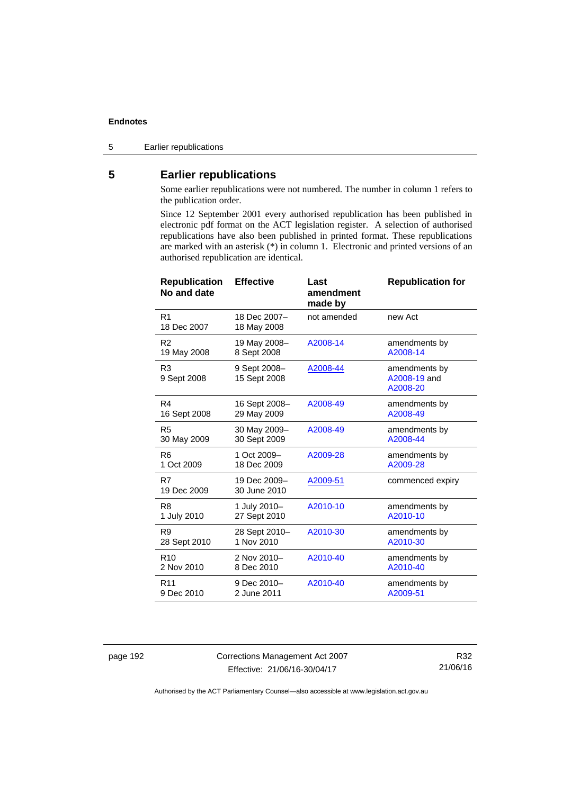5 Earlier republications

# **5 Earlier republications**

Some earlier republications were not numbered. The number in column 1 refers to the publication order.

Since 12 September 2001 every authorised republication has been published in electronic pdf format on the ACT legislation register. A selection of authorised republications have also been published in printed format. These republications are marked with an asterisk (\*) in column 1. Electronic and printed versions of an authorised republication are identical.

| <b>Republication</b><br>No and date | <b>Effective</b>             | Last<br>amendment<br>made by | <b>Republication for</b>                  |
|-------------------------------------|------------------------------|------------------------------|-------------------------------------------|
| R <sub>1</sub><br>18 Dec 2007       | 18 Dec 2007-<br>18 May 2008  | not amended                  | new Act                                   |
| R <sub>2</sub>                      | 19 May 2008-                 | A2008-14                     | amendments by                             |
| 19 May 2008                         | 8 Sept 2008                  |                              | A2008-14                                  |
| R <sub>3</sub><br>9 Sept 2008       | 9 Sept 2008-<br>15 Sept 2008 | A2008-44                     | amendments by<br>A2008-19 and<br>A2008-20 |
| R4                                  | 16 Sept 2008-                | A2008-49                     | amendments by                             |
| 16 Sept 2008                        | 29 May 2009                  |                              | A2008-49                                  |
| R <sub>5</sub>                      | 30 May 2009-                 | A2008-49                     | amendments by                             |
| 30 May 2009                         | 30 Sept 2009                 |                              | A2008-44                                  |
| R <sub>6</sub>                      | 1 Oct 2009-                  | A2009-28                     | amendments by                             |
| 1 Oct 2009                          | 18 Dec 2009                  |                              | A2009-28                                  |
| R7<br>19 Dec 2009                   | 19 Dec 2009-<br>30 June 2010 | A2009-51                     | commenced expiry                          |
| R <sub>8</sub>                      | 1 July 2010-                 | A2010-10                     | amendments by                             |
| 1 July 2010                         | 27 Sept 2010                 |                              | A2010-10                                  |
| R <sub>9</sub>                      | 28 Sept 2010-                | A2010-30                     | amendments by                             |
| 28 Sept 2010                        | 1 Nov 2010                   |                              | A2010-30                                  |
| R <sub>10</sub>                     | 2 Nov 2010-                  | A2010-40                     | amendments by                             |
| 2 Nov 2010                          | 8 Dec 2010                   |                              | A2010-40                                  |
| R <sub>11</sub>                     | 9 Dec 2010-                  | A2010-40                     | amendments by                             |
| 9 Dec 2010                          | 2 June 2011                  |                              | A2009-51                                  |

page 192 Corrections Management Act 2007 Effective: 21/06/16-30/04/17

R32 21/06/16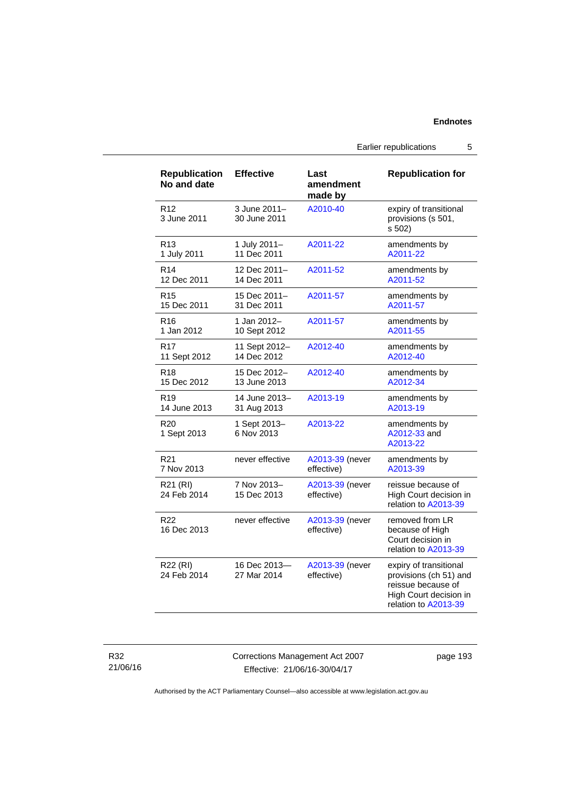Earlier republications 5

| <b>Republication</b><br>No and date | <b>Effective</b>             | Last<br>amendment<br>made by  | <b>Republication for</b>                                                                                                 |
|-------------------------------------|------------------------------|-------------------------------|--------------------------------------------------------------------------------------------------------------------------|
| R <sub>12</sub><br>3 June 2011      | 3 June 2011-<br>30 June 2011 | A2010-40                      | expiry of transitional<br>provisions (s 501,<br>s 502)                                                                   |
| R13                                 | 1 July 2011-                 | A2011-22                      | amendments by                                                                                                            |
| 1 July 2011                         | 11 Dec 2011                  |                               | A2011-22                                                                                                                 |
| R <sub>14</sub>                     | 12 Dec 2011-                 | A2011-52                      | amendments by                                                                                                            |
| 12 Dec 2011                         | 14 Dec 2011                  |                               | A2011-52                                                                                                                 |
| R <sub>15</sub>                     | 15 Dec 2011-                 | A2011-57                      | amendments by                                                                                                            |
| 15 Dec 2011                         | 31 Dec 2011                  |                               | A2011-57                                                                                                                 |
| R <sub>16</sub>                     | 1 Jan 2012-                  | A2011-57                      | amendments by                                                                                                            |
| 1 Jan 2012                          | 10 Sept 2012                 |                               | A2011-55                                                                                                                 |
| R17                                 | 11 Sept 2012-                | A2012-40                      | amendments by                                                                                                            |
| 11 Sept 2012                        | 14 Dec 2012                  |                               | A2012-40                                                                                                                 |
| R <sub>18</sub>                     | 15 Dec 2012-                 | A2012-40                      | amendments by                                                                                                            |
| 15 Dec 2012                         | 13 June 2013                 |                               | A2012-34                                                                                                                 |
| R <sub>19</sub>                     | 14 June 2013-                | A2013-19                      | amendments by                                                                                                            |
| 14 June 2013                        | 31 Aug 2013                  |                               | A2013-19                                                                                                                 |
| R <sub>20</sub><br>1 Sept 2013      | 1 Sept 2013-<br>6 Nov 2013   | A2013-22                      | amendments by<br>A2012-33 and<br>A2013-22                                                                                |
| R <sub>21</sub>                     | never effective              | A2013-39 (never               | amendments by                                                                                                            |
| 7 Nov 2013                          |                              | effective)                    | A2013-39                                                                                                                 |
| R21 (RI)<br>24 Feb 2014             | 7 Nov 2013-<br>15 Dec 2013   | A2013-39 (never<br>effective) | reissue because of<br>High Court decision in<br>relation to A2013-39                                                     |
| R <sub>22</sub><br>16 Dec 2013      | never effective              | A2013-39 (never<br>effective) | removed from LR<br>because of High<br>Court decision in<br>relation to A2013-39                                          |
| R22 (RI)<br>24 Feb 2014             | 16 Dec 2013-<br>27 Mar 2014  | A2013-39 (never<br>effective) | expiry of transitional<br>provisions (ch 51) and<br>reissue because of<br>High Court decision in<br>relation to A2013-39 |

R32 21/06/16 Corrections Management Act 2007 Effective: 21/06/16-30/04/17

page 193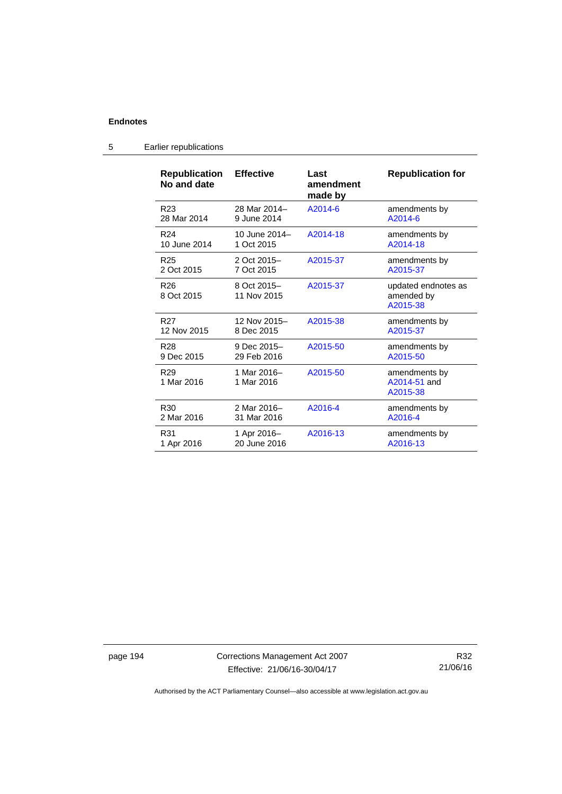| <b>Republication</b><br>No and date | <b>Effective</b>           | Last<br>amendment<br>made by | <b>Republication for</b>                      |
|-------------------------------------|----------------------------|------------------------------|-----------------------------------------------|
| R <sub>23</sub>                     | 28 Mar 2014-               | A2014-6                      | amendments by                                 |
| 28 Mar 2014                         | 9 June 2014                |                              | $A2014-6$                                     |
| R <sub>24</sub>                     | 10 June 2014-              | A2014-18                     | amendments by                                 |
| 10 June 2014                        | 1 Oct 2015                 |                              | A2014-18                                      |
| R <sub>25</sub>                     | 2 Oct 2015-                | A2015-37                     | amendments by                                 |
| 2 Oct 2015                          | 7 Oct 2015                 |                              | A2015-37                                      |
| R <sub>26</sub><br>8 Oct 2015       | 8 Oct 2015-<br>11 Nov 2015 | A2015-37                     | updated endnotes as<br>amended by<br>A2015-38 |
| R <sub>27</sub>                     | 12 Nov 2015-               | A2015-38                     | amendments by                                 |
| 12 Nov 2015                         | 8 Dec 2015                 |                              | A2015-37                                      |
| R <sub>28</sub>                     | 9 Dec 2015-                | A2015-50                     | amendments by                                 |
| 9 Dec 2015                          | 29 Feb 2016                |                              | A2015-50                                      |
| R <sub>29</sub><br>1 Mar 2016       | 1 Mar 2016-<br>1 Mar 2016  | A2015-50                     | amendments by<br>A2014-51 and<br>A2015-38     |
| R <sub>30</sub>                     | 2 Mar 2016-                | A2016-4                      | amendments by                                 |
| 2 Mar 2016                          | 31 Mar 2016                |                              | A2016-4                                       |
| R31                                 | 1 Apr 2016-                | A2016-13                     | amendments by                                 |
| 1 Apr 2016                          | 20 June 2016               |                              | A2016-13                                      |

# 5 Earlier republications

page 194 Corrections Management Act 2007 Effective: 21/06/16-30/04/17

R32 21/06/16